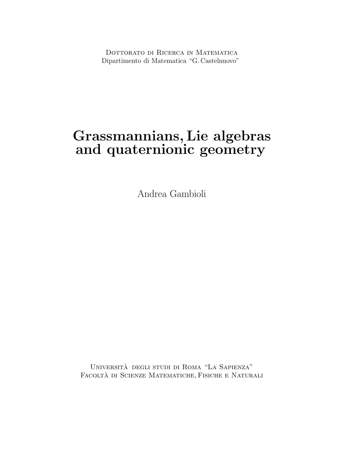DOTTORATO DI RICERCA IN MATEMATICA Dipartimento di Matematica "G. Castelnuovo"

### **Grassmannians, Lie algebras and quaternionic geometry**

Andrea Gambioli

Universita degli studi di Roma "La Sapienza" ` Facolta di Scienze Matematiche, Fisiche e Naturali `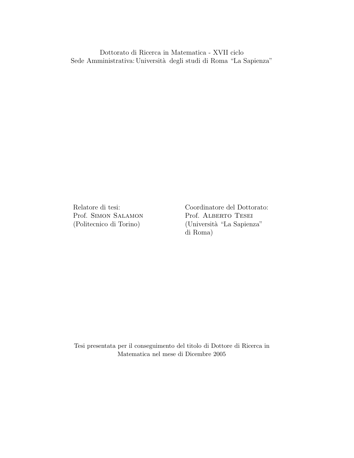Dottorato di Ricerca in Matematica - XVII ciclo Sede Amministrativa: Università degli studi di Roma "La Sapienza"

Prof. SIMON SALAMON Prof. ALBERTO TESEI

Relatore di tesi: Coordinatore del Dottorato: (Politecnico di Torino) (Università "La Sapienza" di Roma)

Tesi presentata per il conseguimento del titolo di Dottore di Ricerca in Matematica nel mese di Dicembre 2005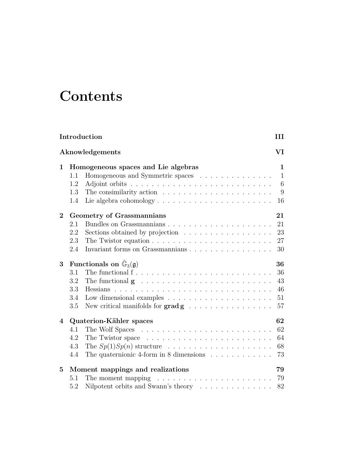# **Contents**

| Introduction<br>Ш     |                                                                                                                                                                                                                                                                                                                                |                                   |  |  |  |
|-----------------------|--------------------------------------------------------------------------------------------------------------------------------------------------------------------------------------------------------------------------------------------------------------------------------------------------------------------------------|-----------------------------------|--|--|--|
| VI<br>Aknowledgements |                                                                                                                                                                                                                                                                                                                                |                                   |  |  |  |
| 1                     | Homogeneous spaces and Lie algebras<br>Homogeneous and Symmetric spaces<br>1.1<br>1.2<br>The consimilarity action $\dots \dots \dots \dots \dots \dots \dots \dots$<br>1.3<br>Lie algebra cohomology $\dots \dots \dots \dots \dots \dots \dots \dots$<br>1.4                                                                  | 1<br>$\mathbf{1}$<br>6<br>9<br>16 |  |  |  |
| $\bf{2}$              | Geometry of Grassmannians<br>2.1<br>2.2<br>Sections obtained by projection<br>2.3<br>2.4                                                                                                                                                                                                                                       | 21<br>21<br>23<br>27<br>30        |  |  |  |
| 3                     | Functionals on $\mathbb{G}_3(\mathfrak{g})$<br>The functional $f \ldots \ldots \ldots \ldots \ldots \ldots \ldots \ldots \ldots$<br>3.1<br>3.2<br>The functional $g \dots \dots \dots \dots \dots \dots \dots \dots \dots$<br>3.3<br>3.4<br>Low dimensional examples $\ldots \ldots \ldots \ldots \ldots \ldots \ldots$<br>3.5 | 36<br>36<br>43<br>46<br>51<br>57  |  |  |  |
| $\overline{4}$        | Quaterion-Kähler spaces<br>4.1<br>4.2<br>4.3<br>The $Sp(1)Sp(n)$ structure<br>The quaternionic 4-form in 8 dimensions $\ldots \ldots \ldots \ldots$<br>4.4                                                                                                                                                                     | 62<br>62<br>64<br>68<br>73        |  |  |  |
| $\bf{5}$              | Moment mappings and realizations<br>The moment mapping<br>5.1<br>Nilpotent orbits and Swann's theory<br>5.2                                                                                                                                                                                                                    | 79<br>79<br>82                    |  |  |  |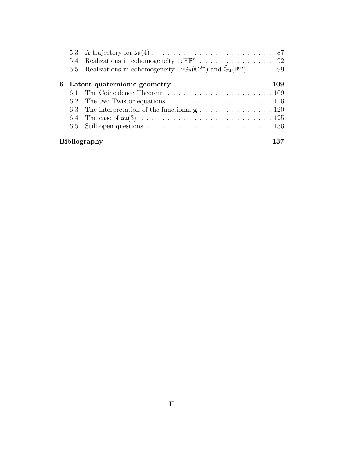|                     | 5.4 | Realizations in cohomogeneity 1: $\mathbb{HP}^n$ 92                                                      |     |  |
|---------------------|-----|----------------------------------------------------------------------------------------------------------|-----|--|
|                     |     | 5.5 Realizations in cohomogeneity 1: $\mathbb{G}_2(\mathbb{C}^{2n})$ and $\mathbb{G}_4(\mathbb{R}^n)$ 99 |     |  |
|                     |     | 6 Latent quaternionic geometry                                                                           | 109 |  |
|                     | 6.1 |                                                                                                          |     |  |
|                     |     |                                                                                                          |     |  |
|                     |     |                                                                                                          |     |  |
|                     |     |                                                                                                          |     |  |
|                     |     | 6.5 Still open questions $\ldots \ldots \ldots \ldots \ldots \ldots \ldots \ldots \ldots 136$            |     |  |
| <b>Bibliography</b> |     |                                                                                                          |     |  |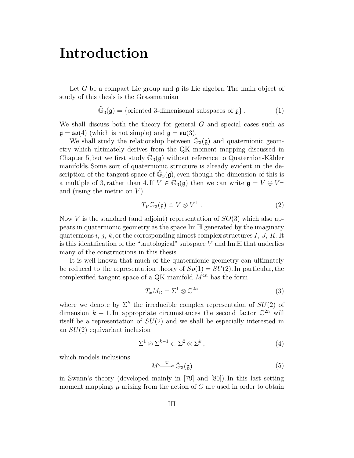### **Introduction**

Let  $G$  be a compact Lie group and  $\mathfrak g$  its Lie algebra. The main object of study of this thesis is the Grassmannian

$$
\tilde{\mathbb{G}}_3(\mathfrak{g}) = \{ \text{oriented 3-dimensional subspaces of } \mathfrak{g} \}. \tag{1}
$$

We shall discuss both the theory for general  $G$  and special cases such as  $\mathfrak{g} = \mathfrak{so}(4)$  (which is not simple) and  $\mathfrak{g} = \mathfrak{su}(3)$ .

We shall study the relationship between  $\mathbb{G}_3(\mathfrak{g})$  and quaternionic geometry which ultimately derives from the QK moment mapping discussed in Chapter 5, but we first study  $\mathbb{G}_3(\mathfrak{g})$  without reference to Quaternion-Kähler manifolds. Some sort of quaternionic structure is already evident in the description of the tangent space of  $\mathbb{G}_3(\mathfrak{g})$ , even though the dimension of this is a multiple of 3, rather than 4. If  $V \in \tilde{\mathbb{G}}_3(\mathfrak{g})$  then we can write  $\mathfrak{g} = V \oplus V^{\perp}$ and (using the metric on  $V$ )

$$
T_V \mathbb{G}_3(\mathfrak{g}) \cong V \otimes V^{\perp} \,. \tag{2}
$$

Now V is the standard (and adjoint) representation of  $SO(3)$  which also appears in quaternionic geometry as the space Im H generated by the imaginary quaternions  $i, j, k$ , or the corresponding almost complex structures  $I, J, K$ . It is this identification of the "tautological" subspace  $V$  and Im  $\mathbb H$  that underlies many of the constructions in this thesis.

It is well known that much of the quaternionic geometry can ultimately be reduced to the representation theory of  $Sp(1) = SU(2)$ . In particular, the complexified tangent space of a QK manifold  $M^{4n}$  has the form

$$
T_x M_{\mathbb{C}} = \Sigma^1 \otimes \mathbb{C}^{2n} \tag{3}
$$

where we denote by  $\Sigma^k$  the irreducible complex representaion of  $SU(2)$  of dimension  $k + 1$ . In appropriate circumstances the second factor  $\mathbb{C}^{2n}$  will itself be a representation of  $SU(2)$  and we shall be especially interested in an  $SU(2)$  equivariant inclusion

$$
\Sigma^1 \otimes \Sigma^{k-1} \subset \Sigma^2 \otimes \Sigma^k \,, \tag{4}
$$

which models inclusions

$$
M^{\xrightarrow{\Psi} \widetilde{\mathbb{G}}_3(\mathfrak{g})} \tag{5}
$$

in Swann's theory (developed mainly in [79] and [80]). In this last setting moment mappings  $\mu$  arising from the action of G are used in order to obtain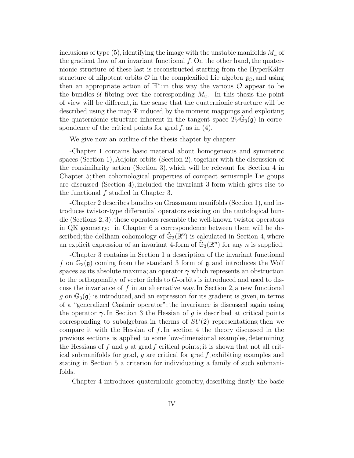inclusions of type  $(5)$ , identifying the image with the unstable manifolds  $M_u$  of the gradient flow of an invariant functional  $f$ . On the other hand, the quaternionic structure of these last is reconstructed starting from the HyperKäler structure of nilpotent orbits  $\mathcal O$  in the complexified Lie algebra  $\mathfrak g_{\mathbb C}$ , and using then an appropriate action of  $\mathbb{H}^*$ : in this way the various  $\mathcal O$  appear to be the bundles U fibring over the corresponding  $M_u$ . In this thesis the point of view will be different, in the sense that the quaternionic structure will be described using the map  $\Psi$  induced by the moment mappings and exploiting the quaternionic structure inherent in the tangent space  $T_V \mathbb{G}_3(\mathfrak{g})$  in correspondence of the critical points for grad  $f$ , as in (4).

We give now an outline of the thesis chapter by chapter:

-Chapter 1 contains basic material about homogeneous and symmetric spaces (Section 1), Adjoint orbits (Section 2), together with the discussion of the consimilarity action (Section 3), which will be relevant for Section 4 in Chapter 5; then cohomological properties of compact semisimple Lie goups are discussed (Section 4), included the invariant 3-form which gives rise to the functional f studied in Chapter 3.

-Chapter 2 describes bundles on Grassmann manifolds (Section 1), and introduces twistor-type differential operators existing on the tautological bundle (Sections 2, 3); these operators resemble the well-known twistor operators in QK geometry: in Chapter 6 a correspondence between them will be described; the deRham cohomology of  $\mathbb{G}_3(\mathbb{R}^6)$  is calculated in Section 4, where an explicit expression of an invariant 4-form of  $\mathbb{G}_3(\mathbb{R}^n)$  for any n is supplied.

-Chapter 3 contains in Section 1 a description of the invariant functional f on  $\mathbb{G}_3(\mathfrak{g})$  coming from the standard 3 form of  $\mathfrak{g}$ , and introduces the Wolf spaces as its absolute maxima; an operator *γ* which represents an obstruction to the orthogonality of vector fields to G-orbits is introduced and used to discuss the invariance of f in an alternative way. In Section 2, a new functional g on  $\mathbb{G}_3(\mathfrak{g})$  is introduced, and an expression for its gradient is given, in terms of a "generalized Casimir operator"; the invariance is discussed again using the operator  $\gamma$ . In Section 3 the Hessian of g is described at critical points corresponding to subalgebras, in therms of  $SU(2)$  representations; then we compare it with the Hessian of  $f$ . In section 4 the theory discussed in the previous sections is applied to some low-dimensional examples, determining the Hessians of f and g at grad f critical points; it is shown that not all critical submanifolds for grad, q are critical for grad  $f$ , exhibiting examples and stating in Section 5 a criterion for individuating a family of such submanifolds.

-Chapter 4 introduces quaternionic geometry, describing firstly the basic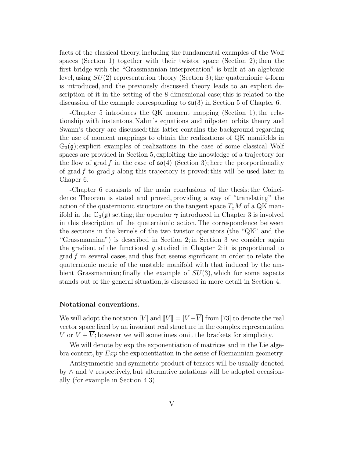facts of the classical theory, including the fundamental examples of the Wolf spaces (Section 1) together with their twistor space (Section 2); then the first bridge with the "Grassmannian interpretation" is built at an algebraic level, using  $SU(2)$  representation theory (Section 3); the quaternionic 4-form is introduced, and the previously discussed theory leads to an explicit description of it in the setting of the 8-dimesnional case; this is related to the discussion of the example corresponding to  $\mathfrak{su}(3)$  in Section 5 of Chapter 6.

-Chapter 5 introduces the QK moment mapping (Section 1); the relationship with instantons, Nahm's equations and nilpoten orbits theory and Swann's theory are discussed: this latter contains the background regarding the use of moment mappings to obtain the realizations of QK manifolds in  $\mathbb{G}_3(\mathfrak{g})$ ; explicit examples of realizations in the case of some classical Wolf spaces are provided in Section 5, exploiting the knowledge of a trajectory for the flow of grad f in the case of  $\mathfrak{so}(4)$  (Section 3); here the prorportionality of grad f to grad g along this trajectory is proved: this will be used later in Chaper 6.

-Chapter 6 consisnts of the main conclusions of the thesis: the Coincidence Theorem is stated and proved, providing a way of "translating" the action of the quaternionic structure on the tangent space  $T_xM$  of a QK manifold in the  $\mathbb{G}_3(\mathfrak{g})$  setting; the operator  $\gamma$  introduced in Chapter 3 is involved in this description of the quaternionic action. The correspondence between the sections in the kernels of the two twistor operators (the "QK" and the "Grassmannian") is described in Section 2; in Section 3 we consider again the gradient of the functional  $g$ , studied in Chapter 2: it is proportional to grad f in several cases, and this fact seems significant in order to relate the quaternionic metric of the unstable manifold with that induced by the ambient Grassmannian; finally the example of  $SU(3)$ , which for some aspects stands out of the general situation, is discussed in more detail in Section 4.

#### **Notational conventions.**

We will adopt the notation  $[V]$  and  $[V] = [V + \overline{V}]$  from [73] to denote the real vector space fixed by an invariant real structure in the complex representation V or  $V + \overline{V}$ ; however we will sometimes omit the brackets for simplicity.

We will denote by exp the exponentiation of matrices and in the Lie algebra context, by Exp the exponentiation in the sense of Riemannian geometry.

Antisymmetric and symmetric product of tensors will be usually denoted by ∧ and ∨ respectively, but alternative notations will be adopted occasionally (for example in Section 4.3).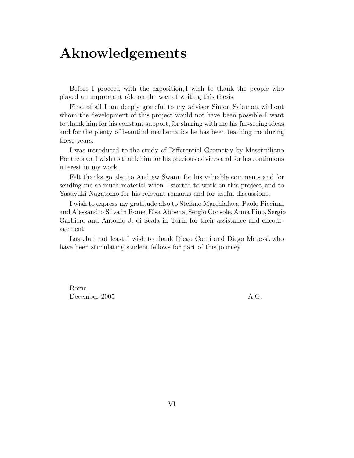### **Aknowledgements**

Before I proceed with the exposition, I wish to thank the people who played an imprortant rôle on the way of writing this thesis.

First of all I am deeply grateful to my advisor Simon Salamon, without whom the development of this project would not have been possible. I want to thank him for his constant support, for sharing with me his far-seeing ideas and for the plenty of beautiful mathematics he has been teaching me during these years.

I was introduced to the study of Differential Geometry by Massimiliano Pontecorvo, I wish to thank him for his precious advices and for his continuous interest in my work.

Felt thanks go also to Andrew Swann for his valuable comments and for sending me so much material when I started to work on this project, and to Yasuyuki Nagatomo for his relevant remarks and for useful discussions.

I wish to express my gratitude also to Stefano Marchiafava, Paolo Piccinni and Alessandro Silva in Rome, Elsa Abbena, Sergio Console, Anna Fino, Sergio Garbiero and Antonio J. di Scala in Turin for their assistance and encouragement.

Last, but not least, I wish to thank Diego Conti and Diego Matessi, who have been stimulating student fellows for part of this journey.

Roma December 2005 A.G.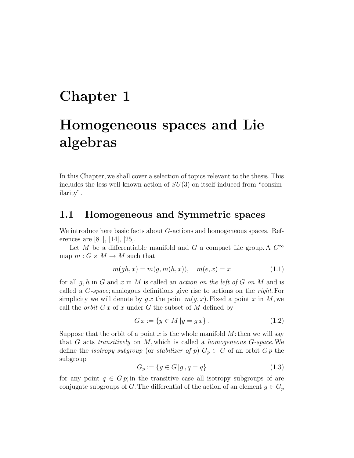### **Chapter 1**

## **Homogeneous spaces and Lie algebras**

In this Chapter, we shall cover a selection of topics relevant to the thesis. This includes the less well-known action of  $SU(3)$  on itself induced from "consimilarity".

#### **1.1 Homogeneous and Symmetric spaces**

We introduce here basic facts about G-actions and homogeneous spaces. References are [81], [14], [25].

Let M be a differentiable manifold and G a compact Lie group. A  $C^{\infty}$ map  $m: G \times M \to M$  such that

$$
m(gh, x) = m(g, m(h, x)), \quad m(e, x) = x \tag{1.1}
$$

for all  $g, h$  in G and x in M is called an *action on the left of G on M* and is called a G-space; analogous definitions give rise to actions on the right. For simplicity we will denote by qx the point  $m(q, x)$ . Fixed a point x in M, we call the *orbit*  $Gx$  of x under G the subset of M defined by

$$
G x := \{ y \in M \, | y = g x \}. \tag{1.2}
$$

Suppose that the orbit of a point x is the whole manifold  $M$ : then we will say that  $G$  acts transitively on  $M$ , which is called a *homogeneous*  $G$ -space. We define the *isotropy subgroup* (or *stabilizer of p*)  $G_p \subset G$  of an orbit  $G_p$  the subgroup

$$
G_p := \{ g \in G \, | \, g, q = q \} \tag{1.3}
$$

for any point  $q \in G$  p; in the transitive case all isotropy subgroups of are conjugate subgroups of G. The differential of the action of an element  $g \in G_p$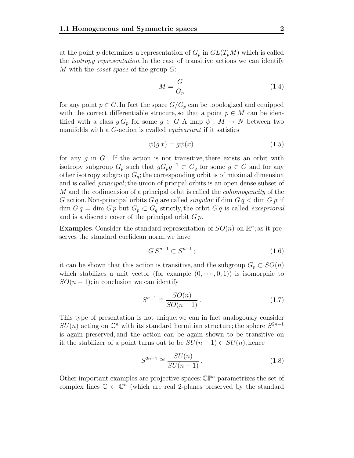at the point p determines a representation of  $G_p$  in  $GL(T_pM)$  which is called the isotropy representation. In the case of transitive actions we can identify M with the coset space of the group G:

$$
M = \frac{G}{G_p} \tag{1.4}
$$

for any point  $p \in G$ . In fact the space  $G/G_p$  can be topologized and equipped with the correct differentiable strucure, so that a point  $p \in M$  can be identified with a class  $g G_p$  for some  $g \in G$ . A map  $\psi : M \to N$  between two manifolds with a G-action is cvalled equivariant if it satisfies

$$
\psi(g\,x) = g\psi(x) \tag{1.5}
$$

for any  $g$  in  $G$ . If the action is not transitive, there exists an orbit with isotropy subgroup  $G_p$  such that  $gG_pg^{-1} \subset G_q$  for some  $g \in G$  and for any other isotropy subgroup  $G_q$ ; the corresponding orbit is of maximal dimension and is called principal; the union of pricipal orbits is an open dense subset of M and the codimension of a principal orbit is called the *cohomogeneity* of the G action. Non-principal orbits  $G q$  are called *singular* if dim  $G q <$  dim  $G p$ ; if dim  $G q = \dim G p$  but  $G_p \subset G_q$  strictly, the orbit  $G q$  is called *exceprional* and is a discrete cover of the principal orbit  $G p$ .

**Examples.** Consider the standard representation of  $SO(n)$  on  $\mathbb{R}^n$ ; as it preserves the standard euclidean norm, we have

$$
GS^{n-1} \subset S^{n-1};\tag{1.6}
$$

it can be shown that this action is transitive, and the subgroup  $G_p \subset SO(n)$ which stabilizes a unit vector (for example  $(0, \dots, 0, 1)$ ) is isomorphic to  $SO(n-1)$ ; in conclusion we can identify

$$
S^{n-1} \cong \frac{SO(n)}{SO(n-1)}.
$$
\n(1.7)

This type of presentation is not unique: we can in fact analogously consider  $SU(n)$  acting on  $\mathbb{C}^n$  with its standard hermitian structure; the sphere  $S^{2n-1}$ is again preserved, and the action can be again shown to be transitive on it; the stabilizer of a point turns out to be  $SU(n-1)$  ⊂  $SU(n)$ , hence

$$
S^{2n-1} \cong \frac{SU(n)}{SU(n-1)}.\tag{1.8}
$$

Other important examples are projective spaces:  $\mathbb{CP}^n$  parametrizes the set of complex lines  $\mathbb{C} \subset \mathbb{C}^n$  (which are real 2-planes preserved by the standard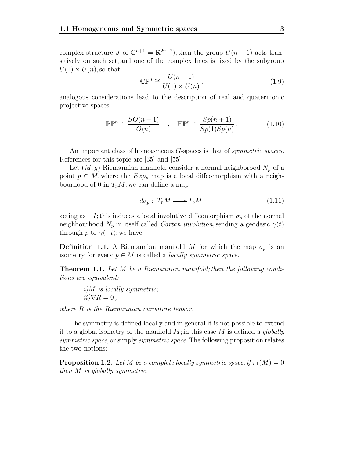complex structure J of  $\mathbb{C}^{n+1} = \mathbb{R}^{2n+2}$ ; then the group  $U(n+1)$  acts transitively on such set, and one of the complex lines is fixed by the subgroup  $U(1) \times U(n)$ , so that

$$
\mathbb{CP}^n \cong \frac{U(n+1)}{U(1) \times U(n)}.
$$
\n(1.9)

analogous considerations lead to the description of real and quaternionic projective spaces:

$$
\mathbb{R}\mathbb{P}^n \cong \frac{SO(n+1)}{O(n)} \quad , \quad \mathbb{H}\mathbb{P}^n \cong \frac{Sp(n+1)}{Sp(1)Sp(n)} \,. \tag{1.10}
$$

An important class of homogeneous G-spaces is that of *symmetric spaces*. References for this topic are [35] and [55].

Let  $(M, g)$  Riemannian manifold; consider a normal neighborood  $N_p$  of a point  $p \in M$ , where the  $Exp_p$  map is a local diffeomorphism with a neighbourhood of 0 in  $T_pM$ ; we can define a map

$$
d\sigma_p: T_p M \longrightarrow T_p M \tag{1.11}
$$

acting as  $-I$ ; this induces a local involutive diffeomorphism  $\sigma_p$  of the normal neighbourhood  $N_p$  in itself called *Cartan involution*, sending a geodesic  $\gamma(t)$ through p to  $\gamma(-t)$ ; we have

**Definition 1.1.** A Riemannian manifold M for which the map  $\sigma_p$  is an isometry for every  $p \in M$  is called a *locally symmetric space*.

**Theorem 1.1.** Let M be a Riemannian manifold; then the following conditions are equivalent:

> i)M is locally symmetric;  $ii/\nabla R = 0$ .

where R is the Riemannian curvature tensor.

The symmetry is defined locally and in general it is not possible to extend it to a global isometry of the manifold  $M$ ; in this case  $M$  is defined a *globally* symmetric space, or simply symmetric space. The following proposition relates the two notions:

**Proposition 1.2.** Let M be a complete locally symmetric space; if  $\pi_1(M)=0$ then M is globally symmetric.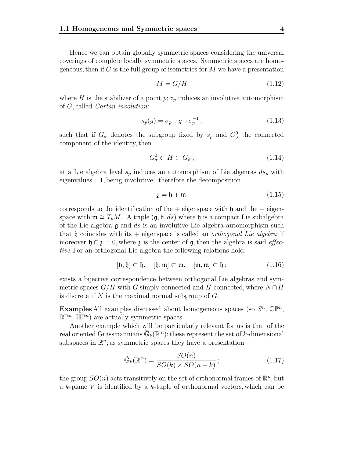Hence we can obtain globally symmetric spaces considering the universal coverings of complete locally symmetric spaces. Symmetric spaces are homogeneous, then if  $G$  is the full group of isometries for  $M$  we have a presentation

$$
M = G/H \tag{1.12}
$$

where H is the stabilizer of a point  $p; \sigma_p$  induces an involutive automorphism of G, called Cartan involution:

$$
s_p(g) = \sigma_p \circ g \circ \sigma_p^{-1}, \qquad (1.13)
$$

such that if  $G_{\sigma}$  denotes the subgroup fixed by  $s_p$  and  $G_{\sigma}^0$  the connected component of the identity, then

$$
G_{\sigma}^{0} \subset H \subset G_{\sigma} ; \tag{1.14}
$$

at a Lie algebra level  $s_p$  induces an automorphism of Lie algenras  $ds_p$  with eigenvalues  $\pm 1$ , being involutive; therefore the decomposition

$$
\mathfrak{g} = \mathfrak{h} + \mathfrak{m} \tag{1.15}
$$

corresponds to the identification of the + eigenspace with h and the  $-$  eigenspace with  $\mathfrak{m} \cong T_pM$ . A triple  $(\mathfrak{g}, \mathfrak{h}, ds)$  where  $\mathfrak{h}$  is a compact Lie subalgebra of the Lie algebra  $\mathfrak g$  and  $ds$  is an involutive Lie algebra automorphism such that h coincides with its  $+$  eigenspace is called an *orthogonal Lie algebra*; if moreover  $\mathfrak{h} \cap \mathfrak{z} = 0$ , where  $\mathfrak{z}$  is the center of  $\mathfrak{g}$ , then the algebra is said *effec*tive. For an orthogonal Lie algebra the following relations hold:

$$
[\mathfrak{h},\mathfrak{h}] \subset \mathfrak{h}, \quad [\mathfrak{h},\mathfrak{m}] \subset \mathfrak{m}, \quad [\mathfrak{m},\mathfrak{m}] \subset \mathfrak{h} ; \tag{1.16}
$$

exists a bijective correspondence between orthogonal Lie algebras and symmetric spaces  $G/H$  with G simply connected and H connected, where  $N \cap H$ is discrete if  $N$  is the maximal normal subgroup of  $G$ .

**Examples** All examples discussed about homogeneous spaces (so  $S<sup>n</sup>$ ,  $\mathbb{CP}<sup>n</sup>$ ,  $\mathbb{R}\mathbb{P}^n$ ,  $\mathbb{HP}^n$  are actually symmetric spaces.

Another example which will be particularly relevant for us is that of the real oriented Grassmannians  $\mathbb{G}_k(\mathbb{R}^n)$ : these represent the set of k-dimensional subspaces in  $\mathbb{R}^n$ ; as symmetric spaces they have a presentation

$$
\tilde{\mathbb{G}}_k(\mathbb{R}^n) = \frac{SO(n)}{SO(k) \times SO(n-k)}; \qquad (1.17)
$$

the group  $SO(n)$  acts transitively on the set of orthonormal frames of  $\mathbb{R}^n$ , but a k-plane V is identified by a k-tuple of orthonormal vectors, which can be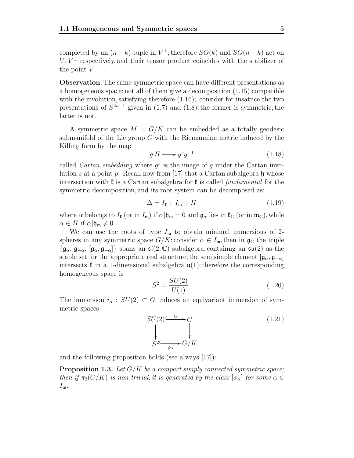completed by an  $(n-k)$ -tuple in  $V^{\perp}$ ; therefore  $SO(k)$  and  $SO(n-k)$  act on  $V, V^{\perp}$  respectively, and their tensor product coincides with the stabilizer of the point  $V$ .

**Observation.** The same symmetric space can have different presentations as a homogeneous space: not all of them give a decomposition (1.15) compatible with the involution, satisfying therefore  $(1.16)$ ; consider for insatnce the two presentations of  $S^{2n-1}$  given in (1.7) and (1.8): the former is symmetric, the latter is not.

A symmetric space  $M = G/K$  can be embedded as a totally geodesic submanifold of the Lie group  $G$  with the Riemannian metric induced by the Killing form by the map

$$
g H \longrightarrow g^s g^{-1} \tag{1.18}
$$

called *Cartan embedding*, where  $g^s$  is the image of g under the Cartan involution s at a point p. Recall now from [17] that a Cartan subalgebra h whose intersection with  $\mathfrak k$  is a Cartan subalgebra for  $\mathfrak k$  is called *fundamental* for the symmetric decomposition, and its root system can be decomposed as:

$$
\Delta = I_{\mathfrak{k}} + I_{\mathfrak{m}} + II \tag{1.19}
$$

where  $\alpha$  belongs to  $I_{\mathfrak{k}}$  (or in  $I_{\mathfrak{m}}$ ) if  $\alpha | \mathfrak{h}_{\mathfrak{m}} = 0$  and  $\mathfrak{g}_{\alpha}$  lies in  $\mathfrak{k}_{\mathbb{C}}$  (or in  $\mathfrak{m}_{\mathbb{C}}$ ), while  $\alpha \in H$  if  $\alpha | \mathfrak{h}_{\mathfrak{m}} \neq 0$ .

We can use the roots of type  $I_m$  to obtain minimal immersions of 2spheres in any symmetric space  $G/K$ : consider  $\alpha \in I_{\mathfrak{m}}$ , then in  $\mathfrak{g}_{\mathbb{C}}$  the triple  $\{\mathfrak{g}_{\alpha},\mathfrak{g}_{-\alpha},\lbrack\mathfrak{g}_{\alpha},\mathfrak{g}_{-\alpha}\rbrack\}$  spans an  $\mathfrak{sl}(2,\mathbb{C})$  subalgebra, containing an  $\mathfrak{su}(2)$  as the stable set for the appropriate real structure; the semisimple element  $[\mathfrak{g}_{\alpha}, \mathfrak{g}_{-\alpha}]$ intersects  $\mathfrak{k}$  in a 1-dimensional subalgebra  $\mathfrak{u}(1)$ ; therefore the corresponding homogeneous space is

$$
S^2 = \frac{SU(2)}{U(1)}\,. \tag{1.20}
$$

The immersion  $i_{\alpha} : SU(2) \subset G$  induces an equivariant immersion of symmetric spaces

$$
SU(2) \xrightarrow{\begin{array}{c}\n i_{\alpha} \\
 \downarrow \\
 S^{2} \xrightarrow{\begin{array}{c}\n \downarrow \\
 \downarrow \\
 \downarrow\n \end{array}} G/K
$$
\n
$$
(1.21)
$$

and the following proposition holds (see always [17]):

**Proposition 1.3.** Let  $G/K$  be a compact simply connected symmetric space; then if  $\pi_2(G/K)$  is non-trivial, it is generated by the class  $[\phi_\alpha]$  for some  $\alpha \in$  $I_{\mathfrak{m}}$ .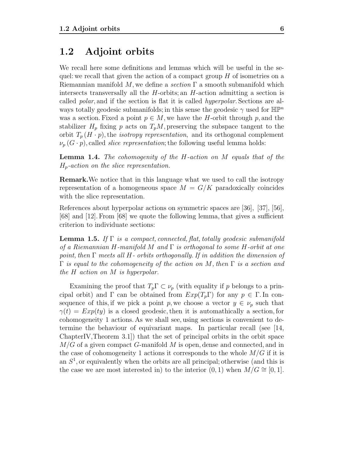#### **1.2 Adjoint orbits**

We recall here some definitions and lemmas which will be useful in the sequel: we recall that given the action of a compact group  $H$  of isometries on a Riemannian manifold  $M$ , we define a section  $\Gamma$  a smooth submanifold which intersects transversally all the  $H$ -orbits; an  $H$ -action admitting a section is called polar, and if the section is flat it is called hyperpolar. Sections are always totally geodesic submanifolds; in this sense the geodesic  $\gamma$  used for  $\mathbb{HP}^n$ was a section. Fixed a point  $p \in M$ , we have the H-orbit through p, and the stabilizer  $H_p$  fixing p acts on  $T_pM$ , preserving the subspace tangent to the orbit  $T_p(H \cdot p)$ , the *isotropy representation*, and its orthogonal complement  $\nu_p(G \cdot p)$ , called *slice representation*; the following useful lemma holds:

**Lemma 1.4.** The cohomogenity of the H-action on M equals that of the  $H_p$ -action on the slice representation.

**Remark.**We notice that in this language what we used to call the isotropy representation of a homogeneous space  $M = G/K$  paradoxically coincides with the slice representation.

References about hyperpolar actions on symmetric spaces are [36], [37], [56], [68] and [12]. From [68] we quote the following lemma, that gives a sufficient criterion to individuate sections:

**Lemma 1.5.** If  $\Gamma$  is a compact, connected, flat, totally geodesic submanifold of a Riemannian H-manifold M and  $\Gamma$  is orthogonal to some H-orbit at one point, then  $\Gamma$  meets all H- orbits orthogonally. If in addition the dimension of  $\Gamma$  is equal to the cohomogeneity of the action on M, then  $\Gamma$  is a section and the H action on M is hyperpolar.

Examining the proof that  $T_p \Gamma \subset \nu_p$  (with equality if p belongs to a principal orbit) and  $\Gamma$  can be obtained from  $Exp(T_p\Gamma)$  for any  $p \in \Gamma$ . In consequence of this, if we pick a point p, we choose a vector  $y \in \nu_p$  such that  $\gamma(t) = Exp(ty)$  is a closed geodesic, then it is automathically a section, for cohomogeneity 1 actions. As we shall see, using sections is convenient to determine the behaviour of equivariant maps. In particular recall (see [14, ChapterIV,Theorem 3.1]) that the set of principal orbits in the orbit space  $M/G$  of a given compact G-manifold M is open, dense and connected, and in the case of cohomogeneity 1 actions it corresponds to the whole  $M/G$  if it is an  $S<sup>1</sup>$ , or equivalently when the orbits are all principal; otherwise (and this is the case we are most interested in) to the interior  $(0, 1)$  when  $M/G \cong [0, 1]$ .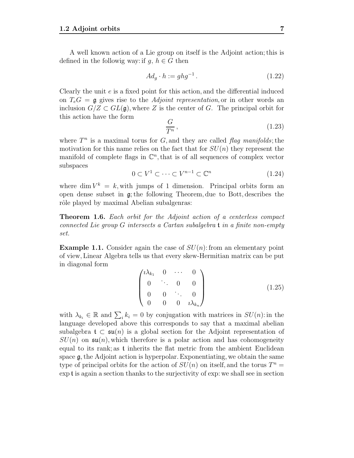A well known action of a Lie group on itself is the Adjoint action; this is defined in the followig way: if  $q, h \in G$  then

$$
Ad_g \cdot h := ghg^{-1}.
$$
\n<sup>(1.22)</sup>

Clearly the unit e is a fixed point for this action, and the differential induced on  $T_eG = \mathfrak{g}$  gives rise to the *Adjoint representation*, or in other words an inclusion  $G/Z \subset GL(\mathfrak{g})$ , where Z is the center of G. The principal orbit for this action have the form

$$
\frac{G}{T^n},\tag{1.23}
$$

where  $T^n$  is a maximal torus for G, and they are called flag manifolds; the motivation for this name relies on the fact that for  $SU(n)$  they represent the manifold of complete flags in  $\mathbb{C}^n$ , that is of all sequences of complex vector subspaces

$$
0 \subset V^1 \subset \dots \subset V^{n-1} \subset \mathbb{C}^n \tag{1.24}
$$

where dim  $V^k = k$ , with jumps of 1 dimension. Principal orbits form an open dense subset in g; the following Theorem, due to Bott, describes the rôle played by maximal Abelian subalgenras:

**Theorem 1.6.** Each orbit for the Adjoint action of a centerless compact connected Lie group <sup>G</sup> intersects a Cartan subalgebra t in a finite non-empty set.

**Example 1.1.** Consider again the case of  $SU(n)$ : from an elementary point of view, Linear Algebra tells us that every skew-Hermitian matrix can be put in diagonal form

$$
\begin{pmatrix}\ni\lambda_{k_1} & 0 & \cdots & 0 \\
0 & \ddots & 0 & 0 \\
0 & 0 & \ddots & 0 \\
0 & 0 & 0 & i\lambda_{k_n}\n\end{pmatrix}
$$
\n(1.25)

with  $\lambda_{k_i} \in \mathbb{R}$  and  $\sum_i k_i = 0$  by conjugation with matrices in  $SU(n)$ : in the language developed above this corresponds to say that a maximal abelian subalgebra  $\mathfrak{t} \subset \mathfrak{su}(n)$  is a global section for the Adjoint representation of  $SU(n)$  on  $\mathfrak{su}(n)$ , which therefore is a polar action and has cohomogeneity equal to its rank; as t inherits the flat metric from the ambient Euclidean space  $\mathfrak{g}$ , the Adjoint action is hyperpolar. Exponentiating, we obtain the same type of principal orbits for the action of  $SU(n)$  on itself, and the torus  $T^n =$ exp t is again a section thanks to the surjectivity of exp: we shall see in section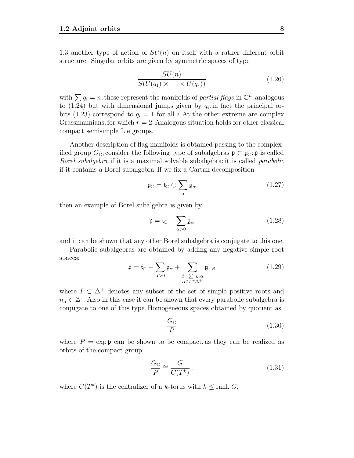1.3 another type of action of  $SU(n)$  on itself with a rather different orbit structure. Singular orbits are given by symmetric spaces of type

$$
\frac{SU(n)}{S(U(q_1) \times \cdots \times U(q_r))}
$$
\n(1.26)

with  $\sum q_i = n$ ; these represent the manifolds of *partial flags* in  $\mathbb{C}^n$ , analogous to  $(1.24)$  but with dimensional jumps given by  $q_i$ : in fact the principal orbits (1.23) correspond to  $q_i = 1$  for all i. At the other extreme are complex Grassmannians, for which  $r = 2$ . Analogous situation holds for other classical compact semisimple Lie groups.

Another description of flag manifolds is obtained passing to the complexified group  $G_{\mathbb{C}}$ ; consider the following type of subalgebras  $\mathfrak{p} \subset \mathfrak{g}_{\mathbb{C}}$ : p is called Borel subalgebra if it is a maximal solvable subalgebra; it is called parabolic if it contains a Borel subalgebra. If we fix a Cartan decomposition

$$
\mathfrak{g}_{\mathbb{C}} = \mathfrak{t}_{\mathbb{C}} \oplus \sum_{\alpha} \mathfrak{g}_{\alpha} \tag{1.27}
$$

then an example of Borel subalgebra is given by

$$
\mathfrak{p} = \mathfrak{t}_{\mathbb{C}} + \sum_{\alpha > 0} \mathfrak{g}_{\alpha} \tag{1.28}
$$

and it can be shown that any other Borel subalgebra is conjugate to this one.

Parabolic subalgebras are obtained by adding any negative simple root spaces:

$$
\mathfrak{p} = \mathfrak{t}_{\mathbb{C}} + \sum_{\alpha > 0} \mathfrak{g}_{\alpha} + \sum_{\substack{\beta = \sum n_{\alpha} \alpha \\ \alpha \in I \subset \Delta^{+}}} \mathfrak{g}_{-\beta} \tag{1.29}
$$

where  $I \subset \Delta^+$  denotes any subset of the set of simple positive roots and  $n_{\alpha} \in \mathbb{Z}^{+}$ . Also in this case it can be shown that every parabolic subalgebra is conjugate to one of this type. Homogeneous spaces obtained by quotient as

$$
\frac{G_{\mathbb{C}}}{P} \tag{1.30}
$$

where  $P = \exp \phi$  can be shown to be compact, as they can be realized as orbits of the compact group:

$$
\frac{G_{\mathbb{C}}}{P} \cong \frac{G}{C(T^k)},\tag{1.31}
$$

where  $C(T^k)$  is the centralizer of a k-torus with  $k \leq \text{rank } G$ .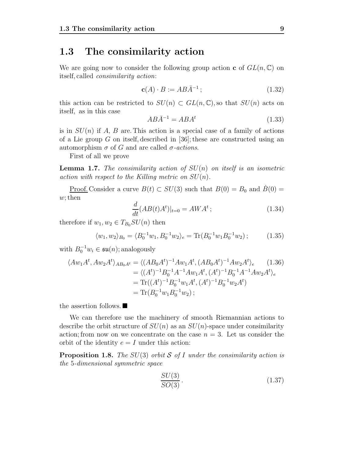#### **1.3 The consimilarity action**

We are going now to consider the following group action **c** of  $GL(n, \mathbb{C})$  on itself, called consimilarity action:

$$
\mathbf{c}(A) \cdot B := AB\bar{A}^{-1};\tag{1.32}
$$

this action can be restricted to  $SU(n) \subset GL(n,\mathbb{C})$ , so that  $SU(n)$  acts on itself, as in this case

$$
AB\bar{A}^{-1} = ABA^t \tag{1.33}
$$

is in  $SU(n)$  if A, B are. This action is a special case of a family of actions of a Lie group G on itself, described in [36]; these are constructed using an automorphism  $\sigma$  of G and are called σ-actions.

First of all we prove

**Lemma 1.7.** The consimilarity action of  $SU(n)$  on itself is an isometric action with respect to the Killing metric on  $SU(n)$ .

<u>Proof.</u> Consider a curve  $B(t) \subset SU(3)$  such that  $B(0) = B_0$  and  $\dot{B}(0) =$  $w$ ; then

$$
\frac{d}{dt}(AB(t)A^t)|_{t=0} = AWA^t; \qquad (1.34)
$$

therefore if  $w_1, w_2 \in T_{B_0}SU(n)$  then

$$
\langle w_1, w_2 \rangle_{B_0} = \langle B_0^{-1} w_1, B_0^{-1} w_2 \rangle_e = \text{Tr}(B_0^{-1} w_1 B_0^{-1} w_2); \tag{1.35}
$$

with  $B_0^{-1}w_i \in \mathfrak{su}(n)$ ; analogously

$$
\langle Aw_1 A^t, Aw_2 A^t \rangle_{AB_0 A^t} = \langle (AB_0 A^t)^{-1} A w_1 A^t, (AB_0 A^t)^{-1} A w_2 A^t \rangle_e \qquad (1.36)
$$
  
=  $\langle (A^t)^{-1} B_0^{-1} A^{-1} A w_1 A^t, (A^t)^{-1} B_0^{-1} A^{-1} A w_2 A^t \rangle_e$   
= Tr $((A^t)^{-1} B_0^{-1} w_1 A^t, (A^t)^{-1} B_0^{-1} w_2 A^t)$   
= Tr $(B_0^{-1} w_1 B_0^{-1} w_2);$ 

the assertion follows.

We can therefore use the machinery of smooth Riemannian actions to describe the orbit structure of  $SU(n)$  as an  $SU(n)$ -space under consimilarity action; from now on we concentrate on the case  $n = 3$ . Let us consider the orbit of the identity  $e = I$  under this action:

**Proposition 1.8.** The SU(3) orbit S of I under the consimilarity action is the 5-dimensional symmetric space

$$
\frac{SU(3)}{SO(3)}.\t(1.37)
$$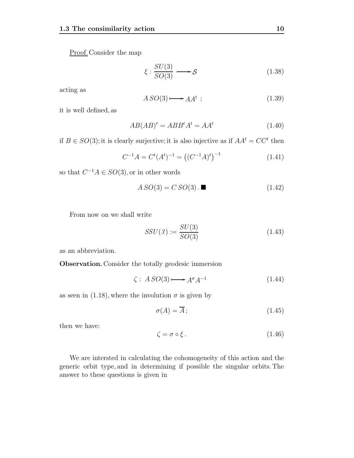Proof. Consider the map

$$
\xi : \frac{SU(3)}{SO(3)} \longrightarrow S \tag{1.38}
$$

acting as

$$
ASO(3) \longrightarrow AA^t \tag{1.39}
$$

it is well defined, as

$$
AB(AB)^t = ABB^t A^t = AA^t \tag{1.40}
$$

if  $B \in SO(3)$ ; it is clearly surjective; it is also injective as if  $AA<sup>t</sup> = CC<sup>t</sup>$  then

$$
C^{-1}A = C^{t}(A^{t})^{-1} = ((C^{-1}A)^{t})^{-1}
$$
\n(1.41)

so that  $C^{-1}A\in SO(3),$  or in other words

$$
ASO(3) = C SO(3) . \blacksquare \tag{1.42}
$$

From now on we shall write

$$
SSU(3) := \frac{SU(3)}{SO(3)}\tag{1.43}
$$

as an abbreviation.

**Observation.** Consider the totally geodesic immersion

$$
\zeta: ASO(3) \longrightarrow A^{\sigma} A^{-1} \tag{1.44}
$$

as seen in (1.18), where the involution  $\sigma$  is given by

$$
\sigma(A) = \overline{A};\tag{1.45}
$$

then we have:

$$
\zeta = \sigma \circ \xi. \tag{1.46}
$$

We are intersted in calculating the cohomogeneity of this action and the generic orbit type, and in determining if possible the singular orbits. The answer to these questions is given in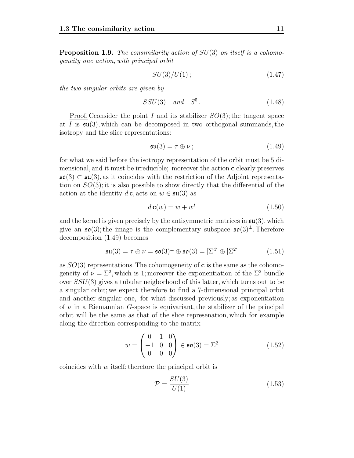**Proposition 1.9.** The consimilarity action of  $SU(3)$  on itself is a cohomogeneity one action, with principal orbit

$$
SU(3)/U(1); \t(1.47)
$$

the two singular orbits are given by

$$
SSU(3) \quad and \quad S^5. \tag{1.48}
$$

<u>Proof.</u> Cconsider the point I and its stabilizer  $SO(3)$ ; the tangent space at I is  $\mathfrak{su}(3)$ , which can be decomposed in two orthogonal summands, the isotropy and the slice representations:

$$
\mathfrak{su}(3) = \tau \oplus \nu \tag{1.49}
$$

for what we said before the isotropy representation of the orbit must be 5 dimensional, and it must be irreducible; moreover the action **c** clearly preserves  $\mathfrak{so}(3) \subset \mathfrak{su}(3)$ , as it coincides with the restriction of the Adjoint representation on  $SO(3)$ ; it is also possible to show directly that the differential of the action at the identity  $d\mathbf{c}$ , acts on  $w \in \mathfrak{su}(3)$  as

$$
d\mathbf{c}(w) = w + w^t \tag{1.50}
$$

and the kernel is given precisely by the antisymmetric matrices in  $\mathfrak{su}(3)$ , which give an  $\mathfrak{so}(3)$ ; the image is the complementary subspace  $\mathfrak{so}(3)^{\perp}$ . Therefore decomposition (1.49) becomes

$$
\mathfrak{su}(3) = \tau \oplus \nu = \mathfrak{so}(3)^{\perp} \oplus \mathfrak{so}(3) = [\Sigma^4] \oplus [\Sigma^2]
$$
 (1.51)

as SO(3) representations. The cohomogeneity of **c** is the same as the cohomogeneity of  $\nu = \Sigma^2$ , which is 1; moreover the exponentiation of the  $\Sigma^2$  bundle over  $SSU(3)$  gives a tubular neigborhood of this latter, which turns out to be a singular orbit; we expect therefore to find a 7-dimensional principal orbit and another singular one, for what discussed previously; as exponentiation of  $\nu$  in a Riemannian G-space is equivariant, the stabilizer of the principal orbit will be the same as that of the slice represenation, which for example along the direction corresponding to the matrix

$$
w = \begin{pmatrix} 0 & 1 & 0 \\ -1 & 0 & 0 \\ 0 & 0 & 0 \end{pmatrix} \in \mathfrak{so}(3) = \Sigma^2 \tag{1.52}
$$

coincides with w itself; therefore the principal orbit is

$$
\mathcal{P} = \frac{SU(3)}{U(1)}\tag{1.53}
$$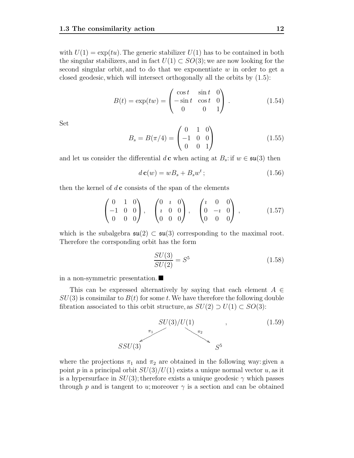with  $U(1) = \exp(tu)$ . The generic stabilizer  $U(1)$  has to be contained in both the singular stabilizers, and in fact  $U(1) \subset SO(3)$ ; we are now looking for the second singular orbit, and to do that we exponentiate  $w$  in order to get a closed geodesic, which will intersect orthogonally all the orbits by (1.5):

$$
B(t) = \exp(tw) = \begin{pmatrix} \cos t & \sin t & 0 \\ -\sin t & \cos t & 0 \\ 0 & 0 & 1 \end{pmatrix} . \tag{1.54}
$$

Set

$$
B_s = B(\pi/4) = \begin{pmatrix} 0 & 1 & 0 \\ -1 & 0 & 0 \\ 0 & 0 & 1 \end{pmatrix}
$$
 (1.55)

and let us consider the differential  $d\mathbf{c}$  when acting at  $B_s$ : if  $w \in \mathfrak{su}(3)$  then

$$
d\mathbf{c}(w) = wB_s + B_s w^t; \qquad (1.56)
$$

then the kernel of  $d$ **c** consists of the span of the elements

$$
\begin{pmatrix} 0 & 1 & 0 \ -1 & 0 & 0 \ 0 & 0 & 0 \end{pmatrix}, \quad \begin{pmatrix} 0 & i & 0 \ i & 0 & 0 \ 0 & 0 & 0 \end{pmatrix}, \quad \begin{pmatrix} i & 0 & 0 \ 0 & -i & 0 \ 0 & 0 & 0 \end{pmatrix}, \quad (1.57)
$$

which is the subalgebra  $\mathfrak{su}(2) \subset \mathfrak{su}(3)$  corresponding to the maximal root. Therefore the corrsponding orbit has the form

$$
\frac{SU(3)}{SU(2)} = S^5 \tag{1.58}
$$

in a non-symmetric presentation.

This can be expressed alternatively by saying that each element  $A \in$  $SU(3)$  is consimilar to  $B(t)$  for some t. We have therefore the following double fibration associated to this orbit structure, as  $SU(2) \supset U(1) \subset SO(3)$ :



where the projections  $\pi_1$  and  $\pi_2$  are obtained in the following way: given a point p in a principal orbit  $SU(3)/U(1)$  exists a unique normal vector u, as it is a hypersurface in  $SU(3)$ ; therefore exists a unique geodesic  $\gamma$  which passes through p and is tangent to u; moreover  $\gamma$  is a section and can be obtained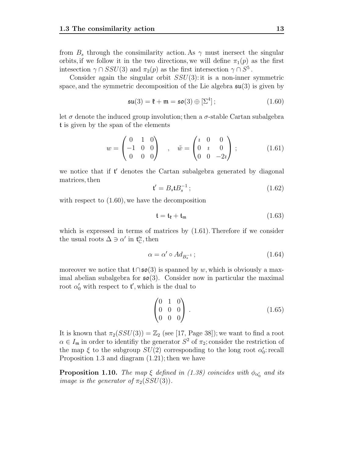from  $B_s$  through the consimilarity action. As  $\gamma$  must inersect the singular orbits, if we follow it in the two directions, we will define  $\pi_1(p)$  as the first intesection  $\gamma \cap SSU(3)$  and  $\pi_2(p)$  as the first intersection  $\gamma \cap S^5$ .

Consider again the singular orbit  $SSU(3)$ : it is a non-inner symmetric space, and the symmetric decomposition of the Lie algebra  $\mathfrak{su}(3)$  is given by

$$
\mathfrak{su}(3) = \mathfrak{k} + \mathfrak{m} = \mathfrak{so}(3) \oplus [\Sigma^4]; \qquad (1.60)
$$

let  $\sigma$  denote the induced group involution; then a  $\sigma$ -stable Cartan subalgebra t is given by the span of the elements

$$
w = \begin{pmatrix} 0 & 1 & 0 \\ -1 & 0 & 0 \\ 0 & 0 & 0 \end{pmatrix} , \quad \tilde{w} = \begin{pmatrix} i & 0 & 0 \\ 0 & i & 0 \\ 0 & 0 & -2i \end{pmatrix} ;
$$
 (1.61)

we notice that if  $t'$  denotes the Cartan subalgebra generated by diagonal matrices then matrices, then

$$
\mathfrak{t}' = B_s \mathfrak{t} B_s^{-1};\tag{1.62}
$$

with respect to  $(1.60)$ , we have the decomposition

$$
\mathfrak{t} = \mathfrak{t}_{\mathfrak{k}} + \mathfrak{t}_{\mathfrak{m}} \tag{1.63}
$$

which is expressed in terms of matrices by  $(1.61)$ . Therefore if we consider the usual roots  $\Delta \ni \alpha'$  in  $\mathfrak{t}'_{\mathbb{C}}$ , then

$$
\alpha = \alpha' \circ Ad_{B_s^{-1}} \tag{1.64}
$$

moreover we notice that  $t \cap s\mathfrak{o}(3)$  is spanned by w, which is obviously a maximal abelian subalgebra for  $\mathfrak{so}(3)$ . Consider now in particular the maximal root  $\alpha'_0$  with respect to  $\mathfrak{t}'$ , which is the dual to

$$
\begin{pmatrix} 0 & 1 & 0 \\ 0 & 0 & 0 \\ 0 & 0 & 0 \end{pmatrix} . \tag{1.65}
$$

It is known that  $\pi_2(SSU(3)) = \mathbb{Z}_2$  (see [17, Page 38]); we want to find a root  $\alpha \in I_{\mathfrak{m}}$  in order to identifiy the generator  $S^2$  of  $\pi_2$ ; consider the restriction of the map  $\xi$  to the subgroup  $SU(2)$  corresponding to the long root  $\alpha'_0$ : recall Proposition 1.3 and diagram (1.21); then we have

**Proposition 1.10.** The map  $\xi$  defined in (1.38) coincides with  $\phi_{\alpha_0'}$  and its *image is the generator of*  $\pi_2(SSU(3))$ .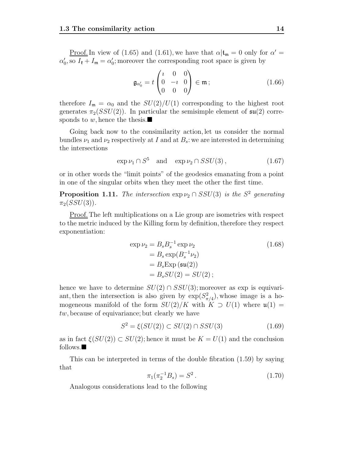<u>Proof.</u> In view of (1.65) and (1.61), we have that  $\alpha | \mathbf{t}_{m} = 0$  only for  $\alpha' =$  $\alpha'_0$ , so  $I_{\mathfrak{k}} + I_{\mathfrak{m}} = \alpha'_0$ ; moreover the corresponding root space is given by

$$
\mathfrak{g}_{\alpha'_0} = t \begin{pmatrix} t & 0 & 0 \\ 0 & -t & 0 \\ 0 & 0 & 0 \end{pmatrix} \in \mathfrak{m} \, ; \tag{1.66}
$$

therefore  $I_{\mathfrak{m}} = \alpha_0$  and the  $SU(2)/U(1)$  corresponding to the highest root generates  $\pi_2(SSU(2))$ . In particular the semisimple element of  $\mathfrak{su}(2)$  corresponds to w, hence the thesis.

Going back now to the consimilarity action, let us consider the normal bundles  $\nu_1$  and  $\nu_2$  respectively at I and at  $B_s$ : we are interested in determining the intersections

$$
\exp \nu_1 \cap S^5 \quad \text{and} \quad \exp \nu_2 \cap SSU(3) \,, \tag{1.67}
$$

or in other words the "limit points" of the geodesics emanating from a point in one of the singular orbits when they meet the other the first time.

**Proposition 1.11.** The intersection  $\exp \nu_2 \cap SSU(3)$  is the  $S^2$  generating  $\pi_2(SSU(3)).$ 

Proof. The left multiplications on a Lie group are isometries with respect to the metric induced by the Killing form by definition, therefore they respect exponentiation:

$$
\exp \nu_2 = B_s B_s^{-1} \exp \nu_2
$$
  
=  $B_s \exp(B_s^{-1} \nu_2)$   
=  $B_s \exp(\mathfrak{su}(2))$   
=  $B_s SU(2) = SU(2);$  (1.68)

hence we have to determine  $SU(2) \cap SSU(3)$ ; moreover as exp is equivariant, then the intersection is also given by  $\exp(S_{\pi/4}^2)$ , whose image is a homogeneous manifold of the form  $SU(2)/K$  with  $K \supset U(1)$  where  $\mathfrak{u}(1) =$ tw, because of equivariance; but clearly we have

$$
S^2 = \xi(SU(2)) \subset SU(2) \cap SSU(3) \tag{1.69}
$$

as in fact  $\xi(SU(2)) \subset SU(2)$ ; hence it must be  $K = U(1)$  and the conclusion follows.

This can be interpreted in terms of the double fibration (1.59) by saying that

$$
\pi_1(\pi_2^{-1}B_s) = S^2. \tag{1.70}
$$

Analogous considerations lead to the following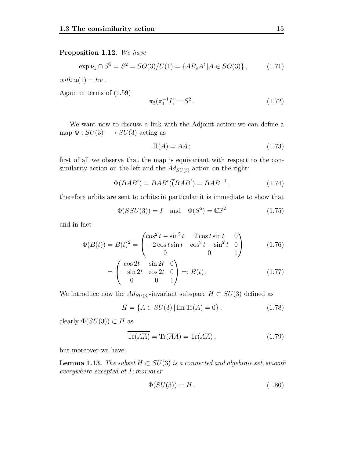#### **Proposition 1.12.** We have

$$
\exp \nu_1 \cap S^5 = S^2 = SO(3)/U(1) = \{AB_s A^t | A \in SO(3)\},\tag{1.71}
$$

with  $\mathfrak{u}(1) = tw$ .

Again in terms of (1.59)

$$
\pi_2(\pi_1^{-1}I) = S^2. \tag{1.72}
$$

We want now to discuss a link with the Adjoint action: we can define a map  $\Phi: SU(3) \longrightarrow SU(3)$  acting as

$$
\Pi(A) = A\overline{A} ; \tag{1.73}
$$

first of all we observe that the map is equivariant with respect to the consimilarity action on the left and the  $Ad_{SU(3)}$  action on the right:

$$
\Phi(BAB^t) = BAB^t(\overline{(BAB^t)} = BAB^{-1}, \qquad (1.74)
$$

therefore orbits are sent to orbits; in particular it is immediate to show that

$$
\Phi(SSU(3)) = I \quad \text{and} \quad \Phi(S^5) = \mathbb{CP}^2 \tag{1.75}
$$

and in fact

$$
\Phi(B(t)) = B(t)^2 = \begin{pmatrix} \cos^2 t - \sin^2 t & 2\cos t \sin t & 0\\ -2\cos t \sin t & \cos^2 t - \sin^2 t & 0\\ 0 & 0 & 1 \end{pmatrix}
$$
(1.76)

$$
= \begin{pmatrix} \cos 2t & \sin 2t & 0 \\ -\sin 2t & \cos 2t & 0 \\ 0 & 0 & 1 \end{pmatrix} =: \tilde{B}(t). \tag{1.77}
$$

We introduce now the  $Ad_{SU(3)}$ -invariant subspace  $H \subset SU(3)$  defined as

$$
H = \{ A \in SU(3) | \operatorname{Im} \operatorname{Tr}(A) = 0 \};\tag{1.78}
$$

clearly  $\Phi(SU(3)) \subset H$  as

$$
\overline{\text{Tr}(A\overline{A})} = \text{Tr}(\overline{A}A) = \text{Tr}(A\overline{A}), \qquad (1.79)
$$

but moreover we have:

**Lemma 1.13.** The subset  $H \subset SU(3)$  is a connected and algebraic set, smooth everywhere excepted at I; moreover

$$
\Phi(SU(3)) = H. \tag{1.80}
$$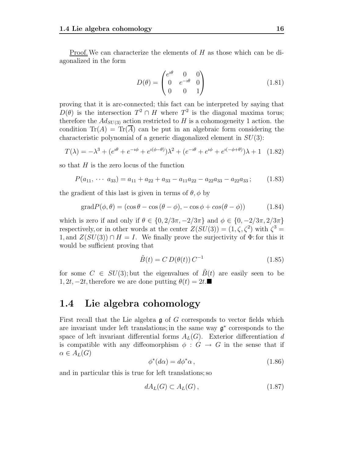Proof.We can characterize the elements of H as those which can be diagonalized in the form

$$
D(\theta) = \begin{pmatrix} e^{i\theta} & 0 & 0 \\ 0 & e^{-i\theta} & 0 \\ 0 & 0 & 1 \end{pmatrix}
$$
 (1.81)

proving that it is arc-connected; this fact can be interpreted by saying that  $D(\theta)$  is the intersection  $T^2 \cap H$  where  $T^2$  is the diagonal maxima torus; therefore the  $Ad_{SU(3)}$  action restricted to H is a cohomogeneity 1 action. the condition  $\text{Tr}(A) = \text{Tr}(A)$  can be put in an algebraic form considering the characteristic polynomial of a generic diagonalized element in  $SU(3)$ :

$$
T(\lambda) = -\lambda^3 + (e^{i\theta} + e^{-i\phi} + e^{i(\phi - \theta)})\lambda^2 + (e^{-i\theta} + e^{i\phi} + e^{i(-\phi + \theta)})\lambda + 1 \quad (1.82)
$$

so that  $H$  is the zero locus of the function

$$
P(a_{11}, \cdots a_{33}) = a_{11} + a_{22} + a_{33} - a_{11}a_{22} - a_{22}a_{33} - a_{22}a_{33}; \qquad (1.83)
$$

the gradient of this last is given in terms of  $\theta$ ,  $\phi$  by

$$
gradP(\phi, \theta) = (\cos \theta - \cos (\theta - \phi), -\cos \phi + \cos (\theta - \phi))
$$
 (1.84)

which is zero if and only if  $\theta \in \{0, 2/3\pi, -2/3\pi\}$  and  $\phi \in \{0, -2/3\pi, 2/3\pi\}$ respectively, or in other words at the center  $Z(SU(3)) = (1, \zeta, \zeta^2)$  with  $\zeta^3 =$ 1, and  $Z(SU(3)) \cap H = I$ . We finally prove the surjectivity of  $\Phi$ : for this it would be sufficient proving that

$$
\tilde{B}(t) = C D(\theta(t)) C^{-1}
$$
\n(1.85)

for some  $C \in SU(3)$ ; but the eigenvalues of  $B(t)$  are easily seen to be  $1, 2t, -2t$ , therefore we are done putting  $\theta(t)=2t$ .■

#### **1.4 Lie algebra cohomology**

First recall that the Lie algebra  $\mathfrak g$  of G corresponds to vector fields which are invariant under left translations; in the same way  $\mathfrak{g}^*$  corresponds to the space of left invariant differential forms  $A_L(G)$ . Exterior differentiation d is compatible with any diffeomorphism  $\phi : G \to G$  in the sense that if  $\alpha \in A_L(G)$ 

$$
\phi^*(d\alpha) = d\phi^*\alpha \,,\tag{1.86}
$$

and in particular this is true for left translations; so

$$
dA_L(G) \subset A_L(G),\tag{1.87}
$$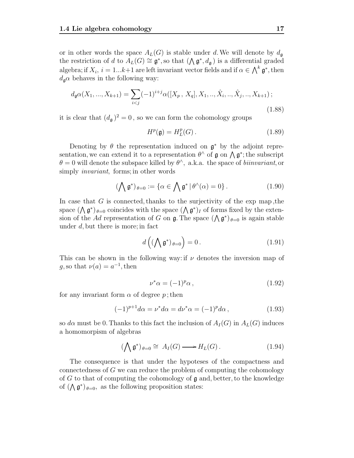or in other words the space  $A_L(G)$  is stable under d. We will denote by  $d_{\mathfrak{g}}$ the restriction of d to  $A_L(G) \cong \mathfrak{g}^*$ , so that  $(\bigwedge \mathfrak{g}^*, d_{\mathfrak{g}})$  is a differential graded algebra; if  $X_i$ ,  $i = 1...k+1$  are left invariant vector fields and if  $\alpha \in \bigwedge^k \mathfrak{g}^*$ , then  $d$   $\alpha$  behaves in the following way:  $d_{\mathfrak{g}}\alpha$  behaves in the following way:

$$
d_{\mathfrak{g}}\alpha(X_1, ..., X_{k+1}) = \sum_{i < j} (-1)^{i+j} \alpha([X_p, X_q], X_1, ..., \hat{X}_i, ..., \hat{X}_j, ..., X_{k+1});\tag{1.88}
$$

it is clear that  $(d_{\mathfrak{g}})^2 = 0$ , so we can form the cohomology groups

$$
H^p(\mathfrak{g}) = H^p_L(G). \tag{1.89}
$$

Denoting by  $\theta$  the representation induced on  $\mathfrak{g}^*$  by the adjoint representation, we can extend it to a representation  $\theta^{\wedge}$  of g on  $\wedge$  g<sup>\*</sup>; the subscript  $\theta = 0$  will denote the subspace killed by  $\theta^{\wedge}$ , a.k.a. the space of *biinvariant*, or simply *invariant*, forms; in other words

$$
(\bigwedge \mathfrak{g}^*)_{\theta=0} := \{ \alpha \in \bigwedge \mathfrak{g}^* \, | \, \theta^\wedge(\alpha) = 0 \} \, . \tag{1.90}
$$

In case that  $G$  is connected, thanks to the surjectivity of the exp map, the space  $(\bigwedge \mathfrak{g}^*)_{\theta=0}$  coincides with the space  $(\bigwedge \mathfrak{g}^*)_I$  of forms fixed by the extension of the Ad representation of G on  $\mathfrak g$ . The space  $({\Lambda} \mathfrak g^*)_{\theta=0}$  is again stable under d, but there is more; in fact

$$
d\left( (\bigwedge \mathfrak{g}^*)_{\theta=0} \right) = 0. \tag{1.91}
$$

This can be shown in the following way: if  $\nu$  denotes the inversion map of q, so that  $\nu(a) = a^{-1}$ , then

$$
\nu^* \alpha = (-1)^p \alpha \,, \tag{1.92}
$$

for any invariant form  $\alpha$  of degree p; then

$$
(-1)^{p+1}d\alpha = \nu^* d\alpha = d\nu^*\alpha = (-1)^p d\alpha, \qquad (1.93)
$$

so d $\alpha$  must be 0. Thanks to this fact the inclusion of  $A_I(G)$  in  $A_L(G)$  induces a homomorpism of algebras

$$
(\bigwedge \mathfrak{g}^*)_{\theta=0} \cong A_I(G) \longrightarrow H_L(G).
$$
 (1.94)

The consequence is that under the hypoteses of the compactness and connectedness of G we can reduce the problem of computing the cohomology of G to that of computing the cohomology of  $\mathfrak g$  and, better, to the knowledge of  $(\bigwedge \mathfrak{g}^*)_{\theta=0}$ , as the following proposition states: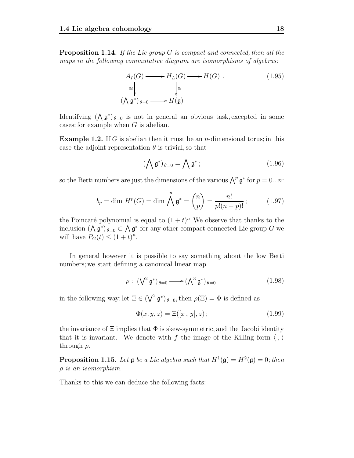(

**Proposition 1.14.** If the Lie group G is compact and connected, then all the maps in the following commutative diagram are isomorphisms of algebras:

$$
A_I(G) \longrightarrow H_L(G) \longrightarrow H(G) .
$$
\n
$$
\cong \downarrow \qquad \qquad \downarrow \cong
$$
\n
$$
\wedge \mathfrak{g}^* )_{\theta=0} \longrightarrow H(\mathfrak{g})
$$
\n(1.95)

Identifying  $(\Lambda \mathfrak{g}^*)_{\theta=0}$  is not in general an obvious task, excepted in some cases: for example when  $G$  is abelian.

**Example 1.2.** If G is abelian then it must be an *n*-dimensional torus; in this case the adjoint representation  $\theta$  is trivial, so that

$$
(\bigwedge \mathfrak{g}^*)_{\theta=0} = \bigwedge \mathfrak{g}^* ; \qquad (1.96)
$$

so the Betti numbers are just the dimensions of the various  $\bigwedge^p \mathfrak{g}^*$  for  $p = 0...n$ :

$$
b_p = \dim H^p(G) = \dim \bigwedge^p \mathfrak{g}^* = \binom{n}{p} = \frac{n!}{p!(n-p)!};\tag{1.97}
$$

the Poincaré polynomial is equal to  $(1 + t)^n$ . We observe that thanks to the inclusion  $({\Lambda} \mathfrak{g}^*)_{\theta=0} \subset {\Lambda} \mathfrak{g}^*$  for any other compact connected Lie group G we will have  $P_G(t) \leq (1+t)^n$ .

In general however it is possible to say something about the low Betti numbers; we start defining a canonical linear map

$$
\rho: (\mathsf{V}^2 \mathfrak{g}^*)_{\theta=0} \longrightarrow (\mathsf{A}^3 \mathfrak{g}^*)_{\theta=0} \tag{1.98}
$$

in the following way: let  $\Xi \in (\bigvee^2 \mathfrak{g}^*)_{\theta=0}$ , then  $\rho(\Xi) = \Phi$  is defined as

$$
\Phi(x, y, z) = \Xi([x, y], z); \tag{1.99}
$$

the invariance of  $\Xi$  implies that  $\Phi$  is skew-symmetric, and the Jacobi identity that it is invariant. We denote with f the image of the Killing form  $\langle , \rangle$ through  $\rho$ .

**Proposition 1.15.** Let  $\mathfrak g$  be a Lie algebra such that  $H^1(\mathfrak g) = H^2(\mathfrak g) = 0$ ; then  $\rho$  is an isomorphism.

Thanks to this we can deduce the following facts: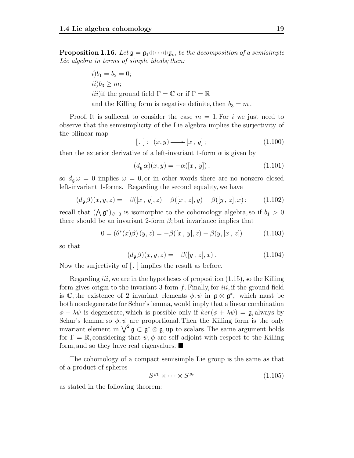**Proposition 1.16.** Let  $\mathfrak{g} = \mathfrak{g}_1 \oplus \cdots \oplus \mathfrak{g}_m$  be the decomposition of a semisimple Lie algebra in terms of simple ideals; then:

$$
i)b_1 = b_2 = 0;
$$
  
\n $ii)b_3 \ge m;$   
\n $iii)$ if the ground field  $\Gamma = \mathbb{C}$  or if  $\Gamma = \mathbb{R}$   
\nand the Killing form is negative definite, then  $b_3 = m$ 

Proof. It is sufficent to consider the case  $m = 1$ . For i we just need to observe that the semisimplicity of the Lie algebra implies the surjectivity of the bilinear map

$$
[,]: (x, y) \longrightarrow [x, y]; \qquad (1.100)
$$

then the exterior derivative of a left-invariant 1-form  $\alpha$  is given by

$$
(d_{\mathfrak{g}}\,\alpha)(x,y) = -\alpha([x\,,\,y])\,,\tag{1.101}
$$

so  $d_{\mathfrak{g}} \omega = 0$  implies  $\omega = 0$ , or in other words there are no nonzero closed left-invariant 1-forms. Regarding the second equality, we have

$$
(d_{\mathfrak{g}}\beta)(x,y,z) = -\beta([x,y],z) + \beta([x,z],y) - \beta([y,z],x) ; \qquad (1.102)
$$

recall that  $(\Lambda \mathfrak{g}^*)_{\theta=0}$  is isomorphic to the cohomology algebra, so if  $b_1 > 0$ there should be an invariant 2-form  $\beta$ ; but invariance implies that

$$
0 = (\theta^*(x)\beta)(y, z) = -\beta([x, y], z) - \beta(y, [x, z])
$$
\n(1.103)

so that

$$
(d_{\mathfrak{g}}\beta)(x,y,z) = -\beta([y,z],x). \qquad (1.104)
$$

Now the surjectivity of [ , ] implies the result as before.

Regarding *iii*, we are in the hypotheses of proposition  $(1.15)$ , so the Killing form gives origin to the invariant 3 form  $f$ . Finally, for *iii*, if the ground field is C, the existence of 2 invariant elements  $\phi, \psi$  in  $\mathfrak{g} \otimes \mathfrak{g}^*$ , which must be both nondegenerate for Schur's lemma, would imply that a linear combination  $\phi + \lambda \psi$  is degenerate, which is possible only if  $\ker(\phi + \lambda \psi) = \mathfrak{g}$ , always by Schur's lemma; so  $\phi, \psi$  are proportional. Then the Killing form is the only invariant element in  $\bigvee^2$ **g** ⊂ **g**<sup>\*</sup> ⊗ **g**, up to scalars. The same argument holds<br>for  $\Gamma = \mathbb{R}$  considering that  $\psi$   $\phi$  are self-adjoint with respect to the Killing for  $\Gamma = \mathbb{R}$ , considering that  $\psi, \phi$  are self adjoint with respect to the Killing form, and so they have real eigenvalues.  $\blacksquare$ 

The cohomology of a compact semisimple Lie group is the same as that of a product of spheres

$$
S^{g_1} \times \cdots \times S^{g_r} \tag{1.105}
$$

as stated in the following theorem: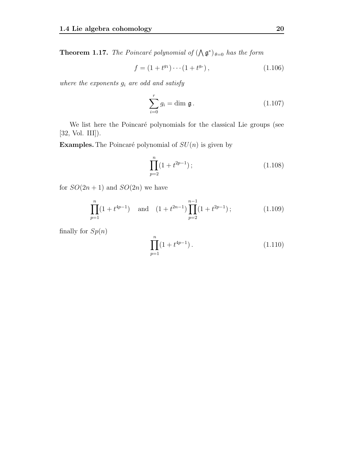**Theorem 1.17.** The Poincaré polynomial of  $(\bigwedge \mathfrak{g}^*)_{\theta=0}$  has the form

$$
f = (1 + t^{g_1}) \cdots (1 + t^{g_r}), \qquad (1.106)
$$

where the exponents  $g_i$  are odd and satisfy

$$
\sum_{i=0}^{r} g_i = \dim \mathfrak{g}.
$$
 (1.107)

We list here the Poincaré polynomials for the classical Lie groups (see [32, Vol. III]).

**Examples.** The Poincaré polynomial of  $SU(n)$  is given by

$$
\prod_{p=2}^{n} (1 + t^{2p-1}) \tag{1.108}
$$

for  $SO(2n + 1)$  and  $SO(2n)$  we have

$$
\prod_{p=1}^{n} (1 + t^{4p-1}) \quad \text{and} \quad (1 + t^{2n-1}) \prod_{p=2}^{n-1} (1 + t^{2p-1}); \tag{1.109}
$$

finally for  $Sp(n)$ 

$$
\prod_{p=1}^{n} (1 + t^{4p-1}). \tag{1.110}
$$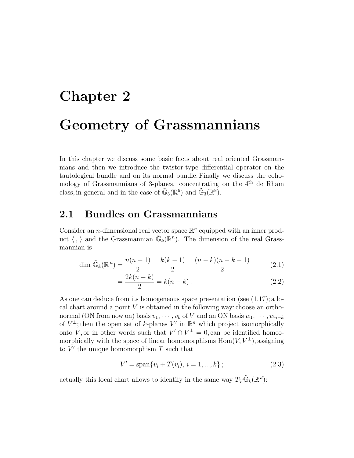# **Chapter 2 Geometry of Grassmannians**

In this chapter we discuss some basic facts about real oriented Grassmannians and then we introduce the twistor-type differential operator on the tautological bundle and on its normal bundle. Finally we discuss the cohomology of Grassmannians of 3-planes, concentrating on the 4th de Rham class, in general and in the case of  $\tilde{\mathbb{G}}_3(\mathbb{R}^6)$  and  $\tilde{\mathbb{G}}_3(\mathbb{R}^8)$ .

### **2.1 Bundles on Grassmannians**

Consider an *n*-dimensional real vector space  $\mathbb{R}^n$  equipped with an inner product  $\langle , \rangle$  and the Grassmannian  $\mathbb{G}_k(\mathbb{R}^n)$ . The dimension of the real Grassmannian is

$$
\dim \tilde{\mathbb{G}}_k(\mathbb{R}^n) = \frac{n(n-1)}{2} - \frac{k(k-1)}{2} - \frac{(n-k)(n-k-1)}{2} \tag{2.1}
$$

$$
=\frac{2k(n-k)}{2} = k(n-k).
$$
 (2.2)

As one can deduce from its homogeneous space presentation (see  $(1.17)$ ; a local chart around a point  $V$  is obtained in the following way: choose an orthonormal (ON from now on) basis  $v_1, \dots, v_k$  of V and an ON basis  $w_1, \dots, w_{n-k}$ of  $V^{\perp}$ ; then the open set of k-planes V' in  $\mathbb{R}^n$  which project isomorphically onto V, or in other words such that  $V' \cap V^{\perp} = 0$ , can be identified homeomorphically with the space of linear homomorphisms  $\text{Hom}(V, V^{\perp})$ , assigning to  $V'$  the unique homomorphism  $T$  such that

$$
V' = \text{span}\{v_i + T(v_i), \, i = 1, ..., k\} \, ; \tag{2.3}
$$

actually this local chart allows to identify in the same way  $T_V \tilde{\mathbb{G}}_k(\mathbb{R}^d)$ :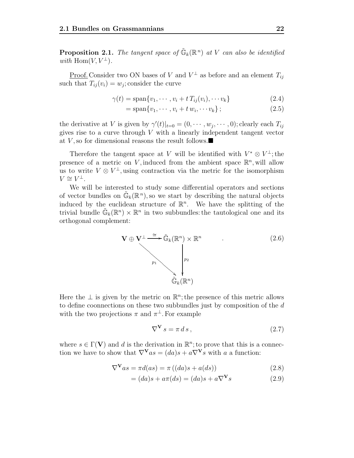**Proposition 2.1.** The tangent space of  $\tilde{\mathbb{G}}_k(\mathbb{R}^n)$  at V can also be identified with Hom $(V, V^{\perp})$ .

<u>Proof.</u> Consider two ON bases of V and  $V^{\perp}$  as before and an element  $T_{ij}$ such that  $T_{ij}(v_i) = w_j$ ; consider the curve

$$
\gamma(t) = \text{span}\{v_1, \cdots, v_i + t \, T_{ij}(v_i), \cdots v_k\} \tag{2.4}
$$

$$
= \text{span}\{v_1, \cdots, v_i + t w_i, \cdots v_k\};\tag{2.5}
$$

the derivative at V is given by  $\gamma'(t)|_{t=0} = (0, \cdots, w_j, \cdots, 0)$ ; clearly each  $T_{ij}$ gives rise to a curve through  $V$  with a linearly independent tangent vector at V, so for dimensional reasons the result follows. $\blacksquare$ 

Therefore the tangent space at V will be identified with  $V^* \otimes V^{\perp}$ ; the presence of a metric on V, induced from the ambient space  $\mathbb{R}^n$ , will allow us to write  $V \otimes V^{\perp}$ , using contraction via the metric for the isomorphism  $V \cong V^{\perp}$ .

We will be interested to study some differential operators and sections of vector bundles on  $\mathbb{G}_k(\mathbb{R}^n)$ , so we start by describing the natural objects induced by the euclidean structure of  $\mathbb{R}^n$ . We have the splitting of the trivial bundle  $\mathbb{G}_k(\mathbb{R}^n) \times \mathbb{R}^n$  in two subbundles: the tautological one and its orthogonal complement:



Here the  $\perp$  is given by the metric on  $\mathbb{R}^n$ ; the presence of this metric allows to define coonnections on these two subbundles just by composition of the d with the two projections  $\pi$  and  $\pi^{\perp}$ . For example

$$
\nabla^{\mathbf{V}} s = \pi \, ds \,,\tag{2.7}
$$

where  $s \in \Gamma(\mathbf{V})$  and d is the derivation in  $\mathbb{R}^n$ ; to prove that this is a connection we have to show that  $\nabla^{\mathbf{V}} a s = (da)s + a\nabla^{\mathbf{V}} s$  with a a function:

$$
\nabla^{\mathbf{V}} a s = \pi d(a s) = \pi ((da) s + a(ds)) \tag{2.8}
$$

$$
= (da)s + a\pi(ds) = (da)s + a\nabla^{\mathbf{V}}s \tag{2.9}
$$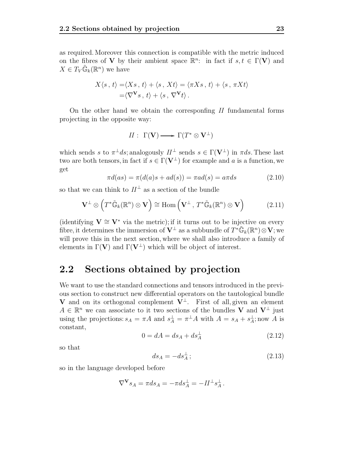as required. Moreover this connection is compatible with the metric induced on the fibres of **V** by their ambient space  $\mathbb{R}^n$ : in fact if  $s, t \in \Gamma(\mathbf{V})$  and  $X \in T_V \mathbb{G}_k(\mathbb{R}^n)$  we have

$$
X\langle s, t \rangle = \langle Xs, t \rangle + \langle s, Xt \rangle = \langle \pi Xs, t \rangle + \langle s, \pi Xt \rangle
$$
  
= $\langle \nabla^{\mathbf{V}} s, t \rangle + \langle s, \nabla^{\mathbf{V}} t \rangle.$ 

On the other hand we obtain the corresponfing II fundamental forms projecting in the opposite way:

$$
\mathit{II} \,\colon\; \Gamma(\mathbf{V}) \longrightarrow\, \Gamma(\mathit{T}^* \otimes \mathbf{V}^{\perp})
$$

which sends s to  $\pi^{\perp} ds$ ; analogously  $H^{\perp}$  sends  $s \in \Gamma(\mathbf{V}^{\perp})$  in  $\pi ds$ . These last two are both tensors, in fact if  $s \in \Gamma(\mathbf{V}^{\perp})$  for example and a is a function, we get

$$
\pi d(as) = \pi(d(a)s + ad(s)) = \pi ad(s) = a\pi ds \qquad (2.10)
$$

so that we can think to  $II^{\perp}$  as a section of the bundle

$$
\mathbf{V}^{\perp} \otimes \left( T^* \tilde{\mathbb{G}}_k(\mathbb{R}^n) \otimes \mathbf{V} \right) \cong \text{Hom}\left( \mathbf{V}^{\perp}, T^* \tilde{\mathbb{G}}_k(\mathbb{R}^n) \otimes \mathbf{V} \right) \tag{2.11}
$$

(identifying  $V \cong V^*$  via the metric); if it turns out to be injective on every fibre, it determines the immersion of  $V^{\perp}$  as a subbundle of  $T^*\widetilde{\mathbb{G}}_k(\mathbb{R}^n) \otimes V$ ; we will prove this in the next section, where we shall also introduce a family of elements in  $\Gamma(V)$  and  $\Gamma(V^{\perp})$  which will be object of interest.

#### **2.2 Sections obtained by projection**

We want to use the standard connections and tensors introduced in the previous section to construct new differential operators on the tautological bundle **V** and on its orthogonal complement  $V^{\perp}$ . First of all, given an element  $A \in \mathbb{R}^n$  we can associate to it two sections of the bundles **V** and  $\mathbf{V}^{\perp}$  just using the projections:  $s_A = \pi A$  and  $s_A^{\perp} = \pi^{\perp} A$  with  $A = s_A + s_A^{\perp}$ ; now A is constant,

$$
0 = dA = ds_A + ds_A^{\perp}
$$
\n
$$
(2.12)
$$

so that

$$
ds_A = -ds_A^{\perp};\tag{2.13}
$$

so in the language developed before

$$
\nabla^{\mathbf{V}} s_A = \pi ds_A = -\pi ds_A^{\perp} = -H^{\perp} s_A^{\perp}.
$$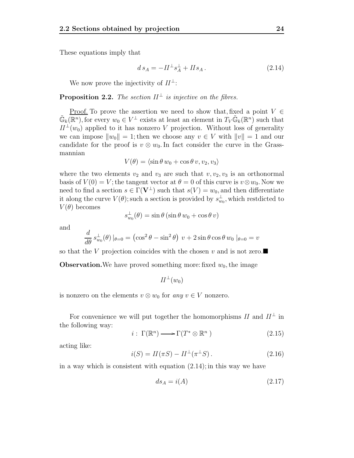These equations imply that

$$
ds_A = -H^{\perp} s_A^{\perp} + H s_A. \tag{2.14}
$$

We now prove the injectivity of  $H^{\perp}$ :

**Proposition 2.2.** The section  $II^{\perp}$  is injective on the fibres.

<u>Proof.</u> To prove the assertion we need to show that, fixed a point  $V \in$  $\tilde{\mathbb{G}}_k(\mathbb{R}^n)$ , for every  $w_0 \in V^{\perp}$  exists at least an element in  $T_V \tilde{\mathbb{G}}_k(\mathbb{R}^n)$  such that  $II^{\perp}(w_0)$  applied to it has nonzero V projection. Without loss of generality we can impose  $||w_0|| = 1$ ; then we choose any  $v \in V$  with  $||v|| = 1$  and our candidate for the proof is  $v \otimes w_0$ . In fact consider the curve in the Grassmannian

$$
V(\theta) = \langle \sin \theta w_0 + \cos \theta v, v_2, v_3 \rangle
$$

where the two elements  $v_2$  and  $v_3$  are such that  $v, v_2, v_3$  is an orthonormal basis of  $V(0) = V$ ; the tangent vector at  $\theta = 0$  of this curve is  $v \otimes w_0$ . Now we need to find a section  $s \in \Gamma(\mathbf{V}^{\perp})$  such that  $s(V) = w_0$ , and then differentiate it along the curve  $V(\theta)$ ; such a section is provided by  $s_{w_0}^{\perp}$ , which restdicted to  $V(\theta)$  becomes

$$
s_{w_0}^{\perp}(\theta) = \sin \theta \left( \sin \theta \, w_0 + \cos \theta \, v \right)
$$

and

$$
\frac{d}{d\theta} s_{w_0}^{\perp}(\theta) |_{\theta=0} = (\cos^2 \theta - \sin^2 \theta) v + 2 \sin \theta \cos \theta w_0 |_{\theta=0} = v
$$

so that the V projection coincides with the chosen v and is not zero.

**Observation.**We have proved something more: fixed  $w_0$ , the image

$$
H^{\perp}(w_0)
$$

is nonzero on the elements  $v \otimes w_0$  for any  $v \in V$  nonzero.

For convenience we will put together the homomorphisms  $II$  and  $II^{\perp}$  in the following way:

$$
i: \Gamma(\mathbb{R}^n) \longrightarrow \Gamma(T^* \otimes \mathbb{R}^n) \tag{2.15}
$$

acting like:

$$
i(S) = H(\pi S) - H^{\perp}(\pi^{\perp} S). \tag{2.16}
$$

in a way which is consistent with equation  $(2.14)$ ; in this way we have

$$
ds_A = i(A) \tag{2.17}
$$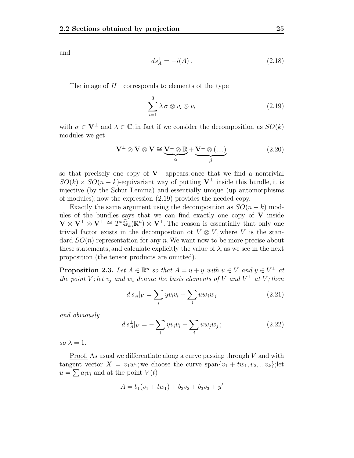and

$$
ds_A^{\perp} = -i(A). \tag{2.18}
$$

The image of  $II^{\perp}$  corresponds to elements of the type

$$
\sum_{i=1}^{3} \lambda \sigma \otimes v_i \otimes v_i \tag{2.19}
$$

with  $\sigma \in V^{\perp}$  and  $\lambda \in \mathbb{C}$ ; in fact if we consider the decomposition as  $SO(k)$ modules we get

$$
\mathbf{V}^{\perp} \otimes \mathbf{V} \otimes \mathbf{V} \cong \underbrace{\mathbf{V}^{\perp} \otimes \mathbb{R}}_{\alpha} + \underbrace{\mathbf{V}^{\perp} \otimes (\dots)}_{\beta}
$$
(2.20)

so that precisely one copy of  $V^{\perp}$  appears: once that we find a nontrivial  $SO(k) \times SO(n-k)$ -equivariant way of putting  $V^{\perp}$  inside this bundle, it is injective (by the Schur Lemma) and essentially unique (up automorphisms of modules); now the expression (2.19) provides the needed copy.

Exactly the same argument using the decomposition as  $SO(n-k)$  modules of the bundles says that we can find exactly one copy of  $V$  inside  $\mathbf{V} \otimes \mathbf{V}^{\perp} \otimes \mathbf{V}^{\perp} \cong T^* \widetilde{\mathbb{G}}_k(\mathbb{R}^n) \otimes \mathbf{V}^{\perp}$ . The reason is essentially that only one trivial factor exists in the decomposition ot  $V \otimes V$ , where V is the standard  $SO(n)$  representation for any n. We want now to be more precise about these statements, and calculate explicitly the value of  $\lambda$ , as we see in the next proposition (the tensor products are omitted).

**Proposition 2.3.** Let  $A \in \mathbb{R}^n$  so that  $A = u + y$  with  $u \in V$  and  $y \in V^{\perp}$  at the point V; let  $v_i$  and  $w_i$  denote the basis elements of V and  $V^{\perp}$  at V; then

$$
ds_A|_V = \sum_i yv_iv_i + \sum_j uw_jw_j \qquad (2.21)
$$

and obviously

$$
ds_A^{\perp}|_V = -\sum_i yv_i v_i - \sum_j u w_j w_j ; \qquad (2.22)
$$

so  $\lambda = 1$ .

<u>Proof.</u> As usual we differentiate along a curve passing through  $V$  and with tangent vector  $X = v_1w_1$ ; we choose the curve span $\{v_1 + tw_1, v_2, ... v_k\}$ ; let  $u = \sum a_i v_i$  and at the point  $V(t)$ 

$$
A = b_1(v_1 + tw_1) + b_2v_2 + b_3v_3 + y'
$$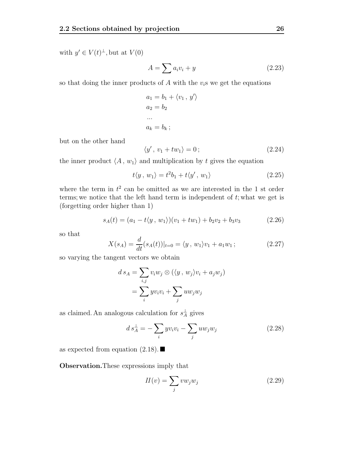with  $y' \in V(t)^{\perp}$ , but at  $V(0)$ 

$$
A = \sum a_i v_i + y \tag{2.23}
$$

so that doing the inner products of  $A$  with the  $v_i$ s we get the equations

$$
a_1 = b_1 + \langle v_1, y' \rangle
$$
  
\n
$$
a_2 = b_2
$$
  
\n...  
\n
$$
a_k = b_k;
$$

but on the other hand

$$
\langle y', v_1 + tw_1 \rangle = 0; \qquad (2.24)
$$

the inner product  $\langle A\,,\,w_1\rangle$  and multiplication by  $t$  gives the equation

$$
t\langle y, w_1 \rangle = t^2 b_1 + t\langle y', w_1 \rangle \tag{2.25}
$$

where the term in  $t^2$  can be omitted as we are interested in the 1 st order terms; we notice that the left hand term is independent of  $t$ ; what we get is (forgetting order higher than 1)

$$
s_A(t) = (a_1 - t \langle y, w_1 \rangle)(v_1 + tw_1) + b_2 v_2 + b_3 v_3 \tag{2.26}
$$

so that

$$
X(s_A) = \frac{d}{dt}(s_A(t))|_{t=0} = \langle y, w_1 \rangle v_1 + a_1 w_1; \qquad (2.27)
$$

so varying the tangent vectors we obtain

$$
d s_A = \sum_{i,j} v_i w_j \otimes (\langle y, w_j \rangle v_i + a_j w_j)
$$
  
= 
$$
\sum_i y v_i v_i + \sum_j u w_j w_j
$$

as claimed. An analogous calculation for  $s_A^{\perp}$  gives

$$
ds_A^{\perp} = -\sum_i yv_i v_i - \sum_j u w_j w_j \tag{2.28}
$$

as expected from equation  $(2.18)$ .

**Observation.**These expressions imply that

$$
II(v) = \sum_{j} v w_j w_j \tag{2.29}
$$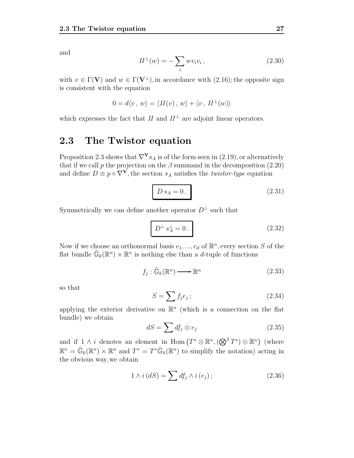and

$$
H^{\perp}(w) = -\sum_{i} wv_i v_i, \qquad (2.30)
$$

with  $v \in \Gamma(\mathbf{V})$  and  $w \in \Gamma(\mathbf{V}^{\perp})$ , in accordance with  $(2.16)$ ; the opposite sign is consistent with the equation

$$
0 = d\langle v, w \rangle = \langle H(v), w \rangle + \langle v, H^{\perp}(w) \rangle
$$

which expresses the fact that II and  $II^{\perp}$  are adjoint linear operators.

### **2.3 The Twistor equation**

Proposition 2.3 shows that  $\nabla^{\mathbf{V}} s_A$  is of the form seen in (2.19), or alternatively that if we call p the projection on the  $\beta$  summand in the decomposition (2.20) and define  $D \equiv p \circ \nabla^V$ , the section  $s_A$  satisfies the *twistor-type* equation

$$
D s_A = 0. \t(2.31)
$$

Symmetrically we can define another operator  $D^{\perp}$  such that

$$
D^{\perp} s_A^{\perp} = 0. \tag{2.32}
$$

Now if we choose an orthonormal basis  $e_1, ..., e_d$  of  $\mathbb{R}^n$ , every section S of the flat bundle  $\tilde{\mathbb{G}}_k(\mathbb{R}^n) \times \mathbb{R}^n$  is nothing else than a *d*-tuple of functions

$$
f_j : \tilde{\mathbb{G}}_k(\mathbb{R}^n) \longrightarrow \mathbb{R}^n \tag{2.33}
$$

so that

$$
S = \sum f_j e_j ; \qquad (2.34)
$$

applying the exterior derivative on  $\mathbb{R}^n$  (which is a connection on the flat bundle) we obtain

$$
dS = \sum df_j \otimes e_j \tag{2.35}
$$

and if  $1 \wedge i$  denotes an element in Hom  $(T^* \otimes \mathbb{R}^n, (\bigotimes^2 T^*) \otimes \mathbb{R}^n)$  (where  $\mathbb{R}^n = \tilde{\mathbb{G}}_k(\mathbb{R}^n) \times \mathbb{R}^n$  and  $T^* = T^* \tilde{\mathbb{G}}_k(\mathbb{R}^n)$  to simplify the notation) acting in the obvious way, we obtain

$$
1 \wedge i (dS) = \sum df_j \wedge i (e_j); \qquad (2.36)
$$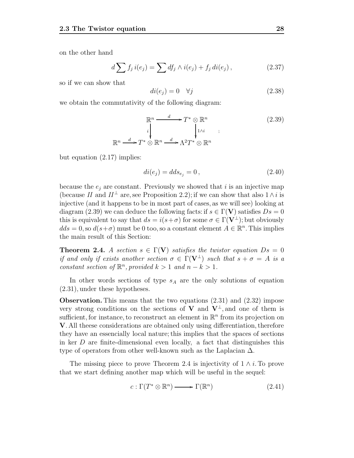on the other hand

$$
d\sum f_j i(e_j) = \sum df_j \wedge i(e_j) + f_j di(e_j), \qquad (2.37)
$$

so if we can show that

$$
di(e_j) = 0 \quad \forall j \tag{2.38}
$$

we obtain the commutativity of the following diagram:

$$
\mathbb{R}^n \xrightarrow{d} T^* \otimes \mathbb{R}^n
$$
\n
$$
\downarrow^{1} \qquad \qquad \downarrow^{1 \wedge i} \qquad ;
$$
\n
$$
\mathbb{R}^n \xrightarrow{d} T^* \otimes \mathbb{R}^n \xrightarrow{d} \Lambda^2 T^* \otimes \mathbb{R}^n
$$
\n(2.39)

but equation (2.17) implies:

$$
di(e_j) = dds_{e_j} = 0, \t\t(2.40)
$$

because the  $e_i$  are constant. Previously we showed that i is an injective map (because II and  $II^{\perp}$  are, see Proposition 2.2); if we can show that also  $1 \wedge i$  is injective (and it happens to be in most part of cases, as we will see) looking at diagram (2.39) we can deduce the following facts: if  $s \in \Gamma(V)$  satisfies  $Ds = 0$ this is equivalent to say that  $ds = i(s+\sigma)$  for some  $\sigma \in \Gamma(\mathbf{V}^{\perp})$ ; but obviously  $dds = 0$ , so  $d(s+\sigma)$  must be 0 too, so a constant element  $A \in \mathbb{R}^n$ . This implies the main result of this Section:

**Theorem 2.4.** A section  $s \in \Gamma(\mathbf{V})$  satisfies the twistor equation  $Ds = 0$ if and only if exists another section  $\sigma \in \Gamma(\mathbf{V}^{\perp})$  such that  $s + \sigma = A$  is a constant section of  $\mathbb{R}^n$ , provided  $k > 1$  and  $n - k > 1$ .

In other words sections of type  $s_A$  are the only solutions of equation (2.31), under these hypotheses.

**Observation.** This means that the two equations (2.31) and (2.32) impose very strong conditions on the sections of **V** and  $V^{\perp}$ , and one of them is sufficient, for instance, to reconstruct an element in  $\mathbb{R}^n$  from its projection on **V**. All theese considerations are obtained only using differentiation, therefore they have an essencially local nature; this implies that the spaces of sections in ker  $D$  are finite-dimensional even locally, a fact that distinguishes this type of operators from other well-known such as the Laplacian  $\Delta$ .

The missing piece to prove Theorem 2.4 is injectivity of  $1 \wedge i$ . To prove that we start defining another map which will be useful in the sequel:

$$
c: \Gamma(T^* \otimes \mathbb{R}^n) \longrightarrow \Gamma(\mathbb{R}^n) \tag{2.41}
$$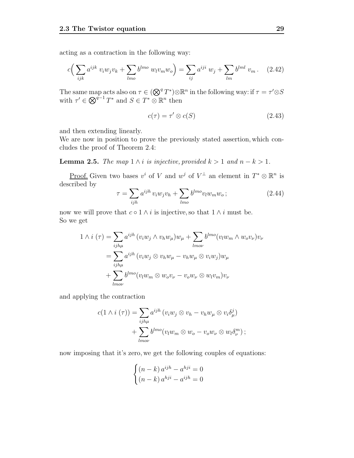acting as a contraction in the following way:

$$
c\left(\sum_{ijk} a^{ijk} v_i w_j v_k + \sum_{lmo} b^{lmo} w_l v_m w_o\right) = \sum_{ij} a^{iji} w_j + \sum_{lm} b^{lml} v_m. \quad (2.42)
$$

The same map acts also on  $\tau \in (\mathbb{Q}^q T^*) \otimes \mathbb{R}^n$  in the following way: if  $\tau = \tau' \otimes S$ with  $\tau' \in \bigotimes^{q-1} T^*$  and  $S \in T^* \otimes \mathbb{R}^n$  then

$$
c(\tau) = \tau' \otimes c(S) \tag{2.43}
$$

and then extending linearly.

We are now in position to prove the previously stated assertion, which concludes the proof of Theorem 2.4:

**Lemma 2.5.** The map  $1 \wedge i$  is injective, provided  $k > 1$  and  $n - k > 1$ .

Proof. Given two bases  $v^i$  of V and  $w^j$  of  $V^{\perp}$  an element in  $T^* \otimes \mathbb{R}^n$  is described by

$$
\tau = \sum_{ijh} a^{ijh} v_i w_j v_h + \sum_{lmo} b^{lmo} v_l w_m w_o ; \qquad (2.44)
$$

now we will prove that  $c \circ 1 \wedge i$  is injective, so that  $1 \wedge i$  must be. So we get

$$
1 \wedge i (\tau) = \sum_{ijh\mu} a^{ijh} (v_i w_j \wedge v_h w_{\mu}) w_{\mu} + \sum_{lmov} b^{lmo} (v_l w_m \wedge w_o v_{\nu}) v_{\nu}
$$
  

$$
= \sum_{ijh\mu} a^{ijh} (v_i w_j \otimes v_h w_{\mu} - v_h w_{\mu} \otimes v_i w_j) w_{\mu}
$$
  

$$
+ \sum_{lmov} b^{lmo} (v_l w_m \otimes w_o v_{\nu} - v_o w_{\nu} \otimes w_l v_m) v_{\nu}
$$

and applying the contraction

$$
c(1 \wedge i (\tau)) = \sum_{i j h \mu} a^{i j h} (v_i w_j \otimes v_h - v_h w_\mu \otimes v_i \delta_\mu^j)
$$
  
+ 
$$
\sum_{l m o \nu} b^{l m o} (v_l w_m \otimes w_o - v_o w_\nu \otimes w_l \delta_\nu^m) ;
$$

now imposing that it's zero, we get the following couples of equations:

$$
\begin{cases} (n-k) a^{ijh} - a^{hji} = 0\\ (n-k) a^{hji} - a^{ijh} = 0 \end{cases}
$$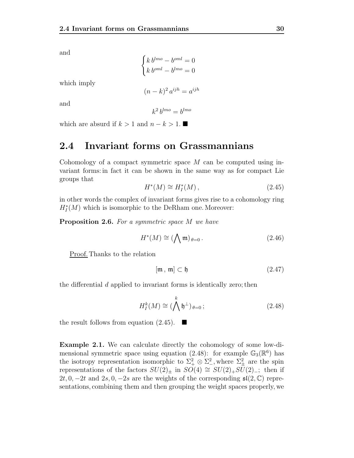and

and

which imply

$$
\begin{cases} k \, b^{lmo} - b^{oml} = 0 \\ k \, b^{oml} - b^{lmo} = 0 \end{cases}
$$

$$
(n-k)^2 \, a^{ijh} = a^{ijh}
$$

$$
k^2 \, b^{lmo} = b^{lmo}
$$

which are absurd if  $k > 1$  and  $n - k > 1$ .

## **2.4 Invariant forms on Grassmannians**

Cohomology of a compact symmetric space  $M$  can be computed using invariant forms: in fact it can be shown in the same way as for compact Lie groups that

$$
H^*(M) \cong H_I^*(M) ,\tag{2.45}
$$

in other words the complex of invariant forms gives rise to a cohomology ring  $H_I^*(M)$  which is isomorphic to the DeRham one. Moreover:

**Proposition 2.6.** For a symmetric space M we have

$$
H^*(M) \cong (\bigwedge \mathfrak{m})_{\theta=0}.
$$
 (2.46)

Proof. Thanks to the relation

$$
[\mathfrak{m}, \mathfrak{m}] \subset \mathfrak{h} \tag{2.47}
$$

the differential  $d$  applied to invariant forms is identically zero; then

$$
H_I^k(M) \cong (\bigwedge^k \mathfrak{h}^\perp)_{\theta=0};\tag{2.48}
$$

the result follows from equation  $(2.45)$ .

**Example 2.1.** We can calculate directly the cohomology of some low-dimensional symmetric space using equation (2.48): for example  $\mathbb{G}_3(\mathbb{R}^6)$  has the isotropy representation isomorphic to  $\Sigma^2_+ \otimes \Sigma^2_-$ , where  $\Sigma^2_{\pm}$  are the spin representations of the factors  $SU(2)_\pm$  in  $SO(4) \cong SU(2)_+ SU(2)_-$ ; then if 2t, 0,  $-2t$  and 2s, 0,  $-2s$  are the weights of the corresponding  $\mathfrak{sl}(2,\mathbb{C})$  representations, combining them and then grouping the weight spaces properly, we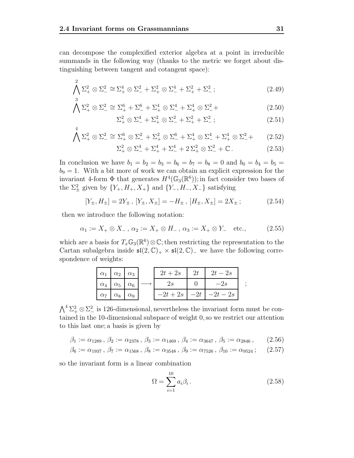can decompose the complexified exterior algebra at a point in irreducible summands in the following way (thanks to the metric we forget about distinguishing between tangent and cotangent space):

$$
\bigwedge_{3}^{2} \Sigma_{+}^{2} \otimes \Sigma_{-}^{2} \cong \Sigma_{+}^{4} \otimes \Sigma_{-}^{2} + \Sigma_{+}^{2} \otimes \Sigma_{-}^{4} + \Sigma_{+}^{2} + \Sigma_{-}^{2};
$$
\n(2.49)

$$
\bigwedge \Sigma_{+}^{2} \otimes \Sigma_{-}^{2} \cong \Sigma_{+}^{6} + \Sigma_{-}^{6} + \Sigma_{+}^{4} \otimes \Sigma_{-}^{4} + \Sigma_{+}^{4} \otimes \Sigma_{-}^{2} + \tag{2.50}
$$

$$
\Sigma_+^2 \otimes \Sigma_-^4 + \Sigma_+^2 \otimes \Sigma_-^2 + \Sigma_+^2 + \Sigma_-^2; \tag{2.51}
$$

$$
\bigwedge \Sigma_+^2 \otimes \Sigma_-^2 \cong \Sigma_+^6 \otimes \Sigma_-^2 + \Sigma_+^2 \otimes \Sigma_-^6 + \Sigma_+^4 \otimes \Sigma_-^4 + \Sigma_+^4 \otimes \Sigma_-^2 + \tag{2.52}
$$

$$
\Sigma_+^2 \otimes \Sigma_-^4 + \Sigma_+^4 + \Sigma_-^4 + 2 \Sigma_+^2 \otimes \Sigma_-^2 + \mathbb{C} \,. \tag{2.53}
$$

In conclusion we have  $b_1 = b_2 = b_3 = b_6 = b_7 = b_8 = 0$  and  $b_0 = b_4 = b_5 =$  $b_9 = 1$ . With a bit more of work we can obtain an explicit expression for the invariant 4-form  $\Phi$  that generates  $H^4(\mathbb{G}_3(\mathbb{R}^6))$ ; in fact consider two bases of the  $\Sigma^2_{\pm}$  given by  $\{Y_+, H_+, X_+\}$  and  $\{Y_-, H_-, X_-\}$  satisfying

$$
[Y_{\pm}, H_{\pm}] = 2Y_{\pm}, [Y_{\pm}, X_{\pm}] = -H_{\pm}, [H_{\pm}, X_{\pm}] = 2X_{\pm};
$$
\n(2.54)

then we introduce the following notation:

4

$$
\alpha_1 := X_+ \otimes X_-, \ \alpha_2 := X_+ \otimes H_-, \ \alpha_3 := X_+ \otimes Y_-\quad \text{etc.},\tag{2.55}
$$

which are a basis for  $T_x\mathbb{G}_3(\mathbb{R}^6)\otimes\mathbb{C}$ ; then restricting the representation to the Cartan subalgebra inside  $\mathfrak{sl}(2,\mathbb{C})_+ \times \mathfrak{sl}(2,\mathbb{C})_-\,$  we have the following correspondence of weights:

| $\alpha_1 \mid \alpha_2 \mid \alpha_3$ |  | $2t+2s$ | 2t | $2t-2s$                     |  |
|----------------------------------------|--|---------|----|-----------------------------|--|
| $\alpha_4$ $\alpha_5$ $\alpha_6$       |  | 2s      |    | $-2s$                       |  |
| $\alpha_7 \alpha_8 \alpha_9$           |  |         |    | $-2t+2s$   $-2t$   $-2t-2s$ |  |

 $\bigwedge^4 \Sigma^2_+ \otimes \Sigma^2_-$  is 126-dimensional, nevertheless the invariant form must be contained in the 10-dimensional subspace of weight 0, so we restrict our attention to this last one; a basis is given by

$$
\beta_1 := \alpha_{1289} , \beta_2 := \alpha_{2378} , \beta_3 := \alpha_{1469} , \beta_4 := \alpha_{3647} , \beta_5 := \alpha_{2846} , \qquad (2.56)
$$

$$
\beta_6 := \alpha_{1937}, \ \beta_7 := \alpha_{1568}, \ \beta_8 := \alpha_{3548}, \ \beta_9 := \alpha_{7526}, \ \beta_{10} := \alpha_{9524}; \tag{2.57}
$$

so the invariant form is a linear combination

$$
\Omega = \sum_{i=1}^{10} a_i \beta_i \,. \tag{2.58}
$$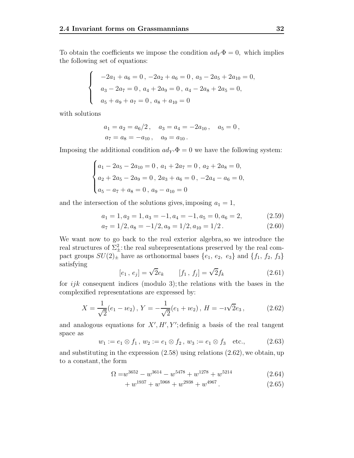To obtain the coefficients we impose the condition  $ad_Y \Phi = 0$ , which implies the following set of equations:

$$
\begin{cases}\n-2a_1 + a_6 = 0, -2a_2 + a_6 = 0, a_3 - 2a_5 + 2a_{10} = 0, \\
a_3 - 2a_7 = 0, a_4 + 2a_9 = 0, a_4 - 2a_8 + 2a_5 = 0, \\
a_5 + a_9 + a_7 = 0, a_8 + a_{10} = 0\n\end{cases}
$$

with solutions

$$
a_1 = a_2 = a_6/2
$$
,  $a_3 = a_4 = -2a_{10}$ ,  $a_5 = 0$ ,  
 $a_7 = a_8 = -a_{10}$ ,  $a_9 = a_{10}$ .

Imposing the additional condition  $ad_{Y} \Phi = 0$  we have the following system:

$$
\begin{cases}\na_1 - 2a_5 - 2a_{10} = 0, \ a_1 + 2a_7 = 0, \ a_2 + 2a_8 = 0, \\
a_2 + 2a_5 - 2a_9 = 0, \ 2a_3 + a_6 = 0, \ -2a_4 - a_6 = 0, \\
a_5 - a_7 + a_8 = 0, \ a_9 - a_{10} = 0\n\end{cases}
$$

and the intersection of the solutions gives, imposing  $a_1 = 1$ ,

$$
a_1 = 1, a_2 = 1, a_3 = -1, a_4 = -1, a_5 = 0, a_6 = 2,
$$
\n
$$
(2.59)
$$

$$
a_7 = 1/2, a_8 = -1/2, a_9 = 1/2, a_{10} = 1/2.
$$
 (2.60)

We want now to go back to the real exterior algebra, so we introduce the real structures of  $\Sigma^2_{\pm}$ : the real subrepresentations preserved by the real compact groups  $SU(2)_{\pm}$  have as orthonormal bases  $\{e_1, e_2, e_3\}$  and  $\{f_1, f_2, f_3\}$ satisfying

$$
[e_1, e_j] = \sqrt{2}e_k
$$
  $[f_1, f_j] = \sqrt{2}f_k$  (2.61)

for  $ijk$  consequent indices (modulo 3); the relations with the bases in the complexified representations are expressed by:

$$
X = \frac{1}{\sqrt{2}} (e_1 - ie_2), Y = -\frac{1}{\sqrt{2}} (e_1 + ie_2), H = -i\sqrt{2}e_3,
$$
 (2.62)

and analogous equations for  $X', H', Y'$ ; definig a basis of the real tangent space as

$$
w_1 := e_1 \otimes f_1, w_2 := e_1 \otimes f_2, w_3 := e_1 \otimes f_3 \quad \text{etc.}, \tag{2.63}
$$

and substituting in the expression (2.58) using relations (2.62), we obtain, up to a constant, the form

$$
\Omega = w^{3652} - w^{3614} - w^{5478} + w^{1278} + w^{5214}
$$
\n(2.64)

$$
+ w^{1937} + w^{5968} + w^{2938} + w^{4967}.
$$
 (2.65)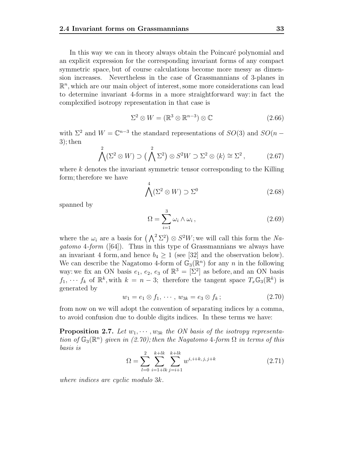In this way we can in theory always obtain the Poincaré polynomial and an explicit expression for the corresponding invariant forms of any compact symmetric space, but of course calculations become more messy as dimension increases. Nevertheless in the case of Grassmannians of 3-planes in  $\mathbb{R}^n$ , which are our main object of interest, some more considerations can lead to determine invariant 4-forms in a more straightforward way: in fact the complexified isotropy representation in that case is

$$
\Sigma^2 \otimes W = (\mathbb{R}^3 \otimes \mathbb{R}^{n-3}) \otimes \mathbb{C} \tag{2.66}
$$

with  $\Sigma^2$  and  $W = \mathbb{C}^{n-3}$  the standard representations of  $SO(3)$  and  $SO(n -$ 3); then

$$
\bigwedge^2(\Sigma^2 \otimes W) \supset (\bigwedge^2 \Sigma^2) \otimes S^2 W \supset \Sigma^2 \otimes \langle k \rangle \cong \Sigma^2, \tag{2.67}
$$

where  $k$  denotes the invariant symmetric tensor corresponding to the Killing form; therefore we have

$$
\bigwedge^4(\Sigma^2 \otimes W) \supset \Sigma^0 \tag{2.68}
$$

spanned by

$$
\Omega = \sum_{i=1}^{3} \omega_i \wedge \omega_i , \qquad (2.69)
$$

where the  $\omega_i$  are a basis for  $(\bigwedge^2 \Sigma^2) \otimes S^2W$ ; we will call this form the Nagatomo 4-form  $([64])$ . Thus in this type of Grassmannians we always have an invariant 4 form, and hence  $b_4 \geq 1$  (see [32] and the observation below). We can describe the Nagatomo 4-form of  $\mathbb{G}_{3}(\mathbb{R}^{n})$  for any n in the following way: we fix an ON basis  $e_1, e_2, e_3$  of  $\mathbb{R}^3 = [\Sigma^2]$  as before, and an ON basis  $f_1, \dots, f_k$  of  $\mathbb{R}^k$ , with  $k = n - 3$ ; therefore the tangent space  $T_x \mathbb{G}_3(\mathbb{R}^k)$  is generated by

$$
w_1 = e_1 \otimes f_1, \cdots, w_{3k} = e_3 \otimes f_k; \qquad (2.70)
$$

from now on we will adopt the convention of separating indices by a comma, to avoid confusion due to double digits indices. In these terms we have:

**Proposition 2.7.** Let  $w_1, \dots, w_{3k}$  the ON basis of the isotropy representation of  $\mathbb{G}_3(\mathbb{R}^n)$  given in (2.70); then the Nagatomo 4-form  $\Omega$  in terms of this basis is

$$
\Omega = \sum_{l=0}^{2} \sum_{i=1+lk}^{k+lk} \sum_{j=i+1}^{k+lk} w^{i, i+k, j, j+k} \tag{2.71}
$$

where indices are cyclic modulo 3k.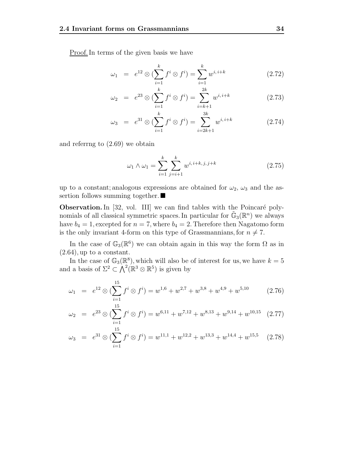Proof.In terms of the given basis we have

$$
\omega_1 = e^{12} \otimes (\sum_{i=1}^k f^i \otimes f^i) = \sum_{i=1}^k w^{i, i+k} \tag{2.72}
$$

$$
\omega_2 = e^{23} \otimes \left(\sum_{i=1}^k f^i \otimes f^i\right) = \sum_{i=k+1}^{2k} w^{i, i+k} \tag{2.73}
$$

$$
\omega_3 = e^{31} \otimes \left( \sum_{i=1}^k f^i \otimes f^i \right) = \sum_{i=2k+1}^{3k} w^{i, i+k} \tag{2.74}
$$

and referrng to (2.69) we obtain

$$
\omega_1 \wedge \omega_1 = \sum_{i=1}^k \sum_{j=i+1}^k w^{i, i+k, j, j+k} \tag{2.75}
$$

up to a constant; analogous expressions are obtained for  $\omega_2$ ,  $\omega_3$  and the assertion follows summing together.

**Observation.** In [32, vol. III] we can find tables with the Poincaré polynomials of all classical symmetric spaces. In particular for  $\mathbb{G}_{3}(\mathbb{R}^{n})$  we always have  $b_4 = 1$ , excepted for  $n = 7$ , where  $b_4 = 2$ . Therefore then Nagatomo form is the only invariant 4-form on this type of Grassmannians, for  $n \neq 7$ .

In the case of  $\mathbb{G}_{3}(\mathbb{R}^{6})$  we can obtain again in this way the form  $\Omega$  as in  $(2.64)$ , up to a constant.

In the case of  $\mathbb{G}_3(\mathbb{R}^8)$ , which will also be of interest for us, we have  $k = 5$ and a basis of  $\Sigma^2 \subset \bigwedge^2 (\mathbb{R}^3 \otimes \mathbb{R}^5)$  is given by

$$
\omega_1 = e^{12} \otimes \left( \sum_{i=1}^{15} f^i \otimes f^i \right) = w^{1,6} + w^{2,7} + w^{3,8} + w^{4,9} + w^{5,10} \tag{2.76}
$$

$$
\omega_2 = e^{23} \otimes \left( \sum_{i=1}^{15} f^i \otimes f^i \right) = w^{6,11} + w^{7,12} + w^{8,13} + w^{9,14} + w^{10,15} \tag{2.77}
$$

$$
\omega_3 = e^{31} \otimes \left( \sum_{i=1}^{15} f^i \otimes f^i \right) = w^{11,1} + w^{12,2} + w^{13,3} + w^{14,4} + w^{15,5} \quad (2.78)
$$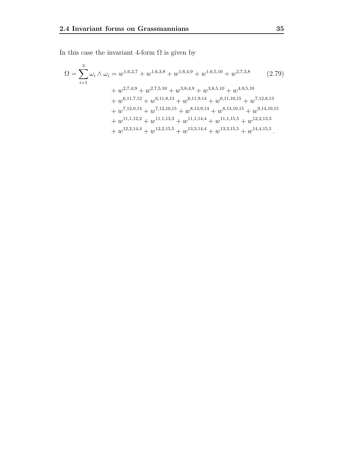In this case the invariant 4-form  $\Omega$  is given by

$$
\Omega = \sum_{i=1}^{3} \omega_i \wedge \omega_i = w^{1,6,2,7} + w^{1,6,3,8} + w^{1,6,4,9} + w^{1,6,5,10} + w^{2,7,3,8} \qquad (2.79)
$$
  
+  $w^{2,7,4,9} + w^{2,7,5,10} + w^{3,8,4,9} + w^{3,8,5,10} + w^{4,9,5,10}$   
+  $w^{6,11,7,12} + w^{6,11,8,13} + w^{6,11,9,14} + w^{6,11,10,15} + w^{7,12,8,13}$   
+  $w^{7,12,9,14} + w^{7,12,10,15} + w^{8,13,9,14} + w^{8,13,10,15} + w^{9,14,10,15}$   
+  $w^{11,1,12,2} + w^{11,1,13,3} + w^{11,1,14,4} + w^{11,1,15,5} + w^{12,2,13,3}$   
+  $w^{12,2,14,4} + w^{12,2,15,5} + w^{13,3,14,4} + w^{13,3,15,5} + w^{14,4,15,5}.$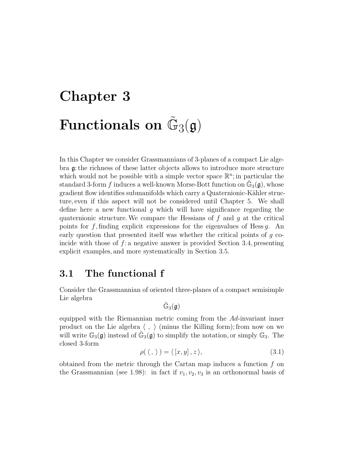# **Chapter 3 Functionals on**  $\mathbb{G}_3(\mathfrak{g})$

In this Chapter we consider Grassmannians of 3-planes of a compact Lie algebra g: the richness of these latter objects allows to introduce more structure which would not be possible with a simple vector space  $\mathbb{R}^n$ ; in particular the standard 3-form f induces a well-known Morse-Bott function on  $\mathbb{G}_3(\mathfrak{g})$ , whose gradient flow identifies submanifolds which carry a Quaternionic-Kähler structure, even if this aspect will not be considered until Chapter 5. We shall define here a new functional  $g$  which will have significance regarding the quaternionic structure. We compare the Hessians of  $f$  and  $g$  at the critical points for f, finding explicit expressions for the eigenvalues of Hess g. An early question that presented itself was whether the critical points of g coincide with those of  $f:$  a negative answer is provided Section 3.4, presenting explicit examples, and more systematically in Section 3.5.

## **3.1 The functional f**

Consider the Grassmannian of oriented three-planes of a compact semisimple Lie algebra

$$
\tilde{\mathbb{G}}_3(\mathfrak{g})
$$

equipped with the Riemannian metric coming from the  $Ad$ -invariant inner product on the Lie algebra  $\langle , \rangle$  (minus the Killing form); from now on we will write  $\mathbb{G}_3(\mathfrak{g})$  instead of  $\mathbb{G}_3(\mathfrak{g})$  to simplify the notation, or simply  $\mathbb{G}_3$ . The closed 3-form

$$
\rho(\langle , \rangle) = \langle [x, y], z \rangle, \tag{3.1}
$$

obtained from the metric through the Cartan map induces a function f on the Grassmannian (see 1.98): in fact if  $v_1, v_2, v_3$  is an orthonormal basis of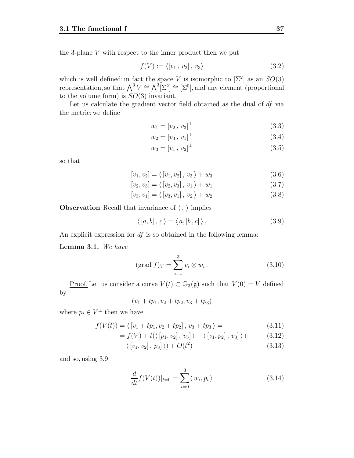the 3-plane  $V$  with respect to the inner product then we put

$$
f(V) := \langle [v_1, v_2], v_3 \rangle \tag{3.2}
$$

which is well defined: in fact the space V is isomorphic to  $[\Sigma^2]$  as an  $SO(3)$ representation, so that  $\bigwedge^3 V \cong \bigwedge^3 [\Sigma^2] \cong [\Sigma^0]$ , and any element (proportional to the volume form) is  $SO(3)$  invariant.

Let us calculate the gradient vector field obtained as the dual of df via the metric: we define

$$
w_1 = [v_2, v_3]^\perp \tag{3.3}
$$

$$
w_2 = [v_3, v_1]^\perp \tag{3.4}
$$

$$
w_3 = [v_1, v_2]^\perp \tag{3.5}
$$

so that

$$
[v_1, v_2] = \langle [v_1, v_2], v_3 \rangle + w_3 \tag{3.6}
$$

$$
[v_2, v_3] = \langle [v_2, v_3], v_1 \rangle + w_1 \tag{3.7}
$$

$$
[v_3, v_1] = \langle [v_3, v_1], v_2 \rangle + w_2 \tag{3.8}
$$

**Observation**. Recall that invariance of  $\langle , \rangle$  implies

$$
\langle [a, b], c \rangle = \langle a, [b, c] \rangle.
$$
 (3.9)

An explicit expression for  $df$  is so obtained in the following lemma:

**Lemma 3.1.** We have

$$
(\text{grad } f)_V = \sum_{i=1}^3 v_i \otimes w_i. \tag{3.10}
$$

Proof. Let us consider a curve  $V(t) \subset \mathbb{G}_3(\mathfrak{g})$  such that  $V(0) = V$  defined by

$$
(v_1 + tp_1, v_2 + tp_2, v_3 + tp_3)
$$

where  $p_i \in V^{\perp}$  then we have

$$
f(V(t)) = \langle [v_1 + tp_1, v_2 + tp_2], v_3 + tp_3 \rangle = \tag{3.11}
$$

$$
= f(V) + t(\langle [p_1, v_2], v_3] \rangle + \langle [v_1, p_2], v_3] \rangle + \tag{3.12}
$$

$$
+\langle [v_1, v_2], p_3] \rangle) + O(t^2)
$$
\n(3.13)

and so, using 3.9

$$
\frac{d}{dt}f(V(t))|_{t=0} = \sum_{i=0}^{3} \langle w_i, p_i \rangle \tag{3.14}
$$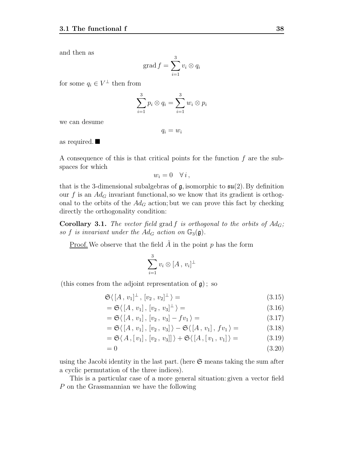and then as

$$
\operatorname{grad} f = \sum_{i=1}^{3} v_i \otimes q_i
$$

for some  $q_i \in V^{\perp}$  then from

$$
\sum_{i=1}^3 p_i \otimes q_i = \sum_{i=1}^3 w_i \otimes p_i
$$

we can desume

 $q_i = w_i$ 

as required.

A consequence of this is that critical points for the function  $f$  are the subspaces for which

$$
w_i = 0 \quad \forall i,
$$

that is the 3-dimensional subalgebras of  $\mathfrak{g}$ , isomorphic to  $\mathfrak{su}(2)$ . By definition our f is an  $Ad<sub>G</sub>$  invariant functional, so we know that its gradient is orthogonal to the orbits of the  $Ad_G$  action; but we can prove this fact by checking directly the orthogonality condition:

**Corollary 3.1.** The vector field grad f is orthogonal to the orbits of  $Ad_G$ ; so f is invariant under the  $Ad_G$  action on  $\mathbb{G}_3(\mathfrak{g})$ .

<u>Proof.</u> We observe that the field  $A$  in the point  $p$  has the form

$$
\sum_{i=1}^3 v_i \otimes [A, v_i]^{\perp}
$$

(this comes from the adjoint representation of  $\mathfrak{g}$ ); so

$$
\mathfrak{S}\langle [A, v_1]^\perp, [v_2, v_2]^\perp \rangle =
$$
\n(3.15)

$$
= \mathfrak{S}\langle\left[A, v_1\right], \left[v_2, v_3\right]^{\perp}\rangle =
$$
\n
$$
\mathfrak{S}\langle\left[A, v_1\right], \left[v_2, v_3\right]^{\perp}\rangle =
$$
\n(3.16)

$$
= \mathfrak{S}\langle [A, v_1], [v_2, v_3] - fv_1 \rangle =
$$
\n
$$
\mathfrak{S}\langle [A, v_1], [v_2, v_3] \rangle = \mathfrak{S}\langle [A, v_1], [v_2, v_3] \rangle = \mathfrak{S}\langle [A, v_1], [v_2, v_3] \rangle = \mathfrak{S}\langle [A, v_1], [v_2, v_3] \rangle = \mathfrak{S}\langle [A, v_1], [v_2, v_3] \rangle = \mathfrak{S}\langle [A, v_1], [v_2, v_3] \rangle = \mathfrak{S}\langle [A, v_1], [v_2, v_3] \rangle = \mathfrak{S}\langle [A, v_1], [v_2, v_3] \rangle = \mathfrak{S}\langle [A, v_1], [v_2, v_3] \rangle = \mathfrak{S}\langle [A, v_1], [v_2, v_3] \rangle = \mathfrak{S}\langle [A, v_1], [v_2, v_3] \rangle = \mathfrak{S}\langle [A, v_1], [v_2, v_3] \rangle = \mathfrak{S}\langle [A, v_1], [v_2, v_3] \rangle = \mathfrak{S}\langle [A, v_1], [v_2, v_3] \rangle = \mathfrak{S}\langle [A, v_1], [v_2, v_3] \rangle = \mathfrak{S}\langle [A, v_1], [v_2, v_3] \rangle = \mathfrak{S}\langle [A, v_1], [v_2, v_3] \rangle = \mathfrak{S}\langle [A, v_1], [v_2, v_3] \rangle = \mathfrak{S}\langle [A, v_1], [v_2, v_3] \rangle = \mathfrak{S}\langle [A, v_1], [v_2, v_3] \rangle = \mathfrak{S}\langle [A, v_1], [v_2, v_3] \rangle = \mathfrak{S}\langle [A, v_1], [v_2, v_3] \rangle = \mathfrak{S}\langle [A, v_1], [v_2, v_3] \rangle = \mathfrak{S}\langle [A, v_1], [v_2, v_3] \rangle = \mathfrak{S}\langle [A, v_1], [v_2, v_3] \rangle = \mathfrak{S}\langle [A, v_1], [v_2, v_3] \rangle = \mathfrak{S}\langle [A, v_1], [
$$

$$
= \mathfrak{S}\langle [A, v_1], [v_2, v_3] \rangle - \mathfrak{S}\langle [A, v_1], fv_1 \rangle =
$$
\n
$$
\mathfrak{S}\langle [A, v_1], [A, v_2] \rangle =
$$
\n(3.18)

$$
= \mathfrak{S}\langle A, [v_1], [v_2, v_3]] \rangle + \mathfrak{S}\langle [A, [v_1, v_1] \rangle =
$$
(3.19)

$$
=0 \tag{3.20}
$$

using the Jacobi identity in the last part. (here  $\mathfrak S$  means taking the sum after a cyclic permutation of the three indices).

This is a particular case of a more general situation: given a vector field P on the Grassmannian we have the following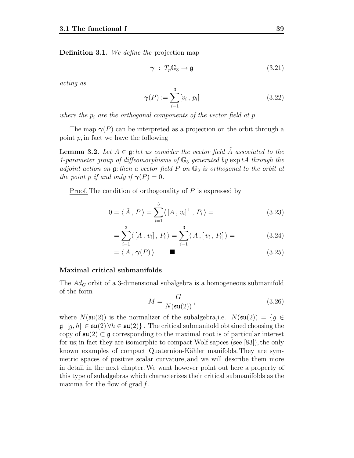**Definition 3.1.** We define the projection map

$$
\gamma \; : \; T_p \mathbb{G}_3 \to \mathfrak{g} \tag{3.21}
$$

acting as

$$
\gamma(P) := \sum_{i=1}^{3} [v_i, p_i]
$$
 (3.22)

where the  $p_i$  are the orthogonal components of the vector field at p.

The map  $\gamma(P)$  can be interpreted as a projection on the orbit through a point  $p$ , in fact we have the following

**Lemma 3.2.** Let  $A \in \mathfrak{g}$ ; let us consider the vector field  $\tilde{A}$  associated to the 1-parameter group of diffeomorphisms of  $\mathbb{G}_3$  generated by  $\exp tA$  through the adjoint action on  $\mathfrak{g}$ ; then a vector field P on  $\mathbb{G}_3$  is orthogonal to the orbit at the point p if and only if  $\gamma(P)=0$ .

Proof. The condition of orthogonality of  $P$  is expressed by

$$
0 = \langle \tilde{A}, P \rangle = \sum_{i=1}^{3} \langle [A, v_i]^{\perp}, P_i \rangle = \qquad (3.23)
$$

$$
= \sum_{i=1}^{3} \langle [A, v_i], P_i \rangle = \sum_{i=1}^{3} \langle A, [v_i, P_i] \rangle = \qquad (3.24)
$$

$$
= \langle A, \gamma(P) \rangle \tag{3.25}
$$

#### **Maximal critical submanifolds**

The  $Ad<sub>G</sub>$  orbit of a 3-dimensional subalgebra is a homogeneous submanifold of the form

$$
M = \frac{G}{N(\mathfrak{su}(2))},\tag{3.26}
$$

where  $N(\mathfrak{su}(2))$  is the normalizer of the subalgebra, i.e.  $N(\mathfrak{su}(2)) = \{g \in$  $\mathfrak{g} | [g, h] \in \mathfrak{su}(2) \,\forall h \in \mathfrak{su}(2) \}$ . The critical submanifold obtained choosing the copy of  $\mathfrak{su}(2) \subset \mathfrak{g}$  corresponding to the maximal root is of particular interest for us; in fact they are isomorphic to compact Wolf sapces (see [83]), the only known examples of compact Quaternion-Kähler manifolds. They are symmetric spaces of positive scalar curvature, and we will describe them more in detail in the next chapter.We want however point out here a property of this type of subalgebras which characterizes their critical submanifolds as the maxima for the flow of grad  $f$ .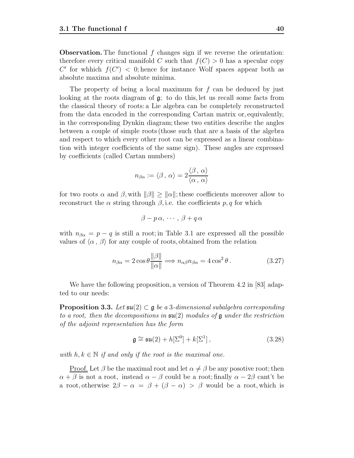**Observation.** The functional f changes sign if we reverse the orientation: therefore every critical manifold C such that  $f(C) > 0$  has a specular copy C' for whhich  $f(C') < 0$ ; hence for instance Wolf spaces appear both as absolute maxima and absolute minima.

The property of being a local maximum for f can be deduced by just looking at the roots diagram of  $\mathfrak{g}$ ; to do this, let us recall some facts from the classical theory of roots: a Lie algebra can be completely reconstructed from the data encoded in the corresponding Cartan matrix or, equivalently, in the corresponding Dynkin diagram; these two entities describe the angles between a couple of simple roots (those such that are a basis of the algebra and respect to which every other root can be expressed as a linear combination with integer coefficients of the same sign). These angles are expressed by coefficients (called Cartan numbers)

$$
n_{\beta\alpha}:=\langle \beta\,,\,\alpha\rangle=2\frac{\langle \beta\,,\,\alpha\rangle}{\langle \alpha\,,\,\alpha\rangle}
$$

for two roots  $\alpha$  and  $\beta$ , with  $\|\beta\| > \|\alpha\|$ ; these coefficients moreover allow to reconstruct the  $\alpha$  string through  $\beta$ , i.e. the coefficients p, q for which

$$
\beta - p\,\alpha, \,\cdots, \,\beta + q\,\alpha
$$

with  $n_{\beta\alpha} = p - q$  is still a root; in Table 3.1 are expressed all the possible values of  $\langle \alpha, \beta \rangle$  for any couple of roots, obtained from the relation

$$
n_{\beta\alpha} = 2\cos\theta \frac{\|\beta\|}{\|\alpha\|} \Longrightarrow n_{\alpha\beta}n_{\beta\alpha} = 4\cos^2\theta. \tag{3.27}
$$

We have the following proposition, a version of Theorem 4.2 in [83] adapted to our needs:

**Proposition 3.3.** Let  $\mathfrak{su}(2) \subset \mathfrak{g}$  be a 3-dimensional subalgebra corresponding to a root, then the decompositions in  $\mathfrak{su}(2)$  modules of  $\mathfrak g$  under the restriction of the adjoint representation has the form

$$
\mathfrak{g} \cong \mathfrak{su}(2) + h[\Sigma^0] + k[\Sigma^1],\tag{3.28}
$$

with  $h, k \in \mathbb{N}$  if and only if the root is the maximal one.

<u>Proof.</u> Let  $\beta$  be the maximal root and let  $\alpha \neq \beta$  be any posotive root; then  $\alpha + \beta$  is not a root, instead  $\alpha - \beta$  could be a root; finally  $\alpha - 2\beta$  cant't be a root, otherwise  $2\beta - \alpha = \beta + (\beta - \alpha) > \beta$  would be a root, which is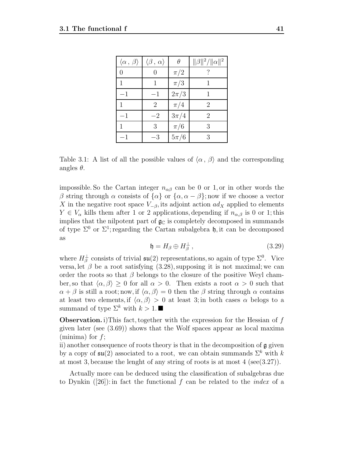| $\langle \alpha, \beta \rangle$ | $\langle \beta, \alpha \rangle$ | θ        | $\ \beta\ ^2/\ \alpha\ ^2$ |
|---------------------------------|---------------------------------|----------|----------------------------|
| 0                               |                                 | $\pi/2$  |                            |
|                                 |                                 | $\pi/3$  |                            |
| $-1$                            | $-1$                            | $2\pi/3$ |                            |
|                                 | $\overline{2}$                  | $\pi/4$  | 2                          |
| $-1$                            | $-2$                            | $3\pi/4$ | 2                          |
|                                 | 3                               | $\pi/6$  | 3                          |
|                                 | $-3$                            | $5\pi/6$ | 3                          |

Table 3.1: A list of all the possible values of  $\langle \alpha, \beta \rangle$  and the corresponding angles  $\theta$ .

impossible. So the Cartan integer  $n_{\alpha\beta}$  can be 0 or 1, or in other words the β string through  $\alpha$  consists of  $\{\alpha\}$  or  $\{\alpha, \alpha-\beta\}$ ; now if we choose a vector X in the negative root space  $V_{-\beta}$ , its adjoint action  $ad_X$  applied to elements  $Y \in V_\alpha$  kills them after 1 or 2 applications, depending if  $n_{\alpha,\beta}$  is 0 or 1; this implies that the nilpotent part of  $\mathfrak{g}_{\mathbb{C}}$  is completely decomposed in summands of type  $\Sigma^0$  or  $\Sigma^1$ ; regarding the Cartan subalgebra h, it can be decomposed as

$$
\mathfrak{h} = H_{\beta} \oplus H_{\beta}^{\perp} \,, \tag{3.29}
$$

where  $H^{\perp}_{\beta}$  consists of trivial  $\mathfrak{su}(2)$  representations, so again of type  $\Sigma^{0}$ . Vice versa, let  $\beta$  be a root satisfying (3.28), supposing it is not maximal; we can order the roots so that  $\beta$  belongs to the closure of the positive Weyl chamber, so that  $\langle \alpha, \beta \rangle \geq 0$  for all  $\alpha > 0$ . Then exists a root  $\alpha > 0$  such that  $\alpha + \beta$  is still a root; now, if  $\langle \alpha, \beta \rangle = 0$  then the  $\beta$  string through  $\alpha$  contains at least two elements, if  $\langle \alpha, \beta \rangle > 0$  at least 3; in both cases  $\alpha$  belogs to a summand of type  $\Sigma^k$  with  $k > 1$ .

**Observation.** i)This fact, together with the expression for the Hessian of f given later (see (3.69)) shows that the Wolf spaces appear as local maxima (minima) for  $f$ ;

ii) another consequence of roots theory is that in the decomposition of g given by a copy of  $\mathfrak{su}(2)$  associated to a root, we can obtain summands  $\Sigma^k$  with k at most 3, because the lenght of any string of roots is at most 4 (see(3.27)).

Actually more can be deduced using the classification of subalgebras due to Dynkin  $(26)$ : in fact the functional f can be related to the *index* of a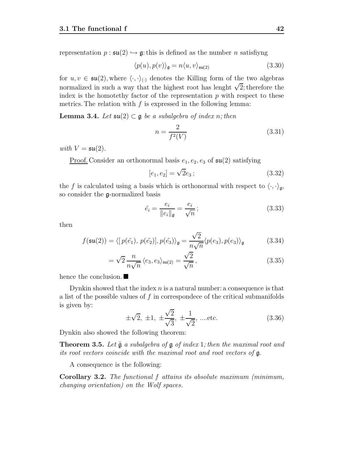representation  $p : \mathfrak{su}(2) \hookrightarrow \mathfrak{g}$ : this is defined as the number *n* satisfiyng

$$
\langle p(u), p(v) \rangle_{\mathfrak{g}} = n \langle u, v \rangle_{\mathfrak{su}(2)} \tag{3.30}
$$

for  $u, v \in \mathfrak{su}(2)$ , where  $\langle \cdot, \cdot \rangle_{(\cdot)}$  denotes the Killing form of the two algebras normalized in such a way that the highest root has lenght  $\sqrt{2}$ ; therefore the index is the homotethy factor of the representation  $p$  with respect to these metrics. The relation with  $f$  is expressed in the following lemma:

**Lemma 3.4.** Let  $\mathfrak{su}(2) \subset \mathfrak{g}$  be a subalgebra of index n; then

$$
n = \frac{2}{f^2(V)}\tag{3.31}
$$

with  $V = \mathfrak{su}(2)$ .

<u>Proof.</u> Consider an orthonormal basis  $e_1, e_2, e_3$  of  $\mathfrak{su}(2)$  satisfying

$$
[e_1, e_2] = \sqrt{2}e_3; \tag{3.32}
$$

the f is calculated using a basis which is orthonormal with respect to  $\langle \cdot, \cdot \rangle_{\mathfrak{g}},$ so consider the g-normalized basis

$$
\tilde{e}_i = \frac{e_i}{\|e_i\|_{\mathfrak{g}}} = \frac{e_i}{\sqrt{n}};
$$
\n(3.33)

then

$$
f(\mathfrak{su}(2)) = \langle [p(\tilde{e}_1), p(\tilde{e}_2)], p(\tilde{e}_3) \rangle_{\mathfrak{g}} = \frac{\sqrt{2}}{n\sqrt{n}} \langle p(e_3), p(e_3) \rangle_{\mathfrak{g}} \tag{3.34}
$$

$$
= \sqrt{2} \frac{n}{n\sqrt{n}} \langle e_3, e_3 \rangle_{\mathfrak{su}(2)} = \frac{\sqrt{2}}{\sqrt{n}}, \qquad (3.35)
$$

hence the conclusion.

Dynkin showed that the index  $n$  is a natural number: a consequence is that a list of the possible values of  $f$  in correspondece of the critical submanifolds is given by:

$$
\pm\sqrt{2}, \pm 1, \pm\frac{\sqrt{2}}{\sqrt{3}}, \pm\frac{1}{\sqrt{2}}, \dots \text{etc.}
$$
 (3.36)

Dynkin also showed the following theorem:

**Theorem 3.5.** Let  $\tilde{g}$  a subalgebra of  $g$  of index 1; then the maximal root and its root vectors coincide with the maximal root and root vectors of g.

A consequence is the following:

**Corollary 3.2.** The functional f attains its absolute maximum (minimum, changing orientation) on the Wolf spaces.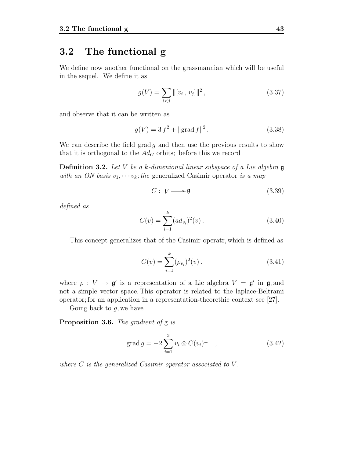## **3.2 The functional g**

We define now another functional on the grassmannian which will be useful in the sequel. We define it as

$$
g(V) = \sum_{i < j} \|\left[v_i, \, v_j\right]\|^2,\tag{3.37}
$$

and observe that it can be written as

$$
g(V) = 3 f2 + ||grad f||2.
$$
 (3.38)

We can describe the field grad g and then use the previous results to show that it is orthogonal to the  $Ad_G$  orbits; before this we record

**Definition 3.2.** Let V be a k-dimenional linear subspace of a Lie algebra **g** with an ON basis  $v_1, \dots, v_k$ ; the generalized Casimir operator is a map

$$
C: V \longrightarrow \mathfrak{g} \tag{3.39}
$$

defined as

$$
C(v) = \sum_{i=1}^{k} (ad_{v_i})^2(v).
$$
 (3.40)

This concept generalizes that of the Casimir operatr, which is defined as

$$
C(v) = \sum_{i=1}^{k} (\rho_{v_i})^2(v).
$$
 (3.41)

where  $\rho: V \to \mathfrak{g}'$  is a representation of a Lie algebra  $V = \mathfrak{g}'$  in  $\mathfrak{g}$ , and not a simple vector space. This operator is related to the laplace-Beltrami operator; for an application in a representation-theorethic context see [27].

Going back to  $q$ , we have

**Proposition 3.6.** The gradient of g is

$$
\operatorname{grad} g = -2 \sum_{i=1}^{3} v_i \otimes C(v_i)^{\perp} \quad , \tag{3.42}
$$

where  $C$  is the generalized Casimir operator associated to  $V$ .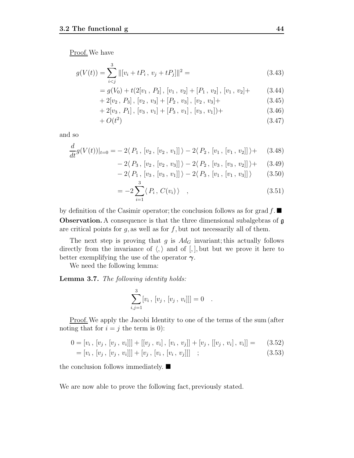Proof.We have

$$
g(V(t)) = \sum_{i < j}^{3} \left\| [v_i + tP_i, \, v_j + tP_j] \right\|^2 = \tag{3.43}
$$

$$
= g(V_0) + t(2[v_1, P_2], [v_1, v_2] + [P_1, v_2], [v_1, v_2] + (3.44)
$$

$$
+2[v_2, P_3], [v_2, v_3] + [P_2, v_3], [v_2, v_3] +
$$
 (3.45)

$$
+2[v_3, P_1], [v_3, v_1] + [P_3, v_1], [v_3, v_1]) +
$$
 (3.46)

$$
+O(t^2) \tag{3.47}
$$

and so

$$
\frac{d}{dt}g(V(t))|_{t=0} = -2\langle P_1, [v_2, [v_2, v_1]] \rangle - 2\langle P_2, [v_1, [v_1, v_2]] \rangle + (3.48)
$$

$$
-2(P_3, [v_2, [v_3, v_3]]) - 2(P_2, [v_3, [v_3, v_2]]) + (3.49)
$$

$$
-2\langle P_1, [v_3, [v_3, v_1]] \rangle - 2\langle P_3, [v_1, [v_1, v_3]] \rangle \qquad (3.50)
$$

$$
= -2\sum_{i=1}^{8} \langle P_i, C(v_i) \rangle \quad , \tag{3.51}
$$

by definition of the Casimir operator; the conclusion follows as for grad  $f$ . **Observation.** A consequence is that the three dimensional subalgebras of  $\mathfrak{g}$ are critical points for  $q$ , as well as for  $f$ , but not necessarily all of them.

The next step is proving that g is  $Ad_G$  invariant; this actually follows directly from the invariance of  $\langle, \rangle$  and of  $[, ]$ , but but we prove it here to better exemplifying the use of the operator *γ*.

We need the following lemma:

**Lemma 3.7.** The following identity holds:

$$
\sum_{i,j=1}^{3} [v_i, [v_j, [v_j, v_i]]] = 0.
$$

Proof.We apply the Jacobi Identity to one of the terms of the sum (after noting that for  $i = j$  the term is 0):

$$
0 = [v_i, [v_j, [v_j, v_i]]] + [[v_j, v_i], [v_i, v_j]] + [v_j, [[v_j, v_i], v_i]] = (3.52)
$$
  
=  $[v_i, [v_j, [v_j, v_i]]] + [v_j, [v_i, [v_i, v_j]]]$ ; (3.53)

the conclusion follows immediately.  $\blacksquare$ 

We are now able to prove the following fact, previously stated.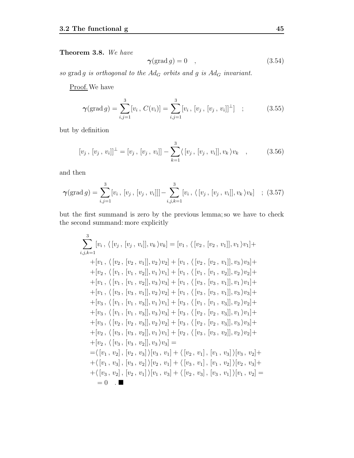### **Theorem 3.8.** We have

$$
\gamma(\text{grad } g) = 0 \quad , \tag{3.54}
$$

so grad g is orthogonal to the  $Ad_G$  orbits and g is  $Ad_G$  invariant.

Proof. We have

$$
\gamma(\text{grad } g) = \sum_{i,j=1}^{3} [v_i, C(v_i)] = \sum_{i,j=1}^{3} [v_i, [v_j, [v_j, v_i]]^{\perp}] \quad ; \tag{3.55}
$$

but by definition

$$
[v_j, [v_j, v_i]]^{\perp} = [v_j, [v_j, v_i]] - \sum_{k=1}^{3} \langle [v_j, [v_j, v_i]], v_k \rangle v_k \quad , \tag{3.56}
$$

and then

$$
\gamma(\text{grad } g) = \sum_{i,j=1}^{3} [v_i, [v_j, [v_j, v_i]]] - \sum_{i,j,k=1}^{3} [v_i, \langle [v_j, [v_j, v_i]], v_k \rangle v_k] ; (3.57)
$$

but the first summand is zero by the previous lemma; so we have to check the second summand: more explicitly

$$
\sum_{i,j,k=1}^{3} [v_i, \langle [v_j, [v_j, v_i]], v_k \rangle v_k] = [v_1, \langle [v_2, [v_2, v_1]], v_1 \rangle v_1] + [v_1, \langle [v_2, [v_2, v_1]], v_2 \rangle v_2] + [v_1, \langle [v_2, [v_2, v_1]], v_3 \rangle v_3] + [v_2, \langle [v_1, [v_1, v_2]], v_1 \rangle v_1] + [v_1, \langle [v_1, [v_1, v_2]], v_2 \rangle v_2] + [v_1, \langle [v_1, [v_1, v_2]], v_3 \rangle v_3] + [v_1, \langle [v_3, [v_3, v_1]], v_1 \rangle v_1] + [v_1, \langle [v_3, [v_3, v_1]], v_2 \rangle v_2] + [v_1, \langle [v_3, [v_3, v_1]], v_3 \rangle v_3] + [v_3, \langle [v_1, [v_1, v_3]], v_1 \rangle v_1] + [v_3, \langle [v_1, [v_1, v_3]], v_2 \rangle v_2] + [v_3, \langle [v_1, [v_1, v_3]], v_3 \rangle v_3] + [v_3, \langle [v_2, [v_2, v_3]], v_1 \rangle v_1] + [v_3, \langle [v_2, [v_2, v_3]], v_2 \rangle v_2] + [v_3, \langle [v_2, [v_2, v_3]], v_3 \rangle v_3] + [v_2, \langle [v_3, [v_3, v_2]], v_1 \rangle v_1] + [v_2, \langle [v_3, [v_3, v_2]], v_2 \rangle v_2] + [v_2, \langle [v_3, [v_3, v_2]], v_3 \rangle v_3] = \newline \newline \newline = \langle [v_1, v_2], [v_2, v_3] \rangle [v_3, v_1] + \langle [v_2, v_1], [v_1, v_3] \rangle [v_3, v_2] + \langle [v_1, v_3], [v_3, v_2] \rangle [v_2, v_1] + \langle [v_3, v_1], [v_1, v_2] \rangle [v_2, v_3] + \newline \newline \newline \newline \newline \newline \newline \newline \newline \newline \newline \newline \newline \newline \newline
$$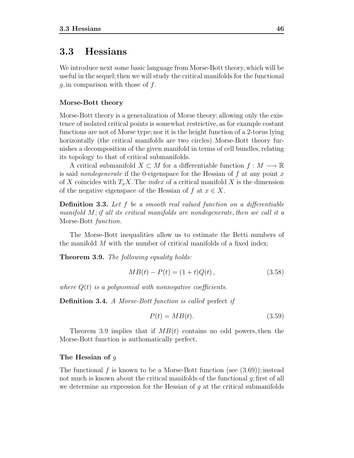## **3.3 Hessians**

We introduce next some basic language from Morse-Bott theory, which will be useful in the sequel; then we will study the critical manifolds for the functional  $g$ , in comparison with those of  $f$ .

### **Morse-Bott theory**

Morse-Bott theory is a generalization of Morse theory: allowing only the existence of isolated critical points is somewhat restrictive, as for example costant functions are not of Morse type; nor it is the height function of a 2-torus lying horizontally (the critical manifolds are two circles). Morse-Bott theory furnishes a decomposition of the given manifold in terms of cell bundles, relating its topology to that of critical submanifolds.

A critical submanifold  $X \subset M$  for a differentiable function  $f : M \longrightarrow \mathbb{R}$ is said *nondegenerate* if the 0-eigenspace for the Hessian of  $f$  at any point  $x$ of X coincides with  $T_xX$ . The *index* of a critical manifold X is the dimension of the negative eigenspace of the Hessian of f at  $x \in X$ .

**Definition 3.3.** Let f be a smooth real valued function on a differentiable manifold  $M$ ; if all its critical manifolds are nondegenerate, then we call it a Morse-Bott function.

The Morse-Bott inequalities allow us to estimate the Betti numbers of the manifold M with the number of critical manifolds of a fixed index:

**Theorem 3.9.** The following equality holds:

$$
MB(t) - P(t) = (1+t)Q(t), \qquad (3.58)
$$

where  $Q(t)$  is a polynomial with nonnegative coefficients.

**Definition 3.4.** A Morse-Bott function is called perfect if

$$
P(t) = MB(t). \tag{3.59}
$$

Theorem 3.9 implies that if  $MB(t)$  contains no odd powers, then the Morse-Bott function is authomatically perfect.

#### **The Hessian of** g

The functional f is known to be a Morse-Bott function (see  $(3.69)$ ); instead not much is known about the critical manifolds of the functional  $g$ ; first of all we determine an expression for the Hessian of  $q$  at the critical submanifolds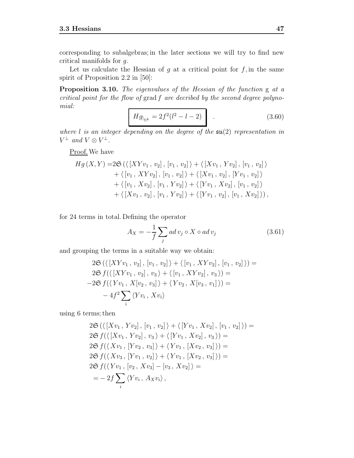corresponding to subalgebras; in the later sections we will try to find new critical manifolds for g.

Let us calculate the Hessian of  $g$  at a critical point for  $f$ , in the same spirit of Proposition 2.2 in [50]:

**Proposition 3.10.** The eigenvalues of the Hessian of the function g at a critical point for the flow of grad f are decribed by the second degree polynomial:

$$
Hg_{|_{\Sigma^k}} = 2f^2(l^2 - l - 2)
$$
 (3.60)

where  $l$  is an integer depending on the degree of the  $\mathfrak{su}(2)$  representation in  $V^{\perp}$  and  $V \otimes V^{\perp}$ .

Proof.We have

$$
Hg(X,Y) = 2\mathfrak{S}(\langle [XYv_1, v_2], [v_1, v_2] \rangle + \langle [Xv_1, Yv_2], [v_1, v_2] \rangle
$$
  
+  $\langle [v_1, XYv_2], [v_1, v_2] \rangle + \langle [Xv_1, v_2], [Yv_1, v_2] \rangle$   
+  $\langle [v_1, Xv_2], [v_1, Yv_2] \rangle + \langle [Yv_1, Xv_2], [v_1, v_2] \rangle$   
+  $\langle [Xv_1, v_2], [v_1, Yv_2] \rangle + \langle [Yv_1, v_2], [v_1, Xv_2] \rangle),$ 

for 24 terms in total. Defining the operator

$$
A_X = -\frac{1}{f} \sum_j ad\, v_j \circ X \circ ad\, v_j \tag{3.61}
$$

and grouping the terms in a suitable way we obtain:

$$
2\mathfrak{S}(\langle [XYv_1, v_2], [v_1, v_2] \rangle + \langle [v_1, XYv_2], [v_1, v_2] \rangle) =
$$
  
\n
$$
2\mathfrak{S} f(\langle [XYv_1, v_2], v_3 \rangle + \langle [v_1, XYv_2], v_3 \rangle) =
$$
  
\n
$$
-2\mathfrak{S} f(\langle Yv_1, X[v_2, v_3] \rangle + \langle Yv_2, X[v_3, v_1] \rangle) =
$$
  
\n
$$
-4f^2 \sum_i \langle Yv_i, Xv_i \rangle
$$

using 6 terms; then

$$
2\mathfrak{S}(\langle [Xv_1, Yv_2], [v_1, v_2] \rangle + \langle [Yv_1, Xv_2], [v_1, v_2] \rangle) =
$$
  
\n
$$
2\mathfrak{S} f(\langle [Xv_1, Yv_2], v_3 \rangle + \langle [Yv_1, Xv_2], v_3 \rangle) =
$$
  
\n
$$
2\mathfrak{S} f(\langle Xv_1, [Yv_2, v_3] \rangle + \langle Yv_1, [Xv_2, v_3] \rangle) =
$$
  
\n
$$
2\mathfrak{S} f(\langle Xv_3, [Yv_1, v_2] \rangle + \langle Yv_1, [Xv_2, v_3] \rangle) =
$$
  
\n
$$
2\mathfrak{S} f(\langle Yv_1, [v_2, Xv_3] - [v_3, Xv_2] \rangle) =
$$
  
\n
$$
= -2f \sum_i \langle Yv_i, A_Xv_i \rangle,
$$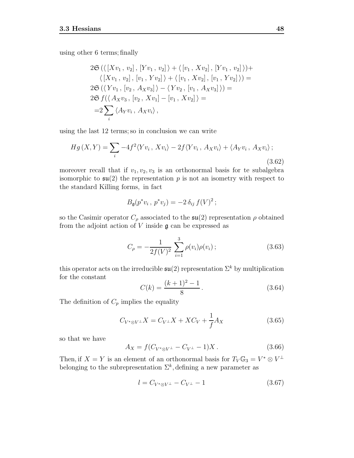using other 6 terms; finally

$$
2\mathfrak{S}(\langle [Xv_1, v_2], [Yv_1, v_2] \rangle + \langle [v_1, Xv_2], [Yv_1, v_2] \rangle) + \langle [Xv_1, v_2], [v_1, Yv_2] \rangle + \langle [v_1, Xv_2], [v_1, Yv_2] \rangle) =
$$
  
\n
$$
2\mathfrak{S}(\langle Yv_1, [v_2, A_Xv_3] \rangle - \langle Yv_2, [v_1, A_Xv_3] \rangle) =
$$
  
\n
$$
2\mathfrak{S}f(\langle A_Xv_3, [v_2, Xv_1] - [v_1, Xv_2] \rangle) =
$$
  
\n
$$
= 2\sum_i \langle A_Yv_i, A_Xv_i \rangle,
$$

using the last 12 terms; so in conclusion we can write

$$
Hg(X,Y) = \sum_{i} -4f^2 \langle Yv_i, Xv_i \rangle - 2f \langle Yv_i, A_Xv_i \rangle + \langle A_Yv_i, A_Xv_i \rangle;
$$
\n(3.62)

moreover recall that if  $v_1, v_2, v_3$  is an orthonormal basis for te subalgebra isomorphic to  $\mathfrak{su}(2)$  the representation p is not an isometry with respect to the standard Killing forms, in fact

$$
B_{\mathfrak{g}}(p^*v_i, p^*v_j) = -2 \,\delta_{ij} \, f(V)^2;
$$

so the Casimir operator  $C_{\rho}$  associated to the  $\mathfrak{su}(2)$  representation  $\rho$  obtained from the adjoint action of  $V$  inside  $\mathfrak g$  can be expressed as

$$
C_{\rho} = -\frac{1}{2f(V)^2} \sum_{i=1}^{3} \rho(v_i)\rho(v_i); \qquad (3.63)
$$

this operator acts on the irreducible  $\mathfrak{su}(2)$  representation  $\Sigma^k$  by multiplication for the constant

$$
C(k) = \frac{(k+1)^2 - 1}{8}.
$$
\n(3.64)

The definition of  $C_p$  implies the equality

$$
C_{V^*\otimes V^\perp}X = C_{V^\perp}X + XC_V + \frac{1}{f}A_X \tag{3.65}
$$

so that we have

$$
A_X = f(C_{V^* \otimes V^\perp} - C_{V^\perp} - 1)X. \tag{3.66}
$$

Then, if  $X = Y$  is an element of an orthonormal basis for  $T_V \mathbb{G}_3 = V^* \otimes V^{\perp}$ belonging to the subrepresentation  $\Sigma^k$ , defining a new parameter as

$$
l = C_{V^* \otimes V^\perp} - C_{V^\perp} - 1 \tag{3.67}
$$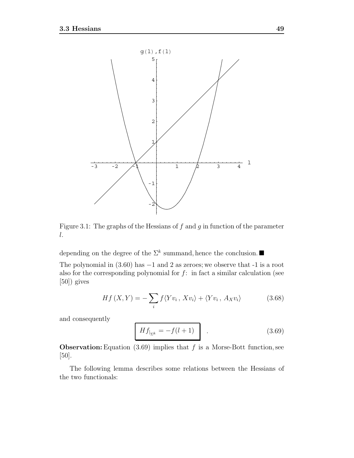

Figure 3.1: The graphs of the Hessians of  $f$  and  $g$  in function of the parameter l.

depending on the degree of the  $\Sigma^k$  summand, hence the conclusion.

The polynomial in  $(3.60)$  has  $-1$  and 2 as zeroes; we observe that  $-1$  is a root also for the corresponding polynomial for  $f$ : in fact a similar calculation (see [50]) gives

$$
Hf(X,Y) = -\sum_{i} f \langle Yv_i, Xv_i \rangle + \langle Yv_i, A_Xv_i \rangle \tag{3.68}
$$

and consequently

$$
Hf_{|_{\Sigma^k}} = -f(l+1) \tag{3.69}
$$

**Observation:** Equation  $(3.69)$  implies that f is a Morse-Bott function, see [50].

The following lemma describes some relations between the Hessians of the two functionals: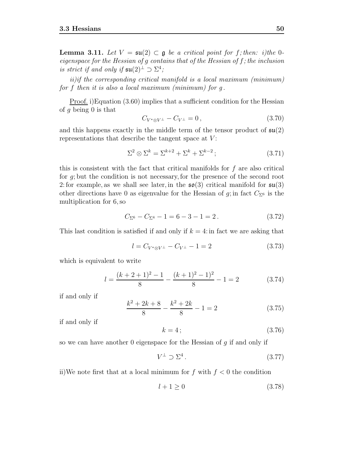**Lemma 3.11.** Let  $V = \mathfrak{su}(2) \subset \mathfrak{g}$  be a critical point for f; then: i)the 0eigenspace for the Hessian of g contains that of the Hessian of f; the inclusion is strict if and only if  $\mathfrak{su}(2)^\perp \supset \Sigma^4$ ;

ii)if the corresponding critical manifold is a local maximum (minimum) for f then it is also a local maximum (minimum) for  $q$ .

Proof. i)Equation (3.60) implies that a sufficient condition for the Hessian of q being  $\theta$  is that

$$
C_{V^* \otimes V^\perp} - C_{V^\perp} = 0, \qquad (3.70)
$$

and this happens exactly in the middle term of the tensor product of  $\mathfrak{su}(2)$ representations that describe the tangent space at  $V$ :

$$
\Sigma^2 \otimes \Sigma^k = \Sigma^{k+2} + \Sigma^k + \Sigma^{k-2};\tag{3.71}
$$

this is consistent with the fact that critical manifolds for  $f$  are also critical for g; but the condition is not necessary, for the presence of the second root 2: for example, as we shall see later, in the  $\mathfrak{so}(3)$  critical manifold for  $\mathfrak{su}(3)$ other directions have 0 as eigenvalue for the Hessian of g; in fact  $C_{\Sigma^6}$  is the multiplication for 6, so

$$
C_{\Sigma^6} - C_{\Sigma^4} - 1 = 6 - 3 - 1 = 2.
$$
 (3.72)

This last condition is satisfied if and only if  $k = 4$ : in fact we are asking that

$$
l = C_{V^* \otimes V^\perp} - C_{V^\perp} - 1 = 2 \tag{3.73}
$$

which is equivalent to write

$$
l = \frac{(k+2+1)^2 - 1}{8} - \frac{(k+1)^2 - 1^2}{8} - 1 = 2
$$
 (3.74)

if and only if

$$
\frac{k^2 + 2k + 8}{8} - \frac{k^2 + 2k}{8} - 1 = 2
$$
 (3.75)

if and only if

$$
k = 4 \tag{3.76}
$$

so we can have another  $0$  eigenspace for the Hessian of  $g$  if and only if

$$
V^{\perp} \supset \Sigma^4. \tag{3.77}
$$

ii)We note first that at a local minimum for f with  $f < 0$  the condition

$$
l+1 \ge 0\tag{3.78}
$$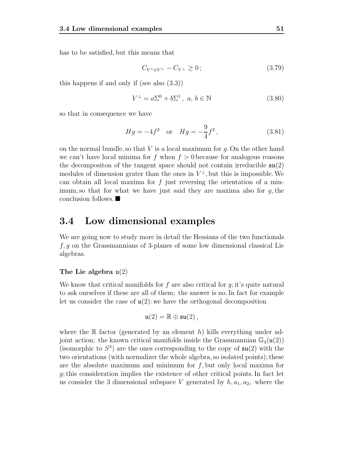has to be satisfied, but this means that

$$
C_{V^*\otimes V^\perp} - C_{V^\perp} \ge 0\tag{3.79}
$$

this happens if and only if (see also (3.3))

$$
V^{\perp} = a\Sigma^{0} + b\Sigma^{1}, \ a, b \in \mathbb{N}
$$
 (3.80)

so that in consequence we have

$$
Hg = -4f^2
$$
 or  $Hg = -\frac{9}{4}f^2$ , (3.81)

on the normal bundle, so that  $V$  is a local maximum for  $g$ . On the other hand we can't have local minima for f when  $f > 0$  because for analogous reasons the decompositon of the tangent space should not contain irreducible  $\mathfrak{su}(2)$ modules of dimension grater than the ones in  $V^{\perp}$ , but this is impossible. We can obtain all local maxima for  $f$  just reversing the orientation of a minimum, so that for what we have just said they are maxima also for  $g$ , the conclusion follows.

## **3.4 Low dimensional examples**

We are going now to study more in detail the Hessians of the two functionals f, g on the Grassmannians of 3-planes of some low dimensional classical Lie algebras.

#### **The Lie algebra** u(2)

We know that critical manifolds for f are also critical for  $q$ ; it's quite natural to ask ourselves if these are all of them; the answer is no. In fact for example let us consider the case of  $\mathfrak{u}(2)$ : we have the orthogonal decomposition

$$
\mathfrak{u}(2)=\mathbb{R}\oplus\mathfrak{su}(2)\,,
$$

where the R factor (generated by an element h) kills everything under adjoint action; the known critical manifolds inside the Grassmannian  $\mathbb{G}_{3}(\mathfrak{u}(2))$ (isomorphic to  $S^3$ ) are the ones corresponding to the copy of  $\mathfrak{su}(2)$  with the two orientations (with normalizer the whole algebra, so isolated points); these are the absolute maximum and minimum for  $f$ , but only local maxima for g; this consideration implies the existence of other critical points. In fact let us consider the 3 dimensional subspace V generated by  $h, a_1, a_2$ , where the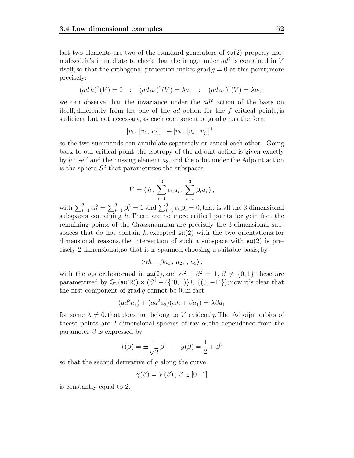last two elements are two of the standard generators of  $\mathfrak{su}(2)$  properly normalized, it's immediate to check that the image under  $ad^2$  is contained in V itself, so that the orthogonal projection makes grad  $q = 0$  at this point; more precisely:

$$
(ad h)^{2}(V) = 0 \quad ; \quad (ad a_{1})^{2}(V) = \lambda a_{2} \quad ; \quad (ad a_{1})^{2}(V) = \lambda a_{2};
$$

we can observe that the invariance under the  $ad^2$  action of the basis on itself, differently from the one of the ad action for the f critical points, is sufficient but not necessary, as each component of grad q has the form

$$
[v_i, [v_i, v_j]]^{\perp} + [v_k, [v_k, v_j]]^{\perp},
$$

so the two summands can annihilate separately or cancel each other. Going back to our critical point, the isotropy of the adjoint action is given exactly by h itself and the missing element  $a_3$ , and the orbit under the Adjoint action is the sphere  $S^2$  that parametrizes the subspaces

$$
V = \langle h, \sum_{i=1}^{3} \alpha_i a_i, \sum_{i=1}^{3} \beta_i a_i \rangle,
$$

with  $\sum_{i=1}^{3} \alpha_i^2 = \sum_{i=1}^{3} \beta_i^2 = 1$  and  $\sum_{i=1}^{3} \alpha_i \beta_i = 0$ , that is all the 3 dimensional subspaces containing  $h$ . There are no more critical points for  $g$ : in fact the remaining points of the Grassmannian are precisely the 3-dimensional subspaces that do not contain h, excepted  $\mathfrak{su}(2)$  with the two orientations; for dimensional reasons, the intersection of such a subspace with  $\mathfrak{su}(2)$  is precisely 2 dimensional, so that it is spanned, choosing a suitable basis, by

$$
\langle \alpha h + \beta a_1 \, , \, a_2 \, , \, a_3 \rangle \, ,
$$

with the  $a_i$ s orthonormal in  $\mathfrak{su}(2)$ , and  $\alpha^2 + \beta^2 = 1$ ,  $\beta \neq \{0, 1\}$ ; these are parametrized by  $\tilde{\mathbb{G}}_2(\mathfrak{su}(2)) \times (S^1 - (\{(0,1)\} \cup \{(0,-1)\})$ ; now it's clear that the first component of grad  $q$  cannot be  $0$ , in fact

$$
(ad2a2) + (ad2a3)(\alpha h + \beta a1) = \lambda \beta a1
$$

for some  $\lambda \neq 0$ , that does not belong to V evidently. The Adjoint orbits of theese points are 2 dimensional spheres of ray  $\alpha$ ; the dependence from the parameter  $\beta$  is expressed by

$$
f(\beta) = \pm \frac{1}{\sqrt{2}} \beta
$$
,  $g(\beta) = \frac{1}{2} + \beta^2$ 

so that the second derivative of  $g$  along the curve

$$
\gamma(\beta) = V(\beta), \, \beta \in [0, 1]
$$

is constantly equal to 2.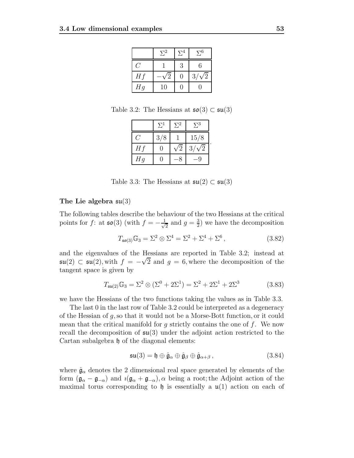|                          | $\Sigma^2$ | $\Sigma^4$ | $\Sigma^6$       |
|--------------------------|------------|------------|------------------|
| $\overline{\phantom{a}}$ |            | 3          | 6                |
| Hf                       |            | $\Omega$   | $\sqrt{2}$<br>3/ |
| Hg                       | 10         |            |                  |

Table 3.2: The Hessians at  $\mathfrak{so}(3) \subset \mathfrak{su}(3)$ 

|    | $\Sigma^1$ | $\Sigma^2$ | $\Sigma^3$ |
|----|------------|------------|------------|
|    | 3/8        |            | 15/8       |
| Hf |            |            | /2<br>3/   |
| Hg |            |            |            |

Table 3.3: The Hessians at  $\mathfrak{su}(2) \subset \mathfrak{su}(3)$ 

#### **The Lie algebra** su(3)

The following tables describe the behaviour of the two Hessians at the critical points for f: at  $\mathfrak{so}(3)$  (with  $f = -\frac{1}{\sqrt{2}}$  and  $g = \frac{3}{2}$ ) we have the decomposition

$$
T_{\mathfrak{so}(3)}\mathbb{G}_3 = \Sigma^2 \otimes \Sigma^4 = \Sigma^2 + \Sigma^4 + \Sigma^6, \qquad (3.82)
$$

and the eigenvalues of the Hessians are reported in Table 3.2; instead at  $\mathfrak{su}(2) \subset \mathfrak{su}(2)$ , with  $f = -$ <br>tangent space is given by ressians are reported in Table 5.2; instead at  $\sqrt{2}$  and  $g = 6$ , where the decomposition of the tangent space is given by

$$
T_{\mathfrak{su}(2)}\mathbb{G}_3 = \Sigma^2 \otimes (\Sigma^0 + 2\Sigma^1) = \Sigma^2 + 2\Sigma^1 + 2\Sigma^3 \tag{3.83}
$$

we have the Hessians of the two functions taking the values as in Table 3.3.

The last 0 in the last row of Table 3.2 could be interpreted as a degeneracy of the Hessian of g, so that it would not be a Morse-Bott function, or it could mean that the critical manifold for  $g$  strictly contains the one of  $f$ . We now recall the decomposition of  $\mathfrak{su}(3)$  under the adjoint action restricted to the Cartan subalgebra  $\mathfrak h$  of the diagonal elements:

$$
\mathfrak{su}(3) = \mathfrak{h} \oplus \hat{\mathfrak{g}}_{\alpha} \oplus \hat{\mathfrak{g}}_{\beta} \oplus \hat{\mathfrak{g}}_{\alpha+\beta}, \qquad (3.84)
$$

where  $\hat{\mathfrak{g}}_{\alpha}$  denotes the 2 dimensional real space generated by elements of the form  $(\mathfrak{g}_{\alpha} - \mathfrak{g}_{-\alpha})$  and  $\imath(\mathfrak{g}_{\alpha} + \mathfrak{g}_{-\alpha})$ ,  $\alpha$  being a root; the Adjoint action of the maximal torus corresponding to h is essentially a  $\mathfrak{u}(1)$  action on each of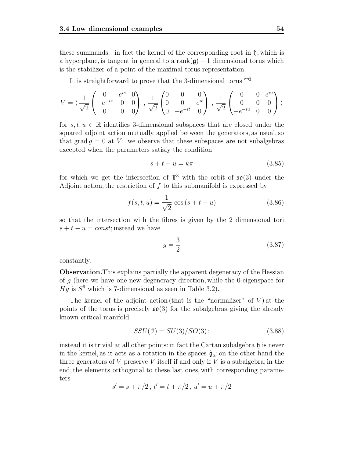these summands: in fact the kernel of the corresponding root in  $\mathfrak{h}$ , which is a hyperplane, is tangent in general to a rank $(g) - 1$  dimensional torus which is the stabilizer of a point of the maximal torus representation.

It is straightforward to prove that the 3-dimensional torus  $\mathbb{T}^3$ 

$$
V = \langle \frac{1}{\sqrt{2}} \begin{pmatrix} 0 & e^{is} & 0 \\ -e^{-is} & 0 & 0 \\ 0 & 0 & 0 \end{pmatrix}, \frac{1}{\sqrt{2}} \begin{pmatrix} 0 & 0 & 0 \\ 0 & 0 & e^{it} \\ 0 & -e^{-it} & 0 \end{pmatrix}, \frac{1}{\sqrt{2}} \begin{pmatrix} 0 & 0 & e^{iu} \\ 0 & 0 & 0 \\ -e^{-iu} & 0 & 0 \end{pmatrix} \rangle
$$

for  $s, t, u \in \mathbb{R}$  identifies 3-dimensional subspaces that are closed under the squared adjoint action mutually applied between the generators, as usual, so that grad  $q = 0$  at V; we observe that these subspaces are not subalgebras excepted when the parameters satisfy the condition

$$
s + t - u = k\pi \tag{3.85}
$$

for which we get the intersection of  $\mathbb{T}^3$  with the orbit of  $\mathfrak{so}(3)$  under the Adjoint action; the restriction of  $f$  to this submanifold is expressed by

$$
f(s, t, u) = \frac{1}{\sqrt{2}} \cos (s + t - u)
$$
 (3.86)

so that the intersection with the fibres is given by the 2 dimensional tori  $s + t - u = const$ ; instead we have

$$
g = \frac{3}{2} \tag{3.87}
$$

constantly.

**Observation.**This explains partially the apparent degeneracy of the Hessian of  $q$  (here we have one new degeneracy direction, while the 0-eigenspace for  $Hg$  is  $S^6$  which is 7-dimensional as seen in Table 3.2).

The kernel of the adjoint action (that is the "normalizer" of  $V$ ) at the points of the torus is precisely  $\mathfrak{so}(3)$  for the subalgebras, giving the already known critical manifold

$$
SSU(3) = SU(3)/SO(3); \t(3.88)
$$

instead it is trivial at all other points: in fact the Cartan subalgebra  $\mathfrak h$  is never in the kernel, as it acts as a rotation in the spaces  $\hat{g}_{\alpha}$ ; on the other hand the three generators of  $V$  preserve  $V$  itself if and only if  $V$  is a subalgebra; in the end, the elements orthogonal to these last ones, with corresponding parameters

$$
s' = s + \pi/2, t' = t + \pi/2, u' = u + \pi/2
$$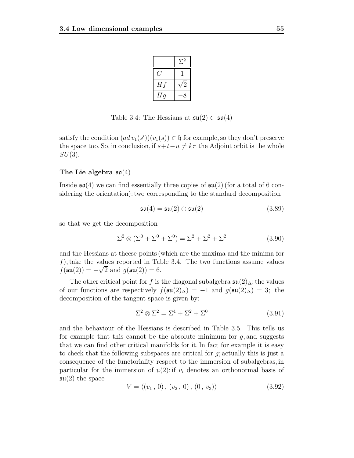|    | $\Sigma^2$                  |
|----|-----------------------------|
|    |                             |
| Hf | $\overline{2}$              |
| Hg | $\mathcal{S}_{\mathcal{S}}$ |

Table 3.4: The Hessians at  $\mathfrak{su}(2) \subset \mathfrak{so}(4)$ 

satisfy the condition  $(ad v_1(s'))(v_1(s)) \in \mathfrak{h}$  for example, so they don't preserve<br>the space too. So in conclusion if  $s+t-u \neq k\pi$  the Adjoint orbit is the whole the space too. So, in conclusion, if  $s+t-u \neq k\pi$  the Adjoint orbit is the whole  $SU(3)$ .

#### **The Lie algebra** so(4)

Inside  $\mathfrak{so}(4)$  we can find essentially three copies of  $\mathfrak{su}(2)$  (for a total of 6 considering the orientation): two corresponding to the standard decomposition

$$
\mathfrak{so}(4) = \mathfrak{su}(2) \oplus \mathfrak{su}(2) \tag{3.89}
$$

so that we get the decomposition

$$
\Sigma^2 \otimes (\Sigma^0 + \Sigma^0 + \Sigma^0) = \Sigma^2 + \Sigma^2 + \Sigma^2 \tag{3.90}
$$

and the Hessians at theese points (which are the maxima and the minima for f), take the values reported in Table 3.4. The two functions assume values f(su(2)) =  $-\sqrt{2}$  and  $g(\mathfrak{su}(2)) = 6$ .

The other critical point for f is the diagonal subalgebra  $\mathfrak{su}(2)_{\Delta}$ ; the values of our functions are respectively  $f(\mathfrak{su}(2)_{\Delta}) = -1$  and  $g(\mathfrak{su}(2)_{\Delta}) = 3$ ; the decomposition of the tangent space is given by:

$$
\Sigma^2 \otimes \Sigma^2 = \Sigma^4 + \Sigma^2 + \Sigma^0 \tag{3.91}
$$

and the behaviour of the Hessians is described in Table 3.5. This tells us for example that this cannot be the absolute minimum for  $q$ , and suggests that we can find other critical manifolds for it. In fact for example it is easy to check that the following subspaces are critical for  $q$ ; actually this is just a consequence of the functoriality respect to the immersion of subalgebras, in particular for the immersion of  $\mathfrak{u}(2)$ : if  $v_i$  denotes an orthonormal basis of  $\mathfrak{su}(2)$  the space

$$
V = \langle (v_1, 0), (v_2, 0), (0, v_3) \rangle \tag{3.92}
$$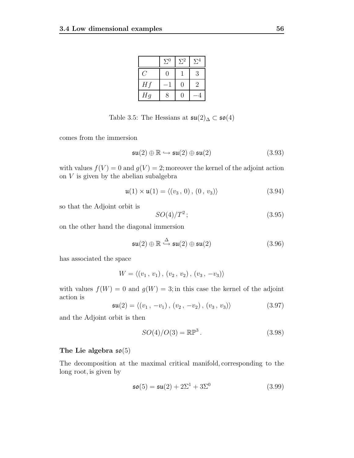|     | $\Sigma^0$ | $\Sigma^2$ | $\Sigma^4$ |
|-----|------------|------------|------------|
| - 7 | 0          |            | 3          |
| Hf  |            | ۱)         | 2          |
| Hg  | 8          |            |            |

Table 3.5: The Hessians at  $\mathfrak{su}(2)$ <sub>∆</sub> ⊂  $\mathfrak{so}(4)$ 

comes from the immersion

$$
\mathfrak{su}(2) \oplus \mathbb{R} \hookrightarrow \mathfrak{su}(2) \oplus \mathfrak{su}(2) \tag{3.93}
$$

with values  $f(V) = 0$  and  $g(V) = 2$ ; moreover the kernel of the adjoint action on  $V$  is given by the abelian subalgebra

$$
\mathfrak{u}(1) \times \mathfrak{u}(1) = \langle (v_3, 0), (0, v_3) \rangle \tag{3.94}
$$

so that the Adjoint orbit is

$$
SO(4)/T^2;
$$
\n<sup>(3.95)</sup>

on the other hand the diagonal immersion

$$
\mathfrak{su}(2) \oplus \mathbb{R} \stackrel{\Delta}{\hookrightarrow} \mathfrak{su}(2) \oplus \mathfrak{su}(2) \tag{3.96}
$$

has associated the space

$$
W = \langle (v_1, v_1), (v_2, v_2), (v_3, -v_3) \rangle
$$

with values  $f(W) = 0$  and  $g(W) = 3$ ; in this case the kernel of the adjoint action is

$$
\mathfrak{su}(2) = \langle (v_1, -v_1), (v_2, -v_2), (v_3, v_3) \rangle \tag{3.97}
$$

and the Adjoint orbit is then

$$
SO(4)/O(3) = \mathbb{RP}^3.
$$
\n
$$
(3.98)
$$

### **The Lie algebra** so(5)

The decomposition at the maximal critical manifold, corresponding to the long root, is given by

$$
\mathfrak{so}(5) = \mathfrak{su}(2) + 2\Sigma^1 + 3\Sigma^0 \tag{3.99}
$$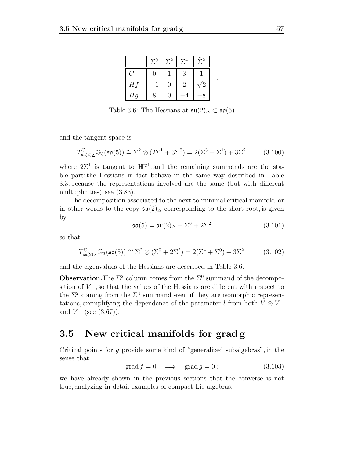|    | $\Sigma^0$ | $\Sigma^2$ | $\Sigma^4$ | $\tilde{\Sigma}^2$ |
|----|------------|------------|------------|--------------------|
|    | H          |            | 3          |                    |
| Hf |            | 0          |            |                    |
| Hg |            |            |            |                    |

Table 3.6: The Hessians at  $\mathfrak{su}(2)$ ∆ ⊂  $\mathfrak{so}(5)$ 

and the tangent space is

$$
T_{\mathfrak{su}(2)_\Delta}^{\mathbb{C}} \mathbb{G}_3(\mathfrak{so}(5)) \cong \Sigma^2 \otimes (2\Sigma^1 + 3\Sigma^0) = 2(\Sigma^3 + \Sigma^1) + 3\Sigma^2 \tag{3.100}
$$

where  $2\Sigma^1$  is tangent to  $\mathbb{HP}^1$ , and the remaining summands are the stable part: the Hessians in fact behave in the same way described in Table 3.3, because the representations involved are the same (but with different multuplicities), see (3.83).

The decomposition associated to the next to minimal critical manifold, or in other words to the copy  $\mathfrak{su}(2)$  corresponding to the short root, is given by

$$
\mathfrak{so}(5) = \mathfrak{su}(2)_{\Delta} + \Sigma^0 + 2\Sigma^2 \tag{3.101}
$$

.

so that

$$
T_{\mathfrak{su}(2)_\Delta}^{\mathbb{C}} \mathbb{G}_3(\mathfrak{so}(5)) \cong \Sigma^2 \otimes (\Sigma^0 + 2\Sigma^2) = 2(\Sigma^4 + \Sigma^0) + 3\Sigma^2 \tag{3.102}
$$

and the eigenvalues of the Hessians are described in Table 3.6.

**Observation.**The  $\tilde{\Sigma}^2$  column comes from the  $\Sigma^0$  summand of the decomposition of  $V^{\perp}$ , so that the values of the Hessians are different with respect to the  $\Sigma^2$  coming from the  $\Sigma^4$  summand even if they are isomorphic representations, exemplifying the dependence of the parameter l from both  $V \otimes V^{\perp}$ and  $V^{\perp}$  (see (3.67)).

## **3.5 New critical manifolds for grad g**

Critical points for g provide some kind of "generalized subalgebras", in the sense that

$$
\text{grad } f = 0 \implies \text{grad } g = 0; \tag{3.103}
$$

we have already shown in the previous sections that the converse is not true, analyzing in detail examples of compact Lie algebras.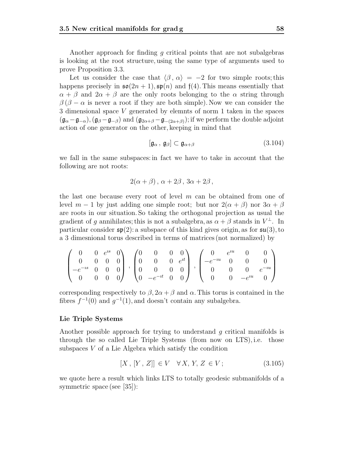Another approach for finding q critical points that are not subalgebras is looking at the root structure, using the same type of arguments used to prove Proposition 3.3.

Let us consider the case that  $\langle \beta, \alpha \rangle = -2$  for two simple roots; this happens precisely in  $\mathfrak{so}(2n+1), \mathfrak{sp}(n)$  and  $\mathfrak{f}(4)$ . This means essentially that  $\alpha + \beta$  and  $2\alpha + \beta$  are the only roots belonging to the  $\alpha$  string through  $\beta(\beta - \alpha)$  is never a root if they are both simple). Now we can consider the 3 dimensional space V generated by elemnts of norm 1 taken in the spaces  $(\mathfrak{g}_{\alpha}-\mathfrak{g}_{-\alpha}), (\mathfrak{g}_{\beta}-\mathfrak{g}_{-\beta})$  and  $(\mathfrak{g}_{2\alpha+\beta}-\mathfrak{g}_{-(2\alpha+\beta)})$ ; if we perform the double adjoint action of one generator on the other, keeping in mind that

$$
[\mathfrak{g}_{\alpha}, \mathfrak{g}_{\beta}] \subset \mathfrak{g}_{\alpha+\beta} \tag{3.104}
$$

we fall in the same subspaces: in fact we have to take in account that the following are not roots:

$$
2(\alpha + \beta), \alpha + 2\beta, 3\alpha + 2\beta,
$$

the last one because every root of level  $m$  can be obtained from one of level  $m-1$  by just adding one simple root; but nor  $2(\alpha + \beta)$  nor  $3\alpha + \beta$ are roots in our situation. So taking the orthogonal projection as usual the gradient of q annihilates; this is not a subalgebra, as  $\alpha + \beta$  stands in  $V^{\perp}$ . In particular consider  $\mathfrak{sp}(2)$ : a subspace of this kind gives origin, as for  $\mathfrak{su}(3)$ , to a 3 dimesnional torus described in terms of matrices (not normalized) by

$$
\begin{pmatrix}\n0 & 0 & e^{is} & 0 \\
0 & 0 & 0 & 0 \\
-e^{-is} & 0 & 0 & 0 \\
0 & 0 & 0 & 0\n\end{pmatrix}, \begin{pmatrix}\n0 & 0 & 0 & 0 \\
0 & 0 & 0 & e^{it} \\
0 & 0 & 0 & 0 \\
0 & -e^{-it} & 0 & 0\n\end{pmatrix}, \begin{pmatrix}\n0 & e^{iu} & 0 & 0 \\
-e^{-iu} & 0 & 0 & 0 \\
0 & 0 & 0 & e^{-iu} \\
0 & 0 & -e^{iu} & 0\n\end{pmatrix}
$$

corresponding respectively to  $\beta$ ,  $2\alpha + \beta$  and  $\alpha$ . This torus is contained in the fibres  $f^{-1}(0)$  and  $g^{-1}(1)$ , and doesn't contain any subalgebra.

#### **Lie Triple Systems**

Another possible approach for trying to understand q critical manifolds is through the so called Lie Triple Systems (from now on LTS), i.e. those subspaces V of a Lie Algebra which satisfy the condition

$$
[X, [Y, Z]] \in V \quad \forall X, Y, Z \in V; \tag{3.105}
$$

we quote here a result which links LTS to totally geodesic submanifolds of a symmetric space (see [35]):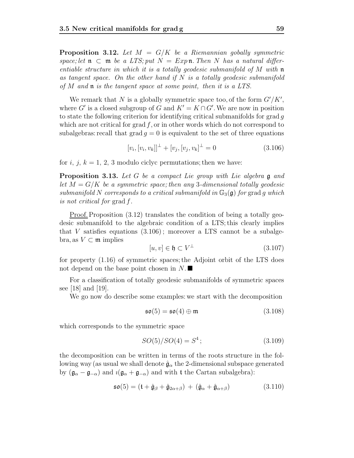**Proposition 3.12.** Let  $M = G/K$  be a Riemannian gobally symmetric space; let  $\mathfrak n \subset \mathfrak m$  be a LTS; put  $N = Exp \mathfrak n$ . Then N has a natural differentiable structure in which it is a totally geodesic submanifold of M with  $\mathfrak n$ as tangent space. On the other hand if  $N$  is a totally geodesic submanifold of M and  $\mathfrak n$  is the tangent space at some point, then it is a LTS.

We remark that N is a globally symmetric space too, of the form  $G'/K'$ , where G' is a closed subgroup of G and  $K' = K \cap G'$ . We are now in position to state the following criterion for identifying critical submanifolds for grad  $q$ which are not critical for grad  $f$ , or in other words which do not correspond to subalgebras: recall that  $\text{grad } g = 0$  is equivalent to the set of three equations

$$
[v_i, [v_i, v_k]]^{\perp} + [v_j, [v_j, v_k]^{\perp} = 0 \qquad (3.106)
$$

for i, j,  $k = 1, 2, 3$  modulo ciclyc permutations; then we have:

**Proposition 3.13.** Let G be a compact Lie group with Lie algebra g and let  $M = G/K$  be a symmetric space; then any 3-dimensional totally geodesic submanifold N corresponds to a critical submanifold in  $\mathbb{G}_3(\mathfrak{g})$  for grad g which is not critical for grad f.

Proof. Proposition  $(3.12)$  translates the condition of being a totally geodesic submanifold to the algebraic condition of a LTS; this clearly implies that V satisfies equations  $(3.106)$ ; moreover a LTS cannot be a subalgebra, as  $V \subset \mathfrak{m}$  implies

$$
[u, v] \in \mathfrak{h} \subset V^{\perp} \tag{3.107}
$$

for property (1.16) of symmetric spaces; the Adjoint orbit of the LTS does not depend on the base point chosen in  $N$ .

For a classification of totally geodesic submanifolds of symmetric spaces see [18] and [19].

We go now do describe some examples: we start with the decomposition

$$
\mathfrak{so}(5) = \mathfrak{so}(4) \oplus \mathfrak{m} \tag{3.108}
$$

which corresponds to the symmetric space

$$
SO(5)/SO(4) = S^4;
$$
\n(3.109)

the decomposition can be written in terms of the roots structure in the following way (as usual we shall denote  $\hat{\mathfrak{g}}_{\alpha}$  the 2-dimensional subspace generated by  $(\mathfrak{g}_{\alpha} - \mathfrak{g}_{-\alpha})$  and  $\imath(\mathfrak{g}_{\alpha} + \mathfrak{g}_{-\alpha})$  and with t the Cartan subalgebra):

$$
\mathfrak{so}(5) = (\mathfrak{t} + \hat{\mathfrak{g}}_{\beta} + \hat{\mathfrak{g}}_{2\alpha+\beta}) + (\hat{\mathfrak{g}}_{\alpha} + \hat{\mathfrak{g}}_{\alpha+\beta})
$$
(3.110)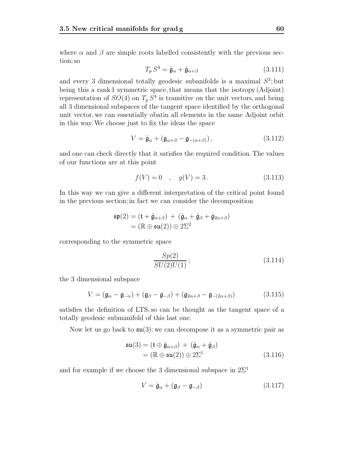where  $\alpha$  and  $\beta$  are simple roots labelled consistently with the previous section; so

$$
T_p S^4 = \hat{\mathfrak{g}}_{\alpha} + \hat{\mathfrak{g}}_{\alpha+\beta} \tag{3.111}
$$

and every 3 dimensional totally geodesic subanifolds is a maximal  $S^3$ ; but being this a rank 1 symmetric space, that means that the isotropy (Adjoint) representation of  $SO(4)$  on  $T_p S^4$  is transitive on the unit vectors, and being all 3 dimensional subspaces of the tangent space identified by the orthogonal unit vector, we can essentially obatin all elements in the same Adjoint orbit in this way.We choose just to fix the ideas the space

$$
V = \hat{\mathfrak{g}}_{\alpha} + (\mathfrak{g}_{\alpha+\beta} - \mathfrak{g}_{-(\alpha+\beta)}), \qquad (3.112)
$$

and one can check directly that it satisfies the required condition. The values of our functions are at this point

$$
f(V) = 0 \quad , \quad g(V) = 3 \,. \tag{3.113}
$$

In this way we can give a different interpretation of the critical point found in the previous section; in fact we can consider the decomposition

$$
\mathfrak{sp}(2) = (\mathfrak{t} + \hat{\mathfrak{g}}_{\alpha+\beta}) + (\hat{\mathfrak{g}}_{\alpha} + \hat{\mathfrak{g}}_{\beta} + \hat{\mathfrak{g}}_{2\alpha+\beta})
$$
  
= (\mathbb{R} \oplus \mathfrak{su}(2)) \oplus 2\Sigma^2

corresponding to the symmetric space

$$
\frac{Sp(2)}{SU(2)U(1)}\,;\tag{3.114}
$$

the 3 dimensional subspace

$$
V = (\mathfrak{g}_{\alpha} - \mathfrak{g}_{-\alpha}) + (\mathfrak{g}_{\beta} - \mathfrak{g}_{-\beta}) + (\mathfrak{g}_{2\alpha+\beta} - \mathfrak{g}_{-(2\alpha+\beta)})
$$
(3.115)

satisfies the definition of LTS, so can be thought as the tangent space of a totally geodesic submanifold of this last one.

Now let us go back to  $\mathfrak{su}(3)$ : we can decompose it as a symmetric pair as

$$
\mathfrak{su}(3) = (\mathfrak{t} \oplus \hat{\mathfrak{g}}_{\alpha+\beta}) + (\hat{\mathfrak{g}}_{\alpha} + \hat{\mathfrak{g}}_{\beta})
$$
  
=  $(\mathbb{R} \oplus \mathfrak{su}(2)) \oplus 2\Sigma^1$  (3.116)

and for example if we choose the 3 dimensional subspace in  $2\Sigma^1$ 

$$
V = \hat{\mathfrak{g}}_{\alpha} + (\mathfrak{g}_{\beta} - \mathfrak{g}_{-\beta})
$$
 (3.117)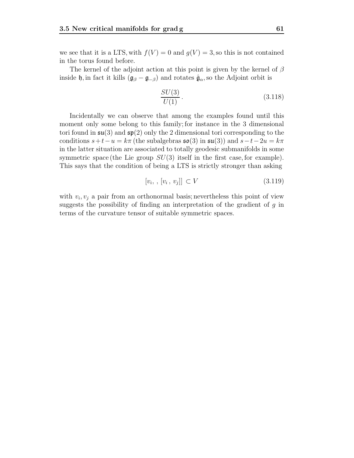we see that it is a LTS, with  $f(V) = 0$  and  $g(V) = 3$ , so this is not contained in the torus found before.

The kernel of the adjoint action at this point is given by the kernel of  $\beta$ inside h, in fact it kills  $(\mathfrak{g}_{\beta} - \mathfrak{g}_{-\beta})$  and rotates  $\hat{\mathfrak{g}}_{\alpha}$ , so the Adjoint orbit is

$$
\frac{SU(3)}{U(1)}\,.\tag{3.118}
$$

Incidentally we can observe that among the examples found until this moment only some belong to this family; for instance in the 3 dimensional tori found in  $\mathfrak{su}(3)$  and  $\mathfrak{sp}(2)$  only the 2 dimensional tori corresponding to the conditions  $s+t-u = k\pi$  (the subalgebras  $\mathfrak{so}(3)$  in  $\mathfrak{su}(3)$ ) and  $s-t-2u = k\pi$ in the latter situation are associated to totally geodesic submanifolds in some symmetric space (the Lie group  $SU(3)$  itself in the first case, for example). This says that the condition of being a LTS is strictly stronger than asking

$$
[v_i, \, [v_i, \, v_j]] \subset V \tag{3.119}
$$

with  $v_i, v_j$  a pair from an orthonormal basis; nevertheless this point of view suggests the possibility of finding an interpretation of the gradient of  $g$  in terms of the curvature tensor of suitable symmetric spaces.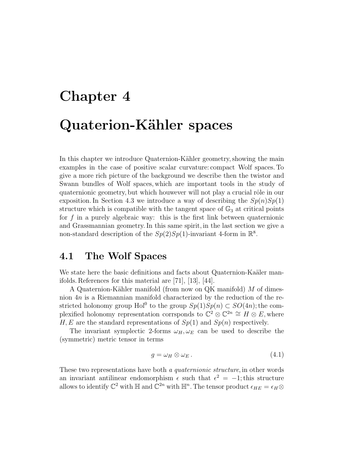# **Chapter 4 Quaterion-K¨ahler spaces**

In this chapter we introduce Quaternion-Kähler geometry, showing the main examples in the case of positive scalar curvature: compact Wolf spaces. To give a more rich picture of the background we describe then the twistor and Swann bundles of Wolf spaces, which are important tools in the study of quaternionic geometry, but which houwever will not play a crucial rôle in our exposition. In Section 4.3 we introduce a way of describing the  $Sp(n)Sp(1)$ structure which is compatible with the tangent space of  $\mathbb{G}_3$  at critical points for f in a purely algebraic way: this is the first link between quaternionic and Grassmannian geometry. In this same spirit, in the last section we give a non-standard description of the  $Sp(2)Sp(1)$ -invariant 4-form in  $\mathbb{R}^8$ .

## **4.1 The Wolf Spaces**

We state here the basic definitions and facts about Quaternion-Kaäler manifolds. References for this material are [71], [13], [44].

A Quaternion-Kähler manifold (from now on QK manifold)  $M$  of dimesnion 4n is a Riemannian manifold characterized by the reduction of the restricted holonomy group Hol<sup>0</sup> to the group  $Sp(1)Sp(n) \subset SO(4n)$ ; the complexified holonomy representation corrsponds to  $\mathbb{C}^2 \otimes \mathbb{C}^{2n} \cong H \otimes E$ , where H, E are the standard representations of  $Sp(1)$  and  $Sp(n)$  respectively.

The invariant symplectic 2-forms  $\omega_H, \omega_E$  can be used to describe the (symmetric) metric tensor in terms

$$
g = \omega_H \otimes \omega_E. \tag{4.1}
$$

These two representations have both a quaternionic structure, in other words an invariant antilinear endomorphism  $\epsilon$  such that  $\epsilon^2 = -1$ ; this structure allows to identify  $\mathbb{C}^2$  with  $\mathbb{H}$  and  $\mathbb{C}^{2n}$  with  $\mathbb{H}^n$ . The tensor product  $\epsilon_{HE} = \epsilon_H \otimes$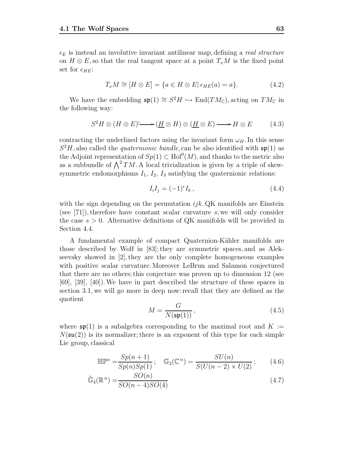$\epsilon_E$  is instead an involutive invariant antilinear map, defining a *real structure* on  $H \otimes E$ , so that the real tangent space at a point  $T_xM$  is the fixed point set for  $\epsilon_{HE}$ :

$$
T_x M \cong [H \otimes E] = \{a \in H \otimes E | \epsilon_{HE}(a) = a\}.
$$
 (4.2)

We have the embedding  $\mathfrak{sp}(1) \cong S^2H \hookrightarrow \text{End}(TM_{\mathbb{C}})$ , acting on  $TM_{\mathbb{C}}$  in the following way:

$$
S^2H \otimes (H \otimes E) \longrightarrow (\underline{H} \otimes H) \otimes (\underline{H} \otimes E) \longrightarrow H \otimes E \tag{4.3}
$$

contracting the underlined factors using the invariant form  $\omega_H$ . In this sense  $S<sup>2</sup>H$ , also called the *quaternionic bundle*, can be also identified with  $\mathfrak{sp}(1)$  as the Adjoint representation of  $Sp(1) \subset Hol<sup>0</sup>(M)$ , and thanks to the metric also as a subbundle of  $\bigwedge^2 TM$ . A local trivialization is given by a triple of skewsymmetric endomorphisms  $I_1$ ,  $I_2$ ,  $I_3$  satisfying the quaternionic relations:

$$
I_i I_j = (-1)^{\epsilon} I_k, \qquad (4.4)
$$

with the sign depending on the permutation  $ijk$ . QK manifolds are Einstein (see [71]), therefore have constant scalar curvature  $s$ ; we will only consider the case  $s > 0$ . Alternative definitions of QK manifolds will be provided in Section 4.4.

A fundamental example of compact Quaternion-Kähler manifolds are those described by Wolf in [83]; they are symmetric spaces, and as Alekseevsky showed in [2], they are the only complete homogeneous examples with positive scalar curvature. Moreover LeBrun and Salamon conjectured that there are no others; this conjecture was proven up to dimension 12 (see [69], [39], [40]).We have in part described the structure of these spaces in section 3.1, we will go more in deep now: recall that they are defined as the quotient

$$
M = \frac{G}{N(\mathfrak{sp}(1))},\tag{4.5}
$$

where  $\mathfrak{sp}(1)$  is a subalgebra corresponding to the maximal root and  $K :=$  $N(\mathfrak{su}(2))$  is its normalizer; there is an exponent of this type for each simple Lie group, classical

$$
\mathbb{HP}^n = \frac{Sp(n+1)}{Sp(n)Sp(1)}; \quad \mathbb{G}_2(\mathbb{C}^n) = \frac{SU(n)}{S(U(n-2) \times U(2)}; \quad (4.6)
$$

$$
\tilde{\mathbb{G}}_4(\mathbb{R}^n) = \frac{SO(n)}{SO(n-4)SO(4)}\tag{4.7}
$$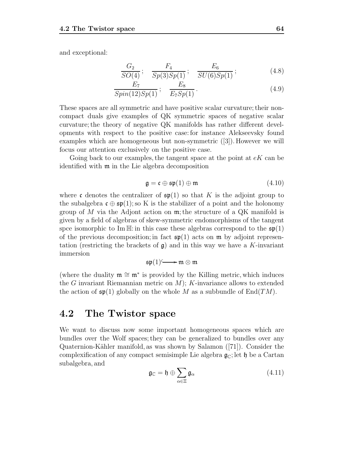and exceptional:

$$
\frac{G_2}{SO(4)}; \quad \frac{F_4}{Sp(3)Sp(1)}; \quad \frac{E_6}{SU(6)Sp(1)}; \tag{4.8}
$$

$$
\frac{E_7}{Spin(12)Sp(1)}\,;\quad \frac{E_8}{E_7Sp(1)}\,.
$$
\n(4.9)

These spaces are all symmetric and have positive scalar curvature; their noncompact duals give examples of QK symmetric spaces of negative scalar curvature; the theory of negative QK manifolds has rather different developments with respect to the positive case: for instance Alekseevsky found examples which are homogeneous but non-symmetric ([3]). However we will focus our attention exclusively on the positive case.

Going back to our examples, the tangent space at the point at  $eK$  can be identified with m in the Lie algebra decomposition

$$
\mathfrak{g} = \mathfrak{c} \oplus \mathfrak{sp}(1) \oplus \mathfrak{m} \tag{4.10}
$$

where c denotes the centralizer of  $\mathfrak{sp}(1)$  so that K is the adjoint group to the subalgebra  $\mathfrak{c} \oplus \mathfrak{sp}(1)$ ; so K is the stabilizer of a point and the holonomy group of M via the Adjont action on  $\mathfrak{m}$ ; the structure of a QK manifold is given by a field of algebras of skew-symmetric endomorphisms of the tangent spce isomorphic to Im H: in this case these algebras correspond to the  $\mathfrak{sp}(1)$ of the previous decomposition; in fact  $\mathfrak{sp}(1)$  acts on  $\mathfrak{m}$  by adjoint representation (restricting the brackets of  $\mathfrak{g}$ ) and in this way we have a K-invariant immersion

$$
\mathfrak{sp}(1) \longrightarrow \mathfrak{m} \otimes \mathfrak{m}
$$

(where the duality  $m \cong m^*$  is provided by the Killing metric, which induces the G invariant Riemannian metric on  $M$ ); K-invariance allows to extended the action of  $\mathfrak{sp}(1)$  globally on the whole M as a subbundle of  $\text{End}(TM)$ .

## **4.2 The Twistor space**

We want to discuss now some important homogeneous spaces which are bundles over the Wolf spaces; they can be generalized to bundles over any Quaternion-K¨ahler manifold, as was shown by Salamon ([71]). Consider the complexification of any compact semisimple Lie algebra  $\mathfrak{g}_{\mathbb{C}}$ ; let h be a Cartan subalgebra, and

$$
\mathfrak{g}_{\mathbb{C}} = \mathfrak{h} \oplus \sum_{\alpha \in \Xi} \mathfrak{g}_{\alpha} \tag{4.11}
$$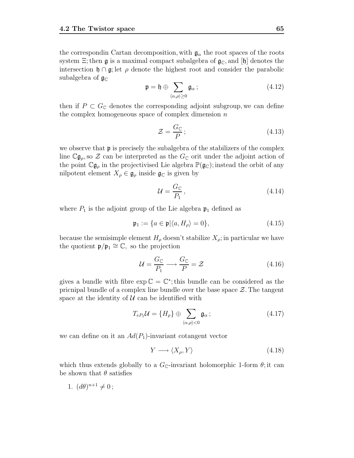the correspondin Cartan decomposition, with  $\mathfrak{g}_{\alpha}$  the root spaces of the roots system  $\Xi$ ; then  $\mathfrak g$  is a maximal compact subalgebra of  $\mathfrak g_{\mathbb C}$ , and  $[\mathfrak h]$  denotes the intersection  $\mathfrak{h} \cap \mathfrak{g}$ ; let  $\rho$  denote the highest root and consider the parabolic subalgebra of  $\mathfrak{g}_{\mathbb{C}}$ 

$$
\mathfrak{p} = \mathfrak{h} \oplus \sum_{\langle \alpha, \rho \rangle \ge 0} \mathfrak{g}_{\alpha} ; \qquad (4.12)
$$

then if  $P \subset G_{\mathbb{C}}$  denotes the corresponding adjoint subgroup, we can define the complex homogeneous space of complex dimension  $n$ 

$$
\mathcal{Z} = \frac{G_{\mathbb{C}}}{P};\tag{4.13}
$$

we observe that  $\mathfrak p$  is precisely the subalgebra of the stabilizers of the complex line  $\mathbb{C} \mathfrak{g}_{\rho}$ , so  $\mathcal{Z}$  can be interpreted as the  $G_{\mathbb{C}}$  orit under the adjoint action of the point  $\mathbb{C} \mathfrak{g}_{\rho}$  in the projectivised Lie algebra  $\mathbb{P}(\mathfrak{g}_{\mathbb{C}})$ ; instead the orbit of any nilpotent element  $X_{\rho} \in \mathfrak{g}_{\rho}$  inside  $\mathfrak{g}_{\mathbb{C}}$  is given by

$$
\mathcal{U} = \frac{G_{\mathbb{C}}}{P_1},\tag{4.14}
$$

where  $P_1$  is the adjoint group of the Lie algebra  $\mathfrak{p}_1$  defined as

$$
\mathfrak{p}_1 := \{ a \in \mathfrak{p} | \langle a, H_{\rho} \rangle = 0 \},\tag{4.15}
$$

because the semisimple element  $H_{\rho}$  doesn't stabilize  $X_{\rho}$ ; in particular we have the quotient  $\mathfrak{p}/\mathfrak{p}_1 \cong \mathbb{C}$ , so the projection

$$
\mathcal{U} = \frac{G_{\mathbb{C}}}{P_1} \longrightarrow \frac{G_{\mathbb{C}}}{P} = \mathcal{Z}
$$
\n(4.16)

gives a bundle with fibre  $\exp \mathbb{C} = \mathbb{C}^*$ ; this bundle can be considered as the pricnipal bundle of a complex line bundle over the base space  $\mathcal{Z}$ . The tangent space at the identity of  $U$  can be identified with

$$
T_{eP_1}\mathcal{U} = \{H_{\rho}\} \oplus \sum_{\langle \alpha, \rho \rangle < 0} \mathfrak{g}_{\alpha};\tag{4.17}
$$

we can define on it an  $Ad(P_1)$ -invariant cotangent vector

$$
Y \longrightarrow \langle X_{\rho}, Y \rangle \tag{4.18}
$$

which thus extends globally to a  $G_{\mathbb{C}}$ -invariant holomorphic 1-form  $\theta$ ; it can be shown that  $\theta$  satisfies

1. 
$$
(d\theta)^{n+1} \neq 0;
$$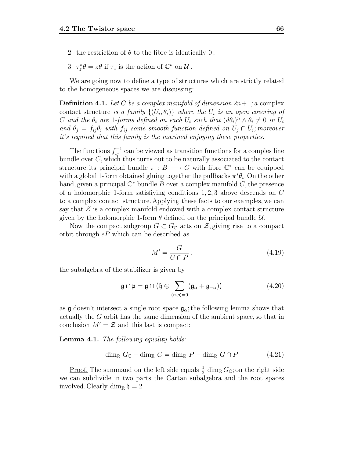- 2. the restriction of  $\theta$  to the fibre is identically 0;
- 3.  $\tau_z^* \theta = z\theta$  if  $\tau_z$  is the action of  $\mathbb{C}^*$  on  $\mathcal{U}$ .

We are going now to define a type of structures which are strictly related to the homogeneous spaces we are discussing:

**Definition 4.1.** Let C be a complex manifold of dimension  $2n+1$ ; a complex contact structure is a family  $\{(U_i, \theta_i)\}\$  where the  $U_i$  is an open covering of C and the  $\theta_i$  are 1-forms defined on each  $U_i$  such that  $(d\theta_i)^n \wedge \theta_i \neq 0$  in  $U_i$ and  $\theta_j = f_{ij}\theta_i$  with  $f_{ij}$  some smooth function defined on  $U_j \cap U_i$ ; moreover it's required that this family is the maximal enjoying these properties.

The functions  $f_{ij}^{-1}$  can be viewed as transition functions for a comples line bundle over C, which thus turns out to be naturally associated to the contact structure; its principal bundle  $\pi : B \longrightarrow C$  with fibre  $\mathbb{C}^*$  can be equipped with a global 1-form obtained gluing together the pullbacks  $\pi^*\theta_i$ . On the other hand, given a principal  $\mathbb{C}^*$  bundle B over a complex manifold C, the presence of a holomorphic 1-form satisfiying conditions  $1, 2, 3$  above descends on C to a complex contact structure. Applying these facts to our examples, we can say that  $\mathcal Z$  is a complex manifold endowed with a complex contact structure given by the holomorphic 1-form  $\theta$  defined on the principal bundle  $\mathcal{U}$ .

Now the compact subgroup  $G \subset G_{\mathbb{C}}$  acts on  $\mathcal{Z}$ , giving rise to a compact orbit through eP which can be described as

$$
M' = \frac{G}{G \cap P};\tag{4.19}
$$

the subalgebra of the stabilizer is given by

$$
\mathfrak{g} \cap \mathfrak{p} = \mathfrak{g} \cap \left( \mathfrak{h} \oplus \sum_{\langle \alpha, \rho \rangle = 0} (\mathfrak{g}_{\alpha} + \mathfrak{g}_{-\alpha}) \right) \tag{4.20}
$$

as g doesn't intersect a single root space  $\mathfrak{g}_{\alpha}$ ; the following lemma shows that actually the G orbit has the same dimension of the ambient space, so that in conclusion  $M' = \mathcal{Z}$  and this last is compact:

**Lemma 4.1.** The following equality holds:

$$
\dim_{\mathbb{R}} G_{\mathbb{C}} - \dim_{\mathbb{R}} G = \dim_{\mathbb{R}} P - \dim_{\mathbb{R}} G \cap P \tag{4.21}
$$

<u>Proof.</u> The summand on the left side equals  $\frac{1}{2}$  dim<sub>R</sub>  $G_{\mathbb{C}}$ ; on the right side we can subdivide in two parts: the Cartan subalgebra and the root spaces involved. Clearly dim<sub>R</sub>  $\mathfrak{h} = 2$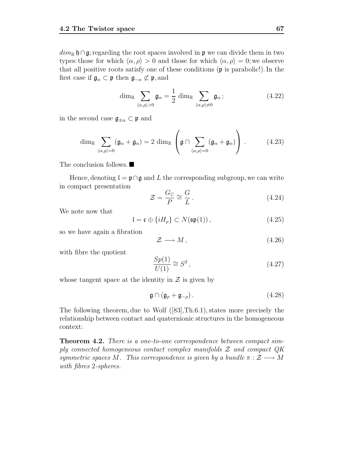$dim_{\mathbb{R}} \mathfrak{h} \cap \mathfrak{g}$ ; regarding the root spaces involved in p we can divide them in two types: those for which  $\langle \alpha, \rho \rangle > 0$  and those for which  $\langle \alpha, \rho \rangle = 0$ ; we observe that all positive roots satisfy one of these conditions (p is parabolic!). In the first case if  $\mathfrak{g}_{\alpha} \subset \mathfrak{p}$  then  $\mathfrak{g}_{-\alpha} \not\subset \mathfrak{p}$ , and

$$
\dim_{\mathbb{R}} \sum_{\langle \alpha, \rho \rangle > 0} \mathfrak{g}_{\alpha} = \frac{1}{2} \dim_{\mathbb{R}} \sum_{\langle \alpha, \rho \rangle \neq 0} \mathfrak{g}_{\alpha} ; \qquad (4.22)
$$

in the second case  $\mathfrak{g}_{\pm\alpha} \subset \mathfrak{p}$  and

$$
\dim_{\mathbb{R}} \sum_{\langle \alpha, \rho \rangle = 0} (\mathfrak{g}_{\alpha} + \mathfrak{g}_{\alpha}) = 2 \dim_{\mathbb{R}} \left( \mathfrak{g} \cap \sum_{\langle \alpha, \rho \rangle = 0} (\mathfrak{g}_{\alpha} + \mathfrak{g}_{\alpha}) \right).
$$
 (4.23)

The conclusion follows.

Hence, denoting  $\mathfrak{l} = \mathfrak{p} \cap \mathfrak{g}$  and L the corresponding subgroup, we can write in compact presentation

$$
\mathcal{Z} = \frac{G_{\mathbb{C}}}{P} \cong \frac{G}{L} \,. \tag{4.24}
$$

We note now that

$$
\mathfrak{l} = \mathfrak{c} \oplus \{iH_{\rho}\} \subset N(\mathfrak{sp}(1)),\tag{4.25}
$$

so we have again a fibration

$$
\mathcal{Z} \longrightarrow M \,,\tag{4.26}
$$

with fibre the quotient

$$
\frac{Sp(1)}{U(1)} \cong S^2 \,,\tag{4.27}
$$

whose tangent space at the identity in  $\mathcal Z$  is given by

$$
\mathfrak{g} \cap (\mathfrak{g}_{\rho} + \mathfrak{g}_{-\rho}). \tag{4.28}
$$

The following theorem, due to Wolf ([83],Th.6.1), states more precisely the relationship between contact and quaternionic structures in the homogeneous context:

**Theorem 4.2.** There is a one-to-one correspondence between compact simply connected homogeneous contact complex manifolds  $\mathcal Z$  and compact  $QK$ symmetric spaces M. This correspondence is given by a bundle  $\pi : \mathcal{Z} \longrightarrow M$ with fibres 2-spheres.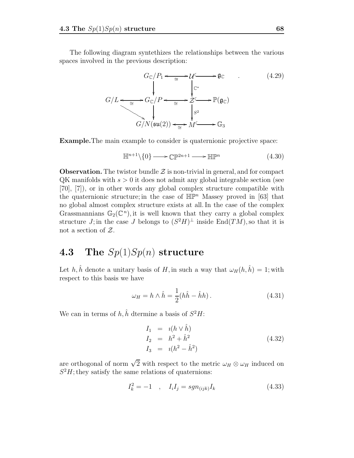The following diagram syntethizes the relationships between the various spaces involved in the previous description:

$$
G_{\mathbb{C}}/P_1 \longleftrightarrow \mathbb{C}^{\mathbb{C}} \longrightarrow \mathbb{C}
$$
\n
$$
G/L \longleftrightarrow \mathbb{C}^{\mathbb{C}}/P \longleftrightarrow \mathbb{C}^{\mathbb{C}^*} \longrightarrow \mathbb{C}^{\mathbb{C}}/P \longleftrightarrow \mathbb{C}^{\mathbb{C}} \longrightarrow \mathbb{P}(\mathfrak{g}_{\mathbb{C}})
$$
\n
$$
G/N(\mathfrak{su}(2)) \longleftrightarrow \mathbb{C}^{\mathbb{C}}/P \longleftrightarrow \mathbb{C}_{3}
$$
\n
$$
(4.29)
$$

**Example.**The main example to consider is quaternionic projective space:

$$
\mathbb{H}^{n+1}\backslash\{0\} \longrightarrow \mathbb{CP}^{2n+1} \longrightarrow \mathbb{HP}^n
$$
\n(4.30)

**Observation.** The twistor bundle  $\mathcal{Z}$  is non-trivial in general, and for compact  $\alpha$ K manifolds with  $s > 0$  it does not admit any global integrable section (see [70], [7]), or in other words any global complex structure compatible with the quaternionic structure; in the case of  $\mathbb{HP}^n$  Massey proved in [63] that no global almost complex structure exists at all. In the case of the complex Grassmannians  $\mathbb{G}_2(\mathbb{C}^n)$ , it is well known that they carry a global complex structure J; in the case J belongs to  $(S^2H)^{\perp}$  inside End $(TM)$ , so that it is not a section of Z.

### **4.3 The** Sp(1)Sp(n) **structure**

Let  $h, \hat{h}$  denote a unitary basis of H, in such a way that  $\omega_H(h, \hat{h}) = 1$ ; with respect to this basis we have

$$
\omega_H = h \wedge \hat{h} = \frac{1}{2} (h\hat{h} - \hat{h}h). \tag{4.31}
$$

We can in terms of  $h, \hat{h}$  dtermine a basis of  $S^2H$ :

$$
I_1 = i(h \vee \hat{h}) \nI_2 = h^2 + \hat{h}^2 \nI_3 = i(h^2 - \hat{h}^2)
$$
\n(4.32)

are orthogonal of norm  $\sqrt{2}$  with respect to the metric  $\omega_H \otimes \omega_H$  induced on  $S<sup>2</sup>H$ ; they satisfy the same relations of quaternions:

$$
I_k^2 = -1 \quad , \quad I_i I_j = sgn_{(ijk)} I_k \tag{4.33}
$$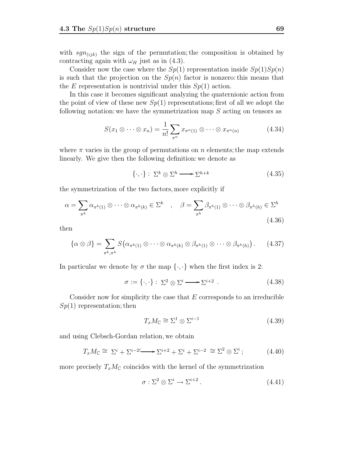with  $sgn(ijk)$  the sign of the permutation; the composition is obtained by contracting again with  $\omega_H$  just as in (4.3).

Consider now the case where the  $Sp(1)$  representation inside  $Sp(1)Sp(n)$ is such that the projection on the  $Sp(n)$  factor is nonzero: this means that the E representation is nontrivial under this  $Sp(1)$  action.

In this case it becomes significant analyzing the quaternionic action from the point of view of these new  $Sp(1)$  representations; first of all we adopt the following notation: we have the symmetrization map  $S$  acting on tensors as

$$
S(x_1 \otimes \cdots \otimes x_n) = \frac{1}{n!} \sum_{\pi^n} x_{\pi^n(1)} \otimes \cdots \otimes x_{\pi^n(n)} \tag{4.34}
$$

where  $\pi$  varies in the group of permutations on n elements; the map extends linearly. We give then the following definition: we denote as

$$
\{\cdot,\cdot\}:\ \Sigma^k\otimes\Sigma^h\longrightarrow\Sigma^{h+k}\tag{4.35}
$$

the symmetrization of the two factors, more explicitly if

$$
\alpha = \sum_{\pi^k} \alpha_{\pi^k(1)} \otimes \cdots \otimes \alpha_{\pi^k(k)} \in \Sigma^k \quad , \quad \beta = \sum_{\pi^h} \beta_{\pi^h(1)} \otimes \cdots \otimes \beta_{\pi^h(h)} \in \Sigma^h
$$
\n(4.36)

then

$$
\{\alpha \otimes \beta\} = \sum_{\pi^k, \pi^h} S\big(\alpha_{\pi^k(1)} \otimes \cdots \otimes \alpha_{\pi^k(k)} \otimes \beta_{\pi^h(1)} \otimes \cdots \otimes \beta_{\pi^h(h)}\big).
$$
 (4.37)

In particular we denote by  $\sigma$  the map  $\{\cdot,\cdot\}$  when the first index is 2:

$$
\sigma := \{\cdot, \cdot\} : \Sigma^2 \otimes \Sigma^i \longrightarrow \Sigma^{i+2} . \tag{4.38}
$$

Consider now for simplicity the case that  $E$  corresponds to an irreducible  $Sp(1)$  representation; then

$$
T_x M_{\mathbb{C}} \cong \Sigma^1 \otimes \Sigma^{i-1} \tag{4.39}
$$

and using Clebsch-Gordan relation, we obtain

$$
T_x M_{\mathbb{C}} \cong \Sigma^i + \Sigma^{i-2} \longrightarrow \Sigma^{i+2} + \Sigma^i + \Sigma^{i-2} \cong \Sigma^2 \otimes \Sigma^i ; \tag{4.40}
$$

more precisely  $T_xM_{\mathbb{C}}$  coincides with the kernel of the symmetrization

$$
\sigma : \Sigma^2 \otimes \Sigma^i \to \Sigma^{i+2} \,. \tag{4.41}
$$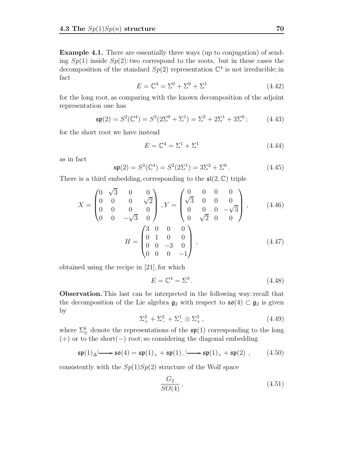**Example 4.1.** There are essentially three ways (up to conjugation) of sending  $Sp(1)$  inside  $Sp(2)$ : two correspond to the roots, but in these cases the decomposition of the standard  $Sp(2)$  representation  $\mathbb{C}^4$  is not irreducible; in fact

$$
E = \mathbb{C}^4 = \Sigma^0 + \Sigma^0 + \Sigma^1 \tag{4.42}
$$

for the long root, as comparing with the known decomposition of the adjoint representation one has

$$
\mathfrak{sp}(2) = S^2(\mathbb{C}^4) = S^2(2\Sigma^0 + \Sigma^1) = \Sigma^2 + 2\Sigma^1 + 3\Sigma^0; \tag{4.43}
$$

for the short root we have instead

$$
E = \mathbb{C}^4 = \Sigma^1 + \Sigma^1 \tag{4.44}
$$

as in fact

$$
\mathfrak{sp}(2) = S^2(\mathbb{C}^4) = S^2(2\Sigma^1) = 3\Sigma^2 + \Sigma^0.
$$
\n(4.45)

There is a third embedding, corresponding to the  $\mathfrak{sl}(2,\mathbb{C})$  triple

$$
X = \begin{pmatrix} 0 & \sqrt{3} & 0 & 0 \\ 0 & 0 & 0 & \sqrt{2} \\ 0 & 0 & 0 & 0 \\ 0 & 0 & -\sqrt{3} & 0 \end{pmatrix}, Y = \begin{pmatrix} 0 & 0 & 0 & 0 \\ \sqrt{3} & 0 & 0 & 0 \\ 0 & 0 & 0 & -\sqrt{3} \\ 0 & \sqrt{2} & 0 & 0 \end{pmatrix}, \qquad (4.46)
$$

$$
H = \begin{pmatrix} 3 & 0 & 0 & 0 \\ 0 & 1 & 0 & 0 \\ 0 & 0 & -3 & 0 \\ 0 & 0 & 0 & -1 \end{pmatrix}, \qquad (4.47)
$$

obtained using the recipe in [21], for which

$$
E = \mathbb{C}^4 = \Sigma^3. \tag{4.48}
$$

**Observation.** This last can be interpreted in the following way: recall that the decomposition of the Lie algebra  $\mathfrak{g}_2$  with respect to  $\mathfrak{so}(4) \subset \mathfrak{g}_2$  is given by

$$
\Sigma_{+}^{2} + \Sigma_{-}^{2} + \Sigma_{-}^{1} \otimes \Sigma_{+}^{3} , \qquad (4.49)
$$

where  $\Sigma_{\pm}^{k}$  denote the representations of the  $\mathfrak{sp}(1)$  corresponding to the long  $(+)$  or to the short(-) root: so considering the diagonal embedding (+) or to the short(−) root; so considering the diagonal embedding

$$
\mathfrak{sp}(1) \triangle \longrightarrow \mathfrak{so}(4) = \mathfrak{sp}(1)_+ + \mathfrak{sp}(1)_- \longrightarrow \mathfrak{sp}(1)_+ + \mathfrak{sp}(2) , \qquad (4.50)
$$

consistently with the  $Sp(1)Sp(2)$  structure of the Wolf space

$$
\frac{G_2}{SO(4)},\tag{4.51}
$$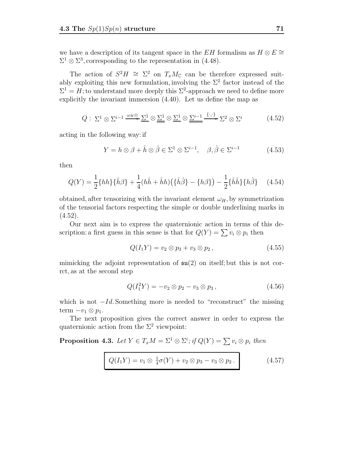we have a description of its tangent space in the EH formalism as  $H \otimes E \cong$  $\Sigma^1 \otimes \Sigma^3$ , corresponding to the representation in (4.48).

The action of  $S^2H \cong \Sigma^2$  on  $T_xM_{\mathbb{C}}$  can be therefore expressed suitably exploiting this new formulation, involving the  $\Sigma^2$  factor instead of the  $\Sigma^1 = H$ ; to understand more deeply this  $\Sigma^2$ -approach we need to define more explicitly the invariant immersion (4.40). Let us define the map as

$$
Q: \Sigma^1 \otimes \Sigma^{i-1} \xrightarrow{\omega_H \otimes} \Sigma^1 \otimes \underline{\Sigma^1} \otimes \underline{\Sigma^1} \otimes \underline{\Sigma^{i-1}} \xrightarrow{\{\cdot,\cdot\}} \Sigma^2 \otimes \Sigma^i \tag{4.52}
$$

acting in the following way: if

$$
Y = h \otimes \beta + \hat{h} \otimes \hat{\beta} \in \Sigma^1 \otimes \Sigma^{i-1}, \quad \beta, \hat{\beta} \in \Sigma^{i-1}
$$
 (4.53)

then

$$
Q(Y) = \frac{1}{2} \{hh\} \{\hat{h}\beta\} + \frac{1}{4} (h\hat{h} + \hat{h}h) \left(\{\hat{h}\hat{\beta}\} - \{h\beta\}\right) - \frac{1}{2} \{\hat{h}\hat{h}\} \{h\hat{\beta}\} \tag{4.54}
$$

obtained, after tensorizing with the invariant element  $\omega_H$ , by symmetrization of the tensorial factors respecting the simple or double underlining marks in  $(4.52).$ 

Our next aim is to express the quaternionic action in terms of this description: a first guess in this sense is that for  $Q(Y) = \sum v_i \otimes p_i$  then

$$
Q(I_1Y) = v_2 \otimes p_3 + v_3 \otimes p_2, \qquad (4.55)
$$

mimicking the adjoint representation of  $\mathfrak{su}(2)$  on itself; but this is not corrct, as at the second step

$$
Q(I_1^2Y) = -v_2 \otimes p_2 - v_3 \otimes p_3, \qquad (4.56)
$$

which is not  $-Id$ . Something more is needed to "reconstruct" the missing term  $-v_1 \otimes p_1$ .

The next proposition gives the correct answer in order to express the quaternionic action from the  $\Sigma^2$  viewpoint:

**Proposition 4.3.** Let  $Y \in T_xM = \Sigma^1 \otimes \Sigma^i$ ; if  $Q(Y) = \sum v_i \otimes p_i$  then

$$
Q(I_1Y) = v_1 \otimes \frac{1}{4}\sigma(Y) + v_2 \otimes p_3 - v_3 \otimes p_2.
$$
 (4.57)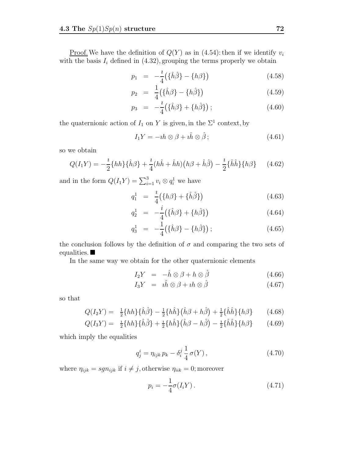<u>Proof.</u> We have the definition of  $Q(Y)$  as in (4.54): then if we identify  $v_i$ with the basis  $I_i$  defined in  $(4.32)$ , grouping the terms properly we obtain

$$
p_1 = -\frac{i}{4} \left( \{\hat{h}\hat{\beta}\} - \{h\beta\} \right) \tag{4.58}
$$

$$
p_2 = \frac{1}{4} \left( \{\hat{h}\beta\} - \{h\hat{\beta}\} \right) \tag{4.59}
$$

$$
p_3 = -\frac{i}{4} \left( {\hat{h}\beta} + {\hat{h}\hat{\beta}} \right); \qquad (4.60)
$$

the quaternionic action of  $I_1$  on Y is given, in the  $\Sigma^1$  context, by

$$
I_1 Y = -\imath h \otimes \beta + \imath \hat{h} \otimes \hat{\beta};\tag{4.61}
$$

so we obtain

$$
Q(I_1Y) = -\frac{i}{2} \{hh\} \{\hat{h}\beta\} + \frac{i}{4} (h\hat{h} + \hat{h}h) (h\beta + \hat{h}\hat{\beta}) - \frac{i}{2} \{\hat{h}\hat{h}\} \{h\beta\} \tag{4.62}
$$

and in the form  $Q(I_1Y) = \sum_{i=1}^3 v_i \otimes q_i^1$  we have

$$
q_1^1 = \frac{i}{4} \left( \{ h\beta \} + \{ \hat{h}\hat{\beta} \} \right) \tag{4.63}
$$

$$
q_2^1 = -\frac{i}{4} \left( \{\hat{h}\beta\} + \{h\hat{\beta}\} \right) \tag{4.64}
$$

$$
q_3^1 = -\frac{1}{4} \left( \{\hat{h}\beta\} - \{h\hat{\beta}\} \right); \tag{4.65}
$$

the conclusion follows by the definition of  $\sigma$  and comparing the two sets of equalities.  $\blacksquare$ 

In the same way we obtain for the other quaternionic elements

$$
I_2Y = -\hat{h}\otimes\beta + h\otimes\hat{\beta} \tag{4.66}
$$

$$
I_3Y = i\hat{h}\otimes\beta + ih\otimes\hat{\beta} \tag{4.67}
$$

so that

$$
Q(I_2Y) = \frac{1}{2}\{hh\}\{\hat{h}\hat{\beta}\} - \frac{1}{2}\{h\hat{h}\}\{\hat{h}\beta + h\hat{\beta}\} + \frac{1}{2}\{\hat{h}\hat{h}\}\{h\beta\} \tag{4.68}
$$

$$
Q(I_3Y) = \frac{i}{2}\{hh\}\{\hat{h}\hat{\beta}\} + \frac{i}{2}\{h\hat{h}\}\{\hat{h}\beta - h\hat{\beta}\} - \frac{i}{2}\{\hat{h}\hat{h}\}\{h\beta\} \tag{4.69}
$$

which imply the equalities

$$
q_j^i = \eta_{ijk} \, p_k - \delta_i^j \, \frac{1}{4} \, \sigma(Y) \,, \tag{4.70}
$$

where  $\eta_{ijk} = sgn_{ijk}$  if  $i \neq j$ , otherwise  $\eta_{iik} = 0$ ; moreover

$$
p_i = -\frac{1}{4}\sigma(I_i Y). \tag{4.71}
$$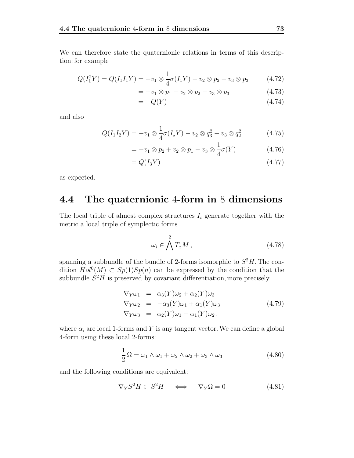We can therefore state the quaternionic relations in terms of this description: for example

$$
Q(I_1^2 Y) = Q(I_1 I_1 Y) = -v_1 \otimes \frac{1}{4} \sigma(I_1 Y) - v_2 \otimes p_2 - v_3 \otimes p_3 \tag{4.72}
$$

$$
= -v_1 \otimes p_1 - v_2 \otimes p_2 - v_3 \otimes p_3 \tag{4.73}
$$

$$
=-Q(Y) \tag{4.74}
$$

and also

$$
Q(I_1I_2Y) = -v_1 \otimes \frac{1}{4}\sigma(I_2Y) - v_2 \otimes q_3^2 - v_3 \otimes q_2^2 \tag{4.75}
$$

$$
= -v_1 \otimes p_2 + v_2 \otimes p_1 - v_3 \otimes \frac{1}{4}\sigma(Y) \tag{4.76}
$$

$$
=Q(I_3Y)\tag{4.77}
$$

as expected.

### **4.4 The quaternionic** 4**-form in** 8 **dimensions**

The local triple of almost complex structures  $I_i$  generate together with the metric a local triple of symplectic forms

$$
\omega_i \in \bigwedge^2 T_x M \,,\tag{4.78}
$$

spanning a subbundle of the bundle of 2-forms isomorphic to  $S^2H$ . The condition  $Hol^0(M) \subset Sp(1)Sp(n)$  can be expressed by the condition that the subbundle  $S^2H$  is preserved by covariant differentiation, more precisely

$$
\nabla_Y \omega_1 = \alpha_3(Y)\omega_2 + \alpha_2(Y)\omega_3
$$
  
\n
$$
\nabla_Y \omega_2 = -\alpha_3(Y)\omega_1 + \alpha_1(Y)\omega_3
$$
  
\n
$$
\nabla_Y \omega_3 = \alpha_2(Y)\omega_1 - \alpha_1(Y)\omega_2;
$$
\n(4.79)

where  $\alpha_i$  are local 1-forms and Y is any tangent vector. We can define a global 4-form using these local 2-forms:

$$
\frac{1}{2}\Omega = \omega_1 \wedge \omega_1 + \omega_2 \wedge \omega_2 + \omega_3 \wedge \omega_3 \tag{4.80}
$$

and the following conditions are equivalent:

$$
\nabla_Y S^2 H \subset S^2 H \quad \Longleftrightarrow \quad \nabla_Y \Omega = 0 \tag{4.81}
$$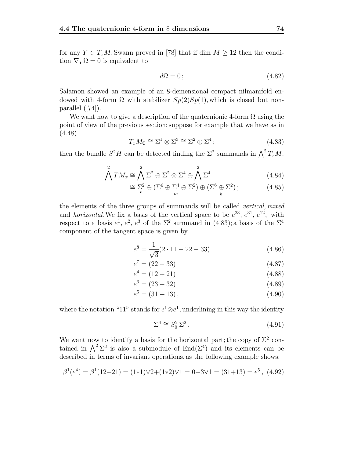for any  $Y \in T_xM$ . Swann proved in [78] that if dim  $M \geq 12$  then the condition  $\nabla_{Y}\Omega = 0$  is equivalent to

$$
d\Omega = 0 \tag{4.82}
$$

Salamon showed an example of an 8-demensional compact nilmanifold endowed with 4-form  $\Omega$  with stabilizer  $Sp(2)Sp(1)$ , which is closed but nonparallel ([74]).

We want now to give a description of the quaternionic 4-form  $\Omega$  using the point of view of the previous section:suppose for example that we have as in (4.48)

$$
T_x M_{\mathbb{C}} \cong \Sigma^1 \otimes \Sigma^3 \cong \Sigma^2 \oplus \Sigma^4 ; \tag{4.83}
$$

then the bundle  $S^2H$  can be detected finding the  $\Sigma^2$  summands in  $\bigwedge^2 T_xM$ :

$$
\bigwedge^2 TM_x \cong \bigwedge^2 \Sigma^2 \oplus \Sigma^2 \otimes \Sigma^4 \oplus \bigwedge^2 \Sigma^4 \tag{4.84}
$$

$$
\cong \sum_{v}^{2} \oplus \left(\Sigma^{6} \oplus \Sigma^{4} \oplus \Sigma^{2}\right) \oplus \left(\Sigma^{6} \oplus \Sigma^{2}\right); \tag{4.85}
$$

the elements of the three groups of summands will be called vertical, mixed and *horizontal*. We fix a basis of the vertical space to be  $e^{23}$ ,  $e^{31}$ ,  $e^{12}$ , with respect to a basis  $e^1$ ,  $e^2$ ,  $e^3$  of the  $\Sigma^2$  summand in (4.83); a basis of the  $\Sigma^4$ component of the tangent space is given by

$$
e^{8} = \frac{1}{\sqrt{3}}(2 \cdot 11 - 22 - 33)
$$
 (4.86)

$$
e^7 = (22 - 33) \tag{4.87}
$$

$$
e^4 = (12 + 21) \tag{4.88}
$$

$$
e^6 = (23 + 32) \tag{4.89}
$$

$$
e^5 = (31 + 13), \tag{4.90}
$$

where the notation "11" stands for  $e^1 \otimes e^1$ , underlining in this way the identity

$$
\Sigma^4 \cong S_0^2 \Sigma^2. \tag{4.91}
$$

We want now to identify a basis for the horizontal part; the copy of  $\Sigma^2$  contained in  $\bigwedge^2 \Sigma^3$  is also a submodule of End $(\Sigma^4)$  and its elements can be described in terms of invariant operations, as the following example shows:

$$
\beta^1(e^4) = \beta^1(12+21) = (1*1)\vee 2 + (1*2)\vee 1 = 0+3\vee 1 = (31+13) = e^5, (4.92)
$$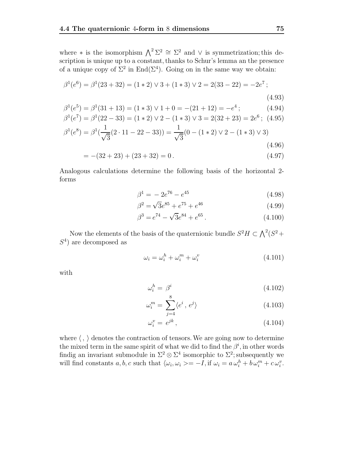where  $*$  is the isomorphism  $\bigwedge^2 \Sigma^2 \cong \Sigma^2$  and  $\vee$  is symmetrization; this description is unique up to a constant, thanks to Schur's lemma an the presence of a unique copy of  $\Sigma^2$  in End( $\Sigma^4$ ). Going on in the same way we obtain:

$$
\beta^{1}(e^{6}) = \beta^{1}(23 + 32) = (1 * 2) \lor 3 + (1 * 3) \lor 2 = 2(33 - 22) = -2e^{7};
$$
\n(4.93)

$$
\beta^1(e^5) = \beta^1(31+13) = (1*3) \lor 1 + 0 = -(21+12) = -e^4;
$$
\n(4.94)

$$
\beta^1(e^7) = \beta^1(22 - 33) = (1 \times 2) \vee 2 - (1 \times 3) \vee 3 = 2(32 + 23) = 2e^6; \text{ (4.95)}
$$

$$
\beta^1(e^8) = \beta^1(\frac{1}{\sqrt{6}}(2 \cdot 11 - 22 - 33)) = \frac{1}{\sqrt{6}}(0 - (1 \times 2) \vee 2 - (1 \times 3) \vee 3)
$$

$$
\beta^1(e^8) = \beta^1(\frac{1}{\sqrt{3}}(2 \cdot 11 - 22 - 33)) = \frac{1}{\sqrt{3}}(0 - (1 \times 2) \vee 2 - (1 \times 3) \vee 3)
$$
\n(4.96)

$$
= -(32 + 23) + (23 + 32) = 0.
$$
\n(4.97)

Analogous calculations determine the following basis of the horizontal 2 forms

$$
\beta^1 = -2e^{76} - e^{45} \tag{4.98}
$$

$$
\beta^2 = \sqrt{3}e^{85} + e^{75} + e^{46} \tag{4.99}
$$

$$
\beta^3 = e^{74} - \sqrt{3}e^{84} + e^{65}.
$$
 (4.100)

Now the elements of the basis of the quaternionic bundle  $S^2H \subset \bigwedge^2(S^2 +$  $S<sup>4</sup>$  are decomposed as

$$
\omega_i = \omega_i^h + \omega_i^m + \omega_i^v \tag{4.101}
$$

with

$$
\omega_i^h = \beta^i \tag{4.102}
$$

$$
\omega_i^m = \sum_{j=4}^{\infty} \langle e^i, e^j \rangle \tag{4.103}
$$

$$
\omega_i^v = e^{jk},\tag{4.104}
$$

where  $\langle , \rangle$  denotes the contraction of tensors. We are going now to determine the mixed term in the same spirit of what we did to find the  $\beta^i$ , in other words findig an invariant submodule in  $\Sigma^2 \otimes \Sigma^4$  isomorphic to  $\Sigma^2$ ; subsequently we will find constants  $a, b, c$  such that  $\langle \omega_i, \omega_i \rangle = -I$ , if  $\omega_i = a \omega_i^h + b \omega_i^m + c \omega_i^v$ .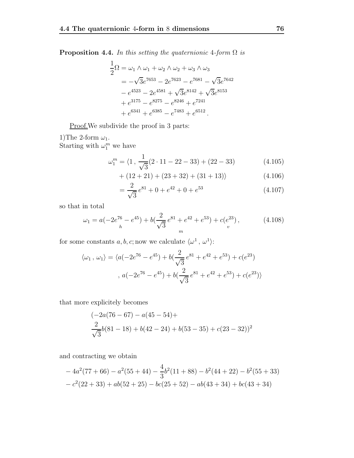**Proposition 4.4.** In this setting the quaternionic 4-form  $\Omega$  is

$$
\frac{1}{2}\Omega = \omega_1 \wedge \omega_1 + \omega_2 \wedge \omega_2 + \omega_3 \wedge \omega_3
$$
  
=  $-\sqrt{3}e^{7653} - 2e^{7623} - e^{7681} - \sqrt{3}e^{7642}$   
 $- e^{4523} - 2e^{4581} + \sqrt{3}e^{8142} + \sqrt{3}e^{8153}$   
+  $e^{3175} - e^{8275} - e^{8246} + e^{7241}$   
+  $e^{6341} + e^{6385} - e^{7483} + e^{6512}$ .

Proof. We subdivide the proof in 3 parts:

1)The 2-form  $\omega_1$ . Starting with  $\omega_1^m$  we have

$$
\omega_1^m = \langle 1, \frac{1}{\sqrt{3}} (2 \cdot 11 - 22 - 33) + (22 - 33) \tag{4.105}
$$

$$
+(12+21)+(23+32)+(31+13)\rangle \t(4.106)
$$

$$
=\frac{2}{\sqrt{3}}e^{81} + 0 + e^{42} + 0 + e^{53}
$$
 (4.107)

so that in total

$$
\omega_1 = a(-2e^{76} - e^{45}) + b\left(\frac{2}{\sqrt{3}}e^{81} + e^{42} + e^{53}\right) + c(e^{23}),\tag{4.108}
$$

for some constants  $a,b,c;{\rm now}$  we calculate  $\langle\omega^1\,,\,\omega^1\rangle.$ 

$$
\langle \omega_1, \omega_1 \rangle = \langle a(-2e^{76} - e^{45}) + b(\frac{2}{\sqrt{3}}e^{81} + e^{42} + e^{53}) + c(e^{23})
$$

$$
, a(-2e^{76} - e^{45}) + b(\frac{2}{\sqrt{3}}e^{81} + e^{42} + e^{53}) + c(e^{23}) \rangle
$$

that more explicitely becomes

$$
\frac{(-2a(76-67)-a(45-54)+}{\sqrt{3}}b(81-18)+b(42-24)+b(53-35)+c(23-32))^2
$$

and contracting we obtain

$$
-4a^2(77+66) - a^2(55+44) - \frac{4}{3}b^2(11+88) - b^2(44+22) - b^2(55+33)
$$
  

$$
-c^2(22+33) + ab(52+25) - bc(25+52) - ab(43+34) + bc(43+34)
$$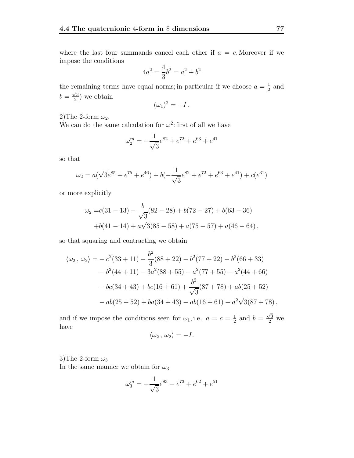where the last four summands cancel each other if  $a = c$ . Moreover if we impose the conditions

$$
4a^2 = \frac{4}{3}b^2 = a^2 + b^2
$$

the remaining terms have equal norms; in particular if we choose  $a = \frac{1}{2}$  and  $b = \frac{\sqrt{3}}{2}$  we obtain

$$
(\omega_1)^2 = -I.
$$

2)The 2-form  $\omega_2$ .

We can do the same calculation for  $\omega^2$ : first of all we have

$$
\omega_2^m = -\frac{1}{\sqrt{3}}e^{82} + e^{72} + e^{63} + e^{41}
$$

so that

$$
\omega_2 = a(\sqrt{3}e^{85} + e^{75} + e^{46}) + b(-\frac{1}{\sqrt{3}}e^{82} + e^{72} + e^{63} + e^{41}) + c(e^{31})
$$

or more explicitly

$$
\omega_2 = c(31 - 13) - \frac{b}{\sqrt{3}}(82 - 28) + b(72 - 27) + b(63 - 36)
$$
  
+b(41 - 14) + a\sqrt{3}(85 - 58) + a(75 - 57) + a(46 - 64),

so that squaring and contracting we obtain

$$
\langle \omega_2, \omega_2 \rangle = -c^2(33+11) - \frac{b^2}{3}(88+22) - b^2(77+22) - b^2(66+33)
$$
  

$$
-b^2(44+11) - 3a^2(88+55) - a^2(77+55) - a^2(44+66)
$$
  

$$
-bc(34+43) + bc(16+61) + \frac{b^2}{\sqrt{3}}(87+78) + ab(25+52)
$$
  

$$
-ab(25+52) + ba(34+43) - ab(16+61) - a^2\sqrt{3}(87+78),
$$

and if we impose the conditions seen for  $\omega_1$ , i.e.  $a = c = \frac{1}{2}$  and  $b = \frac{\sqrt{3}}{2}$  we have

$$
\langle \omega_2 \, , \, \omega_2 \rangle = -I.
$$

3)The 2-form  $\omega_3$ 

In the same manner we obtain for  $\omega_3$ 

$$
\omega_3^m = -\frac{1}{\sqrt{3}}e^{83} - e^{73} + e^{62} + e^{51}
$$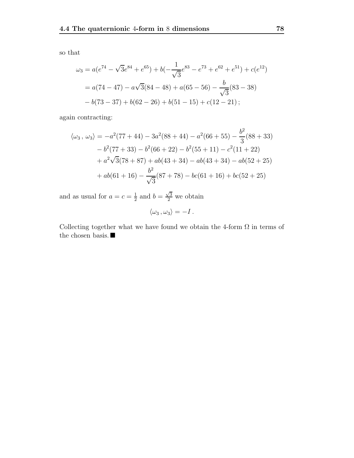so that

$$
\omega_3 = a(e^{74} - \sqrt{3}e^{84} + e^{65}) + b(-\frac{1}{\sqrt{3}}e^{83} - e^{73} + e^{62} + e^{51}) + c(e^{12})
$$
  
=  $a(74 - 47) - a\sqrt{3}(84 - 48) + a(65 - 56) - \frac{b}{\sqrt{3}}(83 - 38)$   
 $- b(73 - 37) + b(62 - 26) + b(51 - 15) + c(12 - 21);$ 

again contracting:

$$
\langle \omega_3, \omega_3 \rangle = -a^2(77 + 44) - 3a^2(88 + 44) - a^2(66 + 55) - \frac{b^2}{3}(88 + 33)
$$

$$
-b^2(77 + 33) - b^2(66 + 22) - b^2(55 + 11) - c^2(11 + 22)
$$

$$
+ a^2\sqrt{3}(78 + 87) + ab(43 + 34) - ab(43 + 34) - ab(52 + 25)
$$

$$
+ ab(61 + 16) - \frac{b^2}{\sqrt{3}}(87 + 78) - bc(61 + 16) + bc(52 + 25)
$$

and as usual for  $a = c = \frac{1}{2}$  and  $b = \frac{\sqrt{3}}{2}$  we obtain

$$
\langle \omega_3 \, , \omega_3 \rangle = -I \, .
$$

Collecting together what we have found we obtain the 4-form  $\Omega$  in terms of the chosen basis.  $\blacksquare$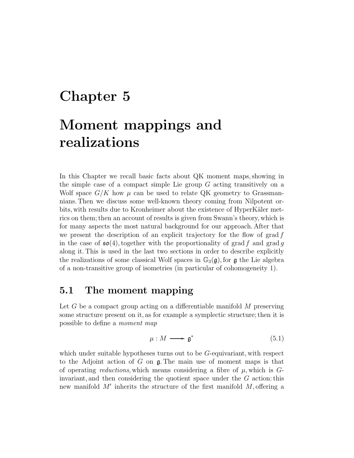# **Chapter 5**

# **Moment mappings and realizations**

In this Chapter we recall basic facts about QK moment maps, showing in the simple case of a compact simple Lie group G acting transitively on a Wolf space  $G/K$  how  $\mu$  can be used to relate QK geometry to Grassmannians. Then we discuss some well-known theory coming from Nilpotent orbits, with results due to Kronheimer about the existence of HyperKäler metrics on them; then an account of results is given from Swann's theory, which is for many aspects the most natural background for our approach. After that we present the description of an explicit trajectory for the flow of grad  $f$ in the case of  $\mathfrak{so}(4)$ , together with the proportionality of grad f and grad q along it. This is used in the last two sections in order to describe explicitly the realizations of some classical Wolf spaces in  $\mathbb{G}_3(\mathfrak{g})$ , for  $\mathfrak{g}$  the Lie algebra of a non-transitive group of isometries (in particular of cohomogeneity 1).

### **5.1 The moment mapping**

Let  $G$  be a compact group acting on a differentiable manifold  $M$  preserving some structure present on it, as for example a symplectic structure; then it is possible to define a moment map

$$
\mu: M \longrightarrow \mathfrak{g}^* \tag{5.1}
$$

which under suitable hypotheses turns out to be G-equivariant, with respect to the Adjoint action of G on  $\mathfrak g$ . The main use of moment maps is that of operating reductions, which means considering a fibre of  $\mu$ , which is  $G$ invariant, and then considering the quotient space under the G action: this new manifold  $M'$  inherits the structure of the first manifold  $M$ , offering a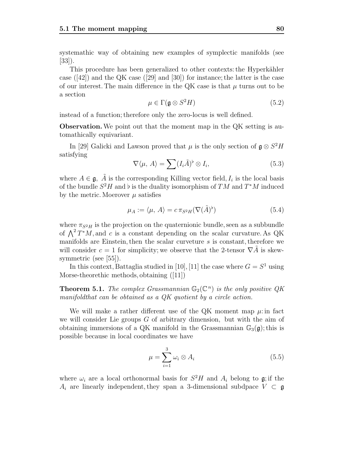systemathic way of obtaining new examples of symplectic manifolds (see  $|33|$ ).

This procedure has been generalized to other contexts: the Hyperkähler case  $(|42|)$  and the QK case  $(|29|$  and  $|30|)$  for instance; the latter is the case of our interest. The main difference in the QK case is that  $\mu$  turns out to be a section

$$
\mu \in \Gamma(\mathfrak{g} \otimes S^2 H) \tag{5.2}
$$

instead of a function; therefore only the zero-locus is well defined.

**Observation.**We point out that the moment map in the QK setting is automathically equivariant.

In [29] Galicki and Lawson proved that  $\mu$  is the only section of  $\mathfrak{g} \otimes S^2H$ satisfying

$$
\nabla \langle \mu, A \rangle = \sum (I_i \tilde{A})^{\flat} \otimes I_i,
$$
\n(5.3)

where  $A \in \mathfrak{g}$ ,  $\tilde{A}$  is the corresponding Killing vector field,  $I_i$  is the local basis of the bundle  $S^2H$  and  $\flat$  is the duality isomorphism of TM and  $T^*M$  induced by the metric. Moerover  $\mu$  satisfies

$$
\mu_A := \langle \mu, A \rangle = c \pi_{S^2 H} (\nabla (\tilde{A})^{\flat}) \tag{5.4}
$$

where  $\pi_{S^2H}$  is the projection on the quaternionic bundle, seen as a subbundle of  $\Lambda^2 T^*M$ , and c is a constant depending on the scalar curvature. As QK manifolds are Einstein, then the scalar curveture s is constant, therefore we will consider  $c = 1$  for simplicity; we observe that the 2-tensor  $\nabla A$  is skewsymmetric (see [55]).

In this context, Battaglia studied in [10], [11] the case where  $G = S<sup>1</sup>$  using Morse-theorethic methods, obtaining ([11])

**Theorem 5.1.** The complex Grassmannian  $\mathbb{G}_2(\mathbb{C}^n)$  is the only positive QK manifoldthat can be obtained as a QK quotient by a circle action.

We will make a rather different use of the QK moment map  $\mu$ : in fact we will consider Lie groups  $G$  of arbitrary dimension, but with the aim of obtaining immersions of a QK manifold in the Grassmannian  $\mathbb{G}_3(\mathfrak{g})$ ; this is possible because in local coordinates we have

$$
\mu = \sum_{i=1}^{3} \omega_i \otimes A_i \tag{5.5}
$$

where  $\omega_i$  are a local orthonormal basis for  $S^2H$  and  $A_i$  belong to g; if the  $A_i$  are linearly independent, they span a 3-dimensional subdpace  $V \subset \mathfrak{g}$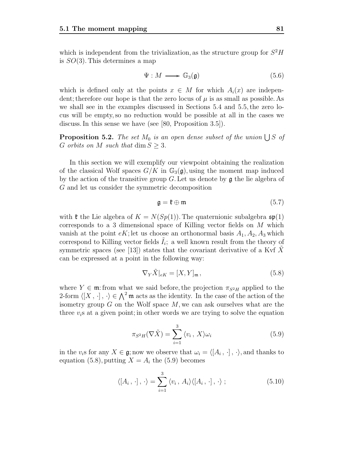which is independent from the trivialization, as the structure group for  $S^2H$ is  $SO(3)$ . This determines a map

$$
\Psi: M \longrightarrow \mathbb{G}_3(\mathfrak{g}) \tag{5.6}
$$

which is defined only at the points  $x \in M$  for which  $A_i(x)$  are independent; therefore our hope is that the zero locus of  $\mu$  is as small as possible. As we shall see in the examples discussed in Sections 5.4 and 5.5, the zero locus will be empty, so no reduction would be possible at all in the cases we discuss. In this sense we have (see [80, Proposition 3.5]).

**Proposition 5.2.** The set  $M_0$  is an open dense subset of the union  $\bigcup S$  of G orbits on M such that  $\dim S \geq 3$ .

In this section we will exemplify our viewpoint obtaining the realization of the classical Wolf spaces  $G/K$  in  $\mathbb{G}_3(\mathfrak{g})$ , using the moment map induced by the action of the transitive group  $G$ . Let us denote by  $\mathfrak g$  the lie algebra of G and let us consider the symmetric decomposition

$$
\mathfrak{g} = \mathfrak{k} \oplus \mathfrak{m} \tag{5.7}
$$

with  $\mathfrak k$  the Lie algebra of  $K = N(Sp(1))$ . The quaternionic subalgebra  $\mathfrak{sp}(1)$ corresponds to a 3 dimensional space of Killing vector fields on M which vanish at the point  $eK$ ; let us choose an orthonormal basis  $A_1, A_2, A_3$  which correspond to Killing vector fields  $I_i$ ; a well known result from the theory of symmetric spaces (see [13]) states that the covariant derivative of a Kvf  $X$ can be expressed at a point in the following way:

$$
\nabla_Y \tilde{X}|_{eK} = [X, Y]_{\mathfrak{m}},\tag{5.8}
$$

where  $Y \in \mathfrak{m}$ : from what we said before, the projection  $\pi_{S^2H}$  applied to the 2-form  $\langle [X, \cdot], \cdot \rangle \in \bigwedge^2 \mathfrak{m}$  acts as the identity. In the case of the action of the isometry group  $G$  on the Wolf space M we can ask ourselves what are the isometry group  $G$  on the Wolf space  $M$ , we can ask ourselves what are the three  $v_i$ s at a given point; in other words we are trying to solve the equation

$$
\pi_{S^2H}(\nabla \tilde{X}) = \sum_{i=1}^3 \langle v_i, X \rangle \omega_i
$$
\n(5.9)

in the  $v_i$ s for any  $X \in \mathfrak{g}$ ; now we observe that  $\omega_i = \langle [A_i, \cdot], \cdot \rangle$ , and thanks to equation (5.8), putting  $X = A_i$  the (5.9) becomes

$$
\langle [A_i, \cdot], \cdot \rangle = \sum_{i=1}^3 \langle v_i, A_i \rangle \langle [A_i, \cdot], \cdot \rangle ; \qquad (5.10)
$$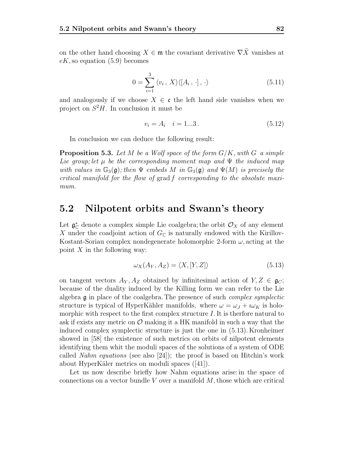on the other hand choosing  $X \in \mathfrak{m}$  the covariant derivative  $\nabla \tilde{X}$  vanishes at  $eK$ , so equation (5.9) becomes

$$
0 = \sum_{i=1}^{3} \langle v_i, X \rangle \langle [A_i, \cdot], \cdot \rangle \tag{5.11}
$$

and analogously if we choose  $X \in \mathfrak{c}$  the left hand side vanishes when we project on  $S^2H$ . In conclusion it must be

$$
v_i = A_i \quad i = 1...3. \tag{5.12}
$$

In conclusion we can deduce the following result:

**Proposition 5.3.** Let M be a Wolf space of the form  $G/K$ , with G a simple Lie group; let  $\mu$  be the corresponding moment map and  $\Psi$  the induced map with values in  $\mathbb{G}_3(\mathfrak{g})$ ; then  $\Psi$  embeds M in  $\mathbb{G}_3(\mathfrak{g})$  and  $\Psi(M)$  is precisely the critical manifold for the flow of grad f corresponding to the absolute maximum.

### **5.2 Nilpotent orbits and Swann's theory**

Let  $\mathfrak{g}_{\mathbb{C}}^*$  denote a complex simple Lie coalgebra; the orbit  $\mathcal{O}_X$  of any element <br>*X* under the coadjoint action of  $G_{\mathbb{C}}$  is naturally endowed with the Kirillov-X under the coadjoint action of  $G_{\mathbb{C}}$  is naturally endowed with the Kirillov-Kostant-Soriau complex nondegenerate holomorphic 2-form  $\omega$ , acting at the point  $X$  in the following way:

$$
\omega_X(A_Y, A_Z) = \langle X, [Y, Z] \rangle \tag{5.13}
$$

on tangent vectors  $A_Y, A_Z$  obtained by infinitesimal action of  $Y, Z \in \mathfrak{g}_C$ ; because of the duality induced by the Killing form we can refer to the Lie algebra  $\mathfrak g$  in place of the coalgebra. The presence of such *complex symplectic* structure is typical of HyperKähler manifolds, where  $\omega = \omega_J + i \omega_K$  is holomorphic with respect to the first complex structure  $I$ . It is therfore natural to ask if exists any metric on  $\mathcal O$  making it a HK manifold in such a way that the induced complex symplectic structure is just the one in (5.13). Kronheimer showed in [58] the existence of such metrics on orbits of nilpotent elements identifying them whit the moduli spaces of the solutions of a system of ODE called Nahm equations (see also [24]); the proof is based on Hitchin's work about HyperKäler metrics on moduli spaces ([41]).

Let us now describe briefly how Nahm equations arise: in the space of connections on a vector bundle  $V$  over a manifold  $M$ , those which are critical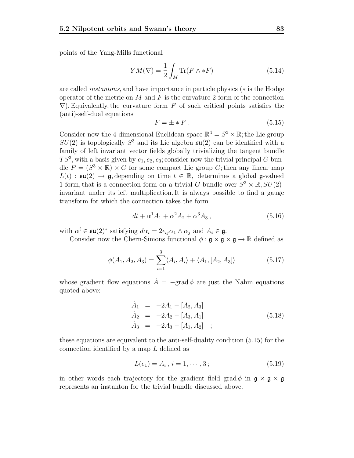points of the Yang-Mills functional

$$
YM(\nabla) = \frac{1}{2} \int_M \text{Tr}(F \wedge *F) \tag{5.14}
$$

are called instantons, and have importance in particle physics (∗ is the Hodge operator of the metric on  $M$  and  $F$  is the curvature 2-form of the connection  $\nabla$ ). Equivalently, the curvature form F of such critical points satisfies the (anti)-self-dual equations

$$
F = \pm *F. \tag{5.15}
$$

Consider now the 4-dimensional Euclidean space  $\mathbb{R}^4 = S^3 \times \mathbb{R}$ ; the Lie group  $SU(2)$  is topologically  $S^3$  and its Lie algebra  $\mathfrak{su}(2)$  can be identified with a family of left invariant vector fields globally trivializing the tangent bundle  $TS^3$ , with a basis given by  $e_1, e_2, e_3$ ; consider now the trivial principal G bundle  $P = (S^3 \times \mathbb{R}) \times G$  for some compact Lie group G; then any linear map  $L(t) : \mathfrak{su}(2) \to \mathfrak{g}$ , depending on time  $t \in \mathbb{R}$ , determines a global g-valued 1-form, that is a connection form on a trivial G-bundle over  $S^3 \times \mathbb{R}$ ,  $SU(2)$ invariant under its left multiplication. It is always possible to find a gauge transform for which the connection takes the form

$$
dt + \alpha^1 A_1 + \alpha^2 A_2 + \alpha^3 A_3, \qquad (5.16)
$$

with  $\alpha^i \in \mathfrak{su}(2)^*$  satisfying  $d\alpha_i = 2\epsilon_{ij}\alpha_1 \wedge \alpha_j$  and  $A_i \in \mathfrak{g}$ .

Consider now the Chern-Simons functional  $\phi : \mathfrak{g} \times \mathfrak{g} \times \mathfrak{g} \to \mathbb{R}$  defined as

$$
\phi(A_1, A_2, A_3) = \sum_{i=1}^{3} \langle A_i, A_i \rangle + \langle A_1, [A_2, A_3] \rangle \tag{5.17}
$$

whose gradient flow equations  $\dot{A} = -\text{grad}\phi$  are just the Nahm equations quoted above:

$$
\dot{A}_1 = -2A_1 - [A_2, A_3] \n\dot{A}_2 = -2A_2 - [A_3, A_1] \n\dot{A}_3 = -2A_3 - [A_1, A_2] ;
$$
\n(5.18)

these equations are equivalent to the anti-self-duality condition (5.15) for the connection identified by a map L defined as

$$
L(e_1) = A_i, \, i = 1, \cdots, 3; \tag{5.19}
$$

in other words each trajectory for the gradient field grad  $\phi$  in  $\mathfrak{g} \times \mathfrak{g} \times \mathfrak{g}$ represents an instanton for the trivial bundle discussed above.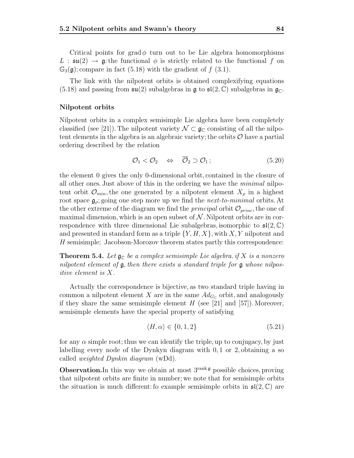Critical points for grad  $\phi$  turn out to be Lie algebra homomorphisms L :  $\mathfrak{su}(2) \to \mathfrak{g}$ : the functional  $\phi$  is strictly related to the functional f on  $\mathbb{G}_{3}(\mathfrak{g})$ ; compare in fact (5.18) with the gradient of f (3.1).

The link with the nilpotent orbits is obtained complexifying equations  $(5.18)$  and passing from  $\mathfrak{su}(2)$  subalgebras in  $\mathfrak{g}$  to  $\mathfrak{sl}(2,\mathbb{C})$  subalgebras in  $\mathfrak{g}_{\mathbb{C}}$ .

#### **Nilpotent orbits**

Nilpotent orbits in a complex semisimple Lie algebra have been completely classified (see [21]). The nilpotent variety  $\mathcal{N} \subset \mathfrak{g}_{\mathbb{C}}$  consisting of all the nilpotent elements in the algebra is an algebraic variety; the orbits  $\mathcal O$  have a partial ordering described by the relation

$$
\mathcal{O}_1 < \mathcal{O}_2 \quad \Leftrightarrow \quad \overline{\mathcal{O}}_2 \supset \mathcal{O}_1 \, ; \tag{5.20}
$$

the element 0 gives the only 0-dimensional orbit, contained in the closure of all other ones. Just above of this in the ordering we have the minimal nilpotent orbit  $\mathcal{O}_{min}$ , the one generated by a nilpotent element  $X_{\rho}$  in a highest root space  $\mathfrak{g}_{\rho}$ ; going one step more up we find the *next-to-minimal* orbits. At the other extreme of the diagram we find the *principal* orbit  $\mathcal{O}_{princ}$ , the one of maximal dimension, which is an open subset of  $N$ . Nilpotent orbits are in correspondence with three dimensional Lie subalgebras, isomorphic to  $\mathfrak{sl}(2,\mathbb{C})$ and presented in standard form as a triple  $\{Y, H, X\}$ , with X, Y nilpotent and H semisimple; Jacobson-Morozov theorem states partly this correspondence:

**Theorem 5.4.** Let  $\mathfrak{g}_{\mathbb{C}}$  be a complex semisimple Lie algebra. if X is a nonzero nilpotent element of  $\mathfrak{g}$ , then there exists a standard triple for  $\mathfrak{g}$  whose nilpositive element is X.

Actually the correspondence is bijective, as two standard triple having in common a nilpotent element X are in the same  $Ad_{G_{\Gamma}}$  orbit, and analogously if they share the same semisimple element  $H$  (see [21] and [57]). Moreover, semisimple elements have the special property of satisfying

$$
\langle H, \alpha \rangle \in \{0, 1, 2\} \tag{5.21}
$$

for any  $\alpha$  simple root; thus we can identify the triple, up to conjugacy, by just labelling every node of the Dynkyn diagram with  $0, 1$  or 2, obtaining a so called weighted Dynkin diagram (wDd).

**Observation.**In this way we obtain at most  $3^{\text{rank } \mathfrak{g}}$  possible choices, proving that nilpotent orbits are finite in number; we note that for semisimple orbits the situation is much different: fo example semisimple orbits in  $\mathfrak{sl}(2,\mathbb{C})$  are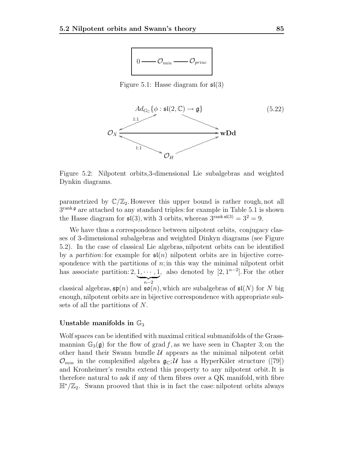

Figure 5.1: Hasse diagram for  $\mathfrak{sl}(3)$ 



Figure 5.2: Nilpotent orbits,3-dimensional Lie subalgebras and weighted Dynkin diagrams.

parametrized by  $\mathbb{C}/\mathbb{Z}_2$ . However this upper bound is rather rough, not all  $3^{\text{rank}\,\mathfrak{g}}$  are attached to any standard triples: for example in Table 5.1 is shown the Hasse diagram for  $\mathfrak{sl}(3)$ , with 3 orbits, whereas  $3^{\text{rank } \mathfrak{sl}(3)} = 3^2 = 9$ .

We have thus a correspondence between nilpotent orbits, conjugacy classes of 3-dimensional subalgebras and weighted Dinkyn diagrams (see Figure 5.2). In the case of classical Lie algebras, nilpotent orbits can be identified by a *partition*: for example for  $\mathfrak{sl}(n)$  nilpotent orbits are in bijective correspondence with the partitions of  $n$ ; in this way the minimal nilpotent orbit has associate partition:  $2, 1, \cdots, 1$  $\sum_{n-2}$ , also denoted by  $[2, 1^{n-2}]$ . For the other classical algebras,  $\mathfrak{sp}(n)$  and  $\mathfrak{so}(n)$ , which are subalgebras of  $\mathfrak{sl}(N)$  for N big enough, nilpotent orbits are in bijective correspondence with appropriate subsets of all the partitions of N.

#### Unstable manifolds in  $\mathbb{G}_3$

Wolf spaces can be identified with maximal critical submanifolds of the Grassmannian  $\mathbb{G}_3(\mathfrak{g})$  for the flow of grad f, as we have seen in Chapter 3; on the other hand their Swann bundle  $U$  appears as the minimal nilpotent orbit  $\mathcal{O}_{min}$  in the complexified algebra  $g_{\mathbb{C}};\mathcal{U}$  has a HyperKäler structure ([79]) and Kronheimer's results extend this property to any nilpotent orbit. It is therefore natural to ask if any of them fibres over a QK manifold, with fibre  $\mathbb{H}^*/\mathbb{Z}_2$ . Swann prooved that this is in fact the case: nilpotent orbits always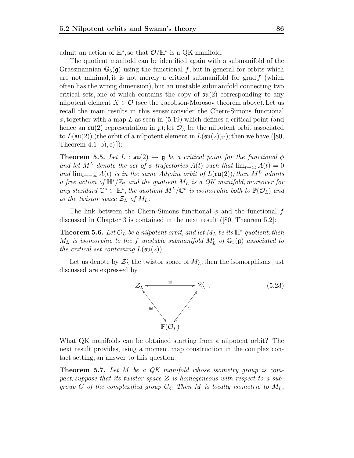admit an action of  $\mathbb{H}^*$ , so that  $\mathcal{O}/\mathbb{H}^*$  is a QK manifold.

The quotient manifold can be identified again with a submanifold of the Grassmannian  $\mathbb{G}_3(\mathfrak{g})$  using the functional f, but in general, for orbits which are not minimal, it is not merely a critical submanifold for  $\operatorname{grad} f$  (which often has the wrong dimension), but an unstable submanifold connecting two critical sets, one of which contains the copy of  $\mathfrak{su}(2)$  corresponding to any nilpotent element  $X \in \mathcal{O}$  (see the Jacobson-Morosov theorem above). Let us recall the main results in this sense: consider the Chern-Simons functional  $\phi$ , together with a map L as seen in (5.19) which defines a critical point (and hence an  $\mathfrak{su}(2)$  representation in  $\mathfrak{g}$ ); let  $\mathcal{O}_L$  be the nilpotent orbit associated to  $L(\mathfrak{su}(2))$  (the orbit of a nilpotent element in  $L(\mathfrak{su}(2))_{\mathbb{C}})$ ; then we have ([80, Theorem  $(4.1 \text{ b}), c)$ ]):

**Theorem 5.5.** Let  $L : \mathfrak{su}(2) \to \mathfrak{g}$  be a critical point for the functional  $\phi$ and let  $M^L$  denote the set of  $\phi$  trajectories  $A(t)$  such that  $\lim_{t\to\infty} A(t)=0$ and  $\lim_{t\to-\infty} A(t)$  is in the same Adjoint orbit of  $L(\mathfrak{su}(2))$ ; then  $M^L$  admits a free action of  $\mathbb{H}^*/\mathbb{Z}_2$  and the quotient  $M_L$  is a QK manifold; moreover for any standard  $\mathbb{C}^* \subset \mathbb{H}^*$ , the quotient  $M^L/\mathbb{C}^*$  is isomorphic both to  $\mathbb{P}(\mathcal{O}_L)$  and to the twistor space  $\mathcal{Z}_L$  of  $M_L$ .

The link between the Chern-Simons functional  $\phi$  and the functional f discussed in Chapter 3 is contained in the next result ([80, Theorem 5.2]:

**Theorem 5.6.** Let  $\mathcal{O}_L$  be a nilpotent orbit, and let  $M_L$  be its  $\mathbb{H}^*$  quotient; then  $M_L$  is isomorphic to the f unstable submanifold  $M'_L$  of  $\mathbb{G}_3(\mathfrak{g})$  associated to the critical set containing  $L(\mathfrak{su}(2))$ the critical set containing  $L(\mathfrak{su}(2))$ .

Let us denote by  $\mathcal{Z}'_L$  the twistor space of  $M'_L$ ; then the isomorphisms just discussed are expressed by



What QK manifolds can be obtained starting from a nilpotent orbit? The next result provides, using a moment map construction in the complex contact setting, an answer to this question:

**Theorem 5.7.** Let M be a QK manifold whose isometry group is compact; suppose that its twistor space  $\mathcal Z$  is homogeneous with respect to a subgroup C of the complexified group  $G_{\mathbb{C}}$ . Then M is locally isometric to  $M_L$ ,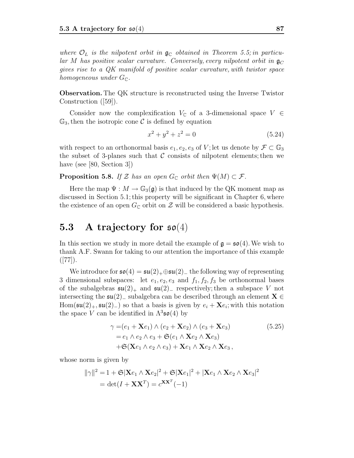where  $\mathcal{O}_L$  is the nilpotent orbit in  $\mathfrak{g}_\mathbb{C}$  obtained in Theorem 5.5; in particular M has positive scalar curvature. Conversely, every nilpotent orbit in  $\mathfrak{g}_{\mathbb{C}}$ gives rise to a QK manifold of positive scalar curvature, with twistor space homogeneous under  $G_{\mathbb{C}}$ .

**Observation.** The QK structure is reconstructed using the Inverse Twistor Construction ([59]).

Consider now the complexification  $V_{\mathbb{C}}$  of a 3-dimensional space  $V \in$  $\mathbb{G}_3$ , then the isotropic cone C is defined by equation

$$
x^2 + y^2 + z^2 = 0 \tag{5.24}
$$

with respect to an orthonormal basis  $e_1, e_2, e_3$  of V; let us denote by  $\mathcal{F} \subset \mathbb{G}_3$ the subset of 3-planes such that  $\mathcal C$  consists of nilpotent elements; then we have (see [80, Section 3])

**Proposition 5.8.** If Z has an open  $G_{\mathbb{C}}$  orbit then  $\Psi(M) \subset \mathcal{F}$ .

Here the map  $\Psi : M \to \mathbb{G}_3(\mathfrak{g})$  is that induced by the QK moment map as discussed in Section 5.1; this property will be significant in Chapter 6, where the existence of an open  $G_{\mathbb{C}}$  orbit on  $\mathcal Z$  will be considered a basic hypothesis.

### **5.3 A trajectory for** so(4)

In this section we study in more detail the example of  $g = \mathfrak{so}(4)$ . We wish to thank A.F. Swann for taking to our attention the importance of this example  $([77]).$ 

We introduce for  $\mathfrak{so}(4) = \mathfrak{su}(2)_+ \oplus \mathfrak{su}(2)_-$  the following way of representing 3 dimensional subspaces: let  $e_1, e_2, e_3$  and  $f_1, f_2, f_3$  be orthonormal bases of the subalgebras  $\mathfrak{su}(2)_+$  and  $\mathfrak{su}(2)_-$  respectively; then a subspace V not intersecting the su(2)<sup>−</sup> subalgebra can be described through an element **<sup>X</sup>** <sup>∈</sup> Hom( $\mathfrak{su}(2)_+$ ,  $\mathfrak{su}(2)_-$ ) so that a basis is given by  $e_i + \mathbf{X}e_i$ ; with this notation the space V can be identified in  $\Lambda^3$ **so**(4) by

$$
\gamma = (e_1 + \mathbf{X}e_1) \wedge (e_2 + \mathbf{X}e_2) \wedge (e_3 + \mathbf{X}e_3)
$$
  
\n
$$
= e_1 \wedge e_2 \wedge e_3 + \mathfrak{S}(e_1 \wedge \mathbf{X}e_2 \wedge \mathbf{X}e_3)
$$
  
\n
$$
+ \mathfrak{S}(\mathbf{X}e_1 \wedge e_2 \wedge e_3) + \mathbf{X}e_1 \wedge \mathbf{X}e_2 \wedge \mathbf{X}e_3,
$$
  
\n(5.25)

whose norm is given by

$$
\|\gamma\|^2 = 1 + \mathfrak{S}|\mathbf{X}e_1 \wedge \mathbf{X}e_2|^2 + \mathfrak{S}|\mathbf{X}e_1|^2 + |\mathbf{X}e_1 \wedge \mathbf{X}e_2 \wedge \mathbf{X}e_3|^2
$$
  
= det $(I + \mathbf{X}\mathbf{X}^T) = c^{\mathbf{X}\mathbf{X}^T}(-1)$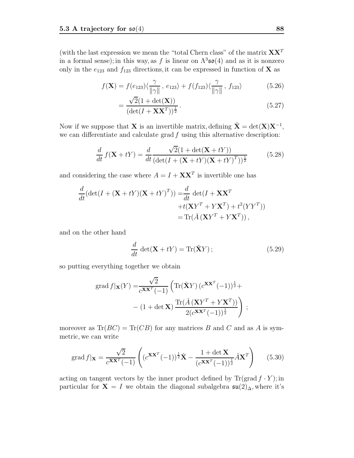(with the last expression we mean the "total Chern class" of the matrix  $\mathbf{X}\mathbf{X}^T$ in a formal sense); in this way, as f is linear on  $\Lambda^3$ **so**(4) and as it is nonzero only in the  $e_{123}$  and  $f_{123}$  directions, it can be expressed in function of **X** as

$$
f(\mathbf{X}) = f(e_{123})\langle \frac{\gamma}{\|\gamma\|}, e_{123}\rangle + f(f_{123})\langle \frac{\gamma}{\|\gamma\|}, f_{123}\rangle \tag{5.26}
$$

$$
=\frac{\sqrt{2}(1+\det(\mathbf{X}))}{(\det(I+\mathbf{X}\mathbf{X}^T))^{\frac{1}{2}}}.
$$
\n(5.27)

Now if we suppose that **X** is an invertible matrix, defining  $\check{\mathbf{X}} = \det(\mathbf{X})\mathbf{X}^{-1}$ , we can differentiate and calculate grad  $f$  using this alternative description:

$$
\frac{d}{dt} f(\mathbf{X} + tY) = \frac{d}{dt} \frac{\sqrt{2}(1 + \det(\mathbf{X} + tY))}{(\det(I + (\mathbf{X} + tY)(\mathbf{X} + tY)^T))^{\frac{1}{2}}}
$$
(5.28)

and considering the case where  $A = I + \mathbf{X}\mathbf{X}^T$  is invertible one has

$$
\frac{d}{dt}(\det(I + (\mathbf{X} + tY)(\mathbf{X} + tY)^T)) = \frac{d}{dt}\det(I + \mathbf{X}\mathbf{X}^T + t(\mathbf{X}Y^T + Y\mathbf{X}^T) + t^2(YY^T))
$$
\n
$$
= \text{Tr}(\check{A}(\mathbf{X}Y^T + Y\mathbf{X}^T)),
$$

and on the other hand

$$
\frac{d}{dt}\,\det(\mathbf{X} + tY) = \text{Tr}(\tilde{\mathbf{X}}Y) \, ; \tag{5.29}
$$

so putting everything together we obtain

$$
\operatorname{grad} f|\mathbf{x}(Y) = \frac{\sqrt{2}}{c^{\mathbf{XX}^T}(-1)} \left( \operatorname{Tr}(\check{\mathbf{X}}Y) \left( c^{\mathbf{XX}^T}(-1) \right)^{\frac{1}{2}} + \right.
$$

$$
- \left( 1 + \det \mathbf{X} \right) \frac{\operatorname{Tr}(\check{A} \left( \mathbf{X} Y^T + Y \mathbf{X}^T \right))}{2(c^{\mathbf{XX}^T}(-1))^{\frac{1}{2}}}
$$
;

moreover as  $\text{Tr}(BC) = \text{Tr}(CB)$  for any matrices B and C and as A is symmetric, we can write

$$
\operatorname{grad} f|_{\mathbf{X}} = \frac{\sqrt{2}}{c^{\mathbf{XX}^T}(-1)} \left( (c^{\mathbf{XX}^T}(-1))^{\frac{1}{2}} \check{\mathbf{X}} - \frac{1 + \det \mathbf{X}}{(c^{\mathbf{XX}^T}(-1))^{\frac{1}{2}}} \check{A} \mathbf{X}^T \right) \tag{5.30}
$$

acting on tangent vectors by the inner product defined by  $\text{Tr}(\text{grad } f \cdot Y)$ ; in particular for **X** = I we obtain the diagonal subalgebra  $\mathfrak{su}(2)_{\Delta}$ , where it's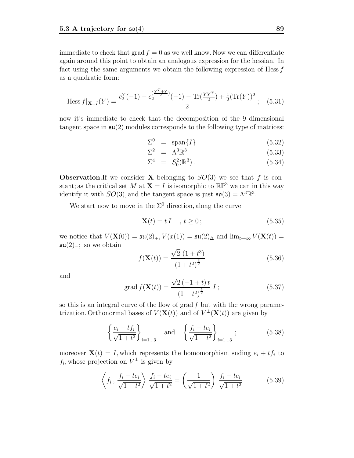immediate to check that grad  $f = 0$  as we well know. Now we can differentiate again around this point to obtain an analogous expression for the hessian. In fact using the same arguments we obtain the following expression of Hess  $f$ as a quadratic form:

Hess 
$$
f|_{\mathbf{X}=I}(Y) = \frac{c_2^Y(-1) - c_2^{\left(\frac{Y^T + Y}{2}\right)}(-1) - \text{Tr}\left(\frac{YY^T}{2}\right) + \frac{1}{2}(\text{Tr}(Y))^2}{2}
$$
; (5.31)

now it's immediate to check that the decomposition of the 9 dimensional tangent space in  $\mathfrak{su}(2)$  modules corresponds to the following type of matrices:

$$
\Sigma^0 = \text{span}\{I\} \tag{5.32}
$$

$$
\Sigma^2 = \Lambda^3 \mathbb{R}^3 \tag{5.33}
$$

$$
\Sigma^4 = S_0^2(\mathbb{R}^3). \tag{5.34}
$$

**Observation. If** we consider **X** belonging to  $SO(3)$  we see that f is constant; as the critical set M at  $X = I$  is isomorphic to  $\mathbb{RP}^3$  we can in this way identify it with  $SO(3)$ , and the tangent space is just  $\mathfrak{so}(3) = \Lambda^3 \mathbb{R}^3$ .

We start now to move in the  $\Sigma^0$  direction, along the curve

$$
\mathbf{X}(t) = t \, I \quad , \, t \ge 0 \, ; \tag{5.35}
$$

we notice that  $V(\mathbf{X}(0)) = \mathfrak{su}(2)_+, V(x(1)) = \mathfrak{su}(2)_{\Delta}$  and  $\lim_{t\to\infty} V(\mathbf{X}(t)) =$  $\mathfrak{su}(2)$ <sub>-</sub>; so we obtain

$$
f(\mathbf{X}(t)) = \frac{\sqrt{2} (1+t^3)}{(1+t^2)^{\frac{3}{2}}}
$$
\n(5.36)

and

grad 
$$
f(\mathbf{X}(t)) = \frac{\sqrt{2}(-1+t)t}{(1+t^2)^{\frac{5}{2}}} I;
$$
 (5.37)

so this is an integral curve of the flow of grad  $f$  but with the wrong parametrization. Orthonormal bases of  $V(X(t))$  and of  $V^{\perp}(X(t))$  are given by

$$
\left\{\frac{e_i + tf_i}{\sqrt{1+t^2}}\right\}_{i=1...3} \quad \text{and} \quad \left\{\frac{f_i - te_i}{\sqrt{1+t^2}}\right\}_{i=1...3};\tag{5.38}
$$

moreover  $\dot{\mathbf{X}}(t) = I$ , which represents the homomorphism snding  $e_i + tf_i$  to  $f_i$ , whose projection on  $V^{\perp}$  is given by

$$
\left\langle f_i, \frac{f_i - te_i}{\sqrt{1 + t^2}} \right\rangle \frac{f_i - te_i}{\sqrt{1 + t^2}} = \left( \frac{1}{\sqrt{1 + t^2}} \right) \frac{f_i - te_i}{\sqrt{1 + t^2}} \tag{5.39}
$$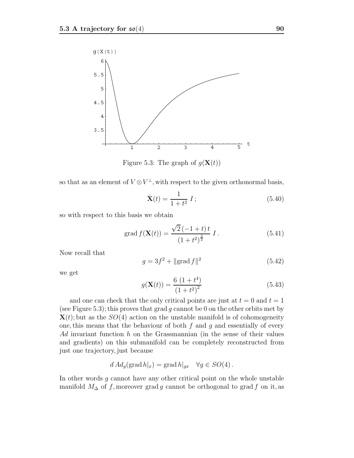

Figure 5.3: The graph of  $q(\mathbf{X}(t))$ 

so that as an element of  $V \otimes V^{\perp}$ , with respect to the given orthonormal basis,

$$
\dot{\mathbf{X}}(t) = \frac{1}{1+t^2} I; \tag{5.40}
$$

so with respect to this basis we obtain

grad 
$$
f(\mathbf{X}(t)) = \frac{\sqrt{2}(-1+t)t}{(1+t^2)^{\frac{3}{2}}} I
$$
. (5.41)

Now recall that

$$
g = 3f^2 + ||\text{grad } f||^2 \tag{5.42}
$$

we get

$$
g(\mathbf{X}(t)) = \frac{6(1+t^4)}{(1+t^2)^2}
$$
\n(5.43)

and one can check that the only critical points are just at  $t = 0$  and  $t = 1$ (see Figure 5.3); this proves that grad g cannot be 0 on the other orbits met by  $\mathbf{X}(t)$ ; but as the  $SO(4)$  action on the unstable manifold is of cohomogeneity one, this means that the behaviour of both  $f$  and  $g$  and essentially of every Ad invariant function h on the Grassmannian (in the sense of their values and gradients) on this submanifold can be completely reconstructed from just one trajectory, just because

$$
d\operatorname{Ad}_g(\operatorname{grad} h|_x) = \operatorname{grad} h|_{gx} \quad \forall g \in SO(4) .
$$

In other words  $g$  cannot have any other critical point on the whole unstable manifold  $M_{\Delta}$  of f, moreover grad g cannot be orthogonal to grad f on it, as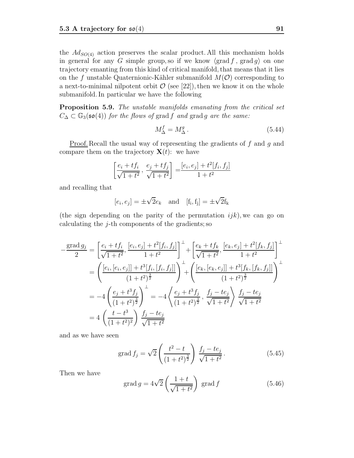the  $Ad_{SO(4)}$  action preserves the scalar product. All this mechanism holds in general for any G simple group, so if we know  $\langle \text{grad } f, \text{grad } g \rangle$  on one trajectory emanting from this kind of critical manifold, that means that it lies on the f unstable Quaternionic-Kähler submanifold  $M(\mathcal{O})$  corresponding to a next-to-minimal nilpotent orbit  $\mathcal{O}$  (see [22]), then we know it on the whole submanifold. In particular we have the following

**Proposition 5.9.** The unstable manifolds emanating from the critical set  $C_{\Delta} \subset \mathbb{G}_3(\mathfrak{so}(4))$  for the flows of grad f and grad g are the same:

$$
M_{\Delta}^f = M_{\Delta}^g. \tag{5.44}
$$

Proof. Recall the usual way of representing the gradients of f and g and compare them on the trajectory  $\mathbf{X}(t)$ : we have

$$
\left[\frac{e_i + tf_i}{\sqrt{1+t^2}}, \frac{e_j + tf_j}{\sqrt{1+t^2}}\right] = \frac{[e_i, e_j] + t^2[f_i, f_j]}{1+t^2}
$$

and recalling that

$$
[e_i, e_j] = \pm \sqrt{2}e_k
$$
 and  $[f_i, f_j] = \pm \sqrt{2}f_k$ 

(the sign depending on the parity of the permutation  $ijk$ ), we can go on calculating the  $j$ -th components of the gradients; so

$$
-\frac{\text{grad } g_j}{2} = \left[\frac{e_i + tf_i}{\sqrt{1+t^2}}, \frac{[e_i, e_j] + t^2[f_i, f_j]}{1+t^2}\right]^\perp + \left[\frac{e_k + tf_k}{\sqrt{1+t^2}}, \frac{[e_k, e_j] + t^2[f_k, f_j]}{1+t^2}\right]^\perp
$$

$$
= \left(\frac{[e_i, [e_i, e_j]] + t^3[f_i, [f_i, f_j]]}{(1+t^2)^{\frac{3}{2}}}\right)^\perp + \left(\frac{[e_k, [e_k, e_j]] + t^3[f_k, [f_k, f_j]]}{(1+t^2)^{\frac{3}{2}}}\right)^\perp
$$

$$
= -4\left(\frac{e_j + t^3f_j}{(1+t^2)^{\frac{3}{2}}}\right)^\perp = -4\left\langle\frac{e_j + t^3f_j}{(1+t^2)^{\frac{3}{2}}}, \frac{f_j - te_j}{\sqrt{1+t^2}}\right\rangle \frac{f_j - te_j}{\sqrt{1+t^2}}
$$

$$
= 4\left(\frac{t - t^3}{(1+t^2)^2}\right) \frac{f_j - te_j}{\sqrt{1+t^2}}
$$

and as we have seen

grad 
$$
f_j = \sqrt{2} \left( \frac{t^2 - t}{(1 + t^2)^{\frac{3}{2}}} \right) \frac{f_j - te_j}{\sqrt{1 + t^2}}
$$
. (5.45)

Then we have

$$
\operatorname{grad} g = 4\sqrt{2} \left( \frac{1+t}{\sqrt{1+t^2}} \right) \operatorname{grad} f \tag{5.46}
$$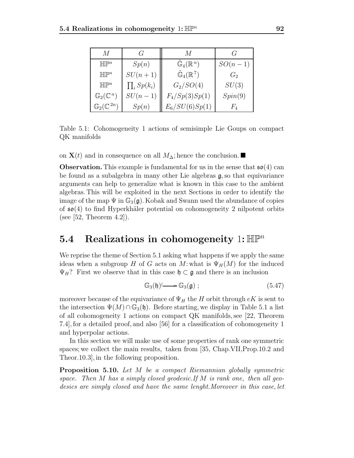| M                               | G                 | M                                    | G         |
|---------------------------------|-------------------|--------------------------------------|-----------|
| HIP <sup>n</sup>                | Sp(n)             | $\mathbb{G}_4(\mathbb{R}^n)$         | $SO(n-1)$ |
| HIP <sup>n</sup>                | $SU(n+1)$         | $\tilde{\mathbb{G}}_4(\mathbb{R}^7)$ | $G_2$     |
| HIP <sup>n</sup>                | $\prod_i Sp(k_i)$ | $G_2/SO(4)$                          | SU(3)     |
| $\mathbb{G}_2(\mathbb{C}^n)$    | $SU(n-1)$         | $F_4/Sp(3)Sp(1)$                     | Spin(9)   |
| $\mathbb{G}_2(\mathbb{C}^{2n})$ | Sp(n)             | $E_6/SU(6)Sp(1)$                     | $F_{4}$   |

Table 5.1: Cohomogeneity 1 actions of semisimple Lie Goups on compact QK manifolds

on  **and in consequence on all**  $M_{\Delta}$ **; hence the conclusion. ■** 

**Observation.** This example is fundamental for us in the sense that  $\mathfrak{so}(4)$  can be found as a subalgebra in many other Lie algebras  $\mathfrak{g}$ , so that equivariance arguments can help to generalize what is known in this case to the ambient algebras. This will be exploited in the next Sections in order to identify the image of the map  $\Psi$  in  $\mathbb{G}_3(\mathfrak{g})$ . Kobak and Swann used the abundance of copies of  $\mathfrak{so}(4)$  to find Hyperkhäler potential on cohomogeneity 2 nilpotent orbits (see [52, Theorem 4.2]).

### **5.4 Realizations in cohomogeneity** 1:  $\mathbb{HP}^n$

We reprise the theme of Section 5.1 asking what happens if we apply the same ideas when a subgroup H of G acts on M: what is  $\Psi_H(M)$  for the induced  $\Psi_H$ ? First we observe that in this case  $\mathfrak{h} \subset \mathfrak{g}$  and there is an inclusion

$$
\mathbb{G}_3(\mathfrak{h}) \longrightarrow \mathbb{G}_3(\mathfrak{g}) ; \qquad (5.47)
$$

moreover because of the equivariance of  $\Psi_H$  the H orbit through  $eK$  is sent to the intersection  $\Psi(M) \cap \mathbb{G}_3(\mathfrak{h})$ . Before starting, we display in Table 5.1 a list of all cohomogeneity 1 actions on compact QK manifolds, see [22, Theorem 7.4], for a detailed proof, and also [56] for a classification of cohomogeneity 1 and hyperpolar actions.

In this section we will make use of some properties of rank one symmetric spaces; we collect the main results, taken from [35, Chap.VII,Prop.10.2 and Theor.10.3], in the following proposition.

**Proposition 5.10.** Let M be a compact Riemannian globally symmetric space. Then M has a simply closed geodesic. If M is rank one, then all geodesics are simply closed and have the same lenght.Moreover in this case, let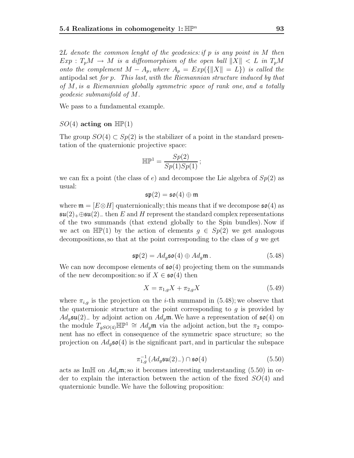2L denote the common lenght of the geodesics: if p is any point in M then  $Exp: T_pM \to M$  is a diffeomorphism of the open ball  $||X|| < L$  in  $T_pM$ onto the complement  $M - A_p$ , where  $A_p = Exp(\{||X|| = L\})$  is called the antipodal set for p. This last, with the Riemannian structure induced by that of M, is a Riemannian globally symmetric space of rank one, and a totally geodesic submanifold of M.

We pass to a fundamental example.

#### $SO(4)$  acting on  $\mathbb{HP}(1)$

The group  $SO(4) \subset Sp(2)$  is the stabilizer of a point in the standard presentation of the quaternionic projective space:

$$
\mathbb{HP}^1 = \frac{Sp(2)}{Sp(1)Sp(1)};
$$

we can fix a point (the class of e) and decompose the Lie algebra of  $Sp(2)$  as usual:

$$
\mathfrak{sp}(2)=\mathfrak{so}(4)\oplus\mathfrak{m}
$$

where  $\mathfrak{m} = [E \otimes H]$  quaternionically; this means that if we decompose  $\mathfrak{so}(4)$  as  $\mathfrak{su}(2)+\oplus \mathfrak{su}(2)_-$  then E and H represent the standard complex representations of the two summands (that extend globally to the Spin bundles). Now if we act on  $\mathbb{HP}(1)$  by the action of elements  $g \in Sp(2)$  we get analogous decompositions, so that at the point corresponding to the class of  $q$  we get

$$
\mathfrak{sp}(2) = Ad_g \mathfrak{so}(4) \oplus Ad_g \mathfrak{m}.
$$
 (5.48)

We can now decompose elements of  $\mathfrak{so}(4)$  projecting them on the summands of the new decomposition: so if  $X \in \mathfrak{so}(4)$  then

$$
X = \pi_{1,g} X + \pi_{2,g} X \tag{5.49}
$$

where  $\pi_{i,g}$  is the projection on the *i*-th summand in (5.48); we observe that the quaternionic structure at the point corresponding to  $g$  is provided by  $Ad<sub>q</sub>$ **su**(2)<sub>−</sub> by adjoint action on  $Ad<sub>q</sub>$ **m**. We have a representation of **so**(4) on the module  $T_{qSO(4)}\mathbb{HP}^1 \cong Ad_q\mathfrak{m}$  via the adjoint action, but the  $\pi_2$  component has no effect in consequence of the symmetric space structure; so the projection on  $Ad<sub>q</sub>$  so(4) is the significant part, and in particular the subspace

$$
\pi_{1,g}^{-1}\left(\mathrm{Ad}_g\mathfrak{su}(2)_-\right) \cap \mathfrak{so}(4) \tag{5.50}
$$

acts as ImH on  $Ad_g$ m; so it becomes interesting understanding (5.50) in or-<br>der to explain the interaction between the action of the fixed  $SO(4)$  and der to explain the interaction between the action of the fixed  $SO(4)$  and quaternionic bundle.We have the following proposition: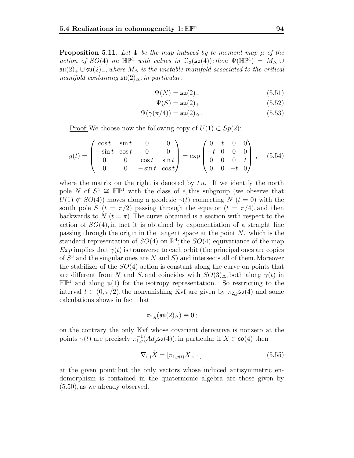**Proposition 5.11.** Let  $\Psi$  be the map induced by te moment map  $\mu$  of the action of SO(4) on  $\mathbb{HP}^1$  with values in  $\mathbb{G}_3(\mathfrak{so}(4))$ ; then  $\Psi(\mathbb{HP}^1) = M_\Delta \cup$  $\mathfrak{su}(2)_+ \cup \mathfrak{su}(2)_-,$  where  $M_{\Delta}$  is the unstable manifold associated to the critical manifold containing  $\mathfrak{su}(2)_{\Delta}$ ; in particular:

$$
\Psi(N) = \mathfrak{su}(2)
$$
\n
$$
\Psi(N) = \mathfrak{su}(2)
$$
\n
$$
\Psi(N) = \mathfrak{su}(2)
$$
\n
$$
\Psi(N) = \mathfrak{su}(2)
$$
\n
$$
\Psi(N) = \mathfrak{su}(2)
$$
\n
$$
\Psi(N) = \mathfrak{su}(2)
$$
\n
$$
\Psi(N) = \mathfrak{su}(2)
$$
\n
$$
\Psi(N) = \mathfrak{su}(2)
$$
\n
$$
\Psi(N) = \mathfrak{su}(2)
$$

$$
\Psi(S) = \mathfrak{su}(2)_+ \tag{5.52}
$$
\n
$$
\Psi(S) = \mathfrak{su}(2)_+ \tag{5.53}
$$

$$
\Psi(\gamma(\pi/4)) = \mathfrak{su}(2)_{\Delta}.
$$
\n(5.53)

Proof: We choose now the following copy of  $U(1) \subset Sp(2)$ :

$$
g(t) = \begin{pmatrix} \cos t & \sin t & 0 & 0 \\ -\sin t & \cos t & 0 & 0 \\ 0 & 0 & \cos t & \sin t \\ 0 & 0 & -\sin t & \cos t \end{pmatrix} = \exp\begin{pmatrix} 0 & t & 0 & 0 \\ -t & 0 & 0 & 0 \\ 0 & 0 & 0 & t \\ 0 & 0 & -t & 0 \end{pmatrix}, \quad (5.54)
$$

where the matrix on the right is denoted by  $t u$ . If we identify the north pole N of  $S^4 \cong \mathbb{HP}^1$  with the class of e, this subgroup (we observe that  $U(1) \not\subset SO(4)$  moves along a geodesic  $\gamma(t)$  connecting N  $(t = 0)$  with the south pole S  $(t = \pi/2)$  passing through the equator  $(t = \pi/4)$ , and then backwards to  $N(t = \pi)$ . The curve obtained is a section with respect to the action of  $SO(4)$ , in fact it is obtained by exponentiation of a straight line passing through the origin in the tangent space at the point  $N$ , which is the standard representation of  $SO(4)$  on  $\mathbb{R}^4$ ; the  $SO(4)$  equivariance of the map Exp implies that  $\gamma(t)$  is transverse to each orbit (the principal ones are copies of  $S<sup>3</sup>$  and the singular ones are N and S) and intersects all of them. Moreover the stabilizer of the  $SO(4)$  action is constant along the curve on points that are different from N and S, and coincides with  $SO(3)_{\Delta}$ , both along  $\gamma(t)$  in  $\mathbb{HP}^1$  and along  $\mathfrak{u}(1)$  for the isotropy representation. So restricting to the interval  $t \in (0, \pi/2)$ , the nonvanishing Kvf are given by  $\pi_{2,g}$ **so**(4) and some calculations shows in fact that

$$
\pi_{2,g}(\mathfrak{su}(2)_{\Delta})\equiv 0\,;
$$

on the contrary the only Kvf whose covariant derivative is nonzero at the points  $\gamma(t)$  are precisely  $\pi_{1,g}^{-1}(Ad_g \mathfrak{so}(4))$ ; in particular if  $X \in \mathfrak{so}(4)$  then

$$
\nabla_{(\cdot)}\tilde{X} = [\pi_{1,g(t)}X, \cdot ] \tag{5.55}
$$

at the given point; but the only vectors whose induced antisymmetric endomorphism is contained in the quaternionic algebra are those given by (5.50), as we already observed.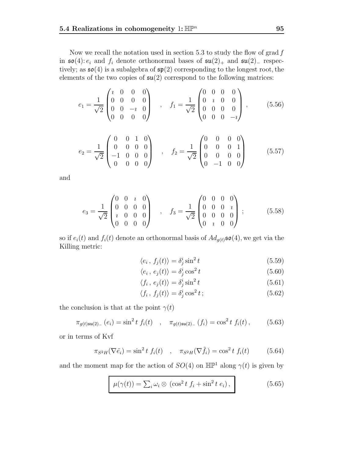Now we recall the notation used in section 5.3 to study the flow of grad  $f$ in  $\mathfrak{so}(4)$ :  $e_i$  and  $f_i$  denote orthonormal bases of  $\mathfrak{su}(2)_+$  and  $\mathfrak{su}(2)_-$  respectively; as  $\mathfrak{so}(4)$  is a subalgebra of  $\mathfrak{sp}(2)$  corresponding to the longest root, the elements of the two copies of  $\mathfrak{su}(2)$  correspond to the following matrices:

$$
e_1 = \frac{1}{\sqrt{2}} \begin{pmatrix} i & 0 & 0 & 0 \\ 0 & 0 & 0 & 0 \\ 0 & 0 & -i & 0 \\ 0 & 0 & 0 & 0 \end{pmatrix} , \quad f_1 = \frac{1}{\sqrt{2}} \begin{pmatrix} 0 & 0 & 0 & 0 \\ 0 & i & 0 & 0 \\ 0 & 0 & 0 & 0 \\ 0 & 0 & 0 & -i \end{pmatrix} , \quad (5.56)
$$

$$
e_2 = \frac{1}{\sqrt{2}} \begin{pmatrix} 0 & 0 & 1 & 0 \\ 0 & 0 & 0 & 0 \\ -1 & 0 & 0 & 0 \\ 0 & 0 & 0 & 0 \end{pmatrix} , \quad f_2 = \frac{1}{\sqrt{2}} \begin{pmatrix} 0 & 0 & 0 & 0 \\ 0 & 0 & 0 & 1 \\ 0 & 0 & 0 & 0 \\ 0 & -1 & 0 & 0 \end{pmatrix}
$$
 (5.57)

and

$$
e_3 = \frac{1}{\sqrt{2}} \begin{pmatrix} 0 & 0 & i & 0 \\ 0 & 0 & 0 & 0 \\ i & 0 & 0 & 0 \\ 0 & 0 & 0 & 0 \end{pmatrix} , \quad f_3 = \frac{1}{\sqrt{2}} \begin{pmatrix} 0 & 0 & 0 & 0 \\ 0 & 0 & 0 & i \\ 0 & 0 & 0 & 0 \\ 0 & i & 0 & 0 \end{pmatrix} ;
$$
 (5.58)

so if  $e_i(t)$  and  $f_i(t)$  denote an orthonormal basis of  $Ad_{g(t)}\mathfrak{so}(4)$ , we get via the Killing metric:

$$
\langle e_i, f_j(t) \rangle = \delta_j^i \sin^2 t \tag{5.59}
$$

$$
\langle e_i, e_j(t) \rangle = \delta_j^i \cos^2 t \tag{5.60}
$$

$$
\langle f_i, e_j(t) \rangle = \delta_j^i \sin^2 t \tag{5.61}
$$

$$
\langle f_i, f_j(t) \rangle = \delta_j^i \cos^2 t \tag{5.62}
$$

the conclusion is that at the point  $\gamma(t)$ 

$$
\pi_{g(t)\mathfrak{su}(2)_-}\left(e_i\right) = \sin^2 t \ f_i(t) \quad , \quad \pi_{g(t)\mathfrak{su}(2)_-}\left(f_i\right) = \cos^2 t \ f_i(t) \,, \tag{5.63}
$$

or in terms of Kvf

$$
\pi_{S^2H}(\nabla \tilde{e}_i) = \sin^2 t f_i(t) \quad , \quad \pi_{S^2H}(\nabla \tilde{f}_i) = \cos^2 t f_i(t) \tag{5.64}
$$

and the moment map for the action of  $SO(4)$  on  $\mathbb{HP}^1$  along  $\gamma(t)$  is given by

$$
\mu(\gamma(t)) = \sum_{i} \omega_i \otimes (\cos^2 t f_i + \sin^2 t e_i), \qquad (5.65)
$$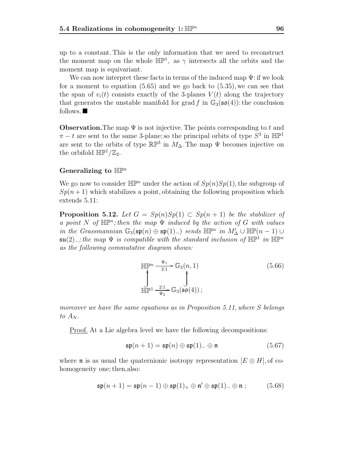up to a constant. This is the only information that we need to reconstruct the moment map on the whole  $\mathbb{HP}^1$ , as  $\gamma$  intersects all the orbits and the moment map is equivariant.

We can now interpret these facts in terms of the induced map  $\Psi$ : if we look for a moment to equation (5.65) and we go back to (5.35), we can see that the span of  $v_i(t)$  consists exactly of the 3-planes  $V(t)$  along the trajectory that generates the unstable manifold for grad f in  $\mathbb{G}_3(\mathfrak{so}(4))$ : the conclusion follows.

**Observation.** The map  $\Psi$  is not injective. The points corresponding to t and  $\pi - t$  are sent to the same 3-plane; so the principal orbits of type  $S^3$  in  $\mathbb{HP}^1$ are sent to the orbits of type  $\mathbb{RP}^3$  in  $M_\Delta$ . The map  $\Psi$  becomes injective on the orbifold  $\mathbb{HP}^1/\mathbb{Z}_2$ .

#### **Generalizing to** HP<sup>n</sup>

We go now to consider  $\mathbb{HP}^n$  under the action of  $Sp(n)Sp(1)$ , the subgroup of  $Sp(n+1)$  which stabilizes a point, obtaining the following proposition which extends 5.11:

**Proposition 5.12.** Let  $G = Sp(n)Sp(1) \subset Sp(n+1)$  be the stabilizer of a point N of  $\mathbb{HP}^n$ ; then the map  $\Psi$  induced by the action of G with values in the Grassmannian  $\mathbb{G}_3(\mathfrak{sp}(n) \oplus \mathfrak{sp}(1)_-)$  sends  $\mathbb{HP}^n$  in  $M'_\Delta \cup \mathbb{HP}(n-1) \cup \mathfrak{sp}(2)$  the man W is compatible with the standard inclusion of  $\mathbb{HP}^1$  in  $\mathbb{HP}^n$  $\mathfrak{su}(2)$ <sub>−</sub>; the map  $\Psi$  is compatible with the standard inclusion of  $\mathbb{HP}^1$  in  $\mathbb{HP}^n$ as the following commutative diagram shows:

$$
\mathbb{HP}^n \xrightarrow[2:1]{\Psi_1} \mathbb{G}_3(n,1)
$$
\n
$$
\int_{\mathbb{HP}^1} \frac{1}{\Psi_2} \mathbb{G}_3(\mathfrak{so}(4));
$$
\n
$$
(5.66)
$$

moreover we have the same equations as in Proposition 5.11, where S belongs to  $A_N$ .

Proof. At a Lie algebra level we have the following decompositions:

$$
\mathfrak{sp}(n+1) = \mathfrak{sp}(n) \oplus \mathfrak{sp}(1)_{-} \oplus \mathfrak{n} \tag{5.67}
$$

where **n** is as usual the quaternionic isotropy representation  $[E \otimes H]$ , of cohomogeneity one; then, also:

$$
\mathfrak{sp}(n+1) = \mathfrak{sp}(n-1) \oplus \mathfrak{sp}(1)_+ \oplus \mathfrak{n}' \oplus \mathfrak{sp}(1)_- \oplus \mathfrak{n} ; \qquad (5.68)
$$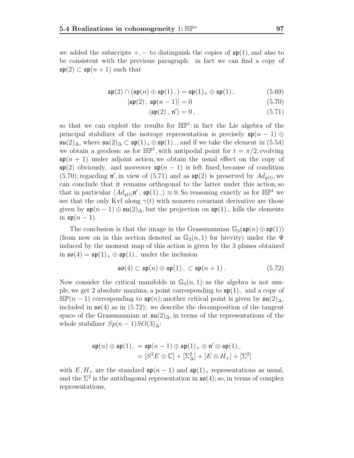we added the subscripts  $+$ ,  $-$  to distinguish the copies of  $\mathfrak{sp}(1)$ , and also to be consistent with the previous paragraph: in fact we can find a copy of  $\mathfrak{sp}(2) \subset \mathfrak{sp}(n+1)$  such that

$$
\mathfrak{sp}(2) \cap (\mathfrak{sp}(n) \oplus \mathfrak{sp}(1)_-) = \mathfrak{sp}(1)_+ \oplus \mathfrak{sp}(1)_-\tag{5.69}
$$

$$
[\mathfrak{sp}(2), \mathfrak{sp}(n-1)] = 0 \tag{5.70}
$$

$$
\langle \mathfrak{sp}(2), \mathfrak{n}' \rangle = 0, \qquad (5.71)
$$

so that we can exploit the results for  $\mathbb{HP}^1$ : in fact the Lie algebra of the principal stabilizer of the isotropy representation is precisely  $\mathfrak{sp}(n-1) \oplus$  $\mathfrak{su}(2)_{\Delta}$ , where  $\mathfrak{su}(2)_{\Delta} \subset \mathfrak{sp}(1)_+ \oplus \mathfrak{sp}(1)_-,$  and if we take the element in (5.54) we obtain a geodesic as for  $\mathbb{HP}^1$ , with antipodal point for  $t = \pi/2$ ; evolving  $\mathfrak{sp}(n+1)$  under adjoint action, we obtain the usual effect on the copy of  $\mathfrak{sp}(2)$  obviously, and moreover  $\mathfrak{sp}(n-1)$  is left fixed, because of condition (5.70); regarding  $\mathfrak{n}'$ , in view of (5.71) and as  $\mathfrak{sp}(2)$  is preserved by  $Ad_{g(t)}$ , we<br>can conclude that it remains orthogonal to the latter under this action so can conclude that it remains orthogonal to the latter under this action, so that in particular  $\langle Ad_{q(t)}\mathfrak{n}', \mathfrak{sp}(1)_-\rangle \equiv 0$ . So reasoning exactly as for  $\mathbb{HP}^1$  we see that the only Kvf along  $\gamma(t)$  with nonzero covariant derivative are those given by  $\mathfrak{sp}(n-1) \oplus \mathfrak{su}(2)_{\Delta}$ , but the projection on  $\mathfrak{sp}(1)_-$  kills the elements in  $\mathfrak{sp}(n-1)$ .

The conclusion is that the image in the Grassmannian  $\mathbb{G}_3(\mathfrak{sp}(n) \oplus \mathfrak{sp}(1))$ (from now on in this section denoted as  $\mathbb{G}_3(n,1)$  for brevity) under the  $\Psi$ induced by the moment map of this action is given by the 3 planes obtained in  $\mathfrak{so}(4) = \mathfrak{sp}(1)_+ \oplus \mathfrak{sp}(1)_-$  under the inclusion

$$
\mathfrak{so}(4)\subset \mathfrak{sp}(n)\oplus \mathfrak{sp}(1)_-\subset \mathfrak{sp}(n+1). \hspace{1cm} (5.72)
$$

Now consider the critical manifolds in  $\mathbb{G}_3(n,1)$ : as the algebra is not simple, we get 2 absolute maxima, a point corresponding to sp(1)<sup>−</sup> and a copy of  $\mathbb{HP}(n-1)$  corresponding to  $\mathfrak{sp}(n)$ ; another critical point is given by  $\mathfrak{su}(2)_{\Delta}$ , included in  $\mathfrak{so}(4)$  as in (5.72); we describe the decomposition of the tangent space of the Grassmannian at  $\mathfrak{su}(2)_{\Delta}$ , in terms of the representations of the whole stabilizer  $Sp(n-1)SO(3)_{\Delta}$ :

$$
\mathfrak{sp}(n) \oplus \mathfrak{sp}(1)_{-} = \mathfrak{sp}(n-1) \oplus \mathfrak{sp}(1)_{+} \oplus \mathfrak{n}' \oplus \mathfrak{sp}(1)_{-}
$$

$$
= [S^{2}E \otimes \mathbb{C}] + [\Sigma_{\Delta}^{2}] + [E \otimes H_{+}] + [\Sigma^{2}]
$$

with  $E, H_+$  are the standard  $\mathfrak{sp}(n-1)$  and  $\mathfrak{sp}(1)_+$  representations as usual, and the  $\Sigma^2$  is the antidiagonal representation in  $\mathfrak{so}(4)$ ; so, in terms of complex representations,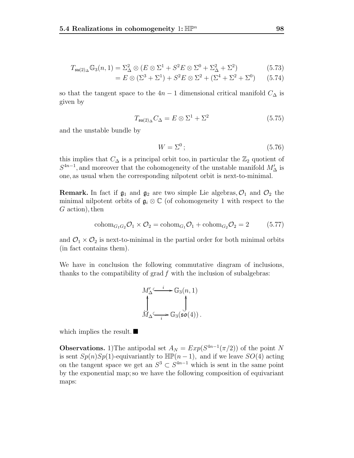$$
T_{\mathfrak{su}(2)_\Delta} \mathbb{G}_3(n,1) = \Sigma_\Delta^2 \otimes (E \otimes \Sigma^1 + S^2 E \otimes \Sigma^0 + \Sigma_\Delta^2 + \Sigma^2) \tag{5.73}
$$

$$
= E \otimes (\Sigma^3 + \Sigma^1) + S^2 E \otimes \Sigma^2 + (\Sigma^4 + \Sigma^2 + \Sigma^0) \qquad (5.74)
$$

so that the tangent space to the  $4n-1$  dimensional critical manifold  $C_{\Delta}$  is given by

$$
T_{\mathfrak{su}(2)_\Delta} C_\Delta = E \otimes \Sigma^1 + \Sigma^2 \tag{5.75}
$$

and the unstable bundle by

$$
W = \Sigma^0; \tag{5.76}
$$

this implies that  $C_{\Delta}$  is a principal orbit too, in particular the  $\mathbb{Z}_2$  quotient of  $S^{4n-1}$ , and moreover that the cohomogeneity of the unstable manifold  $M'_\Delta$  is one, as usual when the corresponding nilpotent orbit is next-to-minimal.

**Remark.** In fact if  $\mathfrak{g}_1$  and  $\mathfrak{g}_2$  are two simple Lie algebras,  $\mathcal{O}_1$  and  $\mathcal{O}_2$  the minimal nilpotent orbits of  $\mathfrak{g}_i \otimes \mathbb{C}$  (of cohomogeneity 1 with respect to the  $G$  action), then

$$
\mathrm{cohom}_{G_1G_2}\mathcal{O}_1 \times \mathcal{O}_2 = \mathrm{cohom}_{G_1}\mathcal{O}_1 + \mathrm{cohom}_{G_2}\mathcal{O}_2 = 2 \tag{5.77}
$$

and  $\mathcal{O}_1 \times \mathcal{O}_2$  is next-to-minimal in the partial order for both minimal orbits (in fact contains them).

We have in conclusion the following commutative diagram of inclusions, thanks to the compatibility of grad  $f$  with the inclusion of subalgebras:

$$
M'_{\Delta} \xrightarrow{i} \mathbb{G}_3(n, 1)
$$
  

$$
\downarrow \qquad \qquad \downarrow
$$
  

$$
M_{\Delta} \xrightarrow{i} \mathbb{G}_3(\mathfrak{so}(4))
$$

which implies the result.  $\blacksquare$ 

**Observations.** 1)The antipodal set  $A_N = Exp(S^{4n-1}(\pi/2))$  of the point N is sent  $Sp(n)Sp(1)$ -equivariantly to  $\mathbb{HP}(n-1)$ , and if we leave  $SO(4)$  acting on the tangent space we get an  $S^3 \subset S^{4n-1}$  which is sent in the same point by the exponential map; so we have the following composition of equivariant maps: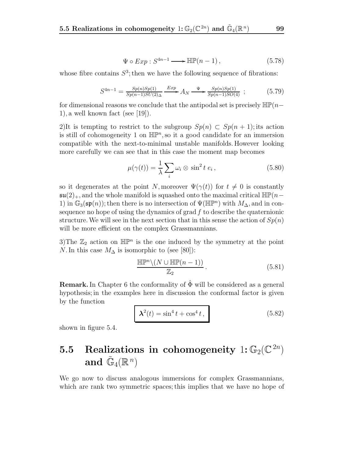$$
\Psi \circ Exp : S^{4n-1} \longrightarrow \mathbb{HP}(n-1), \tag{5.78}
$$

whose fibre contains  $S^3$ ; then we have the following sequence of fibrations:

$$
S^{4n-1} = \frac{Sp(n)Sp(1)}{Sp(n-1)SU(2)_\Delta} \xrightarrow{Exp} A_N \xrightarrow{\Psi} \frac{Sp(n)Sp(1)}{Sp(n-1)SO(4)} \tag{5.79}
$$

for dimensional reasons we conclude that the antipodal set is precisely  $\mathbb{HP}(n-$ 1), a well known fact (see [19]).

2)It is tempting to restrict to the subgroup  $Sp(n) \subset Sp(n+1)$ ; its action is still of cohomogeneity 1 on  $\mathbb{HP}^n$ , so it a good candidate for an immersion compatible with the next-to-minimal unstable manifolds. However looking more carefully we can see that in this case the moment map becomes

$$
\mu(\gamma(t)) = \frac{1}{\lambda} \sum_{i} \omega_i \otimes \sin^2 t \ e_i, \qquad (5.80)
$$

so it degenerates at the point N, moreover  $\Psi(\gamma(t))$  for  $t \neq 0$  is constantly  $\mathfrak{su}(2)_+$ , and the whole manifold is squashed onto the maximal critical  $\mathbb{HP}(n-\mathbb{Z})$ 1) in  $\mathbb{G}_3(\mathfrak{sp}(n))$ ; then there is no intersection of  $\Psi(\mathbb{HP}^n)$  with  $M_{\Delta}$ , and in consequence no hope of using the dynamics of grad  $f$  to describe the quaternionic structure. We will see in the next section that in this sense the action of  $Sp(n)$ will be more efficient on the complex Grassmannians.

3)The  $\mathbb{Z}_2$  action on  $\mathbb{HP}^n$  is the one induced by the symmetry at the point N. In this case  $M_{\Delta}$  is isomorphic to (see [80]):

$$
\frac{\mathbb{HP}^n \setminus (N \cup \mathbb{HP}(n-1))}{\mathbb{Z}_2} \,. \tag{5.81}
$$

**Remark.** In Chapter 6 the conformality of  $\Phi$  will be considered as a general hypothesis; in the examples here in discussion the conformal factor is given by the function

$$
\lambda^2(t) = \sin^4 t + \cos^4 t,\tag{5.82}
$$

shown in figure 5.4.

## **5.5 Realizations in cohomogeneity**  $1: \mathbb{G}_2(\mathbb{C}^{2n})$ and  $\tilde{\mathbb{G}}_4(\mathbb{R}^n)$

We go now to discuss analogous immersions for complex Grassmannians, which are rank two symmetric spaces; this implies that we have no hope of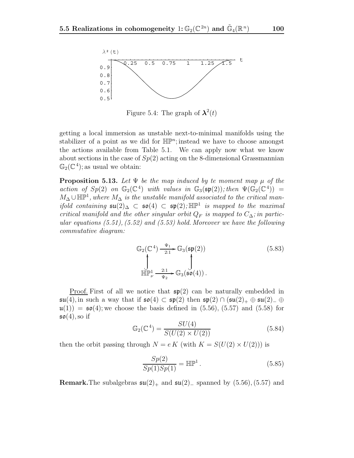

Figure 5.4: The graph of  $\lambda^2(t)$ 

getting a local immersion as unstable next-to-minimal manifolds using the stabilizer of a point as we did for  $\mathbb{HP}^n$ ; instead we have to choose amongst the actions available from Table 5.1. We can apply now what we know about sections in the case of  $Sp(2)$  acting on the 8-dimensional Grassmannian  $\mathbb{G}_2(\mathbb{C}^4)$ ; as usual we obtain:

**Proposition 5.13.** Let  $\Psi$  be the map induced by te moment map  $\mu$  of the action of  $Sp(2)$  on  $\mathbb{G}_2(\mathbb{C}^4)$  with values in  $\mathbb{G}_3(\mathfrak{sp}(2))$ ; then  $\Psi(\mathbb{G}_2(\mathbb{C}^4)) =$  $M_{\Delta} \cup \mathbb{HP}^1$ , where  $M_{\Delta}$  is the unstable manifold associated to the critical man*ifold containing*  $\mathfrak{su}(2)_{\Delta} \subset \mathfrak{so}(4) \subset \mathfrak{sp}(2)$ ; HP<sup>1</sup> is mapped to the maximal critical manifold and the other singular orbit  $Q_F$  is mapped to  $C_{\Delta}$ ; in particular equations  $(5.51)$ ,  $(5.52)$  and  $(5.53)$  hold. Moreover we have the following commutative diagram:

$$
\mathbb{G}_{2}(\mathbb{C}^{4}) \xrightarrow[2:1]{\Psi_{1}} \mathbb{G}_{3}(\mathfrak{sp}(2))
$$
\n
$$
\int_{\mathbb{H}\mathbb{P}_{\nu}^{1}} \xrightarrow[ \Psi_{2}]{2:1} \mathbb{G}_{3}(\mathfrak{so}(4)).
$$
\n
$$
(5.83)
$$

<u>Proof.</u> First of all we notice that  $\mathfrak{sp}(2)$  can be naturally embedded in  $\mathfrak{su}(4)$ , in such a way that if  $\mathfrak{so}(4) \subset \mathfrak{sp}(2)$  then  $\mathfrak{sp}(2) \cap (\mathfrak{su}(2)_+ \oplus \mathfrak{su}(2)_- \oplus$  $\mathfrak{u}(1)$  =  $\mathfrak{so}(4)$ ; we choose the basis defined in (5.56), (5.57) and (5.58) for  $\mathfrak{so}(4)$ , so if

$$
\mathbb{G}_2(\mathbb{C}^4) = \frac{SU(4)}{S(U(2) \times U(2))}
$$
(5.84)

then the orbit passing through  $N = e K$  (with  $K = S(U(2) \times U(2))$ ) is

$$
\frac{Sp(2)}{Sp(1)Sp(1)} = \mathbb{HP}^1.
$$
\n
$$
(5.85)
$$

**Remark.**The subalgebras  $\mathfrak{su}(2)_+$  and  $\mathfrak{su}(2)_-$  spanned by  $(5.56)$ ,  $(5.57)$  and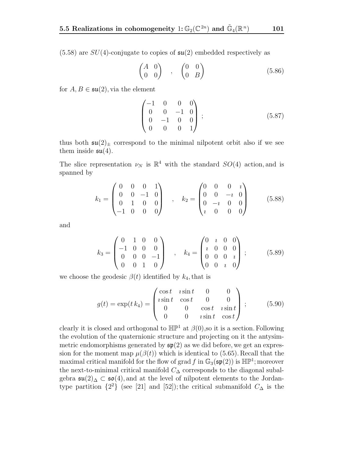$(5.58)$  are  $SU(4)$ -conjugate to copies of  $\mathfrak{su}(2)$  embedded respectively as

$$
\begin{pmatrix}\nA & 0 \\
0 & 0\n\end{pmatrix}\n\quad ,\n\begin{pmatrix}\n0 & 0 \\
0 & B\n\end{pmatrix}\n\tag{5.86}
$$

for  $A, B \in \mathfrak{su}(2)$ , via the element

$$
\begin{pmatrix}\n-1 & 0 & 0 & 0 \\
0 & 0 & -1 & 0 \\
0 & -1 & 0 & 0 \\
0 & 0 & 0 & 1\n\end{pmatrix};
$$
\n(5.87)

thus both  $\mathfrak{su}(2)_\pm$  correspond to the minimal nilpotent orbit also if we see them inside  $\mathfrak{su}(4)$ .

The slice representation  $\nu_N$  is  $\mathbb{R}^4$  with the standard  $SO(4)$  action, and is spanned by

$$
k_1 = \begin{pmatrix} 0 & 0 & 0 & 1 \\ 0 & 0 & -1 & 0 \\ 0 & 1 & 0 & 0 \\ -1 & 0 & 0 & 0 \end{pmatrix} , k_2 = \begin{pmatrix} 0 & 0 & 0 & i \\ 0 & 0 & -i & 0 \\ 0 & -i & 0 & 0 \\ i & 0 & 0 & 0 \end{pmatrix}
$$
 (5.88)

and

$$
k_3 = \begin{pmatrix} 0 & 1 & 0 & 0 \\ -1 & 0 & 0 & 0 \\ 0 & 0 & 0 & -1 \\ 0 & 0 & 1 & 0 \end{pmatrix} , k_4 = \begin{pmatrix} 0 & i & 0 & 0 \\ i & 0 & 0 & 0 \\ 0 & 0 & 0 & i \\ 0 & 0 & i & 0 \end{pmatrix};
$$
 (5.89)

we choose the geodesic  $\beta(t)$  identified by  $k_4$ , that is

$$
g(t) = \exp(t k_4) = \begin{pmatrix} \cos t & i \sin t & 0 & 0 \\ i \sin t & \cos t & 0 & 0 \\ 0 & 0 & \cos t & i \sin t \\ 0 & 0 & i \sin t & \cos t \end{pmatrix};
$$
(5.90)

clearly it is closed and orthogonal to  $\mathbb{HP}^1$  at  $\beta(0)$ , so it is a section. Following the evolution of the quaternionic structure and projecting on it the antysimmetric endomorphisms generated by  $\mathfrak{sp}(2)$  as we did before, we get an expression for the moment map  $\mu(\beta(t))$  which is identical to (5.65). Recall that the maximal critical manifold for the flow of grad f in  $\mathbb{G}_3(\mathfrak{sp}(2))$  is  $\mathbb{HP}^1$ ; moreover the next-to-minimal critical manifold  $C_{\Delta}$  corresponds to the diagonal subalgebra  $\mathfrak{su}(2)$ ∆ ⊂  $\mathfrak{so}(4)$ , and at the level of nilpotent elements to the Jordantype partition  $\{2^2\}$  (see [21] and [52]); the critical submanifold  $C_{\Delta}$  is the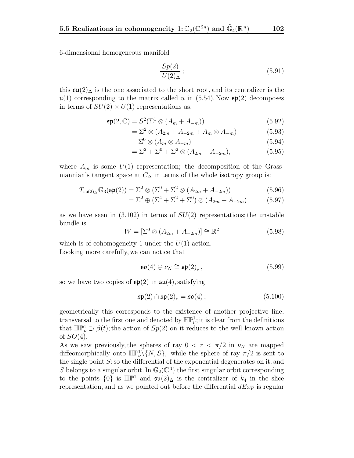6-dimensional homogeneous manifold

$$
\frac{Sp(2)}{U(2)_\Delta};\tag{5.91}
$$

this  $\mathfrak{su}(2)_{\Delta}$  is the one associated to the short root, and its centralizer is the  $\mathfrak{u}(1)$  corresponding to the matrix called u in (5.54). Now  $\mathfrak{sp}(2)$  decomposes in terms of  $SU(2) \times U(1)$  representations as:

$$
\mathfrak{sp}(2,\mathbb{C}) = S^2(\Sigma^1 \otimes (A_m + A_{-m})) \tag{5.92}
$$

$$
=\Sigma^2\otimes\left(A_{2m}+A_{-2m}+A_m\otimes A_{-m}\right)\tag{5.93}
$$

$$
+\Sigma^0 \otimes (A_m \otimes A_{-m})\tag{5.94}
$$

$$
= \Sigma^2 + \Sigma^0 + \Sigma^2 \otimes (A_{2m} + A_{-2m}), \tag{5.95}
$$

where  $A_m$  is some  $U(1)$  representation; the decomposition of the Grassmannian's tangent space at  $C_{\Delta}$  in terms of the whole isotropy group is:

$$
T_{\mathfrak{su}(2)_\Delta} \mathbb{G}_3(\mathfrak{sp}(2)) = \Sigma^2 \otimes (\Sigma^0 + \Sigma^2 \otimes (A_{2m} + A_{-2m}))
$$
(5.96)

$$
= \Sigma^2 \oplus (\Sigma^4 + \Sigma^2 + \Sigma^0) \otimes (A_{2m} + A_{-2m}) \tag{5.97}
$$

as we have seen in  $(3.102)$  in terms of  $SU(2)$  representations; the unstable bundle is

$$
W = \left[\Sigma^0 \otimes (A_{2m} + A_{-2m})\right] \cong \mathbb{R}^2 \tag{5.98}
$$

which is of cohomogeneity 1 under the  $U(1)$  action. Looking more carefully, we can notice that

$$
\mathfrak{so}(4) \oplus \nu_N \cong \mathfrak{sp}(2)_{\nu}, \qquad (5.99)
$$

so we have two copies of  $\mathfrak{sp}(2)$  in  $\mathfrak{su}(4)$ , satisfying

$$
\mathfrak{sp}(2) \cap \mathfrak{sp}(2)_{\nu} = \mathfrak{so}(4) \, ; \tag{5.100}
$$

geometrically this corresponds to the existence of another projective line, transversal to the first one and denoted by  $\mathbb{HP}^1_{\nu}$ ; it is clear from the definitions that  $\mathbb{HP}^1_{\nu} \supset \beta(t)$ ; the action of  $Sp(2)$  on it reduces to the well known action of  $SO(4)$ .

As we saw previously, the spheres of ray  $0 < r < \pi/2$  in  $\nu<sub>N</sub>$  are mapped diffeomorphically onto  $\mathbb{HP}^1_\nu \backslash \{N, S\}$ , while the sphere of ray  $\pi/2$  is sent to the single point  $S$ : so the differential of the exponential degenerates on it, and S belongs to a singular orbit. In  $\mathbb{G}_2(\mathbb{C}^4)$  the first singular orbit corresponding to the points  $\{0\}$  is  $\mathbb{HP}^1$  and  $\mathfrak{su}(2)_{\Delta}$  is the centralizer of  $k_4$  in the slice representation, and as we pointed out before the differential  $dExp$  is regular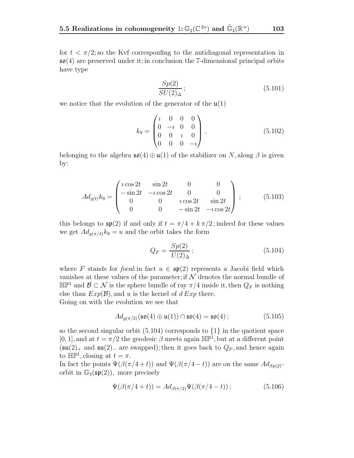for  $t < \pi/2$ ; so the Kvf corresponding to the antidiagonal representation in  $\mathfrak{so}(4)$  are preserved under it; in conclusion the 7-dimensional principal orbits have type

$$
\frac{Sp(2)}{SU(2)_\Delta};\tag{5.101}
$$

we notice that the evolution of the generator of the  $\mathfrak{u}(1)$ 

$$
k_9 = \begin{pmatrix} i & 0 & 0 & 0 \\ 0 & -i & 0 & 0 \\ 0 & 0 & i & 0 \\ 0 & 0 & 0 & -i \end{pmatrix}, \qquad (5.102)
$$

belonging to the algebra  $\mathfrak{so}(4) \oplus \mathfrak{u}(1)$  of the stabilizer on N, along  $\beta$  is given by:

$$
Ad_{g(t)}k_9 = \begin{pmatrix} i\cos 2t & \sin 2t & 0 & 0 \\ -\sin 2t & -i\cos 2t & 0 & 0 \\ 0 & 0 & i\cos 2t & \sin 2t \\ 0 & 0 & -\sin 2t & -i\cos 2t \end{pmatrix};
$$
(5.103)

this belongs to  $\mathfrak{sp}(2)$  if and only if  $t = \pi/4 + k \pi/2$ ; indeed for these values we get  $Ad_{q(\pi/4)}k_9 = u$  and the orbit takes the form

$$
Q_F = \frac{Sp(2)}{U(2)_\Delta};\tag{5.104}
$$

where F stands for focal: in fact  $u \in \mathfrak{sp}(2)$  represents a Jacobi field which vanishes at these values of the parameter; if  $\mathcal N$  denotes the normal bundle of H $\mathbb{P}^1$  and  $\mathcal{B} \subset \mathcal{N}$  is the sphere bundle of ray π/4 inside it, then  $Q_F$  is nothing else than  $Exp(\mathcal{B})$ , and u is the kernel of  $d Exp$  there. Going on with the evolution we see that

$$
Ad_{g(\pi/2)}(\mathfrak{so}(4)\oplus\mathfrak{u}(1))\cap\mathfrak{so}(4)=\mathfrak{so}(4)\,;
$$
 (5.105)

so the second singular orbit  $(5.104)$  corresponds to  $\{1\}$  in the quotient space  $[0, 1]$ , and at  $t = \pi/2$  the geodesic  $\beta$  meets again  $\mathbb{HP}^1$ , but at a different point  $(\mathfrak{su}(2)_+$  and  $\mathfrak{su}(2)_-$  are swapped); then it goes back to  $Q_F$ , and hence again to  $\mathbb{HP}^1$ , closing at  $t = \pi$ .

In fact the points  $\Psi(\beta(\pi/4+t))$  and  $\Psi(\beta(\pi/4-t))$  are on the same  $Ad_{Sp(2)}$ orbit in  $\mathbb{G}_3(\mathfrak{sp}(2))$ , more precisely

$$
\Psi(\beta(\pi/4+t)) = Ad_{\beta(\pi/2)}\Psi(\beta(\pi/4-t)); \tag{5.106}
$$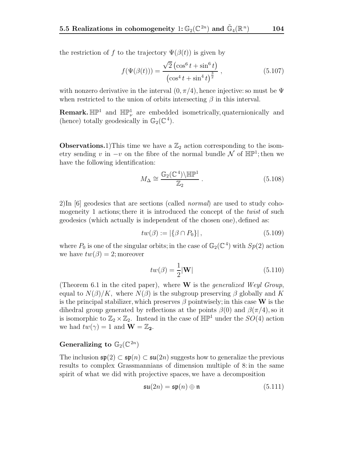the restriction of f to the trajectory  $\Psi(\beta(t))$  is given by

$$
f(\Psi(\beta(t))) = \frac{\sqrt{2} (\cos^6 t + \sin^6 t)}{(\cos^4 t + \sin^4 t)^{\frac{3}{2}}},
$$
\n(5.107)

with nonzero derivative in the interval  $(0, \pi/4)$ , hence injective: so must be  $\Psi$ when restricted to the union of orbits intersecting  $\beta$  in this interval.

**Remark.**  $\mathbb{HP}^1$  and  $\mathbb{HP}^1_\nu$  are embedded isometrically, quaternionically and (hence) totally geodesically in  $\mathbb{G}_2(\mathbb{C}^4)$ .

**Observations.**1)This time we have a  $\mathbb{Z}_2$  action corresponding to the isometry sending v in  $-v$  on the fibre of the normal bundle N of  $\mathbb{HP}^1$ ; then we have the following identification:

$$
M_{\Delta} \cong \frac{\mathbb{G}_2(\mathbb{C}^4) \backslash \mathbb{H}\mathbb{P}^1}{\mathbb{Z}_2} \,. \tag{5.108}
$$

2)In [6] geodesics that are sections (called normal) are used to study cohomogeneity 1 actions; there it is introduced the concept of the *twist* of such geodesics (which actually is independent of the chosen one), defined as:

$$
tw(\beta) := |\{\beta \cap P_0\}|, \tag{5.109}
$$

where  $P_0$  is one of the singular orbits; in the case of  $\mathbb{G}_2(\mathbb{C}^4)$  with  $Sp(2)$  action we have  $tw(\beta) = 2$ ; moreover

$$
tw(\beta) = \frac{1}{2}|\mathbf{W}|
$$
\n(5.110)

(Theorem 6.1 in the cited paper), where **W** is the generalized Weyl Group, equal to  $N(\beta)/K$ , where  $N(\beta)$  is the subgroup preserving  $\beta$  globally and K is the principal stabilizer, which preserves  $\beta$  pointwisely; in this case **W** is the dihedral group generated by reflections at the points  $\beta(0)$  and  $\beta(\pi/4)$ , so it is isomorphic to  $\mathbb{Z}_2 \times \mathbb{Z}_2$ . Instead in the case of  $\mathbb{HP}^1$  under the  $SO(4)$  action we had  $tw(\gamma) = 1$  and  $\mathbf{W} = \mathbb{Z}_2$ .

#### **Generalizing to**  $\mathbb{G}_2(\mathbb{C}^{2n})$

The inclusion  $\mathfrak{sp}(2) \subset \mathfrak{sp}(n) \subset \mathfrak{su}(2n)$  suggests how to generalize the previous results to complex Grassmannians of dimension multiple of 8: in the same spirit of what we did with projective spaces, we have a decomposition

$$
\mathfrak{su}(2n) = \mathfrak{sp}(n) \oplus \mathfrak{n} \tag{5.111}
$$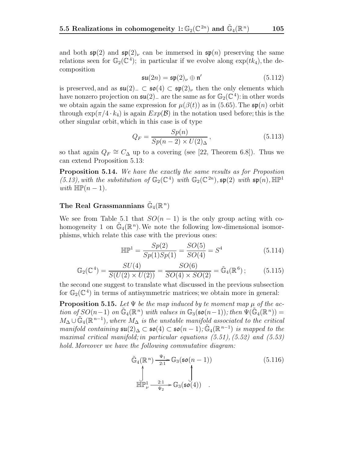and both  $\mathfrak{sp}(2)$  and  $\mathfrak{sp}(2)_{\nu}$  can be immersed in  $\mathfrak{sp}(n)$  preserving the same relations seen for  $\mathbb{G}_2(\mathbb{C}^4)$ ; in particular if we evolve along  $\exp(t k_4)$ , the decomposition

$$
\mathfrak{su}(2n) = \mathfrak{sp}(2)_{\nu} \oplus \mathfrak{n}'
$$
\n
$$
(5.112)
$$

is preserved, and as  $\mathfrak{su}(2)$ <sub>−</sub>  $\subset$   $\mathfrak{so}(4)$   $\subset$   $\mathfrak{sp}(2)$ <sub>ν</sub> then the only elements which<br>have nonzero projection on  $\mathfrak{su}(2)$  are the same as for  $\mathbb{G}_{2}(\mathbb{C}^{4})$  in other words have nonzero projection on  $\mathfrak{su}(2)_-$  are the same as for  $\mathbb{G}_2(\mathbb{C}^4)$ : in other words we obtain again the same expression for  $\mu(\beta(t))$  as in (5.65). The  $\mathfrak{sp}(n)$  orbit through  $\exp(\pi/4 \cdot k_4)$  is again  $Exp(\mathcal{B})$  in the notation used before; this is the other singular orbit, which in this case is of type

$$
Q_F = \frac{Sp(n)}{Sp(n-2) \times U(2)\Delta},\tag{5.113}
$$

so that again  $Q_F \cong C_\Delta$  up to a covering (see [22, Theorem 6.8]). Thus we can extend Proposition 5.13:

**Proposition 5.14.** We have the exactly the same results as for Propostion (5.13), with the substitution of  $\mathbb{G}_2(\mathbb{C}^4)$  with  $\mathbb{G}_2(\mathbb{C}^{2n})$ ,  $\mathfrak{sp}(2)$  with  $\mathfrak{sp}(n)$ ,  $\mathbb{HP}^1$ with  $\mathbb{HP}(n-1)$ .

#### The Real Grassmannians  $\tilde{\mathbb{G}}_4(\mathbb{R}^n)$

We see from Table 5.1 that  $SO(n-1)$  is the only group acting with cohomogeneity 1 on  $\mathbb{G}_4(\mathbb{R}^n)$ . We note the following low-dimensional isomorphisms, which relate this case with the previous ones:

$$
\mathbb{HP}^1 = \frac{Sp(2)}{Sp(1)Sp(1)} = \frac{SO(5)}{SO(4)} = S^4
$$
 (5.114)

$$
\mathbb{G}_2(\mathbb{C}^4) = \frac{SU(4)}{S(U(2) \times U(2))} = \frac{SO(6)}{SO(4) \times SO(2)} = \tilde{\mathbb{G}}_4(\mathbb{R}^6); \tag{5.115}
$$

the second one suggest to translate what discussed in the previous subsection for  $\mathbb{G}_2(\mathbb{C}^4)$  in terms of antisymmetric matrices; we obtain more in general:

**Proposition 5.15.** Let  $\Psi$  be the map induced by te moment map  $\mu$  of the action of  $SO(n-1)$  on  $\mathbb{G}_4(\mathbb{R}^n)$  with values in  $\mathbb{G}_3(\mathfrak{so}(n-1))$ ; then  $\Psi(\mathbb{G}_4(\mathbb{R}^n))$  =  $M_{\Delta} \cup \tilde{\mathbb{G}}_4(\mathbb{R}^{n-1})$ , where  $M_{\Delta}$  is the unstable manifold associated to the critical manifold containing  $\mathfrak{su}(2)_{\Delta} \subset \mathfrak{so}(4) \subset \mathfrak{so}(n-1)$ ;  $\tilde{\mathbb{G}}_4(\mathbb{R}^{n-1})$  is mapped to the maximal critical manifold; in particular equations  $(5.51)$ ,  $(5.52)$  and  $(5.53)$ hold. Moreover we have the following commutative diagram:

$$
\tilde{\mathbb{G}}_4(\mathbb{R}^n) \xrightarrow[2:1]{\Psi_1} \mathbb{G}_3(\mathfrak{so}(n-1))
$$
\n
$$
\bigcup_{\mathbb{H}\mathbb{P}^1_\nu} \bigcup_{\Psi_2}^{2:1} \mathbb{G}_3(\mathfrak{so}(4))
$$
\n
$$
(5.116)
$$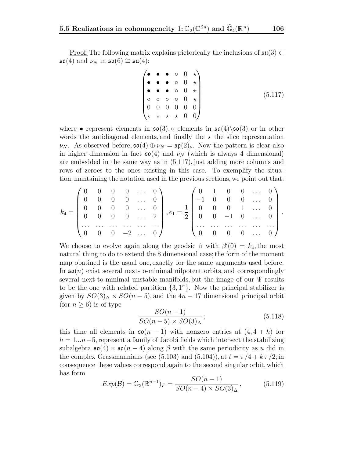Proof. The following matrix explains pictorically the inclusions of  $\mathfrak{su}(3) \subset$  $\mathfrak{so}(4)$  and  $\nu_N$  in  $\mathfrak{so}(6) \cong \mathfrak{su}(4)$ :

$$
\begin{pmatrix}\n\bullet & \bullet & \bullet & \circ & 0 & \star \\
\bullet & \bullet & \bullet & \circ & 0 & \star \\
\bullet & \bullet & \bullet & \circ & 0 & \star \\
\circ & \circ & \circ & \circ & 0 & \star \\
0 & 0 & 0 & 0 & 0 & 0 \\
\star & \star & \star & \star & 0 & 0\n\end{pmatrix}
$$
\n(5.117)

where • represent elements in  $\mathfrak{so}(3)$ ,  $\circ$  elements in  $\mathfrak{so}(4)\setminus \mathfrak{so}(3)$ , or in other words the antidiagonal elements, and finally the  $\star$  the slice representation  $\nu_N$ . As observed before,  $\mathfrak{so}(4) \oplus \nu_N = \mathfrak{sp}(2)_{\nu}$ . Now the pattern is clear also in higher dimension: in fact  $\mathfrak{so}(4)$  and  $\nu_N$  (which is always 4 dimensional) are embedded in the same way as in (5.117), just adding more columns and rows of zeroes to the ones existing in this case. To exemplify the situation, mantaining the notation used in the previous sections, we point out that:

$$
k_4 = \begin{pmatrix} 0 & 0 & 0 & 0 & \dots & 0 \\ 0 & 0 & 0 & 0 & \dots & 0 \\ 0 & 0 & 0 & 0 & \dots & 0 \\ 0 & 0 & 0 & 0 & \dots & 2 \\ \dots & \dots & \dots & \dots & \dots & \dots \\ 0 & 0 & 0 & -2 & \dots & 0 \end{pmatrix}, e_1 = \frac{1}{2} \begin{pmatrix} 0 & 1 & 0 & 0 & \dots & 0 \\ -1 & 0 & 0 & 0 & \dots & 0 \\ 0 & 0 & 0 & 1 & \dots & 0 \\ \dots & \dots & \dots & \dots & \dots & \dots \\ 0 & 0 & 0 & 0 & \dots & 0 \end{pmatrix}.
$$

We choose to evolve again along the geodsic  $\beta$  with  $\beta'(0) = k_4$ , the most natural thing to do to extend the 8 dimensional case; the form of the moment map obatined is the usual one, exactly for the same arguments used before. In  $\mathfrak{so}(n)$  exist several next-to-minimal nilpotent orbits, and correspondingly several next-to-minimal unstable manifolds, but the image of our  $\Psi$  results to be the one with related partition  $\{3, 1<sup>n</sup>\}\.$  Now the principal stabilizer is given by  $SO(3)_{\Delta} \times SO(n-5)$ , and the 4n – 17 dimensional principal orbit (for  $n \geq 6$ ) is of type

$$
\frac{SO(n-1)}{SO(n-5) \times SO(3)_\Delta};\tag{5.118}
$$

this time all elements in  $\mathfrak{so}(n-1)$  with nonzero entries at  $(4, 4+h)$  for  $h = 1...n-5$ , represent a family of Jacobi fields which intersect the stabilizing subalgebra  $\mathfrak{so}(4) \times \mathfrak{so}(n-4)$  along  $\beta$  with the same periodicity as u did in the complex Grassmannians (see (5.103) and (5.104)), at  $t = \pi/4 + k \pi/2$ ; in consequence these values correspond again to the second singular orbit, which has form

$$
Exp(\mathcal{B}) = \mathbb{G}_3(\mathbb{R}^{n-1})_F = \frac{SO(n-1)}{SO(n-4) \times SO(3)_\Delta},\tag{5.119}
$$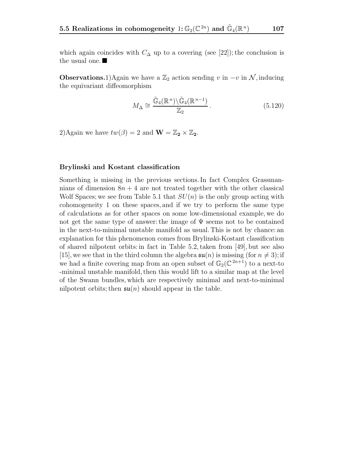which again coincides with  $C_{\Delta}$  up to a covering (see [22]); the conclusion is the usual one.

**Observations.**1)Again we have a  $\mathbb{Z}_2$  action sending v in  $-v$  in N, inducing the equivariant diffeomorphism

$$
M_{\Delta} \cong \frac{\tilde{\mathbb{G}}_4(\mathbb{R}^n) \backslash \tilde{\mathbb{G}}_4(\mathbb{R}^{n-1})}{\mathbb{Z}_2}.
$$
\n(5.120)

2)Again we have  $tw(\beta) = 2$  and  $\mathbf{W} = \mathbb{Z}_2 \times \mathbb{Z}_2$ .

#### **Brylinski and Kostant classification**

Something is missing in the previous sections. In fact Complex Grassmannians of dimension  $8n + 4$  are not treated together with the other classical Wolf Spaces; we see from Table 5.1 that  $SU(n)$  is the only group acting with cohomogeneity 1 on these spaces, and if we try to perform the same type of calculations as for other spaces on some low-dimensional example, we do not get the same type of answer: the image of  $\Psi$  seems not to be contained in the next-to-minimal unstable manifold as usual. This is not by chance: an explanation for this phenomenon comes from Brylinski-Kostant classification of shared nilpotent orbits: in fact in Table 5.2, taken from [49], but see also [15], we see that in the third column the algebra  $\mathfrak{su}(n)$  is missing (for  $n \neq 3$ ); if we had a finite covering map from an open subset of  $\mathbb{G}_2(\mathbb{C}^{2n+1})$  to a next-to -minimal unstable manifold, then this would lift to a similar map at the level of the Swann bundles, which are respectively minimal and next-to-minimal nilpotent orbits; then  $\mathfrak{su}(n)$  should appear in the table.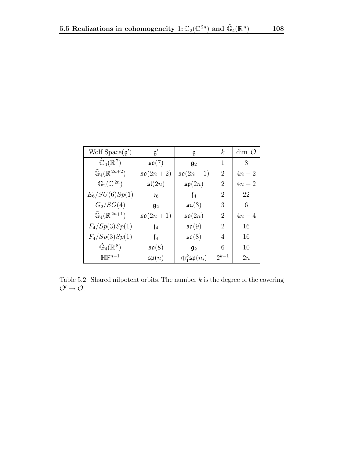| Wolf $Space(g')$                          | $\mathfrak{g}'$       | g                              | $\boldsymbol{k}$ | $\dim\, \mathcal{O}$ |
|-------------------------------------------|-----------------------|--------------------------------|------------------|----------------------|
| $\tilde{\mathbb{G}}_4(\mathbb{R}^7)$      | $\mathfrak{so}(7)$    | $\mathfrak{g}_2$               | 1                | 8                    |
| $\tilde{\mathbb{G}}_4(\mathbb{R}^{2n+2})$ | $\mathfrak{so}(2n+2)$ | $\mathfrak{so}(2n+1)$          | $\overline{2}$   | $4n-2$               |
| $\mathbb{G}_2(\mathbb{C}^{2n})$           | $\mathfrak{sl}(2n)$   | $\mathfrak{sp}(2n)$            | 2                | $4n-2$               |
| $E_6/SU(6)Sp(1)$                          | $\mathfrak{e}_6$      | $\mathfrak{f}_4$               | 2                | 22                   |
| $G_2/SO(4)$                               | $\mathfrak{g}_2$      | $\mathfrak{su}(3)$             | 3                | 6                    |
| $\tilde{\mathbb{G}}_4(\mathbb{R}^{2n+1})$ | $\mathfrak{so}(2n+1)$ | $\mathfrak{so}(2n)$            | $\overline{2}$   | $4n-4$               |
| $F_4/Sp(3)Sp(1)$                          | $\mathfrak{f}_4$      | $\mathfrak{so}(9)$             | 2                | 16                   |
| $F_4/Sp(3)Sp(1)$                          | $\mathfrak{f}_4$      | $\mathfrak{so}(8)$             | 4                | 16                   |
| $\tilde{\mathbb{G}}_4(\mathbb{R}^8)$      | $\mathfrak{so}(8)$    | $\mathfrak{g}_2$               | 6                | 10                   |
| $\mathbb{H}\mathbb{P}^{n-1}$              | $\mathfrak{sp}(n)$    | $\bigoplus_{1}^{k}$ sp $(n_i)$ | $2^{k-1}$        | 2n                   |

Table 5.2: Shared nilpotent orbits. The number  $k$  is the degree of the covering  $\mathcal{O}' \rightarrow \mathcal{O}.$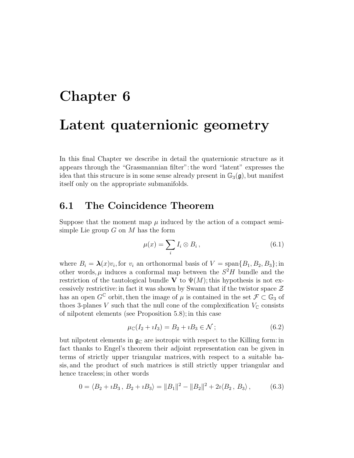# **Chapter 6**

# **Latent quaternionic geometry**

In this final Chapter we describe in detail the quaternionic structure as it appears through the "Grassmannian filter": the word "latent" expresses the idea that this strucure is in some sense already present in  $\mathbb{G}_3(\mathfrak{g})$ , but manifest itself only on the appropriate submanifolds.

## **6.1 The Coincidence Theorem**

Suppose that the moment map  $\mu$  induced by the action of a compact semisimple Lie group  $G$  on  $M$  has the form

$$
\mu(x) = \sum_{i} I_i \otimes B_i, \qquad (6.1)
$$

where  $B_i = \lambda(x)v_i$ , for  $v_i$  an orthonormal basis of  $V = \text{span}\{B_1, B_2, B_3\}$ ; in other words,  $\mu$  induces a conformal map between the  $S^2H$  bundle and the restriction of the tautological bundle **V** to  $\Psi(M)$ ; this hypothesis is not excessively restrictive: in fact it was shown by Swann that if the twistor space  $\mathcal Z$ has an open  $G^{\mathbb{C}}$  orbit, then the image of  $\mu$  is contained in the set  $\mathcal{F} \subset \mathbb{G}_3$  of thoes 3-planes V such that the null cone of the complexification  $V_{\mathbb{C}}$  consists of nilpotent elements (see Proposition 5.8); in this case

$$
\mu_{\mathbb{C}}(I_2 + iI_3) = B_2 + iB_3 \in \mathcal{N};\tag{6.2}
$$

but nilpotent elements in  $\mathfrak{g}_{\mathbb{C}}$  are isotropic with respect to the Killing form: in fact thanks to Engel's theorem their adjoint representation can be given in terms of strictly upper triangular matrices, with respect to a suitable basis, and the product of such matrices is still strictly upper triangular and hence traceless; in other words

$$
0 = \langle B_2 + iB_3, B_2 + iB_3 \rangle = ||B_1||^2 - ||B_2||^2 + 2i \langle B_2, B_3 \rangle, \tag{6.3}
$$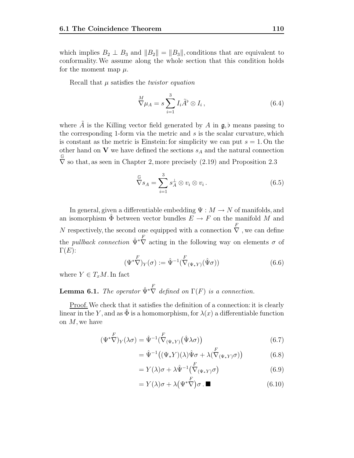which implies  $B_2 \perp B_3$  and  $||B_2|| = ||B_3||$ , conditions that are equivalent to conformality.We assume along the whole section that this condition holds for the moment map  $\mu$ .

Recall that  $\mu$  satisfies the *twistor equation* 

$$
\nabla \mu_A = s \sum_{i=1}^3 I_i \tilde{A}^\flat \otimes I_i , \qquad (6.4)
$$

where  $\tilde{A}$  is the Killing vector field generated by A in  $\mathfrak{g}, \flat$  means passing to the corresponding 1-form via the metric and  $s$  is the scalar curvature, which is constant as the metric is Einstein: for simplicity we can put  $s = 1$ . On the other hand on **V** we have defined the sections  $s_A$  and the natural connection G  $\nabla$  so that, as seen in Chapter 2, more precisely  $(2.19)$  and Proposition 2.3

$$
\mathcal{C}_{s_A} = \sum_{i=1}^{3} s_A^{\perp} \otimes v_i \otimes v_i.
$$
 (6.5)

In general, given a differentiable embedding  $\Psi : M \to N$  of manifolds, and an isomorphism  $\tilde{\Phi}$  between vector bundles  $E \to F$  on the manifold M and N respectively, the second one equipped with a connection  $\stackrel{F}{\nabla}$ , we can define the *pullback connection*  $\hat{\Psi}^* \nabla$  acting in the following way on elements  $\sigma$  of  $\Gamma(E)$ :

$$
(\Psi^*\nabla)_Y(\sigma) := \hat{\Psi}^{-1}(\nabla_{(\Psi^*Y)}(\hat{\Psi}\sigma))
$$
\n(6.6)

where  $Y \in T_xM$ . In fact

**Lemma 6.1.** The operator  $\hat{\Psi}^* \nabla$  defined on  $\Gamma(F)$  is a connection.

Proof.We check that it satisfies the definition of a connection: it is clearly linear in the Y, and as  $\Phi$  is a homomorphism, for  $\lambda(x)$  a differentiable function on  $M$ , we have

$$
(\Psi^* \nabla)_Y (\lambda \sigma) = \hat{\Psi}^{-1} (\stackrel{F}{\nabla}_{(\Psi^* Y)} (\hat{\Psi} \lambda \sigma))
$$
\n(6.7)

$$
= \hat{\Psi}^{-1}((\Psi_* Y)(\lambda)\hat{\Psi}\sigma + \lambda(\stackrel{F}{\nabla}_{(\Psi_* Y)}\sigma))
$$
(6.8)

$$
= Y(\lambda)\sigma + \lambda \hat{\Psi}^{-1} \left( \stackrel{F}{\nabla}_{(\Psi_*Y)} \sigma \right) \tag{6.9}
$$

$$
= Y(\lambda)\sigma + \lambda (\Psi^* \nabla) \sigma \cdot \blacksquare \tag{6.10}
$$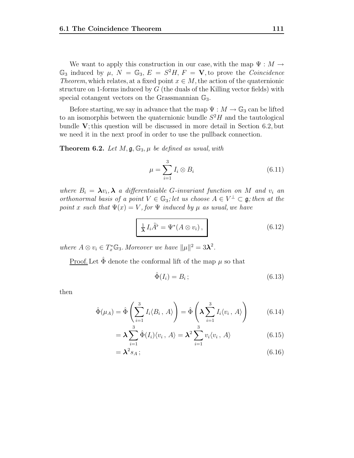We want to apply this construction in our case, with the map  $\Psi : M \to$  $\mathbb{G}_3$  induced by  $\mu$ ,  $N = \mathbb{G}_3$ ,  $E = S^2H$ ,  $F = \mathbf{V}$ , to prove the *Coincidence* Theorem, which relates, at a fixed point  $x \in M$ , the action of the quaternionic structure on 1-forms induced by  $G$  (the duals of the Killing vector fields) with special cotangent vectors on the Grassmannian  $\mathbb{G}_3$ .

Before starting, we say in advance that the map  $\Psi : M \to \mathbb{G}_3$  can be lifted to an isomorphis between the quaternionic bundle  $S<sup>2</sup>H$  and the tautological bundle **V**; this question will be discussed in more detail in Section 6.2, but we need it in the next proof in order to use the pullback connection.

**Theorem 6.2.** Let  $M$ ,  $\mathfrak{g}, \mathbb{G}_3$ ,  $\mu$  be defined as usual, with

$$
\mu = \sum_{i=1}^{3} I_i \otimes B_i \tag{6.11}
$$

where  $B_i = \lambda v_i$ ,  $\lambda$  a differentaiable G-invariant function on M and  $v_i$  and orthonormal basis of a point  $V \in \mathbb{G}_3$ ; let us choose  $A \in V^{\perp} \subset \mathfrak{g}$ ; then at the point x such that  $\Psi(x) = V$ , for  $\Psi$  induced by  $\mu$  as usual, we have

$$
\frac{1}{\lambda} I_i \tilde{A}^\flat = \Psi^*(A \otimes v_i), \qquad (6.12)
$$

where  $A \otimes v_i \in T_x^* \mathbb{G}_3$ . Moreover we have  $||\mu||^2 = 3\lambda^2$ .

<u>Proof.</u> Let  $\ddot{\Phi}$  denote the conformal lift of the map  $\mu$  so that

$$
\hat{\Phi}(I_i) = B_i \tag{6.13}
$$

then

$$
\hat{\Phi}(\mu_A) = \hat{\Phi}\left(\sum_{i=1}^3 I_i \langle B_i, A \rangle\right) = \hat{\Phi}\left(\lambda \sum_{i=1}^3 I_i \langle v_i, A \rangle\right) \tag{6.14}
$$

$$
= \lambda \sum_{i=1}^{3} \hat{\Phi}(I_i) \langle v_i, A \rangle = \lambda^2 \sum_{i=1}^{3} v_i \langle v_i, A \rangle \tag{6.15}
$$

$$
=\lambda^2 s_A\,;\tag{6.16}
$$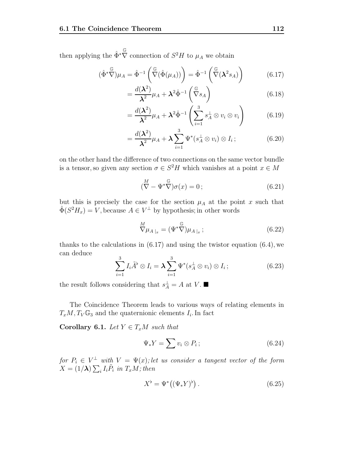then applying the  $\hat{\Phi}^* \overline{\nabla}$  connection of  $S^2 H$  to  $\mu_A$  we obtain

$$
(\hat{\Phi}^*\nabla)\mu_A = \hat{\Phi}^{-1}\left(\nabla(\hat{\Phi}(\mu_A))\right) = \hat{\Phi}^{-1}\left(\nabla(\mathbf{\lambda}^2 s_A)\right) \tag{6.17}
$$

$$
=\frac{d(\lambda^2)}{\lambda^2}\mu_A+\lambda^2\hat{\Phi}^{-1}\begin{pmatrix} \mathbb{G} \\ \nabla s_A \end{pmatrix}
$$
(6.18)

$$
= \frac{d(\boldsymbol{\lambda}^2)}{\boldsymbol{\lambda}^2} \mu_A + \boldsymbol{\lambda}^2 \hat{\Phi}^{-1} \left( \sum_{i=1}^3 s_A^{\perp} \otimes v_i \otimes v_i \right) \tag{6.19}
$$

$$
=\frac{d(\boldsymbol{\lambda}^2)}{\boldsymbol{\lambda}^2}\mu_A+\boldsymbol{\lambda}\sum_{i=1}^3\Psi^*(s_A^\perp\otimes v_i)\otimes I_i\,;\tag{6.20}
$$

on the other hand the difference of two connections on the same vector bundle is a tensor, so given any section  $\sigma \in S^2H$  which vanishes at a point  $x \in M$ 

$$
\left(\stackrel{M}{\nabla} - \Psi^*\stackrel{\mathbb{G}}{\nabla}\right)\sigma(x) = 0\,;\tag{6.21}
$$

but this is precisely the case for the section  $\mu_A$  at the point x such that  $\hat{\Phi}(S^2H_x) = V$ , because  $A \in V^{\perp}$  by hypothesis; in other words

$$
\overset{M}{\nabla}\mu_{A\,|x} = (\Psi^*\overset{\mathbb{G}}{\nabla})\mu_{A\,|x} ; \tag{6.22}
$$

thanks to the calculations in  $(6.17)$  and using the twistor equation  $(6.4)$ , we can deduce

$$
\sum_{i=1}^{3} I_i \tilde{A}^{\flat} \otimes I_i = \lambda \sum_{i=1}^{3} \Psi^*(s_A^{\perp} \otimes v_i) \otimes I_i ; \qquad (6.23)
$$

the result follows considering that  $s_A^{\perp} = A$  at V.

The Coincidence Theorem leads to various ways of relating elements in  $T_xM, T_V\mathbb{G}_3$  and the quaternionic elements  $I_i$ . In fact

**Corollary 6.1.** Let  $Y \in T_xM$  such that

$$
\Psi_* Y = \sum v_i \otimes P_i ; \qquad (6.24)
$$

for  $P_i \in V^{\perp}$  with  $V = \Psi(x)$ ; let us consider a tangent vector of the form  $X = (1/\lambda) \sum_i I_i \tilde{P}_i$  in  $T_xM$ ; then

$$
X^{\flat} = \Psi^*((\Psi_* Y)^{\flat}). \tag{6.25}
$$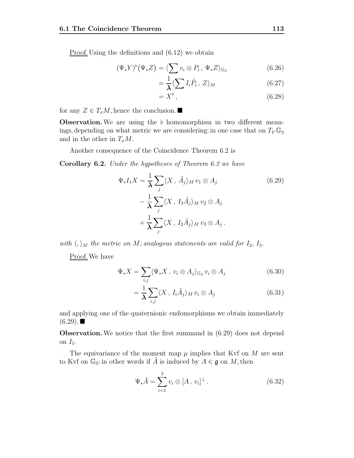Proof. Using the definitions and (6.12) we obtain

$$
(\Psi_* Y)^{\flat} (\Psi_* Z) = \langle \sum_i v_i \otimes P_i, \Psi_* Z \rangle_{\mathbb{G}_3} \tag{6.26}
$$

$$
=\frac{1}{\lambda}\langle\sum I_{i}\tilde{P}_{i},\,Z\rangle_{M}\tag{6.27}
$$

$$
=X^{\flat},\tag{6.28}
$$

for any  $Z \in T_xM$ , hence the conclusion.

**Observation.** We are using the  $\flat$  homomorphism in two different meanings, depending on what metric we are considering: in one case that on  $T_V \mathbb{G}_3$ and in the other in  $T_xM$ .

Another consequence of the Coincidence Theorem 6.2 is

**Corollary 6.2.** Under the hypotheses of Theorem 6.2 we have

$$
\Psi_* I_1 X = \frac{1}{\lambda} \sum_j \langle X, \tilde{A}_j \rangle_M v_1 \otimes A_j
$$
\n
$$
- \frac{1}{\lambda} \sum_j \langle X, I_3 \tilde{A}_j \rangle_M v_2 \otimes A_j
$$
\n
$$
+ \frac{1}{\lambda} \sum_j \langle X, I_2 \tilde{A}_j \rangle_M v_3 \otimes A_j.
$$
\n(6.29)

with  $\langle,\rangle_M$  the metric on M; analogous statements are valid for  $I_2$ ,  $I_3$ .

Proof. We have

$$
\Psi_* X = \sum_{i,j} \langle \Psi_* X, \, v_i \otimes A_j \rangle_{\mathbb{G}_3} \, v_i \otimes A_j \tag{6.30}
$$

$$
=\frac{1}{\lambda}\sum_{i,j}\langle X,\,I_i\tilde{A}_j\rangle_M\,v_i\otimes A_j\qquad \qquad (6.31)
$$

and applying one of the quaternionic endomorphisms we obtain immediately  $(6.29)$ .

**Observation.** We notice that the first summand in  $(6.29)$  does not depend on  $I_1$ .

The equivariance of the moment map  $\mu$  implies that Kvf on M are sent to Kvf on  $\mathbb{G}_3$ : in other words if  $\tilde{A}$  is induced by  $A \in \mathfrak{g}$  on M, then

$$
\Psi_* \tilde{A} = \sum_{i=1}^3 v_i \otimes [A, v_i]^\perp.
$$
 (6.32)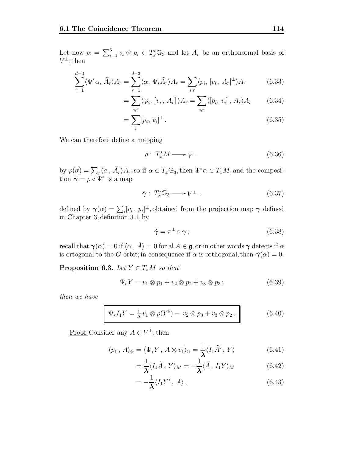Let now  $\alpha = \sum_{i=1}^3 v_i \otimes p_i \in T_x^* \mathbb{G}_3$  and let  $A_r$  be an orthonormal basis of  $V^{\perp}$ ; then

$$
\sum_{r=1}^{d-3} \langle \Psi^* \alpha, \tilde{A}_r \rangle A_r = \sum_{r=1}^{d-3} \langle \alpha, \Psi_* \tilde{A}_r \rangle A_r = \sum_{i,r} \langle p_i, [v_i, A_r]^{\perp} \rangle A_r \tag{6.33}
$$

$$
= \sum_{i,r} \langle p_i, [v_i, A_r] \rangle A_r = \sum_{i,r} \langle [p_i, v_i], A_r \rangle A_r \qquad (6.34)
$$

$$
= \sum_{i} [p_i, v_i]^{\perp} \,. \tag{6.35}
$$

We can therefore define a mapping

$$
\rho: T_x^* M \longrightarrow V^\perp \tag{6.36}
$$

by  $\rho(\sigma) = \sum_r \langle \sigma, \tilde{A}_r \rangle A_r$ ; so if  $\alpha \in T_x \mathbb{G}_3$ , then  $\Psi^* \alpha \in T_xM$ , and the composition  $\gamma = \rho \circ \Psi^*$  is a map

$$
\tilde{\gamma}: T_x^* \mathbb{G}_3 \longrightarrow V^{\perp} . \tag{6.37}
$$

defined by  $\gamma(\alpha) = \sum_i [v_i, p_i]^{\perp}$ , obtained from the projection map  $\gamma$  defined in Chapter 3, definition 3.1, by

$$
\tilde{\boldsymbol{\gamma}} = \boldsymbol{\pi}^{\perp} \circ \boldsymbol{\gamma} ; \tag{6.38}
$$

recall that  $\gamma(\alpha) = 0$  if  $\langle \alpha, \tilde{A} \rangle = 0$  for al  $A \in \mathfrak{g}$ , or in other words  $\gamma$  detects if  $\alpha$ is ortogonal to the *G*-orbit; in consequence if  $\alpha$  is orthogonal, then  $\tilde{\gamma}(\alpha) = 0$ .

**Proposition 6.3.** Let  $Y \in T_xM$  so that

$$
\Psi_* Y = v_1 \otimes p_1 + v_2 \otimes p_2 + v_3 \otimes p_3 ; \qquad (6.39)
$$

then we have

$$
\Psi_* I_1 Y = \frac{1}{\lambda} v_1 \otimes \rho(Y^{\flat}) - v_2 \otimes p_3 + v_3 \otimes p_2.
$$
 (6.40)

<u>Proof.</u> Consider any  $A \in V^{\perp}$ , then

$$
\langle p_1, A \rangle_{\mathbb{G}} = \langle \Psi_* Y, A \otimes v_1 \rangle_{\mathbb{G}} = \frac{1}{\lambda} \langle I_1 \tilde{A}^{\flat}, Y \rangle \tag{6.41}
$$

$$
=\frac{1}{\lambda}\langle I_1\tilde{A}, Y\rangle_M=-\frac{1}{\lambda}\langle \tilde{A}, I_1Y\rangle_M
$$
\n(6.42)

$$
=-\frac{1}{\lambda}\langle I_1Y^{\flat},\,\tilde{A}\rangle\,,\tag{6.43}
$$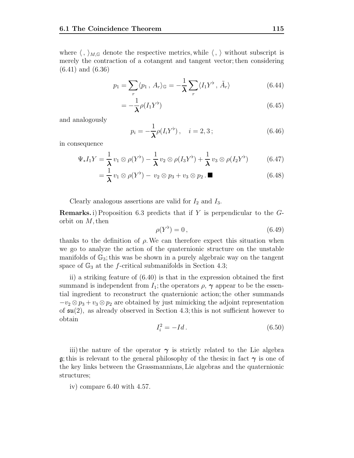where  $\langle , \rangle_{M,\mathbb{G}}$  denote the respective metrics, while  $\langle , \rangle$  without subscript is merely the contraction of a cotangent and tangent vector; then considering (6.41) and (6.36)

$$
p_1 = \sum_r \langle p_1, A_r \rangle_{\mathbb{G}} = -\frac{1}{\lambda} \sum_r \langle I_1 Y^{\flat}, \tilde{A}_r \rangle \tag{6.44}
$$

$$
=-\frac{1}{\lambda}\rho(I_1Y^{\flat})\tag{6.45}
$$

and analogously

$$
p_i = -\frac{1}{\lambda} \rho(I_i Y^{\flat}), \quad i = 2, 3 \, ; \tag{6.46}
$$

in consequence

$$
\Psi_* I_1 Y = \frac{1}{\lambda} v_1 \otimes \rho(Y^{\flat}) - \frac{1}{\lambda} v_2 \otimes \rho(I_3 Y^{\flat}) + \frac{1}{\lambda} v_3 \otimes \rho(I_2 Y^{\flat}) \tag{6.47}
$$

$$
= \frac{1}{\lambda} v_1 \otimes \rho(Y^{\flat}) - v_2 \otimes p_3 + v_3 \otimes p_2 \, . \blacksquare \tag{6.48}
$$

Clearly analogous assertions are valid for  $I_2$  and  $I_3$ .

**Remarks.** i) Proposition 6.3 predicts that if Y is perpendicular to the Gorbit on M, then

$$
\rho(Y^{\flat}) = 0, \qquad (6.49)
$$

thanks to the definition of  $\rho$ . We can therefore expect this situation when we go to analyze the action of the quaternionic structure on the unstable manifolds of  $\mathbb{G}_3$ ; this was be shown in a purely algebraic way on the tangent space of  $\mathbb{G}_3$  at the f-critical submanifolds in Section 4.3;

ii) a striking feature of (6.40) is that in the expression obtained the first summand is independent from  $I_1$ ; the operators  $\rho$ ,  $\gamma$  appear to be the essential ingredient to reconstruct the quaternionic action; the other summands  $-v_2 \otimes p_3 + v_3 \otimes p_2$  are obtained by just mimicking the adjoint representation of  $\mathfrak{su}(2)$ , as already observed in Section 4.3; this is not sufficient however to obtain

$$
I_i^2 = -Id. \tag{6.50}
$$

iii) the nature of the operator  $\gamma$  is strictly related to the Lie algebra g; this is relevant to the general philosophy of the thesis: in fact  $\gamma$  is one of the key links between the Grassmannians, Lie algebras and the quaternionic structures;

iv) compare 6.40 with 4.57.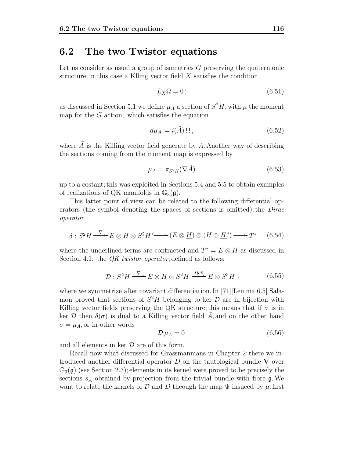### **6.2 The two Twistor equations**

Let us consider as usual a group of isometries G preserving the quaternionic structure; in this case a Klling vector field X satisfies the condition

$$
L_X\Omega = 0 \tag{6.51}
$$

as discussed in Section 5.1 we define  $\mu_A$  a section of  $S^2H$ , with  $\mu$  the moment map for the  $G$  action, which satisfies the equation

$$
d\mu_A = i(\tilde{A})\,\Omega\,,\tag{6.52}
$$

where  $A$  is the Killing vector field generate by  $A$ . Another way of describing the sections coming from the moment map is expressed by

$$
\mu_A = \pi_{S^2 H} (\nabla \tilde{A}) \tag{6.53}
$$

up to a costant; this was exploited in Sections 5.4 and 5.5 to obtain examples of realizations of QK manifolds in  $\mathbb{G}_3(\mathfrak{g})$ .

This latter point of view can be related to the following differential operators (the symbol denoting the spaces of sections is omitted): the Dirac operator

$$
\delta: S^2 H \xrightarrow{\nabla} E \otimes H \otimes S^2 H \xrightarrow{\nabla} (E \otimes \underline{H}) \otimes (H \otimes \underline{H}^*) \longrightarrow T^* \qquad (6.54)
$$

where the underlined terms are contracted and  $T^* = E \otimes H$  as discussed in Section 4.1; the *QK twistor operator*, defined as follows:

$$
\mathcal{D}: S^2 H \xrightarrow{\nabla} E \otimes H \otimes S^2 H \xrightarrow{sym} E \otimes S^3 H , \qquad (6.55)
$$

where we symmetrize after covariant differentiation. In [71] Lemma 6.5] Salamon proved that sections of  $S^2H$  belonging to ker  $\mathcal D$  are in bijection with Killing vector fields preserving the QK structure; this means that if  $\sigma$  is in ker D then  $\delta(\sigma)$  is dual to a Killing vector field A, and on the other hand  $\sigma = \mu_A$ , or in other words

$$
\mathcal{D}\,\mu_A=0\tag{6.56}
$$

and all elements in ker  $\mathcal D$  are of this form.

Recall now what discussed for Grassmannians in Chapter 2: there we introduced another differential operator D on the tautological bundle **V** over  $\mathbb{G}_3(\mathfrak{g})$  (see Section 2.3); elements in its kernel were proved to be precisely the sections  $s_A$  obtained by projection from the trivial bundle with fibre  $\mathfrak{g}$ . We want to relate the kernels of D and D theough the map  $\Psi$  insuced by  $\mu$ : first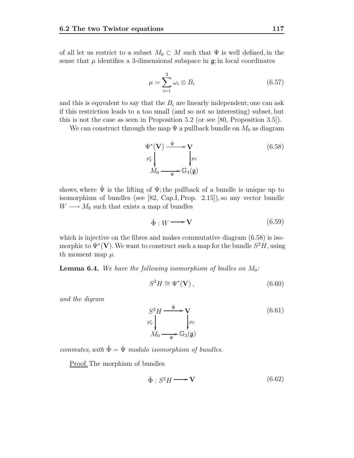of all let us restrict to a subset  $M_0 \subset M$  such that  $\Psi$  is well defined, in the sense that  $\mu$  identifies a 3-dimensional subspace in  $\mathfrak{g}$ ; in local coordinates

$$
\mu = \sum_{i=1}^{3} \omega_i \otimes B_i \tag{6.57}
$$

and this is equvalent to say that the  $B_i$  are linearly independent; one can ask if this restriction leads to a too small (and so not so interesting) subset, but this is not the case as seen in Proposition 5.2 (or see [80, Proposition 3.5]).

We can construct through the map  $\Psi$  a pullback bundle on  $M_0$  as diagram

$$
\Psi^*(\mathbf{V}) \xrightarrow{\hat{\Psi}} \mathbf{V}
$$
\n
$$
p_V^* \downarrow \qquad \qquad \downarrow p_V
$$
\n
$$
M_0 \xrightarrow{\Psi} \mathbb{G}_3(\mathfrak{g})
$$
\n(6.58)

shows, where  $\hat{\Psi}$  is the lifting of  $\Psi$ ; the pullback of a bundle is unique up to isomorphism of bundles (see [82, Cap.I, Prop. 2.15]), so any vector bundle  $W \longrightarrow M_0$  such that exists a map of bundles

$$
\hat{\Phi}: W \longrightarrow \mathbf{V} \tag{6.59}
$$

which is injective on the fibres and makes commutative diagram  $(6.58)$  is isomorphic to  $\Psi^*(V)$ . We want to construct such a map for the bundle  $S^2H$ , using th moment map  $\mu$ .

**Lemma 6.4.** We have the following isomorphism of bndles on  $M_0$ :

$$
S^2 H \cong \Psi^*(\mathbf{V}),\tag{6.60}
$$

and the digram

$$
S^2 H \xrightarrow{\hat{\Phi}} \mathbf{V}
$$
  
\n
$$
p_V^* \downarrow \qquad \qquad p_V
$$
  
\n
$$
M_0 \xrightarrow{\mathbf{V}} \mathbb{G}_3(\mathfrak{g})
$$
\n(6.61)

commutes, with  $\hat{\Phi} = \hat{\Psi}$  modulo isomorphism of bundles.

Proof. The morphism of bundles

$$
\hat{\Phi}: S^2 H \longrightarrow \mathbf{V} \tag{6.62}
$$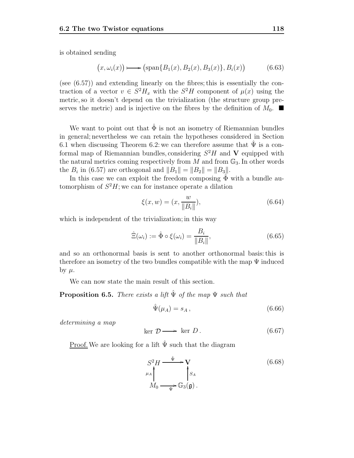is obtained sending

$$
(x,\omega_i(x)) \longrightarrow (\text{span}\{B_1(x), B_2(x), B_3(x)\}, B_i(x))
$$
 (6.63)

(see (6.57)) and extending linearly on the fibres; this is essentially the contraction of a vector  $v \in S^2H_x$  with the  $S^2H$  component of  $\mu(x)$  using the metric, so it doesn't depend on the trivialization (the structure group preserves the metric) and is injective on the fibres by the definition of  $M_0$ .

We want to point out that  $\hat{\Phi}$  is not an isometry of Riemannian bundles in general; nevertheless we can retain the hypotheses considered in Section 6.1 when discussing Theorem 6.2: we can therefore assume that  $\hat{\Psi}$  is a conformal map of Riemannian bundles, considering  $S^2H$  and **V** equipped with the natural metrics coming respectively from  $M$  and from  $\mathbb{G}_3$ . In other words the  $B_i$  in (6.57) are orthogonal and  $||B_1|| = ||B_2|| = ||B_3||$ .

In this case we can exploit the freedom composing  $\Phi$  with a bundle automorphism of  $S^2H$ ; we can for instance operate a dilation

$$
\xi(x, w) = (x, \frac{w}{\|B_i\|}),\tag{6.64}
$$

which is independent of the trivialization; in this way

$$
\hat{\Xi}(\omega_i) := \hat{\Phi} \circ \xi(\omega_i) = \frac{B_i}{\|B_i\|},\tag{6.65}
$$

and so an orthonormal basis is sent to another orthonormal basis: this is therefore an isometry of the two bundles compatible with the map  $\Psi$  induced by  $\mu$ .

We can now state the main result of this section.

**Proposition 6.5.** There exists a lift  $\hat{\Psi}$  of the map  $\Psi$  such that

$$
\hat{\Psi}(\mu_A) = s_A \,,\tag{6.66}
$$

determining a map

$$
\ker \mathcal{D} \longrightarrow \ker D. \tag{6.67}
$$

Proof. We are looking for a lift  $\hat{\Psi}$  such that the diagram

$$
S^{2}H \xrightarrow{\hat{\Psi}} \mathbf{V}
$$
  
\n
$$
M_{0} \xrightarrow{\mathbf{V}} S_{A}
$$
  
\n
$$
M_{0} \xrightarrow{\mathbf{V}} \mathbb{G}_{3}(\mathfrak{g}).
$$
\n(6.68)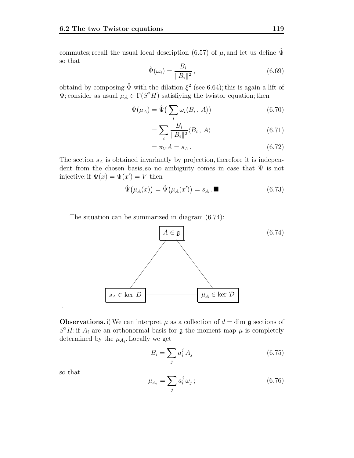commutes; recall the usual local description (6.57) of  $\mu$ , and let us define  $\hat{\Psi}$ so that

$$
\hat{\Psi}(\omega_i) = \frac{B_i}{\|B_i\|^2},\tag{6.69}
$$

obtaind by composing  $\hat{\Phi}$  with the dilation  $\xi^2$  (see 6.64); this is again a lift of  $\Psi$ ; consider as usual  $\mu_A \in \Gamma(S^2H)$  satisfiying the twistor equation; then

$$
\hat{\Psi}(\mu_A) = \hat{\Psi}\left(\sum_i \omega_i \langle B_i, A \rangle\right) \tag{6.70}
$$

$$
=\sum_{i}\frac{B_i}{\|B_i\|^2}\langle B_i, A\rangle\tag{6.71}
$$

$$
=\pi_V A = s_A. \tag{6.72}
$$

The section  $s_A$  is obtained invariantly by projection, therefore it is independent from the chosen basis, so no ambiguity comes in case that  $\Psi$  is not injective: if  $\Psi(x) = \Psi(x') = V$  then

$$
\hat{\Psi}(\mu_A(x)) = \hat{\Psi}(\mu_A(x')) = s_A \cdot \blacksquare \tag{6.73}
$$

The situation can be summarized in diagram (6.74):



**Observations.** i) We can interpret  $\mu$  as a collection of  $d = \dim \mathfrak{g}$  sections of  $S^2H$ : if  $A_i$  are an orthonormal basis for **g** the moment map  $\mu$  is completely determined by the  $\mu_{A_i}$ . Locally we get

$$
B_i = \sum_j a_i^j A_j \tag{6.75}
$$

so that

.

$$
\mu_{A_i} = \sum_j a_i^j \,\omega_j \,;\tag{6.76}
$$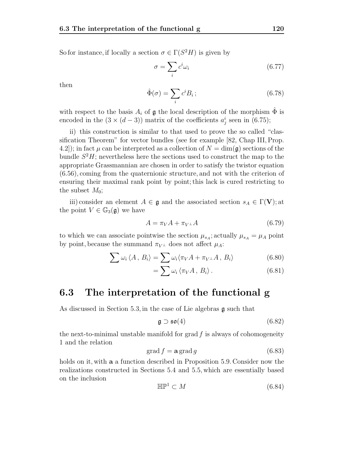So for instance, if locally a section  $\sigma \in \Gamma(S^2H)$  is given by

$$
\sigma = \sum_{i} c^i \omega_i \tag{6.77}
$$

then

$$
\hat{\Phi}(\sigma) = \sum_{i} c^{i} B_{i};\tag{6.78}
$$

with respect to the basis  $A_i$  of g the local description of the morphism  $\Phi$  is encoded in the  $(3 \times (d-3))$  matrix of the coefficients  $a_j^i$  seen in  $(6.75)$ ;

ii) this construction is similar to that used to prove the so called "classification Theorem" for vector bundles (see for example [82, Chap III, Prop. 4.2]); in fact  $\mu$  can be interpreted as a collection of  $N = \dim(\mathfrak{g})$  sections of the bundle  $S^2H$ ; nevertheless here the sections used to construct the map to the appropriate Grassmannian are chosen in order to satisfy the twistor equation (6.56), coming from the quaternionic structure, and not with the criterion of ensuring their maximal rank point by point; this lack is cured restricting to the subset  $M_0$ ;

iii) consider an element  $A \in \mathfrak{g}$  and the associated section  $s_A \in \Gamma(\mathbf{V});$  at the point  $V \in \mathbb{G}_3(\mathfrak{g})$  we have

$$
A = \pi_V A + \pi_V \mathbf{1} A \tag{6.79}
$$

to which we can associate pointwise the section  $\mu_{s_A}$ ; actually  $\mu_{s_A} = \mu_A$  point by point, because the summand  $\pi_{V^{\perp}}$  does not affect  $\mu_A$ :

$$
\sum \omega_i \langle A, B_i \rangle = \sum \omega_i \langle \pi_V A + \pi_{V^\perp} A, B_i \rangle \tag{6.80}
$$

$$
= \sum \omega_i \langle \pi_V A, B_i \rangle. \tag{6.81}
$$

#### **6.3 The interpretation of the functional g**

As discussed in Section 5.3, in the case of Lie algebras g such that

$$
\mathfrak{g} \supset \mathfrak{so}(4) \tag{6.82}
$$

the next-to-minimal unstable manifold for grad  $f$  is always of cohomogeneity 1 and the relation

$$
\operatorname{grad} f = \mathbf{a} \operatorname{grad} g \tag{6.83}
$$

holds on it, with **a** a function described in Proposition 5.9. Consider now the realizations constructed in Sections 5.4 and 5.5, which are essentially based on the inclusion

$$
\mathbb{HP}^1 \subset M \tag{6.84}
$$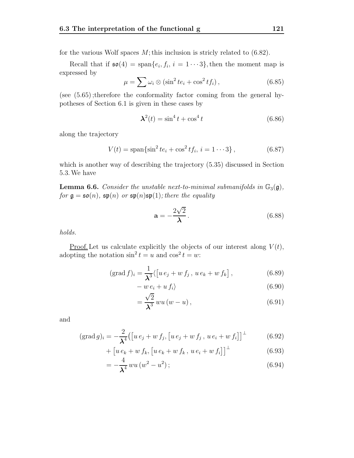for the various Wolf spaces  $M$ ; this inclusion is stricly related to (6.82).

Recall that if  $\mathfrak{so}(4) = \text{span}\{e_i, f_i, i = 1 \cdots 3\}$ , then the moment map is expressed by

$$
\mu = \sum \omega_i \otimes (\sin^2 t e_i + \cos^2 t f_i), \qquad (6.85)
$$

(see (5.65) ;therefore the conformality factor coming from the general hypotheses of Section 6.1 is given in these cases by

$$
\mathbf{\lambda}^2(t) = \sin^4 t + \cos^4 t \tag{6.86}
$$

along the trajectory

$$
V(t) = \text{span}\{\sin^2 t e_i + \cos^2 t f_i, \, i = 1 \cdots 3\},\tag{6.87}
$$

which is another way of describing the trajectory (5.35) discussed in Section 5.3.We have

**Lemma 6.6.** Consider the unstable next-to-minimal submanifolds in  $\mathbb{G}_3(\mathfrak{g})$ , for  $\mathfrak{g} = \mathfrak{so}(n)$ ,  $\mathfrak{sp}(n)$  or  $\mathfrak{sp}(n) \mathfrak{sp}(1)$ ; there the equality

$$
\mathbf{a} = -\frac{2\sqrt{2}}{\lambda}.
$$
 (6.88)

holds.

<u>Proof.</u> Let us calculate explicitly the objects of our interest along  $V(t)$ , adopting the notation  $\sin^2 t = u$  and  $\cos^2 t = w$ :

$$
(\text{grad } f)_i = \frac{1}{\lambda^3} \langle [u e_j + w f_j, u e_k + w f_k], \qquad (6.89)
$$

$$
- w e_i + u f_i \rangle \tag{6.90}
$$

$$
=\frac{\sqrt{2}}{\lambda^{3}}w u\left(w-u\right),\tag{6.91}
$$

and

$$
(\text{grad } g)_i = -\frac{2}{\lambda^4} \big( \big[ u \, e_j + w \, f_j, \big[ u \, e_j + w \, f_j, \, u \, e_i + w \, f_i \big] \big]^{\perp} \tag{6.92}
$$

$$
+\left[u e_k + w f_k, \left[u e_k + w f_k, u e_i + w f_i\right]\right]^{\perp} \tag{6.93}
$$

$$
=-\frac{4}{\lambda^4} w u (w^2 - u^2); \qquad (6.94)
$$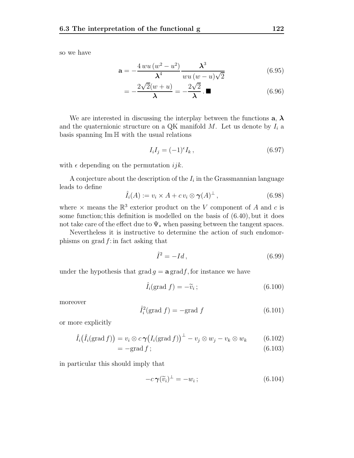so we have

$$
\mathbf{a} = -\frac{4 w u (w^2 - u^2)}{\lambda^4} \frac{\lambda^3}{w u (w - u) \sqrt{2}} \tag{6.95}
$$

$$
= -\frac{2\sqrt{2}(w+u)}{\lambda} = -\frac{2\sqrt{2}}{\lambda}.\blacksquare
$$
 (6.96)

We are interested in discussing the interplay between the functions  $a, \lambda$ and the quaternionic structure on a QK manifold  $M$ . Let us denote by  $I_i$  a basis spanning Im H with the usual relations

$$
I_i I_j = (-1)^{\epsilon} I_k, \qquad (6.97)
$$

with  $\epsilon$  depending on the permutation *ijk*.

A conjecture about the description of the  $I_i$  in the Grassmannian language leads to define

$$
\hat{I}_i(A) := v_i \times A + c v_i \otimes \gamma(A)^\perp, \tag{6.98}
$$

where  $\times$  means the  $\mathbb{R}^3$  exterior product on the V component of A and c is some function; this definition is modelled on the basis of (6.40), but it does not take care of the effect due to  $\Psi_*$  when passing between the tangent spaces.

Nevertheless it is instructive to determine the action of such endomorphisms on grad  $f$ : in fact asking that

$$
\hat{I}^2 = -Id, \qquad (6.99)
$$

under the hypothesis that  $\text{grad } q = \mathbf{a} \text{ grad } f$ , for instance we have

$$
\hat{I}_i(\text{grad } f) = -\tilde{v}_i ; \qquad (6.100)
$$

moreover

$$
\tilde{I}_i^2(\text{grad } f) = -\text{grad } f \tag{6.101}
$$

or more explicitly

$$
\hat{I}_i(\hat{I}_i(\text{grad } f)) = v_i \otimes c \gamma \big(I_i(\text{grad } f)\big)^{\perp} - v_j \otimes w_j - v_k \otimes w_k \qquad (6.102)
$$

 $= -\text{grad } f ;$  (6.103)

in particular this should imply that

$$
-c\,\boldsymbol{\gamma}(\widetilde{v}_i)^{\perp} = -w_i\,;\tag{6.104}
$$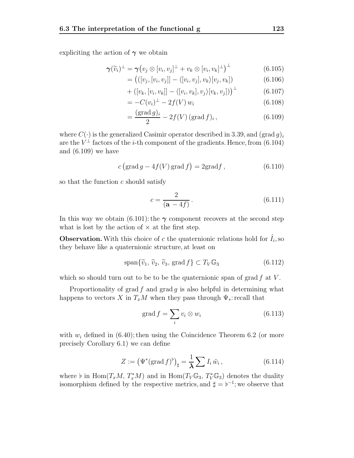expliciting the action of  $\gamma$  we obtain

$$
\boldsymbol{\gamma}(\widetilde{v}_i)^{\perp} = \boldsymbol{\gamma} \big( v_j \otimes [v_i, v_j]^{\perp} + v_k \otimes [v_i, v_k]^{\perp} \big)^{\perp} \tag{6.105}
$$

$$
= \left( ([v_j, [v_i, v_j]] - \langle [v_i, v_j], v_k \rangle [v_j, v_k] \right) \tag{6.106}
$$

$$
+\left([v_k,[v_i,v_k]] - \langle[v_i,v_k],v_j\rangle[v_k,v_j]\right)^{\perp} \tag{6.107}
$$

$$
= -C(v_i)^{\perp} - 2f(V) w_i \tag{6.108}
$$

$$
=\frac{(\text{grad }g)_i}{2} - 2f(V)(\text{grad }f)_i,\tag{6.109}
$$

where  $C(\cdot)$  is the generalized Casimir operator described in 3.39, and  $(\text{grad } g)_i$ are the  $V^{\perp}$  factors of the *i*-th component of the gradients. Hence, from (6.104) and (6.109) we have

$$
c\left(\operatorname{grad} g - 4f(V)\operatorname{grad} f\right) = 2\operatorname{grad} f,\tag{6.110}
$$

so that the function  $c$  should satisfy

$$
c = \frac{2}{(a - 4f)}.
$$
\n(6.111)

In this way we obtain  $(6.101)$ : the  $\gamma$  component recovers at the second step what is lost by the action of  $\times$  at the first step.

**Observation.** With this choice of c the quaternionic relations hold for  $\tilde{I}_i$ , so they behave like a quaternionic structure, at least on

$$
\text{span}\{\tilde{v}_1, \, \tilde{v}_2, \, \tilde{v}_3, \, \text{grad}\,f\} \subset T_V \mathbb{G}_3\tag{6.112}
$$

which so should turn out to be to be the quaternionic span of grad  $f$  at  $V$ .

Proportionality of grad f and grad g is also helpful in determining what happens to vectors X in  $T_xM$  when they pass through  $\Psi_*$ : recall that

$$
\operatorname{grad} f = \sum_{i} v_i \otimes w_i \tag{6.113}
$$

with  $w_i$  defined in (6.40); then using the Coincidence Theorem 6.2 (or more precisely Corollary 6.1) we can define

$$
Z := \left(\Psi^*(\text{grad } f)^{\flat}\right)_{\sharp} = \frac{1}{\lambda} \sum I_i \tilde{w}_i, \qquad (6.114)
$$

where  $\flat$  in  $\text{Hom}(T_xM, T_x^*M)$  and in  $\text{Hom}(T_V\mathbb{G}_3, T_V^*\mathbb{G}_3)$  denotes the duality isomorphism defined by the respective metrics, and  $\sharp = \flat^{-1}$ ; we observe that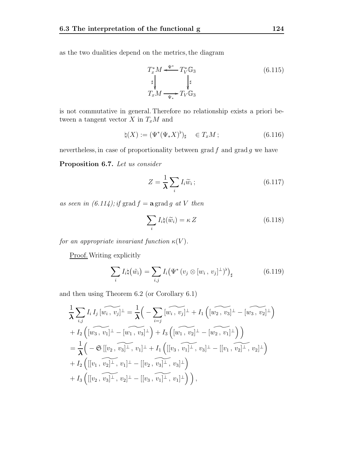as the two dualities depend on the metrics, the diagram

$$
T_x^* M \xleftarrow{\Psi^*} T_V^* \mathbb{G}_3
$$
  
\n
$$
\downarrow^{\sharp}
$$
  
\n
$$
T_x M \xrightarrow{\Psi^*} T_V \mathbb{G}_3
$$
  
\n(6.115)

is not commutative in general. Therefore no relationship exists a priori between a tangent vector  $X$  in  $T_xM$  and

$$
\natural(X) := (\Psi^*(\Psi_* X)^\flat)_\sharp \quad \in T_xM \, ; \tag{6.116}
$$

nevertheless, in case of proportionality between  $\operatorname{grad} f$  and  $\operatorname{grad} g$  we have

**Proposition 6.7.** Let us consider

$$
Z = \frac{1}{\lambda} \sum_{i} I_i \widetilde{w}_i ; \qquad (6.117)
$$

as seen in  $(6.114)$ ; if grad  $f = \mathbf{a}$  grad g at V then

$$
\sum_{i} I_{i} \natural (\widetilde{w}_{i}) = \kappa Z \tag{6.118}
$$

for an appropriate invariant function  $\kappa(V)$ .

Proof. Writing explicitly

$$
\sum_{i} I_{i} \vert \left( \tilde{w}_{i} \right) = \sum_{i,j} I_{i} \left( \Psi^{*} \left( v_{j} \otimes [w_{i}, v_{j}]^{\perp} \right)^{\flat} \right)_{\sharp} \tag{6.119}
$$

and then using Theorem 6.2 (or Corollary 6.1)

$$
\frac{1}{\lambda} \sum_{i,j} I_i I_j [\widetilde{w_i, v_j}]^{\perp} = \frac{1}{\lambda} \Big( - \sum_{i=j} [\widetilde{w_i, v_j}]^{\perp} + I_1 \Big( [\widetilde{w_2, v_3}]^{\perp} - [\widetilde{w_3, v_2}]^{\perp} \Big) \n+ I_2 \Big( [\widetilde{w_3, v_1}]^{\perp} - [\widetilde{w_1, v_3}]^{\perp} \Big) + I_3 \Big( [\widetilde{w_1, v_2}]^{\perp} - [\widetilde{w_2, v_1}]^{\perp} \Big) \Big) \n= \frac{1}{\lambda} \Big( -\mathfrak{S} [[v_2, \widetilde{v_3}]^{\perp}, v_1]^{\perp} + I_1 \Big( [[v_3, \widetilde{v_1}]^{\perp}, v_3]^{\perp} - [[v_1, \widetilde{v_2}]^{\perp}, v_2]^{\perp} \Big) \n+ I_2 \Big( [[v_1, \widetilde{v_2}]^{\perp}, v_1]^{\perp} - [[v_2, \widetilde{v_3}]^{\perp}, v_3]^{\perp} \Big) \n+ I_3 \Big( [[v_2, \widetilde{v_3}]^{\perp}, v_2]^{\perp} - [[v_3, \widetilde{v_1}]^{\perp}, v_1]^{\perp} \Big) \Big),
$$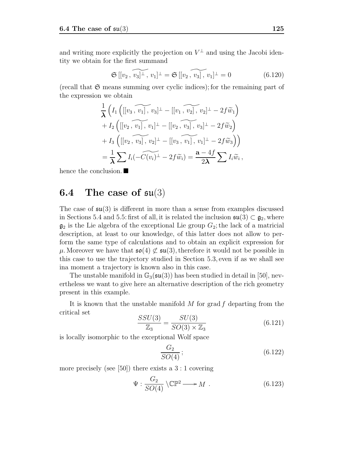and writing more explicitly the projection on  $V^{\perp}$  and using the Jacobi identity we obtain for the first summand

$$
\mathfrak{S}[[v_2, \widetilde{v_3}]^{\perp}, v_1]^{\perp} = \mathfrak{S}[[v_2, \widetilde{v_3}], v_1]^{\perp} = 0 \qquad (6.120)
$$

(recall that  $\mathfrak S$  means summing over cyclic indices); for the remaining part of the expression we obtain

$$
\frac{1}{\lambda}\left(I_1\left(\left[[v_3,\overbrace{v_1}],v_3\right]^\perp - [[v_1,\overbrace{v_2}],v_2]^\perp - 2f\widetilde{w}_1\right) \right.\n+ I_2\left(\left[[v_2,\overbrace{v_1}],v_1\right]^\perp - [[v_2,\overbrace{v_3}],v_3]^\perp - 2f\widetilde{w}_2\right)\n+ I_3\left(\left[[v_2,\overbrace{v_3}],v_2\right]^\perp - [[v_3,\overbrace{v_1}],v_1]^\perp - 2f\widetilde{w}_3\right)\right)\n= \frac{1}{\lambda}\sum I_i(-\widetilde{C(v_i)}^\perp - 2f\widetilde{w}_i) = \frac{\mathbf{a} - 4f}{2\lambda}\sum I_i\widetilde{w}_i,
$$

hence the conclusion.

## **6.4 The case of** su(3)

The case of  $\mathfrak{su}(3)$  is different in more than a sense from examples discussed in Sections 5.4 and 5.5: first of all, it is related the inclusion  $\mathfrak{su}(3) \subset \mathfrak{g}_2$ , where  $\mathfrak{g}_2$  is the Lie algebra of the exceptional Lie group  $G_2$ ; the lack of a matricial description, at least to our knowledge, of this latter does not allow to perform the same type of calculations and to obtain an explicit expression for  $\mu$ . Moreover we have that  $\mathfrak{so}(4) \not\subset \mathfrak{su}(3)$ , therefore it would not be possible in this case to use the trajectory studied in Section 5.3, even if as we shall see ina moment a trajectory is known also in this case.

The unstable manifold in  $\mathbb{G}_3(\mathfrak{su}(3))$  has been studied in detail in [50], nevertheless we want to give here an alternative description of the rich geometry present in this example.

It is known that the unstable manifold  $M$  for grad  $f$  departing from the critical set

$$
\frac{SSU(3)}{\mathbb{Z}_3} = \frac{SU(3)}{SO(3) \times \mathbb{Z}_3} \tag{6.121}
$$

is locally isomorphic to the exceptional Wolf space

$$
\frac{G_2}{SO(4)};
$$
\n<sup>(6.122)</sup>

more precisely (see [50]) there exists a  $3:1$  covering

$$
\Psi: \frac{G_2}{SO(4)} \setminus \mathbb{CP}^2 \longrightarrow M \tag{6.123}
$$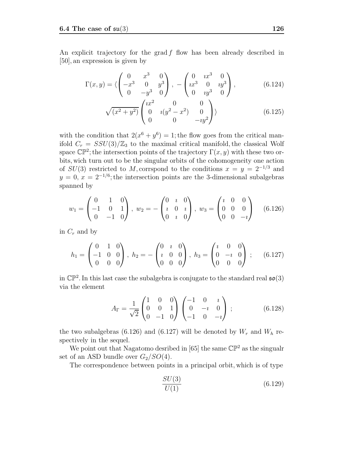An explicit trajectory for the grad  $f$  flow has been already described in [50], an expression is given by

$$
\Gamma(x,y) = \langle \begin{pmatrix} 0 & x^3 & 0 \\ -x^3 & 0 & y^3 \\ 0 & -y^3 & 0 \end{pmatrix}, -\begin{pmatrix} 0 & ix^3 & 0 \\ ix^3 & 0 & iy^3 \\ 0 & iy^3 & 0 \end{pmatrix}, \tag{6.124}
$$

$$
\sqrt{(x^2+y^2)} \begin{pmatrix} ix^2 & 0 & 0\\ 0 & i(y^2-x^2) & 0\\ 0 & 0 & -iy^2 \end{pmatrix}
$$
 (6.125)

with the condition that  $2(x^6 + y^6) = 1$ ; the flow goes from the critical manifold  $C_r = SSU(3)/\mathbb{Z}_3$  to the maximal critical manifold, the classical Wolf space  $\mathbb{CP}^2$ ; the intersection points of the trajectory  $\Gamma(x, y)$  with these two orbits, wich turn out to be the singular orbits of the cohomogeneity one action of  $SU(3)$  restricted to M, corrspond to the conditions  $x = y = 2^{-1/3}$  and  $y = 0, x = 2^{-1/6}$ ; the intersection points are the 3-dimensional subalgebras spanned by

$$
w_1 = \begin{pmatrix} 0 & 1 & 0 \\ -1 & 0 & 1 \\ 0 & -1 & 0 \end{pmatrix}, \ w_2 = -\begin{pmatrix} 0 & i & 0 \\ i & 0 & i \\ 0 & i & 0 \end{pmatrix}, \ w_3 = \begin{pmatrix} i & 0 & 0 \\ 0 & 0 & 0 \\ 0 & 0 & -i \end{pmatrix} \quad (6.126)
$$

in  $C_r$  and by

$$
h_1 = \begin{pmatrix} 0 & 1 & 0 \\ -1 & 0 & 0 \\ 0 & 0 & 0 \end{pmatrix}, h_2 = -\begin{pmatrix} 0 & i & 0 \\ i & 0 & 0 \\ 0 & 0 & 0 \end{pmatrix}, h_3 = \begin{pmatrix} i & 0 & 0 \\ 0 & -i & 0 \\ 0 & 0 & 0 \end{pmatrix}; \quad (6.127)
$$

in  $\mathbb{CP}^2$ . In this last case the subalgebra is conjugate to the standard real  $\mathfrak{so}(3)$ via the element

$$
A_{\Gamma} = \frac{1}{\sqrt{2}} \begin{pmatrix} 1 & 0 & 0 \\ 0 & 0 & 1 \\ 0 & -1 & 0 \end{pmatrix} \begin{pmatrix} -1 & 0 & i \\ 0 & -i & 0 \\ -1 & 0 & -i \end{pmatrix} ; \tag{6.128}
$$

the two subalgebras (6.126) and (6.127) will be denoted by  $W_r$  and  $W_h$  respectively in the sequel.

We point out that Nagatomo desribed in [65] the same  $\mathbb{CP}^2$  as the singualr set of an ASD bundle over  $G_2/SO(4)$ .

The correspondence between points in a principal orbit, which is of type

$$
\frac{SU(3)}{U(1)}\tag{6.129}
$$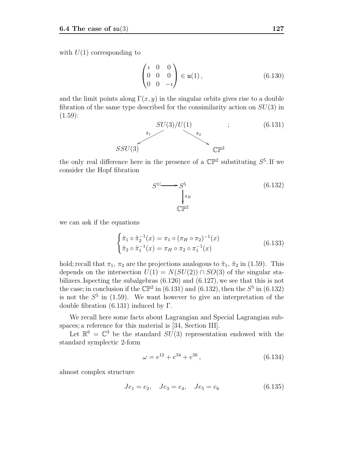with  $U(1)$  corresponding to

$$
\begin{pmatrix} i & 0 & 0 \\ 0 & 0 & 0 \\ 0 & 0 & -i \end{pmatrix} \in \mathfrak{u}(1), \tag{6.130}
$$

and the limit points along  $\Gamma(x, y)$  in the singular orbits gives rise to a double fibration of the same type described for the consimilarity action on  $SU(3)$  in  $(1.59):$ 



the only real difference here in the presence of a  $\mathbb{CP}^2$  substituting  $S^5$ . If we consider the Hopf fibration

$$
S^{1 \longrightarrow S^{5}} \longrightarrow \int_{\pi_{H}}^{\pi_{H}} \mathbb{CP}^{2}
$$
 (6.132)

we can ask if the equations

$$
\begin{cases} \tilde{\pi}_1 \circ \tilde{\pi}_2^{-1}(x) = \pi_1 \circ (\pi_H \circ \pi_2)^{-1}(x) \\ \tilde{\pi}_2 \circ \tilde{\pi}_1^{-1}(x) = \pi_H \circ \pi_2 \circ \pi_1^{-1}(x) \end{cases} \tag{6.133}
$$

hold; recall that  $\pi_1$ ,  $\pi_2$  are the projections analogous to  $\tilde{\pi}_1$ ,  $\tilde{\pi}_2$  in (1.59). This depends on the intersection  $U(1) = N(SU(2)) \cap SO(3)$  of the singular stabilizers. Ispecting the subalgebras (6.126) and (6.127), we see that this is not the case; in conclusion if the  $\mathbb{CP}^2$  in (6.131) and (6.132), then the  $S^5$  in (6.132) is not the  $S^5$  in (1.59). We want however to give an interpretation of the double fibration  $(6.131)$  induced by Γ.

We recall here some facts about Lagrangian and Special Lagrangian subspaces; a reference for this material is [34, Section III].

Let  $\mathbb{R}^6 = \mathbb{C}^3$  be the standard  $SU(3)$  representation endowed with the standard symplectic 2-form

$$
\omega = e^{12} + e^{34} + e^{56},\tag{6.134}
$$

almost complex structure

$$
Je_1 = e_2, \quad Je_3 = e_4, \quad Je_5 = e_6 \tag{6.135}
$$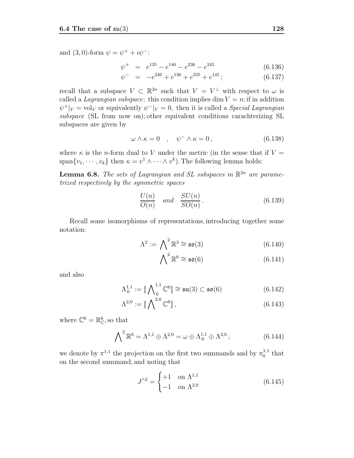and (3, 0)-form  $\psi = \psi^+ + i \psi^-$ :

$$
\psi^+ = e^{135} - e^{146} - e^{236} - e^{245} \tag{6.136}
$$

$$
\psi^- = -e^{246} + e^{136} + e^{235} + e^{145}; \qquad (6.137)
$$

recall that a subspace  $V \subset \mathbb{R}^{2n}$  such that  $V = V^{\perp}$  with respect to  $\omega$  is called a *Lagrangian subspace*; this condition implies dim  $V = n$ ; if in addition  $\psi^+|_V = \text{vol}_V$  or equivalently  $\psi^-|_V = 0$ , then it is called a *Special Lagrangian* subspace (SL from now on); other equivalent conditions carachterizing SL subspaces are given by

$$
\omega \wedge \kappa = 0 \quad , \quad \psi^- \wedge \kappa = 0 \,, \tag{6.138}
$$

where  $\kappa$  is the *n*-form dual to V under the metric (in the sense that if  $V =$ span $\{v_1, \dots, v_k\}$  then  $\kappa = v^1 \wedge \dots \wedge v^k$ ). The following lemma holds:

**Lemma 6.8.** The sets of Lagrangian and SL subspaces in  $\mathbb{R}^{2n}$  are parametrized respectively by the symmetric spaces

$$
\frac{U(n)}{O(n)} \quad and \quad \frac{SU(n)}{SO(n)}.
$$
\n(6.139)

Recall some isomorphisms of representations, introducing together some notation:

$$
\Lambda^2 := \bigwedge^2 \mathbb{R}^3 \cong \mathfrak{so}(3) \tag{6.140}
$$

$$
\bigwedge^2 \mathbb{R}^6 \cong \mathfrak{so}(6) \tag{6.141}
$$

and also

$$
\Lambda_0^{1,1} := \llbracket \bigwedge\nolimits_0^{1,1} \mathbb{C}^6 \rrbracket \cong \mathfrak{su}(3) \subset \mathfrak{so}(6) \tag{6.142}
$$

$$
\Lambda^{2,0} := \llbracket \bigwedge^{2,0} \mathbb{C}^6 \rrbracket \,, \tag{6.143}
$$

where  $\mathbb{C}^6 = \mathbb{R}^6_{\mathbb{C}}$ , so that

$$
\bigwedge\nolimits^{2} \mathbb{R}^{6} = \Lambda^{1,1} \oplus \Lambda^{2,0} = \omega \oplus \Lambda^{1,1}_{0} \oplus \Lambda^{2,0};
$$
\n(6.144)

we denote by  $\pi^{1,1}$  the projection on the first two summands and by  $\pi_0^{1,1}$  that on the second summand, and noting that

$$
J^{\wedge 2} = \begin{cases} +1 & \text{on } \Lambda^{1,1} \\ -1 & \text{on } \Lambda^{2,0} \end{cases}
$$
 (6.145)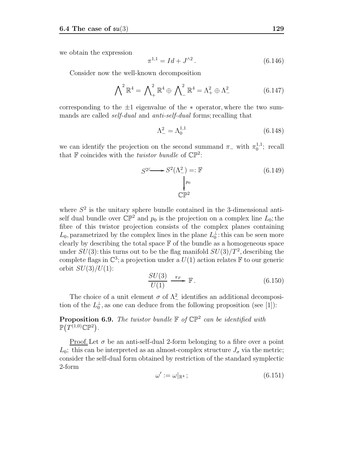we obtain the expression

$$
\pi^{1,1} = Id + J^{\wedge 2} \,. \tag{6.146}
$$

Consider now the well-known decomposition

$$
\bigwedge^2 \mathbb{R}^4 = \bigwedge^2_+ \mathbb{R}^4 \oplus \bigwedge^2_- \mathbb{R}^4 = \Lambda^2_+ \oplus \Lambda^2_- \tag{6.147}
$$

corresponding to the  $\pm 1$  eigenvalue of the  $*$  operator, where the two summands are called *self-dual* and *anti-self-dual* forms; recalling that

$$
\Lambda_{-}^{2} = \Lambda_{0}^{1,1} \tag{6.148}
$$

we can identify the projection on the second summand  $\pi_{-}$  with  $\pi_0^{1,1}$ ; recall that  $\mathbb F$  coincides with the *twistor bundle* of  $\mathbb{CP}^2$ :

$$
S^2 \longrightarrow S^2(\Lambda^2_-) =: \mathbb{F}
$$
\n
$$
\downarrow_{p_0}^{p_0}
$$
\n
$$
\mathbb{CP}^2
$$
\n(6.149)

where  $S<sup>2</sup>$  is the unitary sphere bundle contained in the 3-dimensional antiself dual bundle over  $\mathbb{CP}^2$  and  $p_0$  is the projection on a complex line  $L_0$ ; the fibre of this twistor projection consists of the complex planes containing  $L_0$ , parametrized by the complex lines in the plane  $L_0^{\perp}$ : this can be seen more clearly by describing the total space  $\mathbb F$  of the bundle as a homogeneous space under  $SU(3)$ : this turns out to be the flag manifold  $SU(3)/T^2$ , describing the complete flags in  $\mathbb{C}^3$ ; a projection under a  $U(1)$  action relates F to our generic orbit  $SU(3)/U(1)$ :

$$
\frac{SU(3)}{U(1)} \xrightarrow{\pi_F} \mathbb{F} \,. \tag{6.150}
$$

The choice of a unit element  $\sigma$  of  $\Lambda^2$  identifies an additional decomposition of the  $L_0^{\perp}$ , as one can deduce from the following proposition (see [1]):

**Proposition 6.9.** The twistor bundle  $\mathbb{F}$  of  $\mathbb{CP}^2$  can be identified with  $\mathbb{P}(T^{(1,0)}\mathbb{C}\mathbb{P}^2)$ .

Proof. Let  $\sigma$  be an anti-self-dual 2-form belonging to a fibre over a point  $L_0$ ; this can be interpreted as an almost-complex structure  $J_{\sigma}$  via the metric; consider the self-dual form obtained by restriction of the standard symplectic 2-form

$$
\omega' := \omega|_{\mathbb{R}^4};\tag{6.151}
$$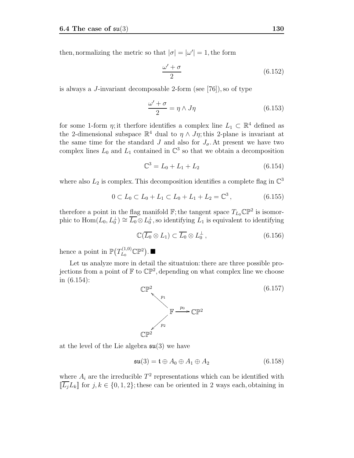then, normalizing the metric so that  $|\sigma| = |\omega'| = 1$ , the form

$$
\frac{\omega' + \sigma}{2} \tag{6.152}
$$

is always a J-invariant decomposable 2-form (see [76]), so of type

$$
\frac{\omega' + \sigma}{2} = \eta \wedge J\eta \tag{6.153}
$$

for some 1-form  $\eta$ ; it therfore identifies a complex line  $L_1 \subset \mathbb{R}^4$  defined as the 2-dimensional subspace  $\mathbb{R}^4$  dual to  $\eta \wedge J\eta$ ; this 2-plane is invariant at the same time for the standard J and also for  $J_{\sigma}$ . At present we have two complex lines  $L_0$  and  $L_1$  contained in  $\mathbb{C}^3$  so that we obtain a decomposition

$$
\mathbb{C}^3 = L_0 + L_1 + L_2 \tag{6.154}
$$

where also  $L_2$  is complex. This decomposition identifies a complete flag in  $\mathbb{C}^3$ 

$$
0 \subset L_0 \subset L_0 + L_1 \subset L_0 + L_1 + L_2 = \mathbb{C}^3, \qquad (6.155)
$$

therefore a point in the flag manifold  $\mathbb{F}$ ; the tangent space  $T_{L_0}\mathbb{CP}^2$  is isomorphic to  $\text{Hom}(L_0, L_0^{\perp}) \cong \overline{L_0} \otimes L_0^{\perp}$ , so identifying  $\overline{L_1}$  is equivalent to identifying

$$
\mathbb{C}(\overline{L_0} \otimes L_1) \subset \overline{L_0} \otimes L_0^{\perp} , \qquad (6.156)
$$

hence a point in  $\mathbb{P}(T_{L_0}^{(1,0)}\mathbb{C}\mathbb{P}^2)$ .

Let us analyze more in detail the situatuion: there are three possible projections from a point of  $\mathbb{F}$  to  $\mathbb{CP}^2$ , depending on what complex line we choose in (6.154):



at the level of the Lie algebra  $\mathfrak{su}(3)$  we have

$$
\mathfrak{su}(3) = \mathfrak{t} \oplus A_0 \oplus A_1 \oplus A_2 \tag{6.158}
$$

where  $A_i$  are the irreducible  $T^2$  representations which can be identified with  $\[\overline{L_i}L_k\]$  for  $j, k \in \{0, 1, 2\}$ ; these can be oriented in 2 ways each, obtaining in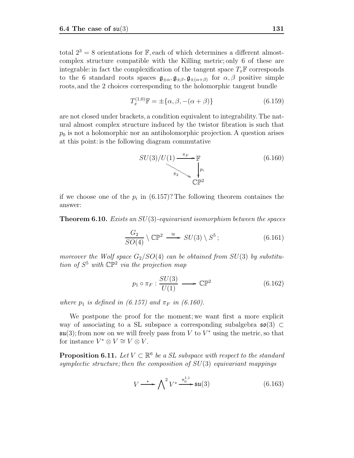total  $2^3 = 8$  orientations for F, each of which determines a different almostcomplex structure compatible with the Killing metric; only 6 of these are integrable: in fact the complexification of the tangent space  $T_x\mathbb{F}$  corresponds to the 6 standard roots spaces  $\mathfrak{g}_{\pm\alpha}, \mathfrak{g}_{\pm\beta}, \mathfrak{g}_{\pm(\alpha+\beta)}$  for  $\alpha, \beta$  positive simple roots, and the 2 choices corresponding to the holomorphic tangent bundle

$$
T_x^{(1,0)} \mathbb{F} = \pm \{ \alpha, \beta, -(\alpha + \beta) \}
$$
 (6.159)

are not closed under brackets, a condition equivalent to integrability. The natural almost complex structure induced by the twistor fibration is such that  $p_0$  is not a holomorphic nor an antiholomorphic projection. A question arises at this point: is the following diagram commutative



if we choose one of the  $p_i$  in (6.157)? The following theorem containes the answer:

**Theorem 6.10.** Exists an  $SU(3)$ -equivariant isomorphism between the spaces

$$
\frac{G_2}{SO(4)} \setminus \mathbb{CP}^2 \stackrel{\cong}{\longrightarrow} SU(3) \setminus S^5; \tag{6.161}
$$

moreover the Wolf space  $G_2/SO(4)$  can be obtained from  $SU(3)$  by substitution of  $S^5$  with  $\mathbb{CP}^2$  via the projection map

$$
p_1 \circ \pi_F : \frac{SU(3)}{U(1)} \longrightarrow \mathbb{CP}^2 \tag{6.162}
$$

where  $p_1$  is defined in (6.157) and  $\pi_F$  in (6.160).

We postpone the proof for the moment; we want first a more explicit way of associating to a SL subspace a corresponding subalgebra  $\mathfrak{so}(3) \subset$  $\mathfrak{su}(3)$ ; from now on we will freely pass from V to  $V^*$  using the metric, so that for instance  $V^* \otimes V \cong V \otimes V$ .

**Proposition 6.11.** Let  $V \subset \mathbb{R}^6$  be a SL subspace with respect to the standard symplectic structure; then the composition of  $SU(3)$  equivariant mappings

$$
V \xrightarrow{\ast} \bigwedge^2 V^* \xrightarrow{\pi_0^{1,1}} \mathfrak{su}(3) \tag{6.163}
$$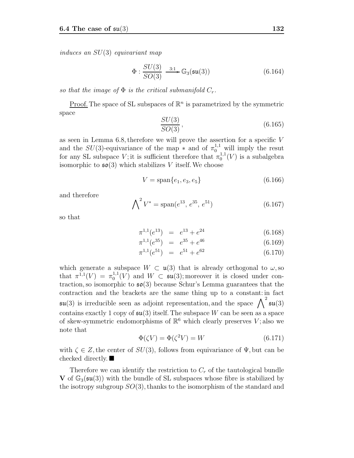induces an SU(3) equivariant map

$$
\Phi: \frac{SU(3)}{SO(3)} \xrightarrow{3:1} \mathbb{G}_3(\mathfrak{su}(3)) \tag{6.164}
$$

so that the image of  $\Phi$  is the critical submanifold  $C_r$ .

Proof. The space of SL subspaces of  $\mathbb{R}^n$  is parametrized by the symmetric space

$$
\frac{SU(3)}{SO(3)},\tag{6.165}
$$

as seen in Lemma 6.8, therefore we will prove the assertion for a specific V and the  $SU(3)$ -equivariance of the map  $*$  and of  $\pi_0^{1,1}$  will imply the resut for any SL subspace V; it is sufficient therefore that  $\pi_0^{1,1}(V)$  is a subalgebra isomorphic to  $\mathfrak{so}(3)$  which stabilizes V itself. We choose

$$
V = \text{span}\{e_1, e_3, e_5\} \tag{6.166}
$$

and therefore

$$
\bigwedge^2 V^* = \text{span}(e^{13}, e^{35}, e^{51})
$$
 (6.167)

so that

$$
\pi^{1,1}(e^{13}) = e^{13} + e^{24} \tag{6.168}
$$

$$
\pi^{1,1}(e^{35}) = e^{35} + e^{46} \tag{6.169}
$$

$$
\pi^{1,1}(e^{51}) = e^{51} + e^{62} \tag{6.170}
$$

which generate a subspace  $W \subset \mathfrak{u}(3)$  that is already orthogonal to  $\omega$ , so that  $\pi^{1,1}(V) = \pi_0^{1,1}(V)$  and  $W \subset \mathfrak{su}(3)$ ; moreover it is closed under contraction so isomorphic to  $\mathfrak{so}(3)$  because Schur's Lemma guarantees that the traction, so isomorphic to  $\mathfrak{so}(3)$  because Schur's Lemma guarantees that the contraction and the brackets are the same thing up to a constant: in fact  $\mathfrak{su}(3)$  is irreducible seen as adjoint representation, and the space  $\bigwedge^2 \mathfrak{su}(3)$ contains exactly 1 copy of  $\mathfrak{su}(3)$  itself. The subspace W can be seen as a space of skew-symmetric endomorphisms of  $\mathbb{R}^6$  which clearly preserves V; also we note that

$$
\Phi(\zeta V) = \Phi(\zeta^2 V) = W \tag{6.171}
$$

with  $\zeta \in Z$ , the center of  $SU(3)$ , follows from equivariance of  $\Psi$ , but can be checked directly.

Therefore we can identify the restriction to  $C_r$  of the tautological bundle **V** of  $\mathbb{G}_3(\mathfrak{su}(3))$  with the bundle of SL subspaces whose fibre is stabilized by the isotropy subgroup  $SO(3)$ , thanks to the isomorphism of the standard and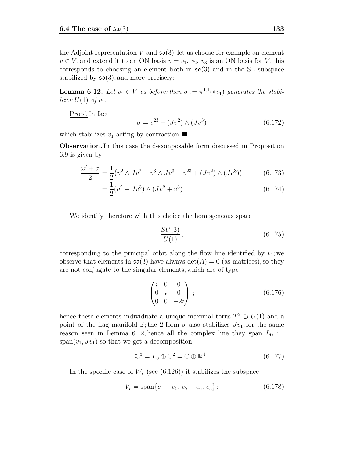the Adjoint representation V and  $\mathfrak{so}(3)$ ; let us choose for example an element  $v \in V$ , and extend it to an ON basis  $v = v_1, v_2, v_3$  is an ON basis for V; this corresponds to choosing an element both in  $\mathfrak{so}(3)$  and in the SL subspace stabilized by  $\mathfrak{so}(3)$ , and more precisely:

**Lemma 6.12.** Let  $v_1 \in V$  as before: then  $\sigma := \pi^{1,1}(*v_1)$  generates the stabilizer  $U(1)$  of  $v_1$ .

Proof. In fact

$$
\sigma = v^{23} + (Jv^2) \wedge (Jv^3) \tag{6.172}
$$

which stabilizes  $v_1$  acting by contraction.

**Observation.**In this case the decomposable form discussed in Proposition 6.9 is given by

$$
\frac{\omega' + \sigma}{2} = \frac{1}{2} \left( v^2 \wedge Jv^2 + v^3 \wedge Jv^3 + v^{23} + (Jv^2) \wedge (Jv^3) \right) \tag{6.173}
$$

$$
= \frac{1}{2}(v^2 - Jv^3) \wedge (Jv^2 + v^3). \tag{6.174}
$$

We identify therefore with this choice the homogeneous space

$$
\frac{SU(3)}{U(1)},\tag{6.175}
$$

corresponding to the principal orbit along the flow line identified by  $v_1$ ; we observe that elements in  $\mathfrak{so}(3)$  have always  $\det(A) = 0$  (as matrices), so they are not conjugate to the singular elements, which are of type

$$
\begin{pmatrix} i & 0 & 0 \\ 0 & i & 0 \\ 0 & 0 & -2i \end{pmatrix} ; \tag{6.176}
$$

hence these elements individuate a unique maximal torus  $T^2 \supset U(1)$  and a point of the flag manifold F; the 2-form  $\sigma$  also stabilizes  $Jv_1$ , for the same reason seen in Lemma 6.12, hence all the complex line they span  $L_0 :=$  $span(v_1,Jv_1)$  so that we get a decomposition

$$
\mathbb{C}^3 = L_0 \oplus \mathbb{C}^2 = \mathbb{C} \oplus \mathbb{R}^4. \tag{6.177}
$$

In the specific case of  $W_r$  (see (6.126)) it stabilizes the subspace

$$
V_r = \text{span}\{e_1 - e_5, e_2 + e_6, e_3\};\tag{6.178}
$$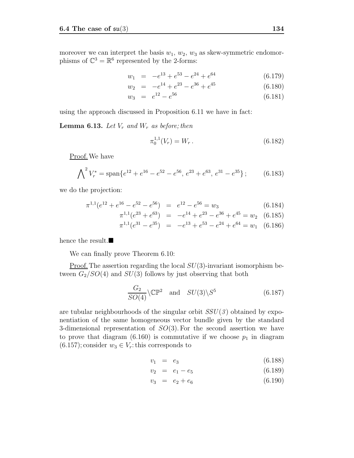moreover we can interpret the basis  $w_1, w_2, w_3$  as skew-symmetric endomorphisms of  $\mathbb{C}^3 = \mathbb{R}^6$  represented by the 2-forms:

$$
w_1 = -e^{13} + e^{53} - e^{24} + e^{64} \tag{6.179}
$$

$$
w_2 = -e^{14} + e^{23} - e^{36} + e^{45} \tag{6.180}
$$

$$
w_3 = e^{12} - e^{56} \tag{6.181}
$$

using the approach discussed in Proposition 6.11 we have in fact:

**Lemma 6.13.** Let  $V_r$  and  $W_r$  as before; then

$$
\pi_0^{1,1}(V_r) = W_r \,. \tag{6.182}
$$

Proof. We have

$$
\bigwedge^2 V_r^* = \text{span}\{e^{12} + e^{16} - e^{52} - e^{56}, e^{23} + e^{63}, e^{31} - e^{35}\};\tag{6.183}
$$

we do the projection:

$$
\pi^{1,1}(e^{12} + e^{16} - e^{52} - e^{56}) = e^{12} - e^{56} = w_3 \tag{6.184}
$$

$$
\pi^{1,1}(e^{23} + e^{63}) = -e^{14} + e^{23} - e^{36} + e^{45} = w_2 \quad (6.185)
$$

$$
\pi^{1,1}(e^{31} - e^{35}) = -e^{13} + e^{53} - e^{24} + e^{64} = w_1 \quad (6.186)
$$

hence the result.

We can finally prove Theorem 6.10:

<u>Proof.</u> The assertion regarding the local  $SU(3)$ -invariant isomorphism between  $G_2/SO(4)$  and  $SU(3)$  follows by just observing that both

$$
\frac{G_2}{SO(4)} \setminus \mathbb{CP}^2 \quad \text{and} \quad SU(3) \setminus S^5 \tag{6.187}
$$

are tubular neighbourhoods of the singular orbit  $SSU(3)$  obtained by exponentiation of the same homogeneous vector bundle given by the standard 3-dimensional representation of  $SO(3)$ . For the second assertion we have to prove that diagram  $(6.160)$  is commutative if we choose  $p_1$  in diagram  $(6.157)$ ; consider  $w_3 \in V_r$ : this corresponds to

$$
v_1 = e_3 \t\t(6.188)
$$

$$
v_2 = e_1 - e_5 \tag{6.189}
$$

$$
v_3 = e_2 + e_6 \tag{6.190}
$$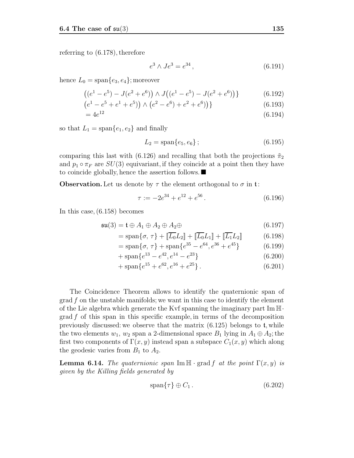referring to (6.178), therefore

$$
e^3 \wedge Je^3 = e^{34}, \tag{6.191}
$$

hence  $L_0 = \text{span}\{e_3, e_4\}$ ; moreover

$$
((e1 - e5) - J(e2 + e6)) \wedge J((e1 - e5) - J(e2 + e6))
$$
\n(6.192)

$$
(e1 - e5 + e1 + e5)) \wedge (e2 - e6) + e2 + e6))
$$
\n(6.193)

$$
=4e^{12} \t\t(6.194)
$$

so that  $L_1 = \text{span}\{e_1, e_2\}$  and finally

$$
L_2 = \text{span}\{e_5, e_6\};\tag{6.195}
$$

comparing this last with (6.126) and recalling that both the projections  $\tilde{\pi}_2$ and  $p_1 \circ \pi_F$  are  $SU(3)$  equivariant, if they coincide at a point then they have to coincide globally, hence the assertion follows.

**Observation.** Let us denote by  $\tau$  the element orthogonal to  $\sigma$  in t:

$$
\tau := -2e^{34} + e^{12} + e^{56}.
$$
\n(6.196)

In this case, (6.158) becomes

$$
\mathfrak{su}(3) = \mathfrak{t} \oplus A_1 \oplus A_2 \oplus A_2 \oplus \tag{6.197}
$$

$$
= \text{span}\{\sigma, \tau\} + \left[\overline{L_0}L_2\right] + \left[\overline{L_0}L_1\right] + \left[\overline{L_1}L_2\right] \tag{6.198}
$$

$$
= \text{span}\{\sigma, \tau\} + \text{span}\{e^{35} - e^{64}, e^{36} + e^{45}\}\tag{6.199}
$$

$$
+\operatorname{span}\{e^{13} - e^{42}, e^{14} - e^{23}\}\tag{6.200}
$$

$$
+\operatorname{span}\{e^{15} + e^{62}, e^{16} + e^{25}\}.
$$
\n(6.201)

The Coincidence Theorem allows to identify the quaternionic span of grad f on the unstable manifolds; we want in this case to identify the element of the Lie algebra which generate the Kvf spanning the imaginary part  $\text{Im }\mathbb{H}$ .  $\operatorname{grad} f$  of this span in this specific example, in terms of the decomposition previously discussed: we observe that the matrix  $(6.125)$  belongs to t, while the two elements  $w_1, w_2$  span a 2-dimensional space  $B_1$  lying in  $A_1 \oplus A_2$ ; the first two components of  $\Gamma(x, y)$  instead span a subspace  $C_1(x, y)$  which along the geodesic varies from  $B_1$  to  $A_2$ .

**Lemma 6.14.** The quaternionic span Im  $\mathbb{H} \cdot \text{grad } f$  at the point  $\Gamma(x, y)$  is given by the Killing fields generated by

$$
\operatorname{span}\{\tau\} \oplus C_1. \tag{6.202}
$$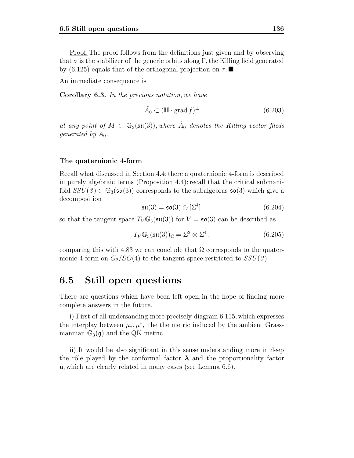Proof. The proof follows from the definitions just given and by observing that  $\sigma$  is the stabilizer of the generic orbits along Γ, the Killing field generated by (6.125) equals that of the orthogonal projection on  $\tau$ .

An immediate consequence is

**Corollary 6.3.** In the previous notation, we have

$$
\tilde{A}_0 \subset (\mathbb{H} \cdot \text{grad } f)^\perp \tag{6.203}
$$

at any point of  $M \text{ }\subset \mathbb{G}_3(\mathfrak{su}(3))$ , where  $\tilde{A}_0$  denotes the Killing vector fileds *generated by A*<sub>0</sub>.

#### **The quaternionic** 4**-form**

Recall what discussed in Section 4.4: there a quaternionic 4-form is described in purely algebraic terms (Proposition 4.4); recall that the critical submanifold  $SSU(3) \subset \mathbb{G}_3(\mathfrak{su}(3))$  corresponds to the subalgebras  $\mathfrak{so}(3)$  which give a decomposition

$$
\mathfrak{su}(3) = \mathfrak{so}(3) \oplus [\Sigma^4]
$$
 (6.204)

so that the tangent space  $T_V \mathbb{G}_3(\mathfrak{su}(3))$  for  $V = \mathfrak{so}(3)$  can be described as

$$
T_V \mathbb{G}_3(\mathfrak{su}(3))_{\mathbb{C}} = \Sigma^2 \otimes \Sigma^4 ; \qquad (6.205)
$$

comparing this with 4.83 we can conclude that  $\Omega$  corresponds to the quaternionic 4-form on  $G_2/SO(4)$  to the tangent space restricted to  $SSU(3)$ .

### **6.5 Still open questions**

There are questions which have been left open, in the hope of finding more complete answers in the future.

i) First of all undersanding more precisely diagram 6.115, which expresses the interplay between  $\mu_*, \mu^*$ , the the metric induced by the ambient Grassmannian  $\mathbb{G}_3(\mathfrak{g})$  and the QK metric.

ii) It would be also significant in this sense understanding more in deep the rôle played by the conformal factor  $\lambda$  and the proportionality factor **a**, which are clearly related in many cases (see Lemma 6.6).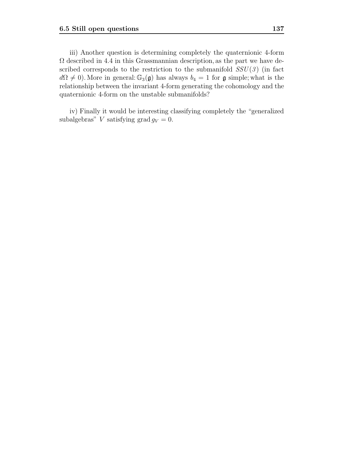iii) Another question is determining completely the quaternionic 4-form  $\Omega$  described in 4.4 in this Grassmannian description, as the part we have described corresponds to the restriction to the submanifold  $SSU(3)$  (in fact  $d\Omega \neq 0$ ). More in general:  $\mathbb{G}_3(\mathfrak{g})$  has always  $b_4 = 1$  for  $\mathfrak{g}$  simple; what is the relationship between the invariant 4-form generating the cohomology and the quaternionic 4-form on the unstable submanifolds?

iv) Finally it would be interesting classifying completely the "generalized subalgebras" V satisfying grad  $g_V = 0$ .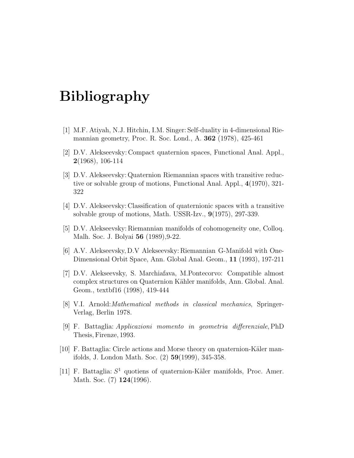## **Bibliography**

- [1] M.F. Atiyah, N.J. Hitchin, I.M. Singer: Self-duality in 4-dimensional Riemannian geometry, Proc. R. Soc. Lond., A. **362** (1978), 425-461
- [2] D.V. Alekseevsky: Compact quaternion spaces, Functional Anal. Appl., **2**(1968), 106-114
- [3] D.V. Alekseevsky: Quaternion Riemannian spaces with transitive reductive or solvable group of motions, Functional Anal. Appl., **4**(1970), 321- 322
- [4] D.V. Alekseevsky: Classification of quaternionic spaces with a transitive solvable group of motions, Math. USSR-Izv., **9**(1975), 297-339.
- [5] D.V. Alekseevsky: Riemannian manifolds of cohomogeneity one, Colloq. Malh. Soc. J. Bolyai **56** (1989),9-22.
- [6] A.V. Alekseevsky, D.V Alekseevsky: Riemannian G-Manifold with One-Dimensional Orbit Space, Ann. Global Anal. Geom., **11** (1993), 197-211
- [7] D.V. Alekseevsky, S. Marchiafava, M.Pontecorvo: Compatible almost complex structures on Quaternion Kähler manifolds, Ann. Global. Anal. Geom., textbf16 (1998), 419-444
- [8] V.I. Arnold:Mathematical methods in classical mechanics, Springer-Verlag, Berlin 1978.
- [9] F. Battaglia: Applicazioni momento in geometria differenziale, PhD Thesis, Firenze, 1993.
- [10] F. Battaglia: Circle actions and Morse theory on quaternion-Käler manifolds, J. London Math. Soc. (2) **59**(1999), 345-358.
- [11] F. Battaglia:  $S^1$  quotiens of quaternion-Käler manifolds, Proc. Amer. Math. Soc. (7) **124**(1996).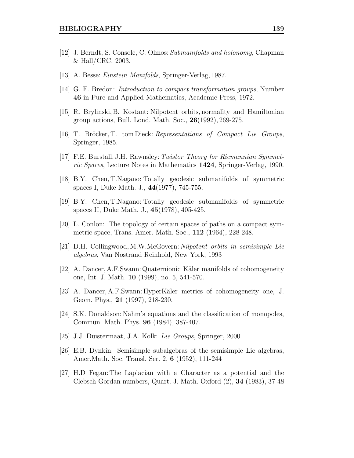- [12] J. Berndt, S. Console, C. Olmos: Submanifolds and holonomy, Chapman & Hall/CRC, 2003.
- [13] A. Besse: Einstein Manifolds, Springer-Verlag, 1987.
- [14] G. E. Bredon: Introduction to compact transformation groups, Number **46** in Pure and Applied Mathematics, Academic Press, 1972.
- [15] R. Brylinski, B. Kostant: Nilpotent orbits, normality and Hamiltonian group actions, Bull. Lond. Math. Soc., **26**(1992), 269-275.
- [16] T. Bröcker, T. tom Dieck: Representations of Compact Lie Groups, Springer, 1985.
- [17] F.E. Burstall, J.H. Rawnsley: Twistor Theory for Riemannian Symmetric Spaces, Lecture Notes in Mathematics **1424**, Springer-Verlag, 1990.
- [18] B.Y. Chen, T.Nagano: Totally geodesic submanifolds of symmetric spaces I, Duke Math. J., **44**(1977), 745-755.
- [19] B.Y. Chen, T.Nagano: Totally geodesic submanifolds of symmetric spaces II, Duke Math. J., **45**(1978), 405-425.
- [20] L. Conlon: The topology of certain spaces of paths on a compact symmetric space, Trans. Amer. Math. Soc., **112** (1964), 228-248.
- [21] D.H. Collingwood, M.W.McGovern: Nilpotent orbits in semisimple Lie algebras, Van Nostrand Reinhold, New York, 1993
- [22] A. Dancer, A.F.Swann: Quaternionic Käler manifolds of cohomogeneity one, Int. J. Math. **10** (1999), no. 5, 541-570.
- [23] A. Dancer, A.F.Swann: HyperKäler metrics of cohomogeneity one, J. Geom. Phys., **21** (1997), 218-230.
- [24] S.K. Donaldson: Nahm's equations and the classification of monopoles, Commun. Math. Phys. **96** (1984), 387-407.
- [25] J.J. Duistermaat, J.A. Kolk: Lie Groups, Springer, 2000
- [26] E.B. Dynkin: Semisimple subalgebras of the semisimple Lie algebras, Amer.Math. Soc. Transl. Ser. 2, **6** (1952), 111-244
- [27] H.D Fegan: The Laplacian with a Character as a potential and the Clebsch-Gordan numbers, Quart. J. Math. Oxford (2), **34** (1983), 37-48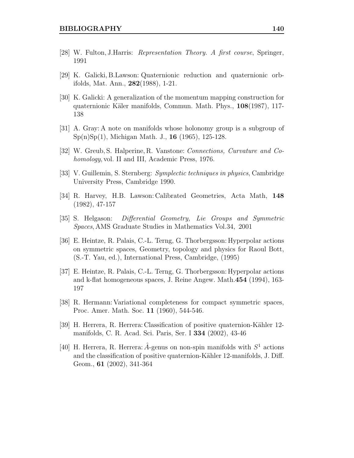- [28] W. Fulton, J.Harris: Representation Theory. A first course, Springer, 1991
- [29] K. Galicki, B.Lawson: Quaternionic reduction and quaternionic orbifolds, Mat. Ann., **282**(1988), 1-21.
- [30] K. Galicki: A generalization of the momentum mapping construction for quaternionic K¨aler manifolds, Commun. Math. Phys., **108**(1987), 117- 138
- [31] A. Gray: A note on manifolds whose holonomy group is a subgroup of Sp(n)Sp(1), Michigan Math. J., **16** (1965), 125-128.
- [32] W. Greub, S. Halperine, R. Vanstone: Connections, Curvature and Cohomology, vol. II and III, Academic Press, 1976.
- [33] V. Guillemin, S. Sternberg: Symplectic techniques in physics, Cambridge University Press, Cambridge 1990.
- [34] R. Harvey, H.B. Lawson: Calibrated Geometries, Acta Math, **148** (1982), 47-157
- [35] S. Helgason: Differential Geometry, Lie Groups and Symmetric Spaces, AMS Graduate Studies in Mathematics Vol.34, 2001
- [36] E. Heintze, R. Palais, C.-L. Terng, G. Thorbergsson: Hyperpolar actions on symmetric spaces, Geometry, topology and physics for Raoul Bott, (S.-T. Yau, ed.), International Press, Cambridge, (1995)
- [37] E. Heintze, R. Palais, C.-L. Terng, G. Thorbergsson: Hyperpolar actions and k-flat homogeneous spaces, J. Reine Angew. Math.**454** (1994), 163- 197
- [38] R. Hermann: Variational completeness for compact symmetric spaces, Proc. Amer. Math. Soc. **11** (1960), 544-546.
- [39] H. Herrera, R. Herrera: Classification of positive quaternion-Kähler 12manifolds, C. R. Acad. Sci. Paris, Ser. I **334** (2002), 43-46
- [40] H. Herrera, R. Herrera:  $\hat{A}$ -genus on non-spin manifolds with  $S^1$  actions and the classification of positive quaternion-Kähler 12-manifolds, J. Diff. Geom., **61** (2002), 341-364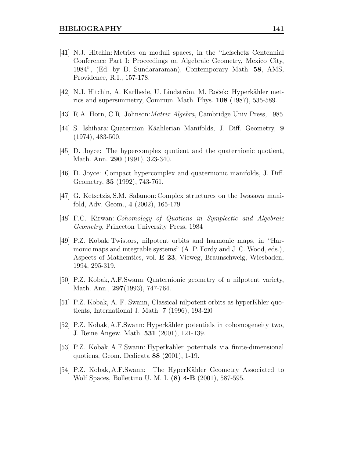- [41] N.J. Hitchin: Metrics on moduli spaces, in the "Lefschetz Centennial Conference Part I: Proceedings on Algebraic Geometry, Mexico City, 1984", (Ed. by D. Sundararaman), Contemporary Math. **58**, AMS, Providence, R.I., 157-178.
- [42] N.J. Hitchin, A. Karlhede, U. Lindström, M. Roček: Hyperkähler metrics and supersimmetry, Commun. Math. Phys. **108** (1987), 535-589.
- [43] R.A. Horn, C.R. Johnson:Matrix Algebra, Cambridge Univ Press, 1985
- [44] S. Ishihara: Quaternion K¨aahlerian Manifolds, J. Diff. Geometry, **9** (1974), 483-500.
- [45] D. Joyce: The hypercomplex quotient and the quaternionic quotient, Math. Ann. **290** (1991), 323-340.
- [46] D. Joyce: Compact hypercomplex and quaternionic manifolds, J. Diff. Geometry, **35** (1992), 743-761.
- [47] G. Ketsetzis, S.M. Salamon: Complex structures on the Iwasawa manifold, Adv. Geom., **4** (2002), 165-179
- [48] F.C. Kirwan: Cohomology of Quotiens in Symplectic and Algebraic Geometry, Princeton University Press, 1984
- [49] P.Z. Kobak: Twistors, nilpotent orbits and harmonic maps, in "Harmonic maps and integrable systems" (A. P. Fordy and J. C. Wood, eds.), Aspects of Mathemtics, vol. **E 23**, Vieweg, Braunschweig, Wiesbaden, 1994, 295-319.
- [50] P.Z. Kobak, A.F.Swann: Quaternionic geometry of a nilpotent variety, Math. Ann., **297**(1993), 747-764.
- [51] P.Z. Kobak, A. F. Swann, Classical nilpotent orbits as hyperKhler quotients, International J. Math. **7** (1996), 193-2l0
- [52] P.Z. Kobak, A.F.Swann: Hyperk¨ahler potentials in cohomogeneity two, J. Reine Angew. Math. **531** (2001), 121-139.
- [53] P.Z. Kobak, A.F.Swann: Hyperk¨ahler potentials via finite-dimensional quotiens, Geom. Dedicata **88** (2001), 1-19.
- [54] P.Z. Kobak, A.F. Swann: The HyperKähler Geometry Associated to Wolf Spaces, Bollettino U. M. I. **(8) 4-B** (2001), 587-595.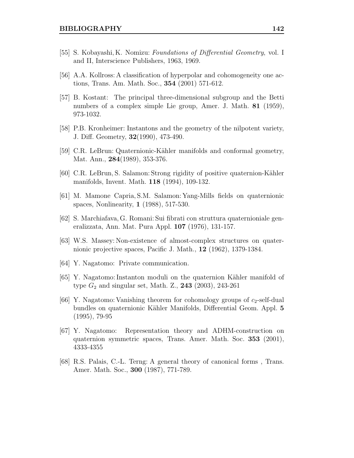- [55] S. Kobayashi, K. Nomizu: Foundations of Differential Geometry, vol. I and II, Interscience Publishers, 1963, 1969.
- [56] A.A. Kollross: A classification of hyperpolar and cohomogeneity one actions, Trans. Am. Math. Soc., **354** (2001) 571-612.
- [57] B. Kostant: The principal three-dimensional subgroup and the Betti numbers of a complex simple Lie group, Amer. J. Math. **81** (1959), 973-1032.
- [58] P.B. Kronheimer: Instantons and the geometry of the nilpotent variety, J. Diff. Geometry, **32**(1990), 473-490.
- [59] C.R. LeBrun: Quaternionic-K¨ahler manifolds and conformal geometry, Mat. Ann., **284**(1989), 353-376.
- [60] C.R. LeBrun, S. Salamon: Strong rigidity of positive quaternion-K¨ahler manifolds, Invent. Math. **118** (1994), 109-132.
- [61] M. Mamone Capria, S.M. Salamon: Yang-Mills fields on quaternionic spaces, Nonlinearity, **1** (1988), 517-530.
- [62] S. Marchiafava, G. Romani: Sui fibrati con struttura quaternioniale generalizzata, Ann. Mat. Pura Appl. **107** (1976), 131-157.
- [63] W.S. Massey: Non-existence of almost-complex structures on quaternionic projective spaces, Pacific J. Math., **12** (1962), 1379-1384.
- [64] Y. Nagatomo: Private communication.
- [65] Y. Nagatomo: Instanton moduli on the quaternion K¨ahler manifold of type G<sup>2</sup> and singular set, Math. Z., **243** (2003), 243-261
- [66] Y. Nagatomo: Vanishing theorem for cohomology groups of  $c_2$ -self-dual bundles on quaternionic K¨ahler Manifolds, Differential Geom. Appl. **5** (1995), 79-95
- [67] Y. Nagatomo: Representation theory and ADHM-construction on quaternion symmetric spaces, Trans. Amer. Math. Soc. **353** (2001), 4333-4355
- [68] R.S. Palais, C.-L. Terng: A general theory of canonical forms , Trans. Amer. Math. Soc., **300** (1987), 771-789.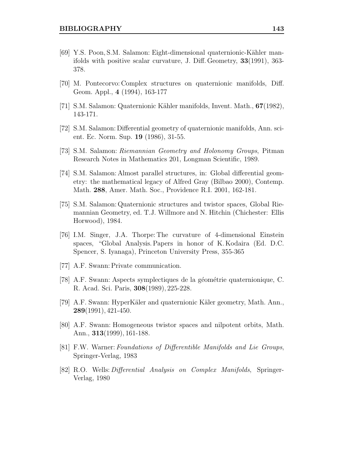- [69] Y.S. Poon, S.M. Salamon: Eight-dimensional quaternionic-Kähler manifolds with positive scalar curvature, J. Diff. Geometry, **33**(1991), 363- 378.
- [70] M. Pontecorvo: Complex structures on quaternionic manifolds, Diff. Geom. Appl., **4** (1994), 163-177
- [71] S.M. Salamon: Quaternionic K¨ahler manifolds, Invent. Math., **67**(1982), 143-171.
- [72] S.M. Salamon: Differential geometry of quaternionic manifolds, Ann. scient. Ec. Norm. Sup. **19** (1986), 31-55.
- [73] S.M. Salamon: Riemannian Geometry and Holonomy Groups, Pitman Research Notes in Mathematics 201, Longman Scientific, 1989.
- [74] S.M. Salamon: Almost parallel structures, in: Global differential geometry: the mathematical legacy of Alfred Gray (Bilbao 2000), Contemp. Math. **288**, Amer. Math. Soc., Providence R.I. 2001, 162-181.
- [75] S.M. Salamon: Quaternionic structures and twistor spaces, Global Riemannian Geometry, ed. T.J. Willmore and N. Hitchin (Chichester: Ellis Horwood), 1984.
- [76] I.M. Singer, J.A. Thorpe: The curvature of 4-dimensional Einstein spaces, "Global Analysis. Papers in honor of K. Kodaira (Ed. D.C. Spencer, S. Iyanaga), Princeton University Press, 355-365
- [77] A.F. Swann: Private communication.
- [78] A.F. Swann: Aspects symplectiques de la géométrie quaternionique, C. R. Acad. Sci. Paris, **308**(1989), 225-228.
- [79] A.F. Swann: HyperKäler and quaternionic Käler geometry, Math. Ann., **289**(1991), 421-450.
- [80] A.F. Swann: Homogeneous twistor spaces and nilpotent orbits, Math. Ann., **313**(1999), 161-188.
- [81] F.W. Warner:Foundations of Differentible Manifolds and Lie Groups, Springer-Verlag, 1983
- [82] R.O. Wells: Differential Analysis on Complex Manifolds, Springer-Verlag, 1980